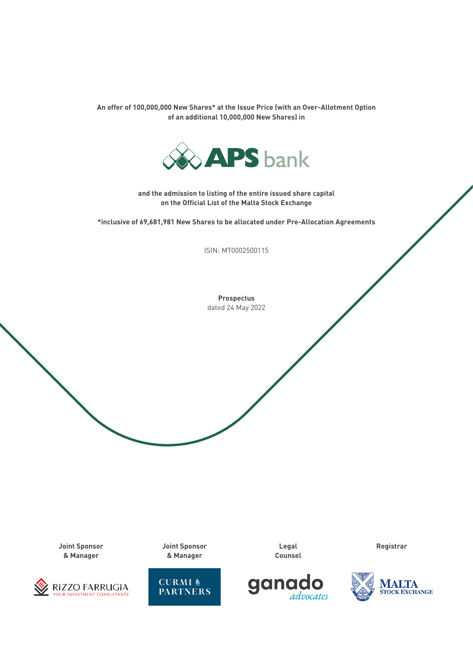**An offer of 100,000,000 New Shares\* at the Issue Price (with an Over-Allotment Option of an additional 10,000,000 New Shares) in**



**and the admission to listing of the entire issued share capital on the Official List of the Malta Stock Exchange**

**\*inclusive of 69,681,981 New Shares to be allocated under Pre-Allocation Agreements**

ISIN: MT0002500115

**Prospectus** dated 24 May 2022

**Joint Sponsor & Manager**



**Joint Sponsor & Manager**



**Legal Counsel** **Registrar**



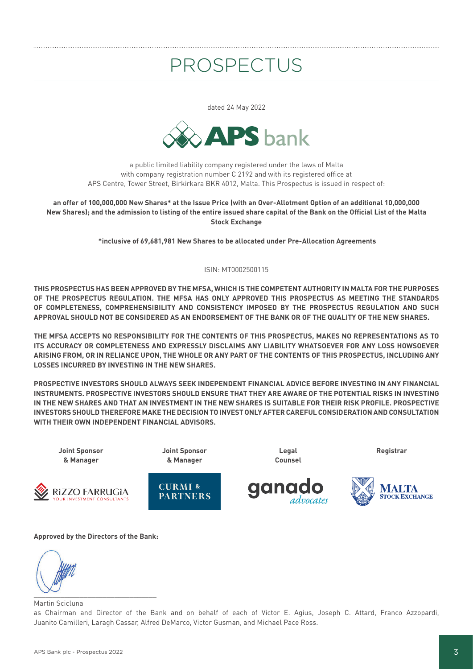# PROSPECTUS

dated 24 May 2022



a public limited liability company registered under the laws of Malta with company registration number C 2192 and with its registered office at APS Centre, Tower Street, Birkirkara BKR 4012, Malta. This Prospectus is issued in respect of:

**an offer of 100,000,000 New Shares\* at the Issue Price (with an Over-Allotment Option of an additional 10,000,000 New Shares); and the admission to listing of the entire issued share capital of the Bank on the Official List of the Malta Stock Exchange** 

 **\*inclusive of 69,681,981 New Shares to be allocated under Pre-Allocation Agreements**

#### ISIN: MT0002500115

**THIS PROSPECTUS HAS BEEN APPROVED BY THE MFSA, WHICH IS THE COMPETENT AUTHORITY IN MALTA FOR THE PURPOSES OF THE PROSPECTUS REGULATION. THE MFSA HAS ONLY APPROVED THIS PROSPECTUS AS MEETING THE STANDARDS OF COMPLETENESS, COMPREHENSIBILITY AND CONSISTENCY IMPOSED BY THE PROSPECTUS REGULATION AND SUCH APPROVAL SHOULD NOT BE CONSIDERED AS AN ENDORSEMENT OF THE BANK OR OF THE QUALITY OF THE NEW SHARES.**

**THE MFSA ACCEPTS NO RESPONSIBILITY FOR THE CONTENTS OF THIS PROSPECTUS, MAKES NO REPRESENTATIONS AS TO ITS ACCURACY OR COMPLETENESS AND EXPRESSLY DISCLAIMS ANY LIABILITY WHATSOEVER FOR ANY LOSS HOWSOEVER ARISING FROM, OR IN RELIANCE UPON, THE WHOLE OR ANY PART OF THE CONTENTS OF THIS PROSPECTUS, INCLUDING ANY LOSSES INCURRED BY INVESTING IN THE NEW SHARES.**

**PROSPECTIVE INVESTORS SHOULD ALWAYS SEEK INDEPENDENT FINANCIAL ADVICE BEFORE INVESTING IN ANY FINANCIAL INSTRUMENTS. PROSPECTIVE INVESTORS SHOULD ENSURE THAT THEY ARE AWARE OF THE POTENTIAL RISKS IN INVESTING IN THE NEW SHARES AND THAT AN INVESTMENT IN THE NEW SHARES IS SUITABLE FOR THEIR RISK PROFILE. PROSPECTIVE INVESTORS SHOULD THEREFORE MAKE THE DECISION TO INVEST ONLY AFTER CAREFUL CONSIDERATION AND CONSULTATION WITH THEIR OWN INDEPENDENT FINANCIAL ADVISORS.**



#### **Approved by the Directors of the Bank:**

 $\sim$ 

#### Martin Scicluna

as Chairman and Director of the Bank and on behalf of each of Victor E. Agius, Joseph C. Attard, Franco Azzopardi, Juanito Camilleri, Laragh Cassar, Alfred DeMarco, Victor Gusman, and Michael Pace Ross.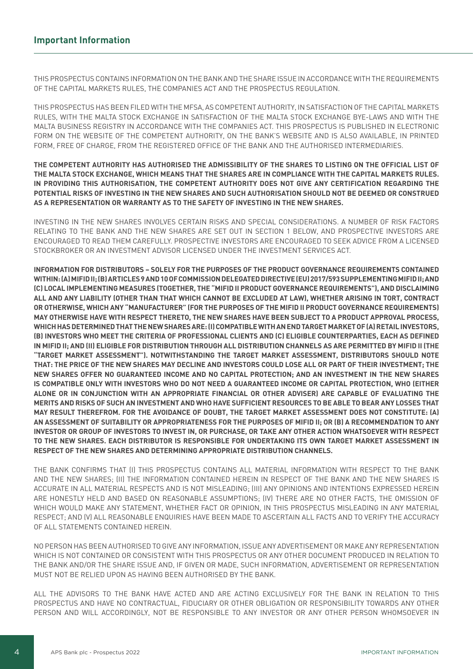THIS PROSPECTUS CONTAINS INFORMATION ON THE BANK AND THE SHARE ISSUE IN ACCORDANCE WITH THE REQUIREMENTS OF THE CAPITAL MARKETS RULES, THE COMPANIES ACT AND THE PROSPECTUS REGULATION.

THIS PROSPECTUS HAS BEEN FILED WITH THE MFSA, AS COMPETENT AUTHORITY, IN SATISFACTION OF THE CAPITAL MARKETS RULES, WITH THE MALTA STOCK EXCHANGE IN SATISFACTION OF THE MALTA STOCK EXCHANGE BYE-LAWS AND WITH THE MALTA BUSINESS REGISTRY IN ACCORDANCE WITH THE COMPANIES ACT. THIS PROSPECTUS IS PUBLISHED IN ELECTRONIC FORM ON THE WEBSITE OF THE COMPETENT AUTHORITY, ON THE BANK'S WEBSITE AND IS ALSO AVAILABLE, IN PRINTED FORM, FREE OF CHARGE, FROM THE REGISTERED OFFICE OF THE BANK AND THE AUTHORISED INTERMEDIARIES.

# **THE COMPETENT AUTHORITY HAS AUTHORISED THE ADMISSIBILITY OF THE SHARES TO LISTING ON THE OFFICIAL LIST OF THE MALTA STOCK EXCHANGE, WHICH MEANS THAT THE SHARES ARE IN COMPLIANCE WITH THE CAPITAL MARKETS RULES. IN PROVIDING THIS AUTHORISATION, THE COMPETENT AUTHORITY DOES NOT GIVE ANY CERTIFICATION REGARDING THE POTENTIAL RISKS OF INVESTING IN THE NEW SHARES AND SUCH AUTHORISATION SHOULD NOT BE DEEMED OR CONSTRUED AS A REPRESENTATION OR WARRANTY AS TO THE SAFETY OF INVESTING IN THE NEW SHARES.**

INVESTING IN THE NEW SHARES INVOLVES CERTAIN RISKS AND SPECIAL CONSIDERATIONS. A NUMBER OF RISK FACTORS RELATING TO THE BANK AND THE NEW SHARES ARE SET OUT IN SECTION 1 BELOW, AND PROSPECTIVE INVESTORS ARE ENCOURAGED TO READ THEM CAREFULLY. PROSPECTIVE INVESTORS ARE ENCOURAGED TO SEEK ADVICE FROM A LICENSED STOCKBROKER OR AN INVESTMENT ADVISOR LICENSED UNDER THE INVESTMENT SERVICES ACT.

**INFORMATION FOR DISTRIBUTORS – SOLELY FOR THE PURPOSES OF THE PRODUCT GOVERNANCE REQUIREMENTS CONTAINED WITHIN: (A) MIFID II; (B) ARTICLES 9 AND 10 OF COMMISSION DELEGATED DIRECTIVE (EU) 2017/593 SUPPLEMENTING MIFID II; AND (C) LOCAL IMPLEMENTING MEASURES (TOGETHER, THE "MIFID II PRODUCT GOVERNANCE REQUIREMENTS"), AND DISCLAIMING ALL AND ANY LIABILITY (OTHER THAN THAT WHICH CANNOT BE EXCLUDED AT LAW), WHETHER ARISING IN TORT, CONTRACT OR OTHERWISE, WHICH ANY "MANUFACTURER" (FOR THE PURPOSES OF THE MIFID II PRODUCT GOVERNANCE REQUIREMENTS) MAY OTHERWISE HAVE WITH RESPECT THERETO, THE NEW SHARES HAVE BEEN SUBJECT TO A PRODUCT APPROVAL PROCESS, WHICH HAS DETERMINED THAT THE NEW SHARES ARE: (I) COMPATIBLE WITH AN END TARGET MARKET OF (A) RETAIL INVESTORS, (B) INVESTORS WHO MEET THE CRITERIA OF PROFESSIONAL CLIENTS AND (C) ELIGIBLE COUNTERPARTIES, EACH AS DEFINED IN MIFID II; AND (II) ELIGIBLE FOR DISTRIBUTION THROUGH ALL DISTRIBUTION CHANNELS AS ARE PERMITTED BY MIFID II (THE "TARGET MARKET ASSESSMENT"). NOTWITHSTANDING THE TARGET MARKET ASSESSMENT, DISTRIBUTORS SHOULD NOTE THAT: THE PRICE OF THE NEW SHARES MAY DECLINE AND INVESTORS COULD LOSE ALL OR PART OF THEIR INVESTMENT; THE NEW SHARES OFFER NO GUARANTEED INCOME AND NO CAPITAL PROTECTION; AND AN INVESTMENT IN THE NEW SHARES IS COMPATIBLE ONLY WITH INVESTORS WHO DO NOT NEED A GUARANTEED INCOME OR CAPITAL PROTECTION, WHO (EITHER ALONE OR IN CONJUNCTION WITH AN APPROPRIATE FINANCIAL OR OTHER ADVISER) ARE CAPABLE OF EVALUATING THE MERITS AND RISKS OF SUCH AN INVESTMENT AND WHO HAVE SUFFICIENT RESOURCES TO BE ABLE TO BEAR ANY LOSSES THAT MAY RESULT THEREFROM. FOR THE AVOIDANCE OF DOUBT, THE TARGET MARKET ASSESSMENT DOES NOT CONSTITUTE: (A) AN ASSESSMENT OF SUITABILITY OR APPROPRIATENESS FOR THE PURPOSES OF MIFID II; OR (B) A RECOMMENDATION TO ANY INVESTOR OR GROUP OF INVESTORS TO INVEST IN, OR PURCHASE, OR TAKE ANY OTHER ACTION WHATSOEVER WITH RESPECT TO THE NEW SHARES. EACH DISTRIBUTOR IS RESPONSIBLE FOR UNDERTAKING ITS OWN TARGET MARKET ASSESSMENT IN RESPECT OF THE NEW SHARES AND DETERMINING APPROPRIATE DISTRIBUTION CHANNELS.**

THE BANK CONFIRMS THAT (I) THIS PROSPECTUS CONTAINS ALL MATERIAL INFORMATION WITH RESPECT TO THE BANK AND THE NEW SHARES; (II) THE INFORMATION CONTAINED HEREIN IN RESPECT OF THE BANK AND THE NEW SHARES IS ACCURATE IN ALL MATERIAL RESPECTS AND IS NOT MISLEADING; (III) ANY OPINIONS AND INTENTIONS EXPRESSED HEREIN ARE HONESTLY HELD AND BASED ON REASONABLE ASSUMPTIONS; (IV) THERE ARE NO OTHER FACTS, THE OMISSION OF WHICH WOULD MAKE ANY STATEMENT, WHETHER FACT OR OPINION, IN THIS PROSPECTUS MISLEADING IN ANY MATERIAL RESPECT; AND (V) ALL REASONABLE ENQUIRIES HAVE BEEN MADE TO ASCERTAIN ALL FACTS AND TO VERIFY THE ACCURACY OF ALL STATEMENTS CONTAINED HEREIN.

NO PERSON HAS BEEN AUTHORISED TO GIVE ANY INFORMATION, ISSUE ANY ADVERTISEMENT OR MAKE ANY REPRESENTATION WHICH IS NOT CONTAINED OR CONSISTENT WITH THIS PROSPECTUS OR ANY OTHER DOCUMENT PRODUCED IN RELATION TO THE BANK AND/OR THE SHARE ISSUE AND, IF GIVEN OR MADE, SUCH INFORMATION, ADVERTISEMENT OR REPRESENTATION MUST NOT BE RELIED UPON AS HAVING BEEN AUTHORISED BY THE BANK.

ALL THE ADVISORS TO THE BANK HAVE ACTED AND ARE ACTING EXCLUSIVELY FOR THE BANK IN RELATION TO THIS PROSPECTUS AND HAVE NO CONTRACTUAL, FIDUCIARY OR OTHER OBLIGATION OR RESPONSIBILITY TOWARDS ANY OTHER PERSON AND WILL ACCORDINGLY, NOT BE RESPONSIBLE TO ANY INVESTOR OR ANY OTHER PERSON WHOMSOEVER IN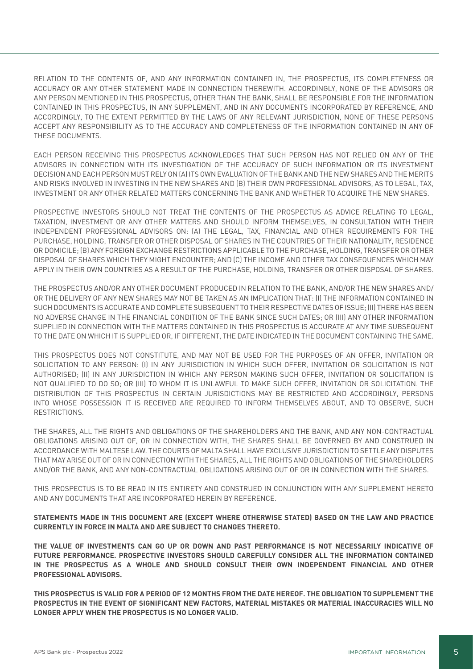RELATION TO THE CONTENTS OF, AND ANY INFORMATION CONTAINED IN, THE PROSPECTUS, ITS COMPLETENESS OR ACCURACY OR ANY OTHER STATEMENT MADE IN CONNECTION THEREWITH. ACCORDINGLY, NONE OF THE ADVISORS OR ANY PERSON MENTIONED IN THIS PROSPECTUS, OTHER THAN THE BANK, SHALL BE RESPONSIBLE FOR THE INFORMATION CONTAINED IN THIS PROSPECTUS, IN ANY SUPPLEMENT, AND IN ANY DOCUMENTS INCORPORATED BY REFERENCE, AND ACCORDINGLY, TO THE EXTENT PERMITTED BY THE LAWS OF ANY RELEVANT JURISDICTION, NONE OF THESE PERSONS ACCEPT ANY RESPONSIBILITY AS TO THE ACCURACY AND COMPLETENESS OF THE INFORMATION CONTAINED IN ANY OF THESE DOCUMENTS.

EACH PERSON RECEIVING THIS PROSPECTUS ACKNOWLEDGES THAT SUCH PERSON HAS NOT RELIED ON ANY OF THE ADVISORS IN CONNECTION WITH ITS INVESTIGATION OF THE ACCURACY OF SUCH INFORMATION OR ITS INVESTMENT DECISION AND EACH PERSON MUST RELY ON (A) ITS OWN EVALUATION OF THE BANK AND THE NEW SHARES AND THE MERITS AND RISKS INVOLVED IN INVESTING IN THE NEW SHARES AND (B) THEIR OWN PROFESSIONAL ADVISORS, AS TO LEGAL, TAX, INVESTMENT OR ANY OTHER RELATED MATTERS CONCERNING THE BANK AND WHETHER TO ACQUIRE THE NEW SHARES.

PROSPECTIVE INVESTORS SHOULD NOT TREAT THE CONTENTS OF THE PROSPECTUS AS ADVICE RELATING TO LEGAL, TAXATION, INVESTMENT OR ANY OTHER MATTERS AND SHOULD INFORM THEMSELVES, IN CONSULTATION WITH THEIR INDEPENDENT PROFESSIONAL ADVISORS ON: (A) THE LEGAL, TAX, FINANCIAL AND OTHER REQUIREMENTS FOR THE PURCHASE, HOLDING, TRANSFER OR OTHER DISPOSAL OF SHARES IN THE COUNTRIES OF THEIR NATIONALITY, RESIDENCE OR DOMICILE; (B) ANY FOREIGN EXCHANGE RESTRICTIONS APPLICABLE TO THE PURCHASE, HOLDING, TRANSFER OR OTHER DISPOSAL OF SHARES WHICH THEY MIGHT ENCOUNTER; AND (C) THE INCOME AND OTHER TAX CONSEQUENCES WHICH MAY APPLY IN THEIR OWN COUNTRIES AS A RESULT OF THE PURCHASE, HOLDING, TRANSFER OR OTHER DISPOSAL OF SHARES.

THE PROSPECTUS AND/OR ANY OTHER DOCUMENT PRODUCED IN RELATION TO THE BANK, AND/OR THE NEW SHARES AND/ OR THE DELIVERY OF ANY NEW SHARES MAY NOT BE TAKEN AS AN IMPLICATION THAT: (I) THE INFORMATION CONTAINED IN SUCH DOCUMENTS IS ACCURATE AND COMPLETE SUBSEQUENT TO THEIR RESPECTIVE DATES OF ISSUE; (II) THERE HAS BEEN NO ADVERSE CHANGE IN THE FINANCIAL CONDITION OF THE BANK SINCE SUCH DATES; OR (III) ANY OTHER INFORMATION SUPPLIED IN CONNECTION WITH THE MATTERS CONTAINED IN THIS PROSPECTUS IS ACCURATE AT ANY TIME SUBSEQUENT TO THE DATE ON WHICH IT IS SUPPLIED OR, IF DIFFERENT, THE DATE INDICATED IN THE DOCUMENT CONTAINING THE SAME.

THIS PROSPECTUS DOES NOT CONSTITUTE, AND MAY NOT BE USED FOR THE PURPOSES OF AN OFFER, INVITATION OR SOLICITATION TO ANY PERSON: (I) IN ANY JURISDICTION IN WHICH SUCH OFFER, INVITATION OR SOLICITATION IS NOT AUTHORISED; (II) IN ANY JURISDICTION IN WHICH ANY PERSON MAKING SUCH OFFER, INVITATION OR SOLICITATION IS NOT QUALIFIED TO DO SO; OR (III) TO WHOM IT IS UNLAWFUL TO MAKE SUCH OFFER, INVITATION OR SOLICITATION. THE DISTRIBUTION OF THIS PROSPECTUS IN CERTAIN JURISDICTIONS MAY BE RESTRICTED AND ACCORDINGLY, PERSONS INTO WHOSE POSSESSION IT IS RECEIVED ARE REQUIRED TO INFORM THEMSELVES ABOUT, AND TO OBSERVE, SUCH RESTRICTIONS.

THE SHARES, ALL THE RIGHTS AND OBLIGATIONS OF THE SHAREHOLDERS AND THE BANK, AND ANY NON-CONTRACTUAL OBLIGATIONS ARISING OUT OF, OR IN CONNECTION WITH, THE SHARES SHALL BE GOVERNED BY AND CONSTRUED IN ACCORDANCE WITH MALTESE LAW. THE COURTS OF MALTA SHALL HAVE EXCLUSIVE JURISDICTION TO SETTLE ANY DISPUTES THAT MAY ARISE OUT OF OR IN CONNECTION WITH THE SHARES, ALL THE RIGHTS AND OBLIGATIONS OF THE SHAREHOLDERS AND/OR THE BANK, AND ANY NON-CONTRACTUAL OBLIGATIONS ARISING OUT OF OR IN CONNECTION WITH THE SHARES.

THIS PROSPECTUS IS TO BE READ IN ITS ENTIRETY AND CONSTRUED IN CONJUNCTION WITH ANY SUPPLEMENT HERETO AND ANY DOCUMENTS THAT ARE INCORPORATED HEREIN BY REFERENCE.

**STATEMENTS MADE IN THIS DOCUMENT ARE (EXCEPT WHERE OTHERWISE STATED) BASED ON THE LAW AND PRACTICE CURRENTLY IN FORCE IN MALTA AND ARE SUBJECT TO CHANGES THERETO.** 

**THE VALUE OF INVESTMENTS CAN GO UP OR DOWN AND PAST PERFORMANCE IS NOT NECESSARILY INDICATIVE OF FUTURE PERFORMANCE. PROSPECTIVE INVESTORS SHOULD CAREFULLY CONSIDER ALL THE INFORMATION CONTAINED IN THE PROSPECTUS AS A WHOLE AND SHOULD CONSULT THEIR OWN INDEPENDENT FINANCIAL AND OTHER PROFESSIONAL ADVISORS.**

**THIS PROSPECTUS IS VALID FOR A PERIOD OF 12 MONTHS FROM THE DATE HEREOF. THE OBLIGATION TO SUPPLEMENT THE PROSPECTUS IN THE EVENT OF SIGNIFICANT NEW FACTORS, MATERIAL MISTAKES OR MATERIAL INACCURACIES WILL NO LONGER APPLY WHEN THE PROSPECTUS IS NO LONGER VALID.**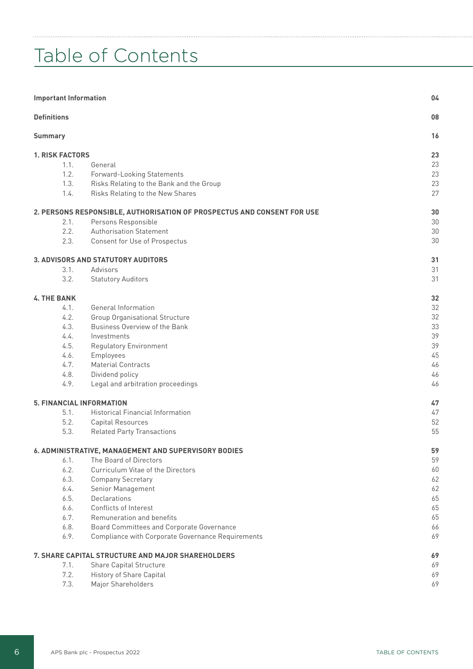# Table of Contents

| 08<br><b>Definitions</b><br>16<br><b>Summary</b><br>23<br><b>1. RISK FACTORS</b><br>23<br>1.1.<br>General<br>23<br>1.2.<br>Forward-Looking Statements<br>23<br>1.3.<br>Risks Relating to the Bank and the Group<br>27<br>1.4.<br>Risks Relating to the New Shares<br>30<br>2. PERSONS RESPONSIBLE, AUTHORISATION OF PROSPECTUS AND CONSENT FOR USE<br>30<br>2.1.<br>Persons Responsible<br>30<br>2.2.<br><b>Authorisation Statement</b><br>30<br>2.3.<br>Consent for Use of Prospectus<br>31<br>3. ADVISORS AND STATUTORY AUDITORS<br>31<br>3.1.<br>Advisors<br>31<br>3.2.<br><b>Statutory Auditors</b><br>32<br><b>4. THE BANK</b><br>32<br>4.1.<br>General Information<br>32<br>4.2.<br><b>Group Organisational Structure</b><br>33<br>4.3.<br>Business Overview of the Bank<br>39<br>4.4.<br>Investments<br>39<br>4.5.<br><b>Regulatory Environment</b><br>45<br>4.6.<br>Employees<br>46<br>4.7.<br><b>Material Contracts</b><br>46<br>4.8.<br>Dividend policy<br>4.9.<br>Legal and arbitration proceedings<br>46<br><b>5. FINANCIAL INFORMATION</b><br>47<br>5.1.<br><b>Historical Financial Information</b><br>$47$<br>5.2.<br>52<br><b>Capital Resources</b><br>55<br>5.3.<br><b>Related Party Transactions</b><br>6. ADMINISTRATIVE, MANAGEMENT AND SUPERVISORY BODIES<br>59<br>59<br>6.1.<br>The Board of Directors<br>6.2.<br>Curriculum Vitae of the Directors<br>60<br>6.3.<br>62<br><b>Company Secretary</b><br>62<br>6.4.<br>Senior Management<br>6.5.<br>Declarations<br>65<br>6.6.<br>Conflicts of Interest<br>65<br>6.7.<br>65<br>Remuneration and benefits<br>6.8.<br>Board Committees and Corporate Governance<br>66<br>6.9.<br>69<br>Compliance with Corporate Governance Requirements<br>69<br>7. SHARE CAPITAL STRUCTURE AND MAJOR SHAREHOLDERS<br>69<br>7.1.<br>Share Capital Structure<br>7.2.<br>69<br>History of Share Capital<br>7.3.<br>69<br>Major Shareholders | <b>Important Information</b> |  | 04 |
|---------------------------------------------------------------------------------------------------------------------------------------------------------------------------------------------------------------------------------------------------------------------------------------------------------------------------------------------------------------------------------------------------------------------------------------------------------------------------------------------------------------------------------------------------------------------------------------------------------------------------------------------------------------------------------------------------------------------------------------------------------------------------------------------------------------------------------------------------------------------------------------------------------------------------------------------------------------------------------------------------------------------------------------------------------------------------------------------------------------------------------------------------------------------------------------------------------------------------------------------------------------------------------------------------------------------------------------------------------------------------------------------------------------------------------------------------------------------------------------------------------------------------------------------------------------------------------------------------------------------------------------------------------------------------------------------------------------------------------------------------------------------------------------------------------------------------------------------------------------------------------------------|------------------------------|--|----|
|                                                                                                                                                                                                                                                                                                                                                                                                                                                                                                                                                                                                                                                                                                                                                                                                                                                                                                                                                                                                                                                                                                                                                                                                                                                                                                                                                                                                                                                                                                                                                                                                                                                                                                                                                                                                                                                                                             |                              |  |    |
|                                                                                                                                                                                                                                                                                                                                                                                                                                                                                                                                                                                                                                                                                                                                                                                                                                                                                                                                                                                                                                                                                                                                                                                                                                                                                                                                                                                                                                                                                                                                                                                                                                                                                                                                                                                                                                                                                             |                              |  |    |
|                                                                                                                                                                                                                                                                                                                                                                                                                                                                                                                                                                                                                                                                                                                                                                                                                                                                                                                                                                                                                                                                                                                                                                                                                                                                                                                                                                                                                                                                                                                                                                                                                                                                                                                                                                                                                                                                                             |                              |  |    |
|                                                                                                                                                                                                                                                                                                                                                                                                                                                                                                                                                                                                                                                                                                                                                                                                                                                                                                                                                                                                                                                                                                                                                                                                                                                                                                                                                                                                                                                                                                                                                                                                                                                                                                                                                                                                                                                                                             |                              |  |    |
|                                                                                                                                                                                                                                                                                                                                                                                                                                                                                                                                                                                                                                                                                                                                                                                                                                                                                                                                                                                                                                                                                                                                                                                                                                                                                                                                                                                                                                                                                                                                                                                                                                                                                                                                                                                                                                                                                             |                              |  |    |
|                                                                                                                                                                                                                                                                                                                                                                                                                                                                                                                                                                                                                                                                                                                                                                                                                                                                                                                                                                                                                                                                                                                                                                                                                                                                                                                                                                                                                                                                                                                                                                                                                                                                                                                                                                                                                                                                                             |                              |  |    |
|                                                                                                                                                                                                                                                                                                                                                                                                                                                                                                                                                                                                                                                                                                                                                                                                                                                                                                                                                                                                                                                                                                                                                                                                                                                                                                                                                                                                                                                                                                                                                                                                                                                                                                                                                                                                                                                                                             |                              |  |    |
|                                                                                                                                                                                                                                                                                                                                                                                                                                                                                                                                                                                                                                                                                                                                                                                                                                                                                                                                                                                                                                                                                                                                                                                                                                                                                                                                                                                                                                                                                                                                                                                                                                                                                                                                                                                                                                                                                             |                              |  |    |
|                                                                                                                                                                                                                                                                                                                                                                                                                                                                                                                                                                                                                                                                                                                                                                                                                                                                                                                                                                                                                                                                                                                                                                                                                                                                                                                                                                                                                                                                                                                                                                                                                                                                                                                                                                                                                                                                                             |                              |  |    |
|                                                                                                                                                                                                                                                                                                                                                                                                                                                                                                                                                                                                                                                                                                                                                                                                                                                                                                                                                                                                                                                                                                                                                                                                                                                                                                                                                                                                                                                                                                                                                                                                                                                                                                                                                                                                                                                                                             |                              |  |    |
|                                                                                                                                                                                                                                                                                                                                                                                                                                                                                                                                                                                                                                                                                                                                                                                                                                                                                                                                                                                                                                                                                                                                                                                                                                                                                                                                                                                                                                                                                                                                                                                                                                                                                                                                                                                                                                                                                             |                              |  |    |
|                                                                                                                                                                                                                                                                                                                                                                                                                                                                                                                                                                                                                                                                                                                                                                                                                                                                                                                                                                                                                                                                                                                                                                                                                                                                                                                                                                                                                                                                                                                                                                                                                                                                                                                                                                                                                                                                                             |                              |  |    |
|                                                                                                                                                                                                                                                                                                                                                                                                                                                                                                                                                                                                                                                                                                                                                                                                                                                                                                                                                                                                                                                                                                                                                                                                                                                                                                                                                                                                                                                                                                                                                                                                                                                                                                                                                                                                                                                                                             |                              |  |    |
|                                                                                                                                                                                                                                                                                                                                                                                                                                                                                                                                                                                                                                                                                                                                                                                                                                                                                                                                                                                                                                                                                                                                                                                                                                                                                                                                                                                                                                                                                                                                                                                                                                                                                                                                                                                                                                                                                             |                              |  |    |
|                                                                                                                                                                                                                                                                                                                                                                                                                                                                                                                                                                                                                                                                                                                                                                                                                                                                                                                                                                                                                                                                                                                                                                                                                                                                                                                                                                                                                                                                                                                                                                                                                                                                                                                                                                                                                                                                                             |                              |  |    |
|                                                                                                                                                                                                                                                                                                                                                                                                                                                                                                                                                                                                                                                                                                                                                                                                                                                                                                                                                                                                                                                                                                                                                                                                                                                                                                                                                                                                                                                                                                                                                                                                                                                                                                                                                                                                                                                                                             |                              |  |    |
|                                                                                                                                                                                                                                                                                                                                                                                                                                                                                                                                                                                                                                                                                                                                                                                                                                                                                                                                                                                                                                                                                                                                                                                                                                                                                                                                                                                                                                                                                                                                                                                                                                                                                                                                                                                                                                                                                             |                              |  |    |
|                                                                                                                                                                                                                                                                                                                                                                                                                                                                                                                                                                                                                                                                                                                                                                                                                                                                                                                                                                                                                                                                                                                                                                                                                                                                                                                                                                                                                                                                                                                                                                                                                                                                                                                                                                                                                                                                                             |                              |  |    |
|                                                                                                                                                                                                                                                                                                                                                                                                                                                                                                                                                                                                                                                                                                                                                                                                                                                                                                                                                                                                                                                                                                                                                                                                                                                                                                                                                                                                                                                                                                                                                                                                                                                                                                                                                                                                                                                                                             |                              |  |    |
|                                                                                                                                                                                                                                                                                                                                                                                                                                                                                                                                                                                                                                                                                                                                                                                                                                                                                                                                                                                                                                                                                                                                                                                                                                                                                                                                                                                                                                                                                                                                                                                                                                                                                                                                                                                                                                                                                             |                              |  |    |
|                                                                                                                                                                                                                                                                                                                                                                                                                                                                                                                                                                                                                                                                                                                                                                                                                                                                                                                                                                                                                                                                                                                                                                                                                                                                                                                                                                                                                                                                                                                                                                                                                                                                                                                                                                                                                                                                                             |                              |  |    |
|                                                                                                                                                                                                                                                                                                                                                                                                                                                                                                                                                                                                                                                                                                                                                                                                                                                                                                                                                                                                                                                                                                                                                                                                                                                                                                                                                                                                                                                                                                                                                                                                                                                                                                                                                                                                                                                                                             |                              |  |    |
|                                                                                                                                                                                                                                                                                                                                                                                                                                                                                                                                                                                                                                                                                                                                                                                                                                                                                                                                                                                                                                                                                                                                                                                                                                                                                                                                                                                                                                                                                                                                                                                                                                                                                                                                                                                                                                                                                             |                              |  |    |
|                                                                                                                                                                                                                                                                                                                                                                                                                                                                                                                                                                                                                                                                                                                                                                                                                                                                                                                                                                                                                                                                                                                                                                                                                                                                                                                                                                                                                                                                                                                                                                                                                                                                                                                                                                                                                                                                                             |                              |  |    |
|                                                                                                                                                                                                                                                                                                                                                                                                                                                                                                                                                                                                                                                                                                                                                                                                                                                                                                                                                                                                                                                                                                                                                                                                                                                                                                                                                                                                                                                                                                                                                                                                                                                                                                                                                                                                                                                                                             |                              |  |    |
|                                                                                                                                                                                                                                                                                                                                                                                                                                                                                                                                                                                                                                                                                                                                                                                                                                                                                                                                                                                                                                                                                                                                                                                                                                                                                                                                                                                                                                                                                                                                                                                                                                                                                                                                                                                                                                                                                             |                              |  |    |
|                                                                                                                                                                                                                                                                                                                                                                                                                                                                                                                                                                                                                                                                                                                                                                                                                                                                                                                                                                                                                                                                                                                                                                                                                                                                                                                                                                                                                                                                                                                                                                                                                                                                                                                                                                                                                                                                                             |                              |  |    |
|                                                                                                                                                                                                                                                                                                                                                                                                                                                                                                                                                                                                                                                                                                                                                                                                                                                                                                                                                                                                                                                                                                                                                                                                                                                                                                                                                                                                                                                                                                                                                                                                                                                                                                                                                                                                                                                                                             |                              |  |    |
|                                                                                                                                                                                                                                                                                                                                                                                                                                                                                                                                                                                                                                                                                                                                                                                                                                                                                                                                                                                                                                                                                                                                                                                                                                                                                                                                                                                                                                                                                                                                                                                                                                                                                                                                                                                                                                                                                             |                              |  |    |
|                                                                                                                                                                                                                                                                                                                                                                                                                                                                                                                                                                                                                                                                                                                                                                                                                                                                                                                                                                                                                                                                                                                                                                                                                                                                                                                                                                                                                                                                                                                                                                                                                                                                                                                                                                                                                                                                                             |                              |  |    |
|                                                                                                                                                                                                                                                                                                                                                                                                                                                                                                                                                                                                                                                                                                                                                                                                                                                                                                                                                                                                                                                                                                                                                                                                                                                                                                                                                                                                                                                                                                                                                                                                                                                                                                                                                                                                                                                                                             |                              |  |    |
|                                                                                                                                                                                                                                                                                                                                                                                                                                                                                                                                                                                                                                                                                                                                                                                                                                                                                                                                                                                                                                                                                                                                                                                                                                                                                                                                                                                                                                                                                                                                                                                                                                                                                                                                                                                                                                                                                             |                              |  |    |
|                                                                                                                                                                                                                                                                                                                                                                                                                                                                                                                                                                                                                                                                                                                                                                                                                                                                                                                                                                                                                                                                                                                                                                                                                                                                                                                                                                                                                                                                                                                                                                                                                                                                                                                                                                                                                                                                                             |                              |  |    |
|                                                                                                                                                                                                                                                                                                                                                                                                                                                                                                                                                                                                                                                                                                                                                                                                                                                                                                                                                                                                                                                                                                                                                                                                                                                                                                                                                                                                                                                                                                                                                                                                                                                                                                                                                                                                                                                                                             |                              |  |    |
|                                                                                                                                                                                                                                                                                                                                                                                                                                                                                                                                                                                                                                                                                                                                                                                                                                                                                                                                                                                                                                                                                                                                                                                                                                                                                                                                                                                                                                                                                                                                                                                                                                                                                                                                                                                                                                                                                             |                              |  |    |
|                                                                                                                                                                                                                                                                                                                                                                                                                                                                                                                                                                                                                                                                                                                                                                                                                                                                                                                                                                                                                                                                                                                                                                                                                                                                                                                                                                                                                                                                                                                                                                                                                                                                                                                                                                                                                                                                                             |                              |  |    |
|                                                                                                                                                                                                                                                                                                                                                                                                                                                                                                                                                                                                                                                                                                                                                                                                                                                                                                                                                                                                                                                                                                                                                                                                                                                                                                                                                                                                                                                                                                                                                                                                                                                                                                                                                                                                                                                                                             |                              |  |    |
|                                                                                                                                                                                                                                                                                                                                                                                                                                                                                                                                                                                                                                                                                                                                                                                                                                                                                                                                                                                                                                                                                                                                                                                                                                                                                                                                                                                                                                                                                                                                                                                                                                                                                                                                                                                                                                                                                             |                              |  |    |
|                                                                                                                                                                                                                                                                                                                                                                                                                                                                                                                                                                                                                                                                                                                                                                                                                                                                                                                                                                                                                                                                                                                                                                                                                                                                                                                                                                                                                                                                                                                                                                                                                                                                                                                                                                                                                                                                                             |                              |  |    |
|                                                                                                                                                                                                                                                                                                                                                                                                                                                                                                                                                                                                                                                                                                                                                                                                                                                                                                                                                                                                                                                                                                                                                                                                                                                                                                                                                                                                                                                                                                                                                                                                                                                                                                                                                                                                                                                                                             |                              |  |    |
|                                                                                                                                                                                                                                                                                                                                                                                                                                                                                                                                                                                                                                                                                                                                                                                                                                                                                                                                                                                                                                                                                                                                                                                                                                                                                                                                                                                                                                                                                                                                                                                                                                                                                                                                                                                                                                                                                             |                              |  |    |
|                                                                                                                                                                                                                                                                                                                                                                                                                                                                                                                                                                                                                                                                                                                                                                                                                                                                                                                                                                                                                                                                                                                                                                                                                                                                                                                                                                                                                                                                                                                                                                                                                                                                                                                                                                                                                                                                                             |                              |  |    |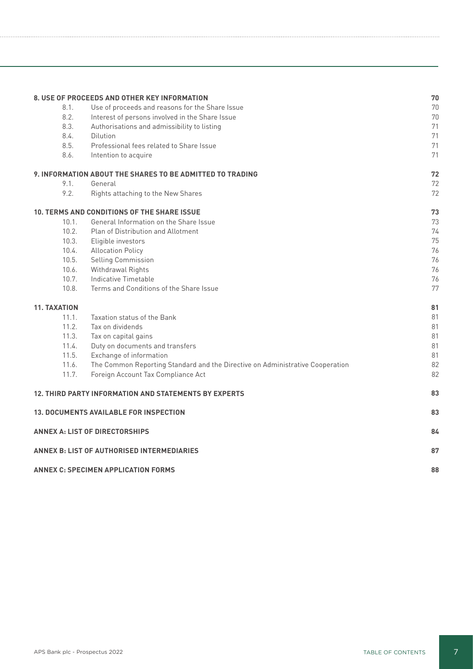|                     | 8. USE OF PROCEEDS AND OTHER KEY INFORMATION                                  | 70 |
|---------------------|-------------------------------------------------------------------------------|----|
| 8.1.                | Use of proceeds and reasons for the Share Issue                               | 70 |
| 8.2.                | Interest of persons involved in the Share Issue                               | 70 |
| 8.3.                | Authorisations and admissibility to listing                                   | 71 |
| 8.4.                | Dilution                                                                      | 71 |
| 8.5.                | Professional fees related to Share Issue                                      | 71 |
| 8.6.                | Intention to acquire                                                          | 71 |
|                     | 9. INFORMATION ABOUT THE SHARES TO BE ADMITTED TO TRADING                     | 72 |
| 9.1.                | General                                                                       | 72 |
| 9.2.                | Rights attaching to the New Shares                                            | 72 |
|                     | 10. TERMS AND CONDITIONS OF THE SHARE ISSUE                                   | 73 |
| 10.1.               | General Information on the Share Issue                                        | 73 |
| 10.2.               | <b>Plan of Distribution and Allotment</b>                                     | 74 |
| 10.3.               | Eligible investors                                                            | 75 |
| 10.4.               | <b>Allocation Policy</b>                                                      | 76 |
| 10.5.               | Selling Commission                                                            | 76 |
| 10.6.               | Withdrawal Rights                                                             | 76 |
| 10.7.               | Indicative Timetable                                                          | 76 |
| 10.8.               | Terms and Conditions of the Share Issue                                       | 77 |
| <b>11. TAXATION</b> |                                                                               | 81 |
| 11.1.               | Taxation status of the Bank                                                   | 81 |
| 11.2.               | Tax on dividends                                                              | 81 |
| 11.3.               | Tax on capital gains                                                          | 81 |
| 11.4.               | Duty on documents and transfers                                               | 81 |
| 11.5.               | Exchange of information                                                       | 81 |
| 11.6.               | The Common Reporting Standard and the Directive on Administrative Cooperation | 82 |
| 11.7.               | Foreign Account Tax Compliance Act                                            | 82 |
|                     | <b>12. THIRD PARTY INFORMATION AND STATEMENTS BY EXPERTS</b>                  | 83 |
|                     | <b>13. DOCUMENTS AVAILABLE FOR INSPECTION</b>                                 | 83 |
|                     | <b>ANNEX A: LIST OF DIRECTORSHIPS</b>                                         | 84 |
|                     |                                                                               |    |
|                     | <b>ANNEX B: LIST OF AUTHORISED INTERMEDIARIES</b>                             | 87 |
|                     | <b>ANNEX C: SPECIMEN APPLICATION FORMS</b>                                    | 88 |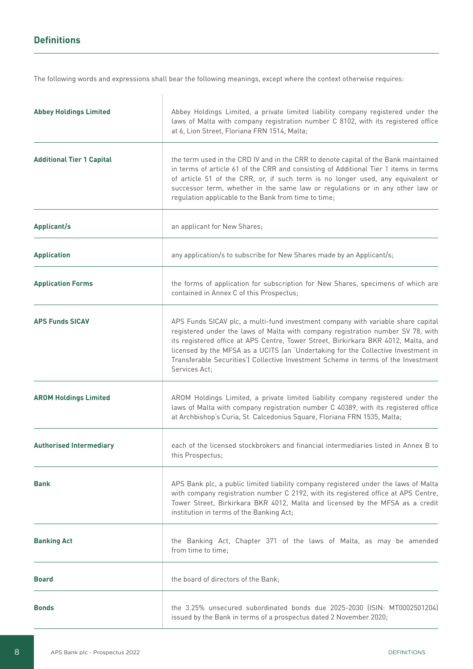# **Definitions**

The following words and expressions shall bear the following meanings, except where the context otherwise requires:

| <b>Abbey Holdings Limited</b>    | Abbey Holdings Limited, a private limited liability company registered under the<br>laws of Malta with company registration number C 8102, with its registered office<br>at 6, Lion Street, Floriana FRN 1514, Malta;                                                                                                                                                                                                                                |
|----------------------------------|------------------------------------------------------------------------------------------------------------------------------------------------------------------------------------------------------------------------------------------------------------------------------------------------------------------------------------------------------------------------------------------------------------------------------------------------------|
| <b>Additional Tier 1 Capital</b> | the term used in the CRD IV and in the CRR to denote capital of the Bank maintained<br>in terms of article 61 of the CRR and consisting of Additional Tier 1 items in terms<br>of article 51 of the CRR, or, if such term is no longer used, any equivalent or<br>successor term, whether in the same law or regulations or in any other law or<br>regulation applicable to the Bank from time to time;                                              |
| <b>Applicant/s</b>               | an applicant for New Shares;                                                                                                                                                                                                                                                                                                                                                                                                                         |
| <b>Application</b>               | any application/s to subscribe for New Shares made by an Applicant/s;                                                                                                                                                                                                                                                                                                                                                                                |
| <b>Application Forms</b>         | the forms of application for subscription for New Shares, specimens of which are<br>contained in Annex C of this Prospectus;                                                                                                                                                                                                                                                                                                                         |
| <b>APS Funds SICAV</b>           | APS Funds SICAV plc, a multi-fund investment company with variable share capital<br>registered under the laws of Malta with company registration number SV 78, with<br>its registered office at APS Centre, Tower Street, Birkirkara BKR 4012, Malta, and<br>licensed by the MFSA as a UCITS (an 'Undertaking for the Collective Investment in<br>Transferable Securities') Collective Investment Scheme in terms of the Investment<br>Services Act; |
| <b>AROM Holdings Limited</b>     | AROM Holdings Limited, a private limited liability company registered under the<br>laws of Malta with company registration number C 40389, with its registered office<br>at Archbishop's Curia, St. Calcedonius Square, Floriana FRN 1535, Malta;                                                                                                                                                                                                    |
| <b>Authorised Intermediary</b>   | each of the licensed stockbrokers and financial intermediaries listed in Annex B to<br>this Prospectus;                                                                                                                                                                                                                                                                                                                                              |
| <b>Bank</b>                      | APS Bank plc, a public limited liability company registered under the laws of Malta<br>with company registration number C 2192, with its registered office at APS Centre,<br>Tower Street, Birkirkara BKR 4012, Malta and licensed by the MFSA as a credit<br>institution in terms of the Banking Act;                                                                                                                                               |
| <b>Banking Act</b>               | the Banking Act, Chapter 371 of the laws of Malta, as may be amended<br>from time to time:                                                                                                                                                                                                                                                                                                                                                           |
| <b>Board</b>                     | the board of directors of the Bank:                                                                                                                                                                                                                                                                                                                                                                                                                  |
| <b>Bonds</b>                     | the 3.25% unsecured subordinated bonds due 2025-2030 (ISIN: MT0002501204)<br>issued by the Bank in terms of a prospectus dated 2 November 2020;                                                                                                                                                                                                                                                                                                      |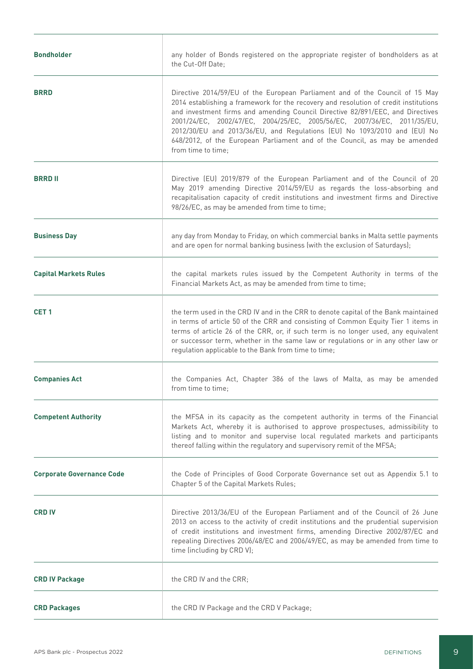| <b>Bondholder</b>                | any holder of Bonds registered on the appropriate register of bondholders as at<br>the Cut-Off Date;                                                                                                                                                                                                                                                                                                                                                                                                              |
|----------------------------------|-------------------------------------------------------------------------------------------------------------------------------------------------------------------------------------------------------------------------------------------------------------------------------------------------------------------------------------------------------------------------------------------------------------------------------------------------------------------------------------------------------------------|
| <b>BRRD</b>                      | Directive 2014/59/EU of the European Parliament and of the Council of 15 May<br>2014 establishing a framework for the recovery and resolution of credit institutions<br>and investment firms and amending Council Directive 82/891/EEC, and Directives<br>2001/24/EC, 2002/47/EC, 2004/25/EC, 2005/56/EC, 2007/36/EC, 2011/35/EU,<br>2012/30/EU and 2013/36/EU, and Regulations (EU) No 1093/2010 and (EU) No<br>648/2012, of the European Parliament and of the Council, as may be amended<br>from time to time; |
| <b>BRRD II</b>                   | Directive (EU) 2019/879 of the European Parliament and of the Council of 20<br>May 2019 amending Directive 2014/59/EU as regards the loss-absorbing and<br>recapitalisation capacity of credit institutions and investment firms and Directive<br>98/26/EC, as may be amended from time to time;                                                                                                                                                                                                                  |
| <b>Business Day</b>              | any day from Monday to Friday, on which commercial banks in Malta settle payments<br>and are open for normal banking business (with the exclusion of Saturdays);                                                                                                                                                                                                                                                                                                                                                  |
| <b>Capital Markets Rules</b>     | the capital markets rules issued by the Competent Authority in terms of the<br>Financial Markets Act, as may be amended from time to time;                                                                                                                                                                                                                                                                                                                                                                        |
| CET <sub>1</sub>                 | the term used in the CRD IV and in the CRR to denote capital of the Bank maintained<br>in terms of article 50 of the CRR and consisting of Common Equity Tier 1 items in<br>terms of article 26 of the CRR, or, if such term is no longer used, any equivalent<br>or successor term, whether in the same law or regulations or in any other law or<br>regulation applicable to the Bank from time to time;                                                                                                        |
| <b>Companies Act</b>             | the Companies Act, Chapter 386 of the laws of Malta, as may be amended<br>from time to time;                                                                                                                                                                                                                                                                                                                                                                                                                      |
| <b>Competent Authority</b>       | the MFSA in its capacity as the competent authority in terms of the Financial<br>Markets Act, whereby it is authorised to approve prospectuses, admissibility to<br>listing and to monitor and supervise local regulated markets and participants<br>thereof falling within the regulatory and supervisory remit of the MFSA;                                                                                                                                                                                     |
| <b>Corporate Governance Code</b> | the Code of Principles of Good Corporate Governance set out as Appendix 5.1 to<br>Chapter 5 of the Capital Markets Rules;                                                                                                                                                                                                                                                                                                                                                                                         |
| <b>CRD IV</b>                    | Directive 2013/36/EU of the European Parliament and of the Council of 26 June<br>2013 on access to the activity of credit institutions and the prudential supervision<br>of credit institutions and investment firms, amending Directive 2002/87/EC and<br>repealing Directives 2006/48/EC and 2006/49/EC, as may be amended from time to<br>time (including by CRD V);                                                                                                                                           |
| <b>CRD IV Package</b>            | the CRD IV and the CRR;                                                                                                                                                                                                                                                                                                                                                                                                                                                                                           |
| <b>CRD Packages</b>              | the CRD IV Package and the CRD V Package;                                                                                                                                                                                                                                                                                                                                                                                                                                                                         |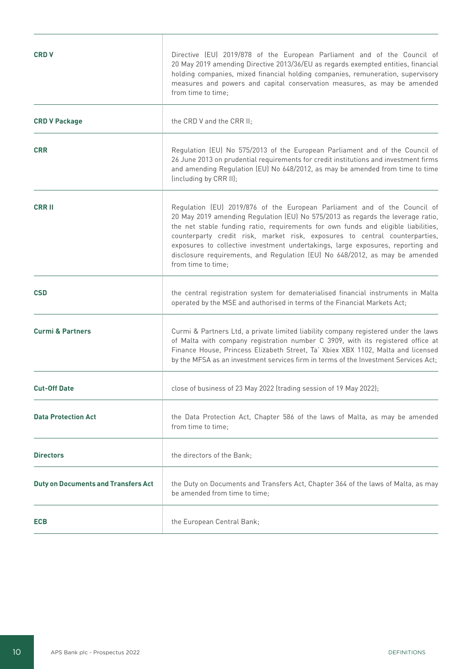| <b>CRD V</b>                               | Directive (EU) 2019/878 of the European Parliament and of the Council of<br>20 May 2019 amending Directive 2013/36/EU as regards exempted entities, financial<br>holding companies, mixed financial holding companies, remuneration, supervisory<br>measures and powers and capital conservation measures, as may be amended<br>from time to time;                                                                                                                                                                        |
|--------------------------------------------|---------------------------------------------------------------------------------------------------------------------------------------------------------------------------------------------------------------------------------------------------------------------------------------------------------------------------------------------------------------------------------------------------------------------------------------------------------------------------------------------------------------------------|
| <b>CRD V Package</b>                       | the CRD V and the CRR II;                                                                                                                                                                                                                                                                                                                                                                                                                                                                                                 |
| <b>CRR</b>                                 | Regulation (EU) No 575/2013 of the European Parliament and of the Council of<br>26 June 2013 on prudential requirements for credit institutions and investment firms<br>and amending Regulation (EU) No 648/2012, as may be amended from time to time<br>(including by CRR II);                                                                                                                                                                                                                                           |
| <b>CRR II</b>                              | Regulation (EU) 2019/876 of the European Parliament and of the Council of<br>20 May 2019 amending Regulation (EU) No 575/2013 as regards the leverage ratio,<br>the net stable funding ratio, requirements for own funds and eligible liabilities,<br>counterparty credit risk, market risk, exposures to central counterparties,<br>exposures to collective investment undertakings, large exposures, reporting and<br>disclosure requirements, and Regulation (EU) No 648/2012, as may be amended<br>from time to time; |
| <b>CSD</b>                                 | the central registration system for dematerialised financial instruments in Malta<br>operated by the MSE and authorised in terms of the Financial Markets Act;                                                                                                                                                                                                                                                                                                                                                            |
| <b>Curmi &amp; Partners</b>                | Curmi & Partners Ltd, a private limited liability company registered under the laws<br>of Malta with company registration number C 3909, with its registered office at<br>Finance House, Princess Elizabeth Street, Ta' Xbiex XBX 1102, Malta and licensed<br>by the MFSA as an investment services firm in terms of the Investment Services Act;                                                                                                                                                                         |
| <b>Cut-Off Date</b>                        | close of business of 23 May 2022 (trading session of 19 May 2022);                                                                                                                                                                                                                                                                                                                                                                                                                                                        |
| <b>Data Protection Act</b>                 | the Data Protection Act, Chapter 586 of the laws of Malta, as may be amended<br>from time to time;                                                                                                                                                                                                                                                                                                                                                                                                                        |
| <b>Directors</b>                           | the directors of the Bank;                                                                                                                                                                                                                                                                                                                                                                                                                                                                                                |
| <b>Duty on Documents and Transfers Act</b> | the Duty on Documents and Transfers Act, Chapter 364 of the laws of Malta, as may<br>be amended from time to time;                                                                                                                                                                                                                                                                                                                                                                                                        |
| <b>ECB</b>                                 | the European Central Bank;                                                                                                                                                                                                                                                                                                                                                                                                                                                                                                |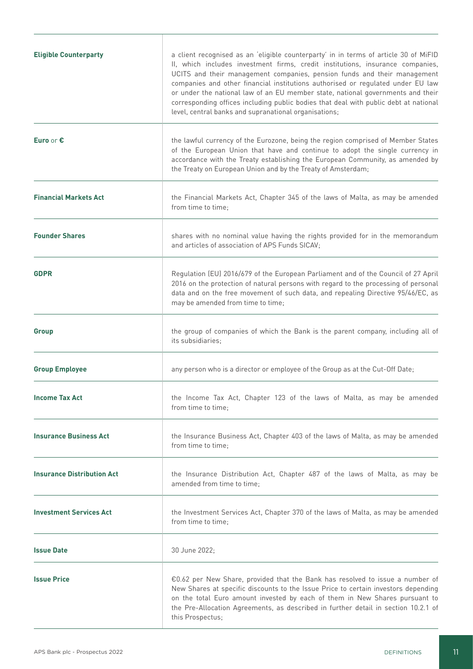| <b>Eligible Counterparty</b>      | a client recognised as an 'eligible counterparty' in in terms of article 30 of MiFID<br>II, which includes investment firms, credit institutions, insurance companies,<br>UCITS and their management companies, pension funds and their management<br>companies and other financial institutions authorised or regulated under EU law<br>or under the national law of an EU member state, national governments and their<br>corresponding offices including public bodies that deal with public debt at national<br>level, central banks and supranational organisations; |
|-----------------------------------|---------------------------------------------------------------------------------------------------------------------------------------------------------------------------------------------------------------------------------------------------------------------------------------------------------------------------------------------------------------------------------------------------------------------------------------------------------------------------------------------------------------------------------------------------------------------------|
| Euro or €                         | the lawful currency of the Eurozone, being the region comprised of Member States<br>of the European Union that have and continue to adopt the single currency in<br>accordance with the Treaty establishing the European Community, as amended by<br>the Treaty on European Union and by the Treaty of Amsterdam;                                                                                                                                                                                                                                                         |
| <b>Financial Markets Act</b>      | the Financial Markets Act, Chapter 345 of the laws of Malta, as may be amended<br>from time to time:                                                                                                                                                                                                                                                                                                                                                                                                                                                                      |
| <b>Founder Shares</b>             | shares with no nominal value having the rights provided for in the memorandum<br>and articles of association of APS Funds SICAV;                                                                                                                                                                                                                                                                                                                                                                                                                                          |
| <b>GDPR</b>                       | Regulation (EU) 2016/679 of the European Parliament and of the Council of 27 April<br>2016 on the protection of natural persons with regard to the processing of personal<br>data and on the free movement of such data, and repealing Directive 95/46/EC, as<br>may be amended from time to time;                                                                                                                                                                                                                                                                        |
| Group                             | the group of companies of which the Bank is the parent company, including all of<br>its subsidiaries;                                                                                                                                                                                                                                                                                                                                                                                                                                                                     |
| <b>Group Employee</b>             | any person who is a director or employee of the Group as at the Cut-Off Date;                                                                                                                                                                                                                                                                                                                                                                                                                                                                                             |
| <b>Income Tax Act</b>             | the Income Tax Act, Chapter 123 of the laws of Malta, as may be amended<br>from time to time;                                                                                                                                                                                                                                                                                                                                                                                                                                                                             |
| <b>Insurance Business Act</b>     | the Insurance Business Act, Chapter 403 of the laws of Malta, as may be amended<br>from time to time;                                                                                                                                                                                                                                                                                                                                                                                                                                                                     |
| <b>Insurance Distribution Act</b> | the Insurance Distribution Act, Chapter 487 of the laws of Malta, as may be<br>amended from time to time;                                                                                                                                                                                                                                                                                                                                                                                                                                                                 |
| <b>Investment Services Act</b>    | the Investment Services Act, Chapter 370 of the laws of Malta, as may be amended<br>from time to time;                                                                                                                                                                                                                                                                                                                                                                                                                                                                    |
| <b>Issue Date</b>                 | 30 June 2022;                                                                                                                                                                                                                                                                                                                                                                                                                                                                                                                                                             |
| <b>Issue Price</b>                | €0.62 per New Share, provided that the Bank has resolved to issue a number of<br>New Shares at specific discounts to the Issue Price to certain investors depending<br>on the total Euro amount invested by each of them in New Shares pursuant to<br>the Pre-Allocation Agreements, as described in further detail in section 10.2.1 of<br>this Prospectus;                                                                                                                                                                                                              |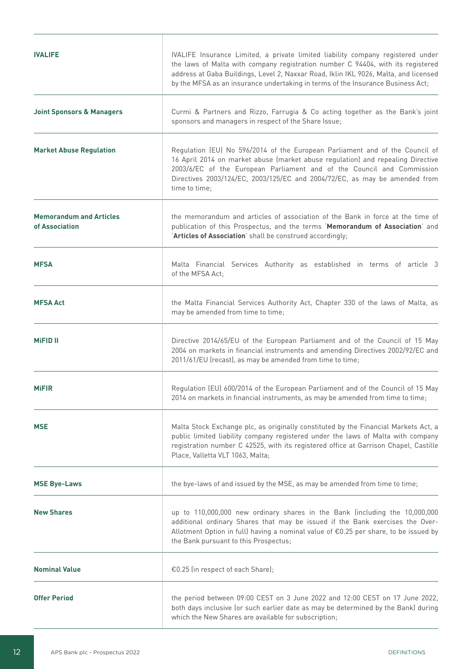| <b>IVALIFE</b>                                   | IVALIFE Insurance Limited, a private limited liability company registered under<br>the laws of Malta with company registration number C 94404, with its registered<br>address at Gaba Buildings, Level 2, Naxxar Road, Iklin IKL 9026, Malta, and licensed<br>by the MFSA as an insurance undertaking in terms of the Insurance Business Act; |
|--------------------------------------------------|-----------------------------------------------------------------------------------------------------------------------------------------------------------------------------------------------------------------------------------------------------------------------------------------------------------------------------------------------|
| <b>Joint Sponsors &amp; Managers</b>             | Curmi & Partners and Rizzo, Farrugia & Co acting together as the Bank's joint<br>sponsors and managers in respect of the Share Issue;                                                                                                                                                                                                         |
| <b>Market Abuse Regulation</b>                   | Regulation (EU) No 596/2014 of the European Parliament and of the Council of<br>16 April 2014 on market abuse (market abuse regulation) and repealing Directive<br>2003/6/EC of the European Parliament and of the Council and Commission<br>Directives 2003/124/EC, 2003/125/EC and 2004/72/EC, as may be amended from<br>time to time;      |
| <b>Memorandum and Articles</b><br>of Association | the memorandum and articles of association of the Bank in force at the time of<br>publication of this Prospectus, and the terms 'Memorandum of Association' and<br>'Articles of Association' shall be construed accordingly;                                                                                                                  |
| <b>MFSA</b>                                      | Malta Financial Services Authority as established in terms of article 3<br>of the MFSA Act:                                                                                                                                                                                                                                                   |
| <b>MFSA Act</b>                                  | the Malta Financial Services Authority Act, Chapter 330 of the laws of Malta, as<br>may be amended from time to time;                                                                                                                                                                                                                         |
| <b>MiFID II</b>                                  | Directive 2014/65/EU of the European Parliament and of the Council of 15 May<br>2004 on markets in financial instruments and amending Directives 2002/92/EC and<br>2011/61/EU (recast), as may be amended from time to time;                                                                                                                  |
| <b>MiFIR</b>                                     | Regulation (EU) 600/2014 of the European Parliament and of the Council of 15 May<br>2014 on markets in financial instruments, as may be amended from time to time;                                                                                                                                                                            |
| <b>MSE</b>                                       | Malta Stock Exchange plc, as originally constituted by the Financial Markets Act, a<br>public limited liability company registered under the laws of Malta with company<br>registration number C 42525, with its registered office at Garrison Chapel, Castille<br>Place, Valletta VLT 1063, Malta;                                           |
| <b>MSE Bye-Laws</b>                              | the bye-laws of and issued by the MSE, as may be amended from time to time;                                                                                                                                                                                                                                                                   |
| <b>New Shares</b>                                | up to 110,000,000 new ordinary shares in the Bank (including the 10,000,000<br>additional ordinary Shares that may be issued if the Bank exercises the Over-<br>Allotment Option in full) having a nominal value of €0.25 per share, to be issued by<br>the Bank pursuant to this Prospectus;                                                 |
| <b>Nominal Value</b>                             | €0.25 (in respect of each Share);                                                                                                                                                                                                                                                                                                             |
| <b>Offer Period</b>                              | the period between 09:00 CEST on 3 June 2022 and 12:00 CEST on 17 June 2022,<br>both days inclusive (or such earlier date as may be determined by the Bank) during<br>which the New Shares are available for subscription;                                                                                                                    |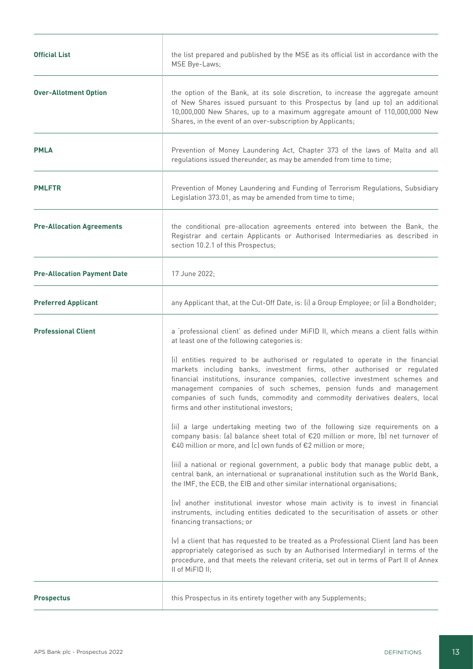| <b>Official List</b>               | the list prepared and published by the MSE as its official list in accordance with the<br>MSE Bye-Laws;                                                                                                                                                                                                                                                                                                                                        |
|------------------------------------|------------------------------------------------------------------------------------------------------------------------------------------------------------------------------------------------------------------------------------------------------------------------------------------------------------------------------------------------------------------------------------------------------------------------------------------------|
| <b>Over-Allotment Option</b>       | the option of the Bank, at its sole discretion, to increase the aggregate amount<br>of New Shares issued pursuant to this Prospectus by (and up to) an additional<br>10,000,000 New Shares, up to a maximum aggregate amount of 110,000,000 New<br>Shares, in the event of an over-subscription by Applicants;                                                                                                                                 |
| <b>PMLA</b>                        | Prevention of Money Laundering Act, Chapter 373 of the laws of Malta and all<br>regulations issued thereunder, as may be amended from time to time;                                                                                                                                                                                                                                                                                            |
| <b>PMLFTR</b>                      | Prevention of Money Laundering and Funding of Terrorism Regulations, Subsidiary<br>Legislation 373.01, as may be amended from time to time;                                                                                                                                                                                                                                                                                                    |
| <b>Pre-Allocation Agreements</b>   | the conditional pre-allocation agreements entered into between the Bank, the<br>Registrar and certain Applicants or Authorised Intermediaries as described in<br>section 10.2.1 of this Prospectus;                                                                                                                                                                                                                                            |
| <b>Pre-Allocation Payment Date</b> | 17 June 2022;                                                                                                                                                                                                                                                                                                                                                                                                                                  |
| <b>Preferred Applicant</b>         | any Applicant that, at the Cut-Off Date, is: (i) a Group Employee; or (ii) a Bondholder;                                                                                                                                                                                                                                                                                                                                                       |
| <b>Professional Client</b>         | a 'professional client' as defined under MiFID II, which means a client falls within<br>at least one of the following categories is:                                                                                                                                                                                                                                                                                                           |
|                                    | (i) entities required to be authorised or regulated to operate in the financial<br>markets including banks, investment firms, other authorised or regulated<br>financial institutions, insurance companies, collective investment schemes and<br>management companies of such schemes, pension funds and management<br>companies of such funds, commodity and commodity derivatives dealers, local<br>firms and other institutional investors; |
|                                    | (ii) a large undertaking meeting two of the following size requirements on a<br>company basis: (a) balance sheet total of €20 million or more, (b) net turnover of<br>€40 million or more, and (c) own funds of €2 million or more;                                                                                                                                                                                                            |
|                                    | (iii) a national or regional government, a public body that manage public debt, a<br>central bank, an international or supranational institution such as the World Bank,<br>the IMF, the ECB, the EIB and other similar international organisations;                                                                                                                                                                                           |
|                                    | (iv) another institutional investor whose main activity is to invest in financial<br>instruments, including entities dedicated to the securitisation of assets or other<br>financing transactions; or                                                                                                                                                                                                                                          |
|                                    | (v) a client that has requested to be treated as a Professional Client (and has been<br>appropriately categorised as such by an Authorised Intermediary) in terms of the<br>procedure, and that meets the relevant criteria, set out in terms of Part II of Annex<br>II of MiFID II;                                                                                                                                                           |
| <b>Prospectus</b>                  | this Prospectus in its entirety together with any Supplements;                                                                                                                                                                                                                                                                                                                                                                                 |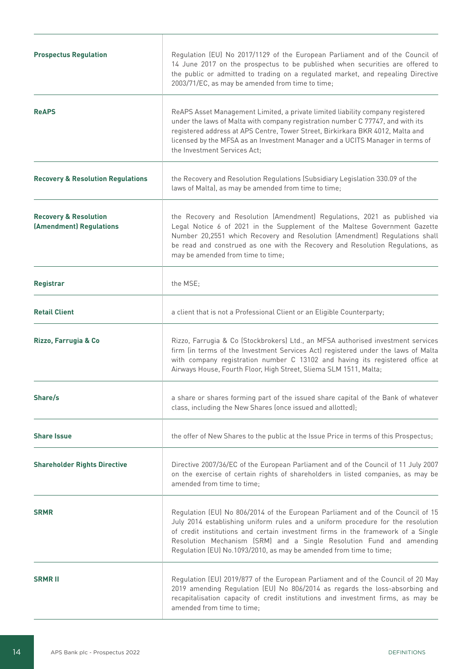| <b>Prospectus Regulation</b>                                | Regulation (EU) No 2017/1129 of the European Parliament and of the Council of<br>14 June 2017 on the prospectus to be published when securities are offered to<br>the public or admitted to trading on a regulated market, and repealing Directive<br>2003/71/EC, as may be amended from time to time;                                                                                               |
|-------------------------------------------------------------|------------------------------------------------------------------------------------------------------------------------------------------------------------------------------------------------------------------------------------------------------------------------------------------------------------------------------------------------------------------------------------------------------|
| <b>ReAPS</b>                                                | ReAPS Asset Management Limited, a private limited liability company registered<br>under the laws of Malta with company registration number C 77747, and with its<br>registered address at APS Centre, Tower Street, Birkirkara BKR 4012, Malta and<br>licensed by the MFSA as an Investment Manager and a UCITS Manager in terms of<br>the Investment Services Act;                                  |
| <b>Recovery &amp; Resolution Regulations</b>                | the Recovery and Resolution Regulations (Subsidiary Legislation 330.09 of the<br>laws of Malta), as may be amended from time to time;                                                                                                                                                                                                                                                                |
| <b>Recovery &amp; Resolution</b><br>(Amendment) Regulations | the Recovery and Resolution (Amendment) Regulations, 2021 as published via<br>Legal Notice 6 of 2021 in the Supplement of the Maltese Government Gazette<br>Number 20,2551 which Recovery and Resolution (Amendment) Regulations shall<br>be read and construed as one with the Recovery and Resolution Regulations, as<br>may be amended from time to time;                                         |
| <b>Registrar</b>                                            | the MSE;                                                                                                                                                                                                                                                                                                                                                                                             |
| <b>Retail Client</b>                                        | a client that is not a Professional Client or an Eligible Counterparty;                                                                                                                                                                                                                                                                                                                              |
| Rizzo, Farrugia & Co                                        | Rizzo, Farrugia & Co (Stockbrokers) Ltd., an MFSA authorised investment services<br>firm (in terms of the Investment Services Act) registered under the laws of Malta<br>with company registration number C 13102 and having its registered office at<br>Airways House, Fourth Floor, High Street, Sliema SLM 1511, Malta;                                                                           |
| Share/s                                                     | a share or shares forming part of the issued share capital of the Bank of whatever<br>class, including the New Shares (once issued and allotted);                                                                                                                                                                                                                                                    |
| <b>Share Issue</b>                                          | the offer of New Shares to the public at the Issue Price in terms of this Prospectus;                                                                                                                                                                                                                                                                                                                |
| <b>Shareholder Rights Directive</b>                         | Directive 2007/36/EC of the European Parliament and of the Council of 11 July 2007<br>on the exercise of certain rights of shareholders in listed companies, as may be<br>amended from time to time;                                                                                                                                                                                                 |
| <b>SRMR</b>                                                 | Regulation (EU) No 806/2014 of the European Parliament and of the Council of 15<br>July 2014 establishing uniform rules and a uniform procedure for the resolution<br>of credit institutions and certain investment firms in the framework of a Single<br>Resolution Mechanism (SRM) and a Single Resolution Fund and amending<br>Regulation (EU) No.1093/2010, as may be amended from time to time; |
| <b>SRMRII</b>                                               | Regulation (EU) 2019/877 of the European Parliament and of the Council of 20 May<br>2019 amending Regulation (EU) No 806/2014 as regards the loss-absorbing and<br>recapitalisation capacity of credit institutions and investment firms, as may be<br>amended from time to time;                                                                                                                    |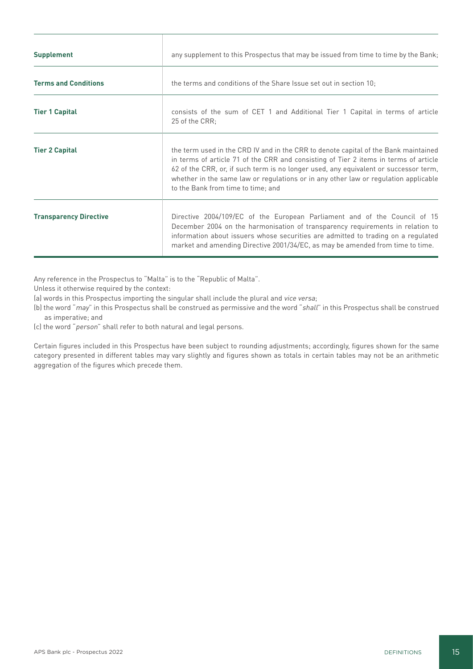| <b>Supplement</b>             | any supplement to this Prospectus that may be issued from time to time by the Bank;                                                                                                                                                                                                                                                                                                              |
|-------------------------------|--------------------------------------------------------------------------------------------------------------------------------------------------------------------------------------------------------------------------------------------------------------------------------------------------------------------------------------------------------------------------------------------------|
| <b>Terms and Conditions</b>   | the terms and conditions of the Share Issue set out in section 10;                                                                                                                                                                                                                                                                                                                               |
| <b>Tier 1 Capital</b>         | consists of the sum of CET 1 and Additional Tier 1 Capital in terms of article<br>25 of the CRR:                                                                                                                                                                                                                                                                                                 |
| <b>Tier 2 Capital</b>         | the term used in the CRD IV and in the CRR to denote capital of the Bank maintained<br>in terms of article 71 of the CRR and consisting of Tier 2 items in terms of article<br>62 of the CRR, or, if such term is no longer used, any equivalent or successor term,<br>whether in the same law or regulations or in any other law or regulation applicable<br>to the Bank from time to time; and |
| <b>Transparency Directive</b> | Directive 2004/109/EC of the European Parliament and of the Council of 15<br>December 2004 on the harmonisation of transparency requirements in relation to<br>information about issuers whose securities are admitted to trading on a regulated<br>market and amending Directive 2001/34/EC, as may be amended from time to time.                                                               |

Any reference in the Prospectus to "Malta" is to the "Republic of Malta".

Unless it otherwise required by the context:

- (a) words in this Prospectus importing the singular shall include the plural and vice versa;
- (b) the word "may" in this Prospectus shall be construed as permissive and the word "shall" in this Prospectus shall be construed as imperative; and
- (c) the word "person" shall refer to both natural and legal persons.

Certain figures included in this Prospectus have been subject to rounding adjustments; accordingly, figures shown for the same category presented in different tables may vary slightly and figures shown as totals in certain tables may not be an arithmetic aggregation of the figures which precede them.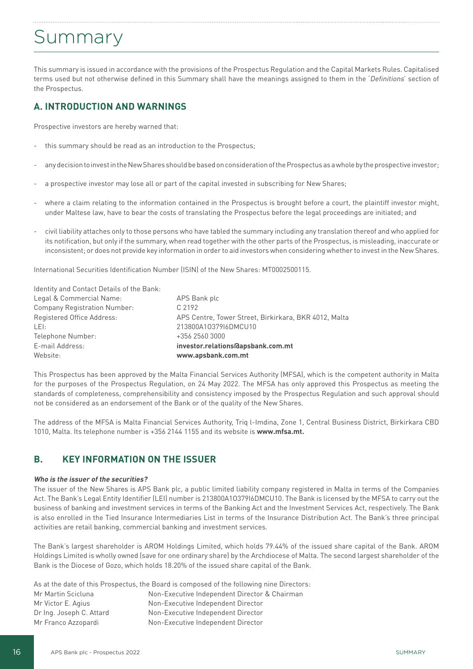# Summary

This summary is issued in accordance with the provisions of the Prospectus Regulation and the Capital Markets Rules. Capitalised terms used but not otherwise defined in this Summary shall have the meanings assigned to them in the 'Definitions' section of the Prospectus.

# **A. INTRODUCTION AND WARNINGS**

Prospective investors are hereby warned that:

- this summary should be read as an introduction to the Prospectus;
- any decision to invest in the New Shares should be based on consideration of the Prospectus as a whole by the prospective investor;
- a prospective investor may lose all or part of the capital invested in subscribing for New Shares;
- where a claim relating to the information contained in the Prospectus is brought before a court, the plaintiff investor might, under Maltese law, have to bear the costs of translating the Prospectus before the legal proceedings are initiated; and
- civil liability attaches only to those persons who have tabled the summary including any translation thereof and who applied for its notification, but only if the summary, when read together with the other parts of the Prospectus, is misleading, inaccurate or inconsistent; or does not provide key information in order to aid investors when considering whether to invest in the New Shares.

International Securities Identification Number (ISIN) of the New Shares: MT0002500115.

| Website:                                  | www.apsbank.com.mt                                    |
|-------------------------------------------|-------------------------------------------------------|
| E-mail Address:                           | investor.relations@apsbank.com.mt                     |
| Telephone Number:                         | +356 2560 3000                                        |
| LEI:                                      | 213800A1037916DMCU10                                  |
| Registered Office Address:                | APS Centre, Tower Street, Birkirkara, BKR 4012, Malta |
| <b>Company Registration Number:</b>       | C.2192                                                |
| Legal & Commercial Name:                  | APS Bank plc                                          |
| Identity and Contact Details of the Bank: |                                                       |

This Prospectus has been approved by the Malta Financial Services Authority (MFSA), which is the competent authority in Malta for the purposes of the Prospectus Regulation, on 24 May 2022. The MFSA has only approved this Prospectus as meeting the standards of completeness, comprehensibility and consistency imposed by the Prospectus Regulation and such approval should not be considered as an endorsement of the Bank or of the quality of the New Shares.

The address of the MFSA is Malta Financial Services Authority, Triq l-Imdina, Zone 1, Central Business District, Birkirkara CBD 1010, Malta. Its telephone number is +356 2144 1155 and its website is **www.mfsa.mt.** 

# **B. KEY INFORMATION ON THE ISSUER**

#### **Who is the issuer of the securities?**

The issuer of the New Shares is APS Bank plc, a public limited liability company registered in Malta in terms of the Companies Act. The Bank's Legal Entity Identifier (LEI) number is 213800A1O379I6DMCU10. The Bank is licensed by the MFSA to carry out the business of banking and investment services in terms of the Banking Act and the Investment Services Act, respectively. The Bank is also enrolled in the Tied Insurance Intermediaries List in terms of the Insurance Distribution Act. The Bank's three principal activities are retail banking, commercial banking and investment services.

The Bank's largest shareholder is AROM Holdings Limited, which holds 79.44% of the issued share capital of the Bank. AROM Holdings Limited is wholly owned (save for one ordinary share) by the Archdiocese of Malta. The second largest shareholder of the Bank is the Diocese of Gozo, which holds 18.20% of the issued share capital of the Bank.

|                          | As at the date of this Prospectus, the Board is composed of the following nine Directors: |
|--------------------------|-------------------------------------------------------------------------------------------|
| Mr Martin Scicluna       | Non-Executive Independent Director & Chairman                                             |
| Mr Victor E. Agius       | Non-Executive Independent Director                                                        |
| Dr Ing. Joseph C. Attard | Non-Executive Independent Director                                                        |
| Mr Franco Azzopardi      | Non-Executive Independent Director                                                        |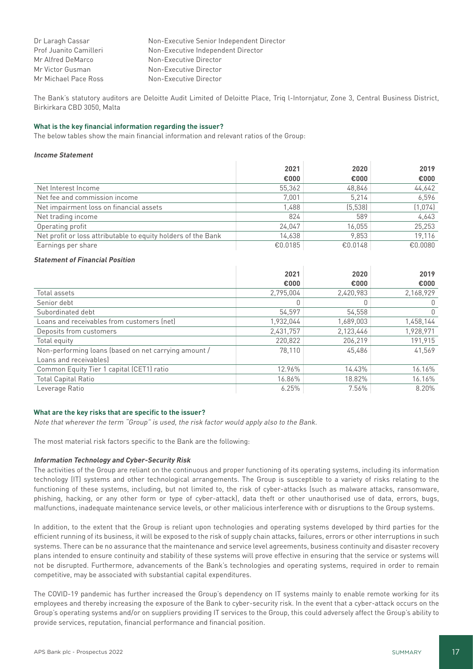| Dr Laragh Cassar       | Non-Executive Senior Independent Director |
|------------------------|-------------------------------------------|
| Prof Juanito Camilleri | Non-Executive Independent Director        |
| Mr Alfred DeMarco      | Non-Executive Director                    |
| Mr Victor Gusman       | Non-Executive Director                    |
| Mr Michael Pace Ross   | Non-Executive Director                    |

The Bank's statutory auditors are Deloitte Audit Limited of Deloitte Place, Triq l-Intornjatur, Zone 3, Central Business District, Birkirkara CBD 3050, Malta

# **What is the key financial information regarding the issuer?**

The below tables show the main financial information and relevant ratios of the Group:

#### **Income Statement**

|                                                               | 2021    | 2020     | 2019    |
|---------------------------------------------------------------|---------|----------|---------|
|                                                               | €000    | €000     | €000    |
| Net Interest Income                                           | 55.362  | 48,846   | 44,642  |
| Net fee and commission income                                 | 7.001   | 5.214    | 6.596   |
| Net impairment loss on financial assets                       | 1,488   | (5, 538) | (1,074) |
| Net trading income                                            | 824     | 589      | 4.643   |
| Operating profit                                              | 24.047  | 16.055   | 25,253  |
| Net profit or loss attributable to equity holders of the Bank | 14.638  | 9.853    | 19.116  |
| Earnings per share                                            | €0.0185 | €0.0148  | €0.0080 |

# **Statement of Financial Position**

|                                                      | 2021      | 2020      | 2019         |
|------------------------------------------------------|-----------|-----------|--------------|
|                                                      | €000      | €000      | €000         |
| Total assets                                         | 2,795,004 | 2,420,983 | 2,168,929    |
| Senior debt                                          |           |           | 0            |
| Subordinated debt                                    | 54,597    | 54,558    | $\mathbf{0}$ |
| Loans and receivables from customers (net)           | 1,932,044 | 1,689,003 | 1,458,144    |
| Deposits from customers                              | 2,431,757 | 2,123,446 | 1,928,971    |
| Total equity                                         | 220.822   | 206.219   | 191.915      |
| Non-performing loans (based on net carrying amount / | 78.110    | 45,486    | 41.569       |
| Loans and receivables                                |           |           |              |
| Common Equity Tier 1 capital (CET1) ratio            | 12.96%    | 14.43%    | 16.16%       |
| <b>Total Capital Ratio</b>                           | 16.86%    | 18.82%    | 16.16%       |
| Leverage Ratio                                       | 6.25%     | 7.56%     | 8.20%        |

## **What are the key risks that are specific to the issuer?**

Note that wherever the term "Group" is used, the risk factor would apply also to the Bank.

The most material risk factors specific to the Bank are the following:

#### **Information Technology and Cyber-Security Risk**

The activities of the Group are reliant on the continuous and proper functioning of its operating systems, including its information technology (IT) systems and other technological arrangements. The Group is susceptible to a variety of risks relating to the functioning of these systems, including, but not limited to, the risk of cyber-attacks (such as malware attacks, ransomware, phishing, hacking, or any other form or type of cyber-attack), data theft or other unauthorised use of data, errors, bugs, malfunctions, inadequate maintenance service levels, or other malicious interference with or disruptions to the Group systems.

In addition, to the extent that the Group is reliant upon technologies and operating systems developed by third parties for the efficient running of its business, it will be exposed to the risk of supply chain attacks, failures, errors or other interruptions in such systems. There can be no assurance that the maintenance and service level agreements, business continuity and disaster recovery plans intended to ensure continuity and stability of these systems will prove effective in ensuring that the service or systems will not be disrupted. Furthermore, advancements of the Bank's technologies and operating systems, required in order to remain competitive, may be associated with substantial capital expenditures.

The COVID-19 pandemic has further increased the Group's dependency on IT systems mainly to enable remote working for its employees and thereby increasing the exposure of the Bank to cyber-security risk. In the event that a cyber-attack occurs on the Group's operating systems and/or on suppliers providing IT services to the Group, this could adversely affect the Group's ability to provide services, reputation, financial performance and financial position.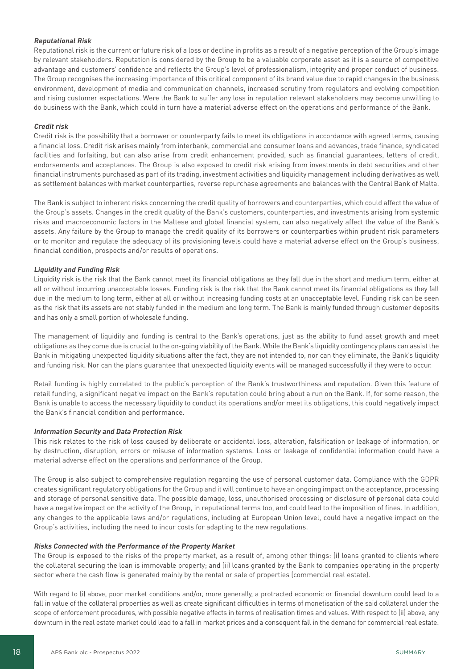# **Reputational Risk**

Reputational risk is the current or future risk of a loss or decline in profits as a result of a negative perception of the Group's image by relevant stakeholders. Reputation is considered by the Group to be a valuable corporate asset as it is a source of competitive advantage and customers' confidence and reflects the Group's level of professionalism, integrity and proper conduct of business. The Group recognises the increasing importance of this critical component of its brand value due to rapid changes in the business environment, development of media and communication channels, increased scrutiny from regulators and evolving competition and rising customer expectations. Were the Bank to suffer any loss in reputation relevant stakeholders may become unwilling to do business with the Bank, which could in turn have a material adverse effect on the operations and performance of the Bank.

# **Credit risk**

Credit risk is the possibility that a borrower or counterparty fails to meet its obligations in accordance with agreed terms, causing a financial loss. Credit risk arises mainly from interbank, commercial and consumer loans and advances, trade finance, syndicated facilities and forfaiting, but can also arise from credit enhancement provided, such as financial guarantees, letters of credit, endorsements and acceptances. The Group is also exposed to credit risk arising from investments in debt securities and other financial instruments purchased as part of its trading, investment activities and liquidity management including derivatives as well as settlement balances with market counterparties, reverse repurchase agreements and balances with the Central Bank of Malta.

The Bank is subject to inherent risks concerning the credit quality of borrowers and counterparties, which could affect the value of the Group's assets. Changes in the credit quality of the Bank's customers, counterparties, and investments arising from systemic risks and macroeconomic factors in the Maltese and global financial system, can also negatively affect the value of the Bank's assets. Any failure by the Group to manage the credit quality of its borrowers or counterparties within prudent risk parameters or to monitor and regulate the adequacy of its provisioning levels could have a material adverse effect on the Group's business, financial condition, prospects and/or results of operations.

# **Liquidity and Funding Risk**

Liquidity risk is the risk that the Bank cannot meet its financial obligations as they fall due in the short and medium term, either at all or without incurring unacceptable losses. Funding risk is the risk that the Bank cannot meet its financial obligations as they fall due in the medium to long term, either at all or without increasing funding costs at an unacceptable level. Funding risk can be seen as the risk that its assets are not stably funded in the medium and long term. The Bank is mainly funded through customer deposits and has only a small portion of wholesale funding.

The management of liquidity and funding is central to the Bank's operations, just as the ability to fund asset growth and meet obligations as they come due is crucial to the on-going viability of the Bank. While the Bank's liquidity contingency plans can assist the Bank in mitigating unexpected liquidity situations after the fact, they are not intended to, nor can they eliminate, the Bank's liquidity and funding risk. Nor can the plans guarantee that unexpected liquidity events will be managed successfully if they were to occur.

Retail funding is highly correlated to the public's perception of the Bank's trustworthiness and reputation. Given this feature of retail funding, a significant negative impact on the Bank's reputation could bring about a run on the Bank. If, for some reason, the Bank is unable to access the necessary liquidity to conduct its operations and/or meet its obligations, this could negatively impact the Bank's financial condition and performance.

#### **Information Security and Data Protection Risk**

This risk relates to the risk of loss caused by deliberate or accidental loss, alteration, falsification or leakage of information, or by destruction, disruption, errors or misuse of information systems. Loss or leakage of confidential information could have a material adverse effect on the operations and performance of the Group.

The Group is also subject to comprehensive regulation regarding the use of personal customer data. Compliance with the GDPR creates significant regulatory obligations for the Group and it will continue to have an ongoing impact on the acceptance, processing and storage of personal sensitive data. The possible damage, loss, unauthorised processing or disclosure of personal data could have a negative impact on the activity of the Group, in reputational terms too, and could lead to the imposition of fines. In addition, any changes to the applicable laws and/or regulations, including at European Union level, could have a negative impact on the Group's activities, including the need to incur costs for adapting to the new regulations.

#### **Risks Connected with the Performance of the Property Market**

The Group is exposed to the risks of the property market, as a result of, among other things: (i) loans granted to clients where the collateral securing the loan is immovable property; and (ii) loans granted by the Bank to companies operating in the property sector where the cash flow is generated mainly by the rental or sale of properties (commercial real estate).

With regard to (i) above, poor market conditions and/or, more generally, a protracted economic or financial downturn could lead to a fall in value of the collateral properties as well as create significant difficulties in terms of monetisation of the said collateral under the scope of enforcement procedures, with possible negative effects in terms of realisation times and values. With respect to (ii) above, any downturn in the real estate market could lead to a fall in market prices and a consequent fall in the demand for commercial real estate.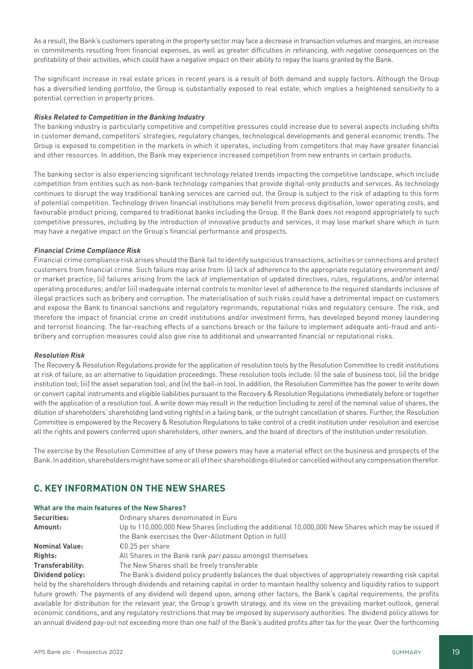As a result, the Bank's customers operating in the property sector may face a decrease in transaction volumes and margins, an increase in commitments resulting from financial expenses, as well as greater difficulties in refinancing, with negative consequences on the profitability of their activities, which could have a negative impact on their ability to repay the loans granted by the Bank.

The significant increase in real estate prices in recent years is a result of both demand and supply factors. Although the Group has a diversified lending portfolio, the Group is substantially exposed to real estate, which implies a heightened sensitivity to a potential correction in property prices.

# **Risks Related to Competition in the Banking Industry**

The banking industry is particularly competitive and competitive pressures could increase due to several aspects including shifts in customer demand, competitors' strategies, regulatory changes, technological developments and general economic trends. The Group is exposed to competition in the markets in which it operates, including from competitors that may have greater financial and other resources. In addition, the Bank may experience increased competition from new entrants in certain products.

The banking sector is also experiencing significant technology related trends impacting the competitive landscape, which include competition from entities such as non-bank technology companies that provide digital-only products and services. As technology continues to disrupt the way traditional banking services are carried out, the Group is subject to the risk of adapting to this form of potential competition. Technology driven financial institutions may benefit from process digitisation, lower operating costs, and favourable product pricing, compared to traditional banks including the Group. If the Bank does not respond appropriately to such competitive pressures, including by the introduction of innovative products and services, it may lose market share which in turn may have a negative impact on the Group's financial performance and prospects.

# **Financial Crime Compliance Risk**

Financial crime compliance risk arises should the Bank fail to identify suspicious transactions, activities or connections and protect customers from financial crime. Such failure may arise from: (i) lack of adherence to the appropriate regulatory environment and/ or market practice; (ii) failures arising from the lack of implementation of updated directives, rules, regulations, and/or internal operating procedures; and/or (iii) inadequate internal controls to monitor level of adherence to the required standards inclusive of illegal practices such as bribery and corruption. The materialisation of such risks could have a detrimental impact on customers and expose the Bank to financial sanctions and regulatory reprimands, reputational risks and regulatory censure. The risk, and therefore the impact of financial crime on credit institutions and/or investment firms, has developed beyond money laundering and terrorist financing. The far-reaching effects of a sanctions breach or the failure to implement adequate anti-fraud and antibribery and corruption measures could also give rise to additional and unwarranted financial or reputational risks.

#### **Resolution Risk**

The Recovery & Resolution Regulations provide for the application of resolution tools by the Resolution Committee to credit institutions at risk of failure, as an alternative to liquidation proceedings. These resolution tools include: (i) the sale of business tool; (ii) the bridge institution tool; (iii) the asset separation tool; and (iv) the bail-in tool. In addition, the Resolution Committee has the power to write down or convert capital instruments and eligible liabilities pursuant to the Recovery & Resolution Regulations immediately before or together with the application of a resolution tool. A write down may result in the reduction (including to zero) of the nominal value of shares, the dilution of shareholders' shareholding (and voting rights) in a failing bank, or the outright cancellation of shares. Further, the Resolution Committee is empowered by the Recovery & Resolution Regulations to take control of a credit institution under resolution and exercise all the rights and powers conferred upon shareholders, other owners, and the board of directors of the institution under resolution.

The exercise by the Resolution Committee of any of these powers may have a material effect on the business and prospects of the Bank. In addition, shareholders might have some or all of their shareholdings diluted or cancelled without any compensation therefor.

# **C. KEY INFORMATION ON THE NEW SHARES**

#### **What are the main features of the New Shares?**

| Securities:                                                                                                    | Ordinary shares denominated in Euro                                                                       |
|----------------------------------------------------------------------------------------------------------------|-----------------------------------------------------------------------------------------------------------|
| Up to 110,000,000 New Shares (including the additional 10,000,000 New Shares which may be issued if<br>Amount: |                                                                                                           |
|                                                                                                                | the Bank exercises the Over-Allotment Option in full                                                      |
| <b>Nominal Value:</b>                                                                                          | €0.25 per share                                                                                           |
| Rights:                                                                                                        | All Shares in the Bank rank pari passu amongst themselves                                                 |
| <b>Transferability:</b>                                                                                        | The New Shares shall be freely transferable                                                               |
| <b>Dividend policy:</b>                                                                                        | The Bank's dividend policy prudently balances the dual objectives of appropriately rewarding risk capital |

held by the shareholders through dividends and retaining capital in order to maintain healthy solvency and liquidity ratios to support future growth. The payments of any dividend will depend upon, among other factors, the Bank's capital requirements, the profits available for distribution for the relevant year, the Group's growth strategy, and its view on the prevailing market outlook, general economic conditions, and any regulatory restrictions that may be imposed by supervisory authorities. The dividend policy allows for an annual dividend pay-out not exceeding more than one half of the Bank's audited profits after tax for the year. Over the forthcoming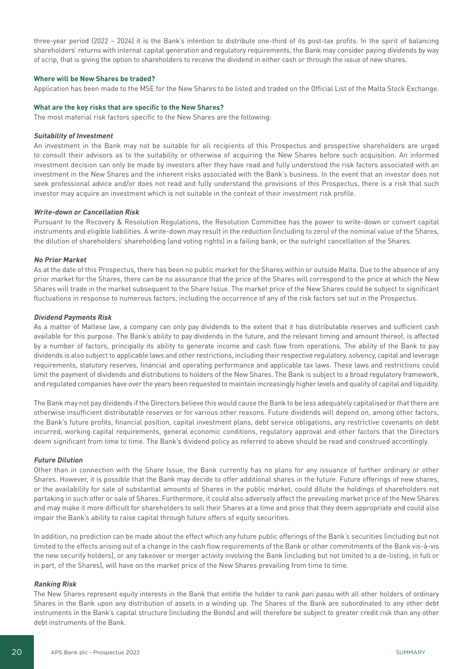three-year period (2022 – 2024) it is the Bank's intention to distribute one-third of its post-tax profits. In the spirit of balancing shareholders' returns with internal capital generation and regulatory requirements, the Bank may consider paying dividends by way of scrip, that is giving the option to shareholders to receive the dividend in either cash or through the issue of new shares.

## **Where will be New Shares be traded?**

Application has been made to the MSE for the New Shares to be listed and traded on the Official List of the Malta Stock Exchange.

#### **What are the key risks that are specific to the New Shares?**

The most material risk factors specific to the New Shares are the following:

#### **Suitability of Investment**

An investment in the Bank may not be suitable for all recipients of this Prospectus and prospective shareholders are urged to consult their advisors as to the suitability or otherwise of acquiring the New Shares before such acquisition. An informed investment decision can only be made by investors after they have read and fully understood the risk factors associated with an investment in the New Shares and the inherent risks associated with the Bank's business. In the event that an investor does not seek professional advice and/or does not read and fully understand the provisions of this Prospectus, there is a risk that such investor may acquire an investment which is not suitable in the context of their investment risk profile.

#### **Write-down or Cancellation Risk**

Pursuant to the Recovery & Resolution Regulations, the Resolution Committee has the power to write-down or convert capital instruments and eligible liabilities. A write-down may result in the reduction (including to zero) of the nominal value of the Shares, the dilution of shareholders' shareholding (and voting rights) in a failing bank, or the outright cancellation of the Shares.

#### **No Prior Market**

As at the date of this Prospectus, there has been no public market for the Shares within or outside Malta. Due to the absence of any prior market for the Shares, there can be no assurance that the price of the Shares will correspond to the price at which the New Shares will trade in the market subsequent to the Share Issue. The market price of the New Shares could be subject to significant fluctuations in response to numerous factors, including the occurrence of any of the risk factors set out in the Prospectus.

#### **Dividend Payments Risk**

As a matter of Maltese law, a company can only pay dividends to the extent that it has distributable reserves and sufficient cash available for this purpose. The Bank's ability to pay dividends in the future, and the relevant timing and amount thereof, is affected by a number of factors, principally its ability to generate income and cash flow from operations. The ability of the Bank to pay dividends is also subject to applicable laws and other restrictions, including their respective regulatory, solvency, capital and leverage requirements, statutory reserves, financial and operating performance and applicable tax laws. These laws and restrictions could limit the payment of dividends and distributions to holders of the New Shares. The Bank is subject to a broad regulatory framework, and regulated companies have over the years been requested to maintain increasingly higher levels and quality of capital and liquidity.

The Bank may not pay dividends if the Directors believe this would cause the Bank to be less adequately capitalised or that there are otherwise insufficient distributable reserves or for various other reasons. Future dividends will depend on, among other factors, the Bank's future profits, financial position, capital investment plans, debt service obligations, any restrictive covenants on debt incurred, working capital requirements, general economic conditions, regulatory approval and other factors that the Directors deem significant from time to time. The Bank's dividend policy as referred to above should be read and construed accordingly.

#### **Future Dilution**

Other than in connection with the Share Issue, the Bank currently has no plans for any issuance of further ordinary or other Shares. However, it is possible that the Bank may decide to offer additional shares in the future. Future offerings of new shares, or the availability for sale of substantial amounts of Shares in the public market, could dilute the holdings of shareholders not partaking in such offer or sale of Shares. Furthermore, it could also adversely affect the prevailing market price of the New Shares and may make it more difficult for shareholders to sell their Shares at a time and price that they deem appropriate and could also impair the Bank's ability to raise capital through future offers of equity securities.

In addition, no prediction can be made about the effect which any future public offerings of the Bank's securities (including but not limited to the effects arising out of a change in the cash flow requirements of the Bank or other commitments of the Bank vis-à-vis the new security holders), or any takeover or merger activity involving the Bank (including but not limited to a de-listing, in full or in part, of the Shares), will have on the market price of the New Shares prevailing from time to time.

#### **Ranking Risk**

The New Shares represent equity interests in the Bank that entitle the holder to rank pari passu with all other holders of ordinary Shares in the Bank upon any distribution of assets in a winding up. The Shares of the Bank are subordinated to any other debt instruments in the Bank's capital structure (including the Bonds) and will therefore be subject to greater credit risk than any other debt instruments of the Bank.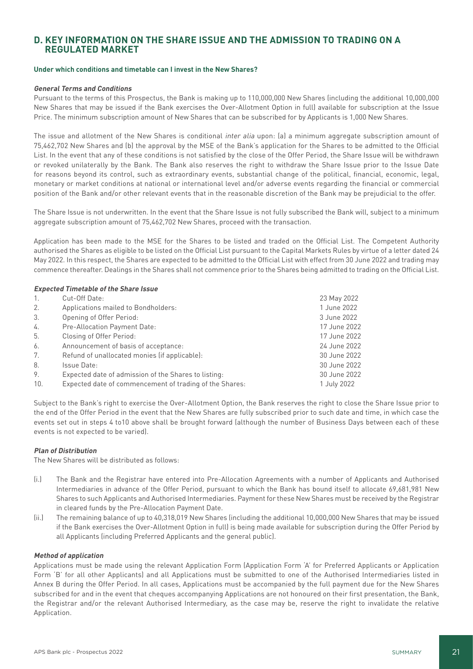# **D. KEY INFORMATION ON THE SHARE ISSUE AND THE ADMISSION TO TRADING ON A REGULATED MARKET**

## **Under which conditions and timetable can I invest in the New Shares?**

# **General Terms and Conditions**

Pursuant to the terms of this Prospectus, the Bank is making up to 110,000,000 New Shares (including the additional 10,000,000 New Shares that may be issued if the Bank exercises the Over-Allotment Option in full) available for subscription at the Issue Price. The minimum subscription amount of New Shares that can be subscribed for by Applicants is 1,000 New Shares.

The issue and allotment of the New Shares is conditional inter alia upon: (a) a minimum aggregate subscription amount of 75,462,702 New Shares and (b) the approval by the MSE of the Bank's application for the Shares to be admitted to the Official List. In the event that any of these conditions is not satisfied by the close of the Offer Period, the Share Issue will be withdrawn or revoked unilaterally by the Bank. The Bank also reserves the right to withdraw the Share Issue prior to the Issue Date for reasons beyond its control, such as extraordinary events, substantial change of the political, financial, economic, legal, monetary or market conditions at national or international level and/or adverse events regarding the financial or commercial position of the Bank and/or other relevant events that in the reasonable discretion of the Bank may be prejudicial to the offer.

The Share Issue is not underwritten. In the event that the Share Issue is not fully subscribed the Bank will, subject to a minimum aggregate subscription amount of 75,462,702 New Shares, proceed with the transaction.

Application has been made to the MSE for the Shares to be listed and traded on the Official List. The Competent Authority authorised the Shares as eligible to be listed on the Official List pursuant to the Capital Markets Rules by virtue of a letter dated 24 May 2022. In this respect, the Shares are expected to be admitted to the Official List with effect from 30 June 2022 and trading may commence thereafter. Dealings in the Shares shall not commence prior to the Shares being admitted to trading on the Official List.

# **Expected Timetable of the Share Issue**

| 1.  | Cut-Off Date:                                           | 23 May 2022  |
|-----|---------------------------------------------------------|--------------|
| 2.  | Applications mailed to Bondholders:                     | 1 June 2022  |
| 3.  | Opening of Offer Period:                                | 3 June 2022  |
| 4.  | Pre-Allocation Payment Date:                            | 17 June 2022 |
| 5.  | Closing of Offer Period:                                | 17 June 2022 |
| 6.  | Announcement of basis of acceptance:                    | 24 June 2022 |
| 7.  | Refund of unallocated monies (if applicable):           | 30 June 2022 |
| 8.  | Issue Date:                                             | 30 June 2022 |
| 9.  | Expected date of admission of the Shares to listing:    | 30 June 2022 |
| 10. | Expected date of commencement of trading of the Shares: | 1 July 2022  |

Subject to the Bank's right to exercise the Over-Allotment Option, the Bank reserves the right to close the Share Issue prior to the end of the Offer Period in the event that the New Shares are fully subscribed prior to such date and time, in which case the events set out in steps 4 to10 above shall be brought forward (although the number of Business Days between each of these events is not expected to be varied).

# **Plan of Distribution**

The New Shares will be distributed as follows:

- (i.) The Bank and the Registrar have entered into Pre-Allocation Agreements with a number of Applicants and Authorised Intermediaries in advance of the Offer Period, pursuant to which the Bank has bound itself to allocate 69,681,981 New Shares to such Applicants and Authorised Intermediaries. Payment for these New Shares must be received by the Registrar in cleared funds by the Pre-Allocation Payment Date.
- (ii.) The remaining balance of up to 40,318,019 New Shares (including the additional 10,000,000 New Shares that may be issued if the Bank exercises the Over-Allotment Option in full) is being made available for subscription during the Offer Period by all Applicants (including Preferred Applicants and the general public).

#### **Method of application**

Applications must be made using the relevant Application Form (Application Form 'A' for Preferred Applicants or Application Form 'B' for all other Applicants) and all Applications must be submitted to one of the Authorised Intermediaries listed in Annex B during the Offer Period. In all cases, Applications must be accompanied by the full payment due for the New Shares subscribed for and in the event that cheques accompanying Applications are not honoured on their first presentation, the Bank, the Registrar and/or the relevant Authorised Intermediary, as the case may be, reserve the right to invalidate the relative Application.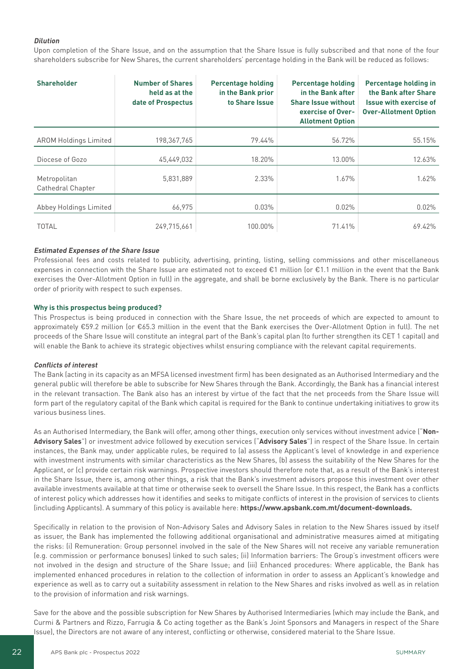# **Dilution**

Upon completion of the Share Issue, and on the assumption that the Share Issue is fully subscribed and that none of the four shareholders subscribe for New Shares, the current shareholders' percentage holding in the Bank will be reduced as follows:

| <b>Shareholder</b>                | <b>Number of Shares</b><br>held as at the<br>date of Prospectus | <b>Percentage holding</b><br>in the Bank prior<br>to Share Issue | <b>Percentage holding</b><br>in the Bank after<br><b>Share Issue without</b><br>exercise of Over-<br><b>Allotment Option</b> | <b>Percentage holding in</b><br>the Bank after Share<br><b>Issue with exercise of</b><br><b>Over-Allotment Option</b> |
|-----------------------------------|-----------------------------------------------------------------|------------------------------------------------------------------|------------------------------------------------------------------------------------------------------------------------------|-----------------------------------------------------------------------------------------------------------------------|
| <b>AROM Holdings Limited</b>      | 198,367,765                                                     | 79.44%                                                           | 56.72%                                                                                                                       | 55.15%                                                                                                                |
| Diocese of Gozo                   | 45,449,032                                                      | 18.20%                                                           | 13.00%                                                                                                                       | 12.63%                                                                                                                |
| Metropolitan<br>Cathedral Chapter | 5,831,889                                                       | 2.33%                                                            | 1.67%                                                                                                                        | 1.62%                                                                                                                 |
| Abbey Holdings Limited            | 66,975                                                          | 0.03%                                                            | 0.02%                                                                                                                        | 0.02%                                                                                                                 |
| <b>TOTAL</b>                      | 249,715,661                                                     | 100.00%                                                          | 71.41%                                                                                                                       | 69.42%                                                                                                                |

# **Estimated Expenses of the Share Issue**

Professional fees and costs related to publicity, advertising, printing, listing, selling commissions and other miscellaneous expenses in connection with the Share Issue are estimated not to exceed €1 million (or €1.1 million in the event that the Bank exercises the Over-Allotment Option in full) in the aggregate, and shall be borne exclusively by the Bank. There is no particular order of priority with respect to such expenses.

# **Why is this prospectus being produced?**

This Prospectus is being produced in connection with the Share Issue, the net proceeds of which are expected to amount to approximately €59.2 million (or €65.3 million in the event that the Bank exercises the Over-Allotment Option in full). The net proceeds of the Share Issue will constitute an integral part of the Bank's capital plan (to further strengthen its CET 1 capital) and will enable the Bank to achieve its strategic objectives whilst ensuring compliance with the relevant capital requirements.

#### **Conflicts of interest**

The Bank (acting in its capacity as an MFSA licensed investment firm) has been designated as an Authorised Intermediary and the general public will therefore be able to subscribe for New Shares through the Bank. Accordingly, the Bank has a financial interest in the relevant transaction. The Bank also has an interest by virtue of the fact that the net proceeds from the Share Issue will form part of the regulatory capital of the Bank which capital is required for the Bank to continue undertaking initiatives to grow its various business lines.

As an Authorised Intermediary, the Bank will offer, among other things, execution only services without investment advice ("**Non-Advisory Sales**") or investment advice followed by execution services ("**Advisory Sales**") in respect of the Share Issue. In certain instances, the Bank may, under applicable rules, be required to (a) assess the Applicant's level of knowledge in and experience with investment instruments with similar characteristics as the New Shares, (b) assess the suitability of the New Shares for the Applicant, or (c) provide certain risk warnings. Prospective investors should therefore note that, as a result of the Bank's interest in the Share Issue, there is, among other things, a risk that the Bank's investment advisors propose this investment over other available investments available at that time or otherwise seek to oversell the Share Issue. In this respect, the Bank has a conflicts of interest policy which addresses how it identifies and seeks to mitigate conflicts of interest in the provision of services to clients (including Applicants). A summary of this policy is available here: **https://www.apsbank.com.mt/document-downloads.**

Specifically in relation to the provision of Non-Advisory Sales and Advisory Sales in relation to the New Shares issued by itself as issuer, the Bank has implemented the following additional organisational and administrative measures aimed at mitigating the risks: (i) Remuneration: Group personnel involved in the sale of the New Shares will not receive any variable remuneration (e.g. commission or performance bonuses) linked to such sales; (ii) Information barriers: The Group's investment officers were not involved in the design and structure of the Share Issue; and (iii) Enhanced procedures: Where applicable, the Bank has implemented enhanced procedures in relation to the collection of information in order to assess an Applicant's knowledge and experience as well as to carry out a suitability assessment in relation to the New Shares and risks involved as well as in relation to the provision of information and risk warnings.

Save for the above and the possible subscription for New Shares by Authorised Intermediaries (which may include the Bank, and Curmi & Partners and Rizzo, Farrugia & Co acting together as the Bank's Joint Sponsors and Managers in respect of the Share Issue), the Directors are not aware of any interest, conflicting or otherwise, considered material to the Share Issue.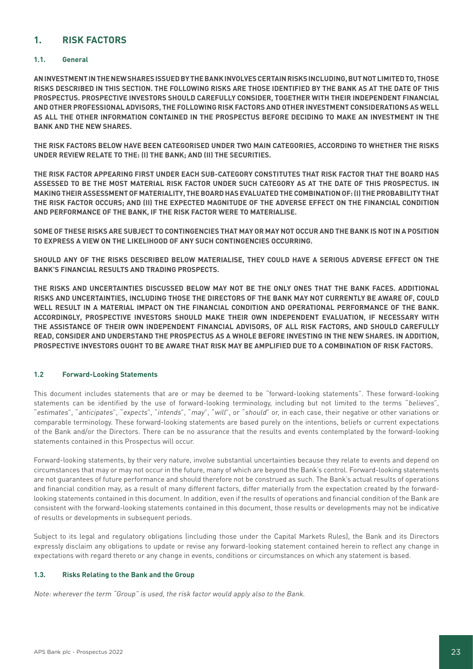# **1. RISK FACTORS**

# **1.1. General**

**AN INVESTMENT IN THE NEW SHARES ISSUED BY THE BANK INVOLVES CERTAIN RISKS INCLUDING, BUT NOT LIMITED TO, THOSE RISKS DESCRIBED IN THIS SECTION. THE FOLLOWING RISKS ARE THOSE IDENTIFIED BY THE BANK AS AT THE DATE OF THIS PROSPECTUS. PROSPECTIVE INVESTORS SHOULD CAREFULLY CONSIDER, TOGETHER WITH THEIR INDEPENDENT FINANCIAL AND OTHER PROFESSIONAL ADVISORS, THE FOLLOWING RISK FACTORS AND OTHER INVESTMENT CONSIDERATIONS AS WELL AS ALL THE OTHER INFORMATION CONTAINED IN THE PROSPECTUS BEFORE DECIDING TO MAKE AN INVESTMENT IN THE BANK AND THE NEW SHARES.**

**THE RISK FACTORS BELOW HAVE BEEN CATEGORISED UNDER TWO MAIN CATEGORIES, ACCORDING TO WHETHER THE RISKS UNDER REVIEW RELATE TO THE: (I) THE BANK; AND (II) THE SECURITIES.**

**THE RISK FACTOR APPEARING FIRST UNDER EACH SUB-CATEGORY CONSTITUTES THAT RISK FACTOR THAT THE BOARD HAS ASSESSED TO BE THE MOST MATERIAL RISK FACTOR UNDER SUCH CATEGORY AS AT THE DATE OF THIS PROSPECTUS. IN MAKING THEIR ASSESSMENT OF MATERIALITY, THE BOARD HAS EVALUATED THE COMBINATION OF: (I) THE PROBABILITY THAT THE RISK FACTOR OCCURS; AND (II) THE EXPECTED MAGNITUDE OF THE ADVERSE EFFECT ON THE FINANCIAL CONDITION AND PERFORMANCE OF THE BANK, IF THE RISK FACTOR WERE TO MATERIALISE.** 

**SOME OF THESE RISKS ARE SUBJECT TO CONTINGENCIES THAT MAY OR MAY NOT OCCUR AND THE BANK IS NOT IN A POSITION TO EXPRESS A VIEW ON THE LIKELIHOOD OF ANY SUCH CONTINGENCIES OCCURRING.**

**SHOULD ANY OF THE RISKS DESCRIBED BELOW MATERIALISE, THEY COULD HAVE A SERIOUS ADVERSE EFFECT ON THE BANK'S FINANCIAL RESULTS AND TRADING PROSPECTS.**

**THE RISKS AND UNCERTAINTIES DISCUSSED BELOW MAY NOT BE THE ONLY ONES THAT THE BANK FACES. ADDITIONAL RISKS AND UNCERTAINTIES, INCLUDING THOSE THE DIRECTORS OF THE BANK MAY NOT CURRENTLY BE AWARE OF, COULD WELL RESULT IN A MATERIAL IMPACT ON THE FINANCIAL CONDITION AND OPERATIONAL PERFORMANCE OF THE BANK. ACCORDINGLY, PROSPECTIVE INVESTORS SHOULD MAKE THEIR OWN INDEPENDENT EVALUATION, IF NECESSARY WITH THE ASSISTANCE OF THEIR OWN INDEPENDENT FINANCIAL ADVISORS, OF ALL RISK FACTORS, AND SHOULD CAREFULLY READ, CONSIDER AND UNDERSTAND THE PROSPECTUS AS A WHOLE BEFORE INVESTING IN THE NEW SHARES. IN ADDITION, PROSPECTIVE INVESTORS OUGHT TO BE AWARE THAT RISK MAY BE AMPLIFIED DUE TO A COMBINATION OF RISK FACTORS.**

# **1.2 Forward-Looking Statements**

This document includes statements that are or may be deemed to be "forward-looking statements". These forward-looking statements can be identified by the use of forward-looking terminology, including but not limited to the terms "believes", "estimates", "anticipates", "expects", "intends", "may", "will", or "should" or, in each case, their negative or other variations or comparable terminology. These forward-looking statements are based purely on the intentions, beliefs or current expectations of the Bank and/or the Directors. There can be no assurance that the results and events contemplated by the forward-looking statements contained in this Prospectus will occur.

Forward-looking statements, by their very nature, involve substantial uncertainties because they relate to events and depend on circumstances that may or may not occur in the future, many of which are beyond the Bank's control. Forward-looking statements are not guarantees of future performance and should therefore not be construed as such. The Bank's actual results of operations and financial condition may, as a result of many different factors, differ materially from the expectation created by the forwardlooking statements contained in this document. In addition, even if the results of operations and financial condition of the Bank are consistent with the forward-looking statements contained in this document, those results or developments may not be indicative of results or developments in subsequent periods.

Subject to its legal and regulatory obligations (including those under the Capital Markets Rules), the Bank and its Directors expressly disclaim any obligations to update or revise any forward-looking statement contained herein to reflect any change in expectations with regard thereto or any change in events, conditions or circumstances on which any statement is based.

# **1.3. Risks Relating to the Bank and the Group**

Note: wherever the term "Group" is used, the risk factor would apply also to the Bank.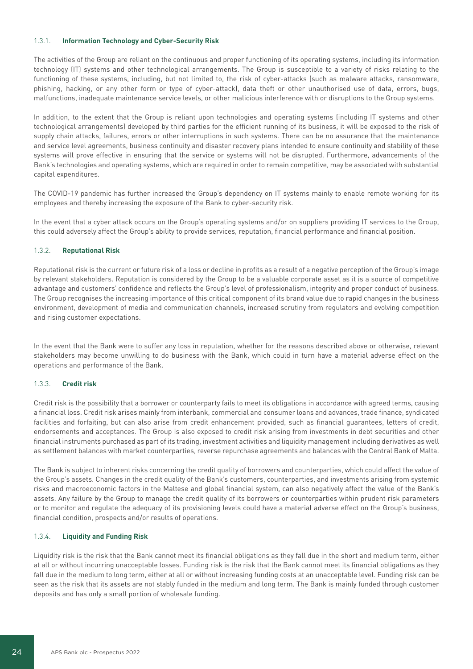# 1.3.1. **Information Technology and Cyber-Security Risk**

The activities of the Group are reliant on the continuous and proper functioning of its operating systems, including its information technology (IT) systems and other technological arrangements. The Group is susceptible to a variety of risks relating to the functioning of these systems, including, but not limited to, the risk of cyber-attacks (such as malware attacks, ransomware, phishing, hacking, or any other form or type of cyber-attack), data theft or other unauthorised use of data, errors, bugs, malfunctions, inadequate maintenance service levels, or other malicious interference with or disruptions to the Group systems.

In addition, to the extent that the Group is reliant upon technologies and operating systems (including IT systems and other technological arrangements) developed by third parties for the efficient running of its business, it will be exposed to the risk of supply chain attacks, failures, errors or other interruptions in such systems. There can be no assurance that the maintenance and service level agreements, business continuity and disaster recovery plans intended to ensure continuity and stability of these systems will prove effective in ensuring that the service or systems will not be disrupted. Furthermore, advancements of the Bank's technologies and operating systems, which are required in order to remain competitive, may be associated with substantial capital expenditures.

The COVID-19 pandemic has further increased the Group's dependency on IT systems mainly to enable remote working for its employees and thereby increasing the exposure of the Bank to cyber-security risk.

In the event that a cyber attack occurs on the Group's operating systems and/or on suppliers providing IT services to the Group, this could adversely affect the Group's ability to provide services, reputation, financial performance and financial position.

# 1.3.2. **Reputational Risk**

Reputational risk is the current or future risk of a loss or decline in profits as a result of a negative perception of the Group's image by relevant stakeholders. Reputation is considered by the Group to be a valuable corporate asset as it is a source of competitive advantage and customers' confidence and reflects the Group's level of professionalism, integrity and proper conduct of business. The Group recognises the increasing importance of this critical component of its brand value due to rapid changes in the business environment, development of media and communication channels, increased scrutiny from regulators and evolving competition and rising customer expectations.

In the event that the Bank were to suffer any loss in reputation, whether for the reasons described above or otherwise, relevant stakeholders may become unwilling to do business with the Bank, which could in turn have a material adverse effect on the operations and performance of the Bank.

#### 1.3.3. **Credit risk**

Credit risk is the possibility that a borrower or counterparty fails to meet its obligations in accordance with agreed terms, causing a financial loss. Credit risk arises mainly from interbank, commercial and consumer loans and advances, trade finance, syndicated facilities and forfaiting, but can also arise from credit enhancement provided, such as financial guarantees, letters of credit, endorsements and acceptances. The Group is also exposed to credit risk arising from investments in debt securities and other financial instruments purchased as part of its trading, investment activities and liquidity management including derivatives as well as settlement balances with market counterparties, reverse repurchase agreements and balances with the Central Bank of Malta.

The Bank is subject to inherent risks concerning the credit quality of borrowers and counterparties, which could affect the value of the Group's assets. Changes in the credit quality of the Bank's customers, counterparties, and investments arising from systemic risks and macroeconomic factors in the Maltese and global financial system, can also negatively affect the value of the Bank's assets. Any failure by the Group to manage the credit quality of its borrowers or counterparties within prudent risk parameters or to monitor and regulate the adequacy of its provisioning levels could have a material adverse effect on the Group's business, financial condition, prospects and/or results of operations.

#### 1.3.4. **Liquidity and Funding Risk**

Liquidity risk is the risk that the Bank cannot meet its financial obligations as they fall due in the short and medium term, either at all or without incurring unacceptable losses. Funding risk is the risk that the Bank cannot meet its financial obligations as they fall due in the medium to long term, either at all or without increasing funding costs at an unacceptable level. Funding risk can be seen as the risk that its assets are not stably funded in the medium and long term. The Bank is mainly funded through customer deposits and has only a small portion of wholesale funding.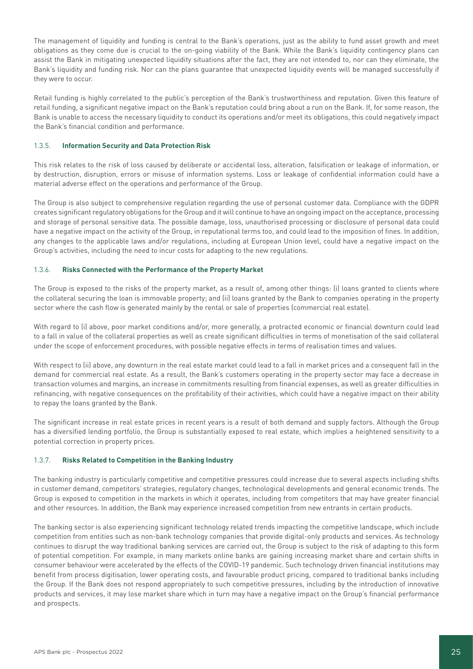The management of liquidity and funding is central to the Bank's operations, just as the ability to fund asset growth and meet obligations as they come due is crucial to the on-going viability of the Bank. While the Bank's liquidity contingency plans can assist the Bank in mitigating unexpected liquidity situations after the fact, they are not intended to, nor can they eliminate, the Bank's liquidity and funding risk. Nor can the plans guarantee that unexpected liquidity events will be managed successfully if they were to occur.

Retail funding is highly correlated to the public's perception of the Bank's trustworthiness and reputation. Given this feature of retail funding, a significant negative impact on the Bank's reputation could bring about a run on the Bank. If, for some reason, the Bank is unable to access the necessary liquidity to conduct its operations and/or meet its obligations, this could negatively impact the Bank's financial condition and performance.

# 1.3.5. **Information Security and Data Protection Risk**

This risk relates to the risk of loss caused by deliberate or accidental loss, alteration, falsification or leakage of information, or by destruction, disruption, errors or misuse of information systems. Loss or leakage of confidential information could have a material adverse effect on the operations and performance of the Group.

The Group is also subject to comprehensive regulation regarding the use of personal customer data. Compliance with the GDPR creates significant regulatory obligations for the Group and it will continue to have an ongoing impact on the acceptance, processing and storage of personal sensitive data. The possible damage, loss, unauthorised processing or disclosure of personal data could have a negative impact on the activity of the Group, in reputational terms too, and could lead to the imposition of fines. In addition, any changes to the applicable laws and/or regulations, including at European Union level, could have a negative impact on the Group's activities, including the need to incur costs for adapting to the new regulations.

# 1.3.6. **Risks Connected with the Performance of the Property Market**

The Group is exposed to the risks of the property market, as a result of, among other things: (i) loans granted to clients where the collateral securing the loan is immovable property; and (ii) loans granted by the Bank to companies operating in the property sector where the cash flow is generated mainly by the rental or sale of properties (commercial real estate).

With regard to (i) above, poor market conditions and/or, more generally, a protracted economic or financial downturn could lead to a fall in value of the collateral properties as well as create significant difficulties in terms of monetisation of the said collateral under the scope of enforcement procedures, with possible negative effects in terms of realisation times and values.

With respect to (ii) above, any downturn in the real estate market could lead to a fall in market prices and a consequent fall in the demand for commercial real estate. As a result, the Bank's customers operating in the property sector may face a decrease in transaction volumes and margins, an increase in commitments resulting from financial expenses, as well as greater difficulties in refinancing, with negative consequences on the profitability of their activities, which could have a negative impact on their ability to repay the loans granted by the Bank.

The significant increase in real estate prices in recent years is a result of both demand and supply factors. Although the Group has a diversified lending portfolio, the Group is substantially exposed to real estate, which implies a heightened sensitivity to a potential correction in property prices.

# 1.3.7. **Risks Related to Competition in the Banking Industry**

The banking industry is particularly competitive and competitive pressures could increase due to several aspects including shifts in customer demand, competitors' strategies, regulatory changes, technological developments and general economic trends. The Group is exposed to competition in the markets in which it operates, including from competitors that may have greater financial and other resources. In addition, the Bank may experience increased competition from new entrants in certain products.

The banking sector is also experiencing significant technology related trends impacting the competitive landscape, which include competition from entities such as non-bank technology companies that provide digital-only products and services. As technology continues to disrupt the way traditional banking services are carried out, the Group is subject to the risk of adapting to this form of potential competition. For example, in many markets online banks are gaining increasing market share and certain shifts in consumer behaviour were accelerated by the effects of the COVID-19 pandemic. Such technology driven financial institutions may benefit from process digitisation, lower operating costs, and favourable product pricing, compared to traditional banks including the Group. If the Bank does not respond appropriately to such competitive pressures, including by the introduction of innovative products and services, it may lose market share which in turn may have a negative impact on the Group's financial performance and prospects.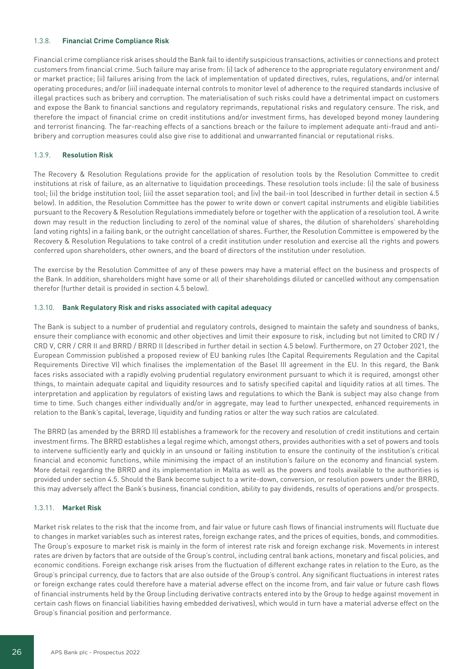# 1.3.8. **Financial Crime Compliance Risk**

Financial crime compliance risk arises should the Bank fail to identify suspicious transactions, activities or connections and protect customers from financial crime. Such failure may arise from: (i) lack of adherence to the appropriate regulatory environment and/ or market practice; (ii) failures arising from the lack of implementation of updated directives, rules, regulations, and/or internal operating procedures; and/or (iii) inadequate internal controls to monitor level of adherence to the required standards inclusive of illegal practices such as bribery and corruption. The materialisation of such risks could have a detrimental impact on customers and expose the Bank to financial sanctions and regulatory reprimands, reputational risks and regulatory censure. The risk, and therefore the impact of financial crime on credit institutions and/or investment firms, has developed beyond money laundering and terrorist financing. The far-reaching effects of a sanctions breach or the failure to implement adequate anti-fraud and antibribery and corruption measures could also give rise to additional and unwarranted financial or reputational risks.

#### 1.3.9. **Resolution Risk**

The Recovery & Resolution Regulations provide for the application of resolution tools by the Resolution Committee to credit institutions at risk of failure, as an alternative to liquidation proceedings. These resolution tools include: (i) the sale of business tool; (ii) the bridge institution tool; (iii) the asset separation tool; and (iv) the bail-in tool (described in further detail in section 4.5 below). In addition, the Resolution Committee has the power to write down or convert capital instruments and eligible liabilities pursuant to the Recovery & Resolution Regulations immediately before or together with the application of a resolution tool. A write down may result in the reduction (including to zero) of the nominal value of shares, the dilution of shareholders' shareholding (and voting rights) in a failing bank, or the outright cancellation of shares. Further, the Resolution Committee is empowered by the Recovery & Resolution Regulations to take control of a credit institution under resolution and exercise all the rights and powers conferred upon shareholders, other owners, and the board of directors of the institution under resolution.

The exercise by the Resolution Committee of any of these powers may have a material effect on the business and prospects of the Bank. In addition, shareholders might have some or all of their shareholdings diluted or cancelled without any compensation therefor (further detail is provided in section 4.5 below).

#### 1.3.10. **Bank Regulatory Risk and risks associated with capital adequacy**

The Bank is subject to a number of prudential and regulatory controls, designed to maintain the safety and soundness of banks, ensure their compliance with economic and other objectives and limit their exposure to risk, including but not limited to CRD IV / CRD V, CRR / CRR II and BRRD / BRRD II (described in further detail in section 4.5 below). Furthermore, on 27 October 2021, the European Commission published a proposed review of EU banking rules (the Capital Requirements Regulation and the Capital Requirements Directive VI) which finalises the implementation of the Basel III agreement in the EU. In this regard, the Bank faces risks associated with a rapidly evolving prudential regulatory environment pursuant to which it is required, amongst other things, to maintain adequate capital and liquidity resources and to satisfy specified capital and liquidity ratios at all times. The interpretation and application by regulators of existing laws and regulations to which the Bank is subject may also change from time to time. Such changes either individually and/or in aggregate, may lead to further unexpected, enhanced requirements in relation to the Bank's capital, leverage, liquidity and funding ratios or alter the way such ratios are calculated.

The BRRD (as amended by the BRRD II) establishes a framework for the recovery and resolution of credit institutions and certain investment firms. The BRRD establishes a legal regime which, amongst others, provides authorities with a set of powers and tools to intervene sufficiently early and quickly in an unsound or failing institution to ensure the continuity of the institution's critical financial and economic functions, while minimising the impact of an institution's failure on the economy and financial system. More detail regarding the BRRD and its implementation in Malta as well as the powers and tools available to the authorities is provided under section 4.5. Should the Bank become subject to a write-down, conversion, or resolution powers under the BRRD, this may adversely affect the Bank's business, financial condition, ability to pay dividends, results of operations and/or prospects.

#### 1.3.11. **Market Risk**

Market risk relates to the risk that the income from, and fair value or future cash flows of financial instruments will fluctuate due to changes in market variables such as interest rates, foreign exchange rates, and the prices of equities, bonds, and commodities. The Group's exposure to market risk is mainly in the form of interest rate risk and foreign exchange risk. Movements in interest rates are driven by factors that are outside of the Group's control, including central bank actions, monetary and fiscal policies, and economic conditions. Foreign exchange risk arises from the fluctuation of different exchange rates in relation to the Euro, as the Group's principal currency, due to factors that are also outside of the Group's control. Any significant fluctuations in interest rates or foreign exchange rates could therefore have a material adverse effect on the income from, and fair value or future cash flows of financial instruments held by the Group (including derivative contracts entered into by the Group to hedge against movement in certain cash flows on financial liabilities having embedded derivatives), which would in turn have a material adverse effect on the Group's financial position and performance.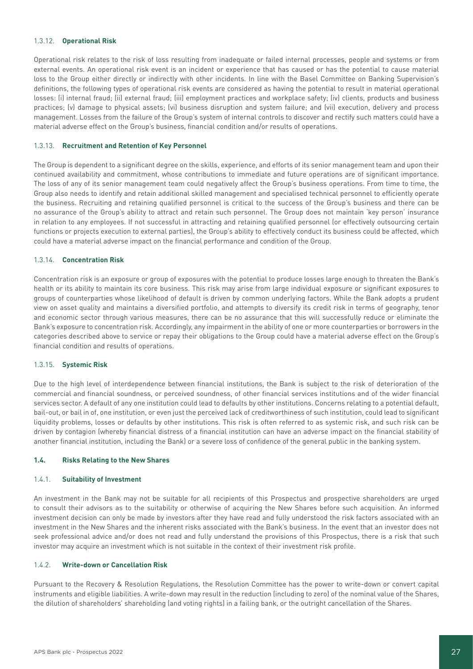#### 1.3.12. **Operational Risk**

Operational risk relates to the risk of loss resulting from inadequate or failed internal processes, people and systems or from external events. An operational risk event is an incident or experience that has caused or has the potential to cause material loss to the Group either directly or indirectly with other incidents. In line with the Basel Committee on Banking Supervision's definitions, the following types of operational risk events are considered as having the potential to result in material operational losses: (i) internal fraud; (ii) external fraud; (iii) employment practices and workplace safety; (iv) clients, products and business practices; (v) damage to physical assets; (vi) business disruption and system failure; and (vii) execution, delivery and process management. Losses from the failure of the Group's system of internal controls to discover and rectify such matters could have a material adverse effect on the Group's business, financial condition and/or results of operations.

#### 1.3.13. **Recruitment and Retention of Key Personnel**

The Group is dependent to a significant degree on the skills, experience, and efforts of its senior management team and upon their continued availability and commitment, whose contributions to immediate and future operations are of significant importance. The loss of any of its senior management team could negatively affect the Group's business operations. From time to time, the Group also needs to identify and retain additional skilled management and specialised technical personnel to efficiently operate the business. Recruiting and retaining qualified personnel is critical to the success of the Group's business and there can be no assurance of the Group's ability to attract and retain such personnel. The Group does not maintain 'key person' insurance in relation to any employees. If not successful in attracting and retaining qualified personnel (or effectively outsourcing certain functions or projects execution to external parties), the Group's ability to effectively conduct its business could be affected, which could have a material adverse impact on the financial performance and condition of the Group.

#### 1.3.14. **Concentration Risk**

Concentration risk is an exposure or group of exposures with the potential to produce losses large enough to threaten the Bank's health or its ability to maintain its core business. This risk may arise from large individual exposure or significant exposures to groups of counterparties whose likelihood of default is driven by common underlying factors. While the Bank adopts a prudent view on asset quality and maintains a diversified portfolio, and attempts to diversify its credit risk in terms of geography, tenor and economic sector through various measures, there can be no assurance that this will successfully reduce or eliminate the Bank's exposure to concentration risk. Accordingly, any impairment in the ability of one or more counterparties or borrowers in the categories described above to service or repay their obligations to the Group could have a material adverse effect on the Group's financial condition and results of operations.

#### 1.3.15. **Systemic Risk**

Due to the high level of interdependence between financial institutions, the Bank is subject to the risk of deterioration of the commercial and financial soundness, or perceived soundness, of other financial services institutions and of the wider financial services sector. A default of any one institution could lead to defaults by other institutions. Concerns relating to a potential default, bail-out, or bail in of, one institution, or even just the perceived lack of creditworthiness of such institution, could lead to significant liquidity problems, losses or defaults by other institutions. This risk is often referred to as systemic risk, and such risk can be driven by contagion (whereby financial distress of a financial institution can have an adverse impact on the financial stability of another financial institution, including the Bank) or a severe loss of confidence of the general public in the banking system.

#### **1.4. Risks Relating to the New Shares**

#### 1.4.1. **Suitability of Investment**

An investment in the Bank may not be suitable for all recipients of this Prospectus and prospective shareholders are urged to consult their advisors as to the suitability or otherwise of acquiring the New Shares before such acquisition. An informed investment decision can only be made by investors after they have read and fully understood the risk factors associated with an investment in the New Shares and the inherent risks associated with the Bank's business. In the event that an investor does not seek professional advice and/or does not read and fully understand the provisions of this Prospectus, there is a risk that such investor may acquire an investment which is not suitable in the context of their investment risk profile.

#### 1.4.2. **Write-down or Cancellation Risk**

Pursuant to the Recovery & Resolution Regulations, the Resolution Committee has the power to write-down or convert capital instruments and eligible liabilities. A write-down may result in the reduction (including to zero) of the nominal value of the Shares, the dilution of shareholders' shareholding (and voting rights) in a failing bank, or the outright cancellation of the Shares.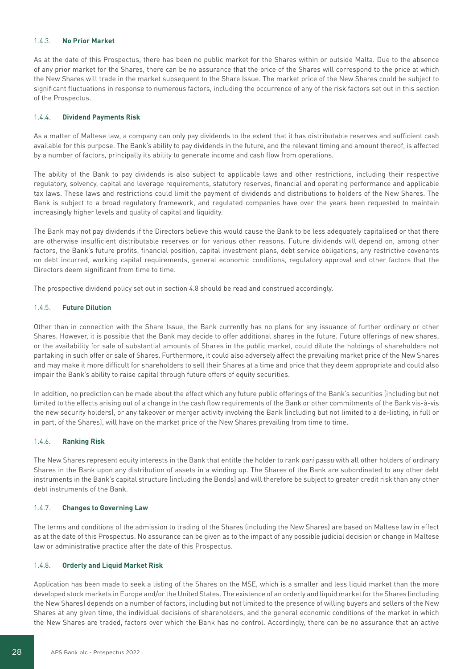# 1.4.3. **No Prior Market**

As at the date of this Prospectus, there has been no public market for the Shares within or outside Malta. Due to the absence of any prior market for the Shares, there can be no assurance that the price of the Shares will correspond to the price at which the New Shares will trade in the market subsequent to the Share Issue. The market price of the New Shares could be subject to significant fluctuations in response to numerous factors, including the occurrence of any of the risk factors set out in this section of the Prospectus.

# 1.4.4. **Dividend Payments Risk**

As a matter of Maltese law, a company can only pay dividends to the extent that it has distributable reserves and sufficient cash available for this purpose. The Bank's ability to pay dividends in the future, and the relevant timing and amount thereof, is affected by a number of factors, principally its ability to generate income and cash flow from operations.

The ability of the Bank to pay dividends is also subject to applicable laws and other restrictions, including their respective regulatory, solvency, capital and leverage requirements, statutory reserves, financial and operating performance and applicable tax laws. These laws and restrictions could limit the payment of dividends and distributions to holders of the New Shares. The Bank is subject to a broad regulatory framework, and regulated companies have over the years been requested to maintain increasingly higher levels and quality of capital and liquidity.

The Bank may not pay dividends if the Directors believe this would cause the Bank to be less adequately capitalised or that there are otherwise insufficient distributable reserves or for various other reasons. Future dividends will depend on, among other factors, the Bank's future profits, financial position, capital investment plans, debt service obligations, any restrictive covenants on debt incurred, working capital requirements, general economic conditions, regulatory approval and other factors that the Directors deem significant from time to time.

The prospective dividend policy set out in section 4.8 should be read and construed accordingly.

# 1.4.5. **Future Dilution**

Other than in connection with the Share Issue, the Bank currently has no plans for any issuance of further ordinary or other Shares. However, it is possible that the Bank may decide to offer additional shares in the future. Future offerings of new shares, or the availability for sale of substantial amounts of Shares in the public market, could dilute the holdings of shareholders not partaking in such offer or sale of Shares. Furthermore, it could also adversely affect the prevailing market price of the New Shares and may make it more difficult for shareholders to sell their Shares at a time and price that they deem appropriate and could also impair the Bank's ability to raise capital through future offers of equity securities.

In addition, no prediction can be made about the effect which any future public offerings of the Bank's securities (including but not limited to the effects arising out of a change in the cash flow requirements of the Bank or other commitments of the Bank vis-à-vis the new security holders), or any takeover or merger activity involving the Bank (including but not limited to a de-listing, in full or in part, of the Shares), will have on the market price of the New Shares prevailing from time to time.

#### 1.4.6. **Ranking Risk**

The New Shares represent equity interests in the Bank that entitle the holder to rank pari passu with all other holders of ordinary Shares in the Bank upon any distribution of assets in a winding up. The Shares of the Bank are subordinated to any other debt instruments in the Bank's capital structure (including the Bonds) and will therefore be subject to greater credit risk than any other debt instruments of the Bank.

#### 1.4.7. **Changes to Governing Law**

The terms and conditions of the admission to trading of the Shares (including the New Shares) are based on Maltese law in effect as at the date of this Prospectus. No assurance can be given as to the impact of any possible judicial decision or change in Maltese law or administrative practice after the date of this Prospectus.

#### 1.4.8. **Orderly and Liquid Market Risk**

Application has been made to seek a listing of the Shares on the MSE, which is a smaller and less liquid market than the more developed stock markets in Europe and/or the United States. The existence of an orderly and liquid market for the Shares (including the New Shares) depends on a number of factors, including but not limited to the presence of willing buyers and sellers of the New Shares at any given time, the individual decisions of shareholders, and the general economic conditions of the market in which the New Shares are traded, factors over which the Bank has no control. Accordingly, there can be no assurance that an active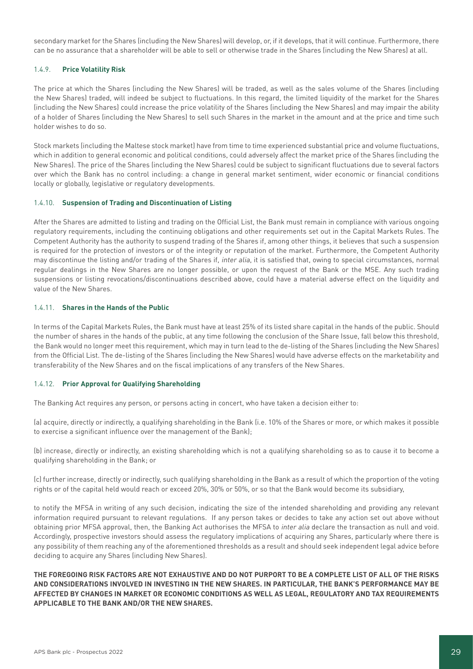secondary market for the Shares (including the New Shares) will develop, or, if it develops, that it will continue. Furthermore, there can be no assurance that a shareholder will be able to sell or otherwise trade in the Shares (including the New Shares) at all.

# 1.4.9. **Price Volatility Risk**

The price at which the Shares (including the New Shares) will be traded, as well as the sales volume of the Shares (including the New Shares) traded, will indeed be subject to fluctuations. In this regard, the limited liquidity of the market for the Shares (including the New Shares) could increase the price volatility of the Shares (including the New Shares) and may impair the ability of a holder of Shares (including the New Shares) to sell such Shares in the market in the amount and at the price and time such holder wishes to do so.

Stock markets (including the Maltese stock market) have from time to time experienced substantial price and volume fluctuations, which in addition to general economic and political conditions, could adversely affect the market price of the Shares (including the New Shares). The price of the Shares (including the New Shares) could be subject to significant fluctuations due to several factors over which the Bank has no control including: a change in general market sentiment, wider economic or financial conditions locally or globally, legislative or regulatory developments.

#### 1.4.10. **Suspension of Trading and Discontinuation of Listing**

After the Shares are admitted to listing and trading on the Official List, the Bank must remain in compliance with various ongoing regulatory requirements, including the continuing obligations and other requirements set out in the Capital Markets Rules. The Competent Authority has the authority to suspend trading of the Shares if, among other things, it believes that such a suspension is required for the protection of investors or of the integrity or reputation of the market. Furthermore, the Competent Authority may discontinue the listing and/or trading of the Shares if, inter alia, it is satisfied that, owing to special circumstances, normal regular dealings in the New Shares are no longer possible, or upon the request of the Bank or the MSE. Any such trading suspensions or listing revocations/discontinuations described above, could have a material adverse effect on the liquidity and value of the New Shares.

# 1.4.11. **Shares in the Hands of the Public**

In terms of the Capital Markets Rules, the Bank must have at least 25% of its listed share capital in the hands of the public. Should the number of shares in the hands of the public, at any time following the conclusion of the Share Issue, fall below this threshold, the Bank would no longer meet this requirement, which may in turn lead to the de-listing of the Shares (including the New Shares) from the Official List. The de-listing of the Shares (including the New Shares) would have adverse effects on the marketability and transferability of the New Shares and on the fiscal implications of any transfers of the New Shares.

#### 1.4.12. **Prior Approval for Qualifying Shareholding**

The Banking Act requires any person, or persons acting in concert, who have taken a decision either to:

(a) acquire, directly or indirectly, a qualifying shareholding in the Bank (i.e. 10% of the Shares or more, or which makes it possible to exercise a significant influence over the management of the Bank);

(b) increase, directly or indirectly, an existing shareholding which is not a qualifying shareholding so as to cause it to become a qualifying shareholding in the Bank; or

(c) further increase, directly or indirectly, such qualifying shareholding in the Bank as a result of which the proportion of the voting rights or of the capital held would reach or exceed 20%, 30% or 50%, or so that the Bank would become its subsidiary,

to notify the MFSA in writing of any such decision, indicating the size of the intended shareholding and providing any relevant information required pursuant to relevant regulations. If any person takes or decides to take any action set out above without obtaining prior MFSA approval, then, the Banking Act authorises the MFSA to inter alia declare the transaction as null and void. Accordingly, prospective investors should assess the regulatory implications of acquiring any Shares, particularly where there is any possibility of them reaching any of the aforementioned thresholds as a result and should seek independent legal advice before deciding to acquire any Shares (including New Shares).

**THE FOREGOING RISK FACTORS ARE NOT EXHAUSTIVE AND DO NOT PURPORT TO BE A COMPLETE LIST OF ALL OF THE RISKS AND CONSIDERATIONS INVOLVED IN INVESTING IN THE NEW SHARES. IN PARTICULAR, THE BANK'S PERFORMANCE MAY BE AFFECTED BY CHANGES IN MARKET OR ECONOMIC CONDITIONS AS WELL AS LEGAL, REGULATORY AND TAX REQUIREMENTS APPLICABLE TO THE BANK AND/OR THE NEW SHARES.**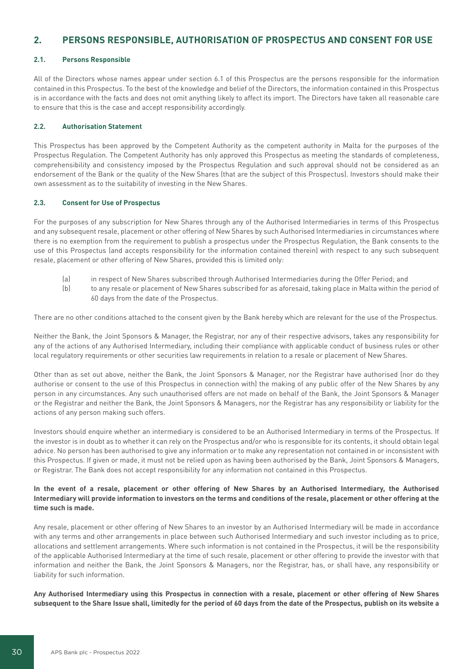# **2. PERSONS RESPONSIBLE, AUTHORISATION OF PROSPECTUS AND CONSENT FOR USE**

# **2.1. Persons Responsible**

All of the Directors whose names appear under section 6.1 of this Prospectus are the persons responsible for the information contained in this Prospectus. To the best of the knowledge and belief of the Directors, the information contained in this Prospectus is in accordance with the facts and does not omit anything likely to affect its import. The Directors have taken all reasonable care to ensure that this is the case and accept responsibility accordingly.

#### **2.2. Authorisation Statement**

This Prospectus has been approved by the Competent Authority as the competent authority in Malta for the purposes of the Prospectus Regulation. The Competent Authority has only approved this Prospectus as meeting the standards of completeness, comprehensibility and consistency imposed by the Prospectus Regulation and such approval should not be considered as an endorsement of the Bank or the quality of the New Shares (that are the subject of this Prospectus). Investors should make their own assessment as to the suitability of investing in the New Shares.

#### **2.3. Consent for Use of Prospectus**

For the purposes of any subscription for New Shares through any of the Authorised Intermediaries in terms of this Prospectus and any subsequent resale, placement or other offering of New Shares by such Authorised Intermediaries in circumstances where there is no exemption from the requirement to publish a prospectus under the Prospectus Regulation, the Bank consents to the use of this Prospectus (and accepts responsibility for the information contained therein) with respect to any such subsequent resale, placement or other offering of New Shares, provided this is limited only:

- (a) in respect of New Shares subscribed through Authorised Intermediaries during the Offer Period; and
- (b) to any resale or placement of New Shares subscribed for as aforesaid, taking place in Malta within the period of 60 days from the date of the Prospectus.

There are no other conditions attached to the consent given by the Bank hereby which are relevant for the use of the Prospectus.

Neither the Bank, the Joint Sponsors & Manager, the Registrar, nor any of their respective advisors, takes any responsibility for any of the actions of any Authorised Intermediary, including their compliance with applicable conduct of business rules or other local regulatory requirements or other securities law requirements in relation to a resale or placement of New Shares.

Other than as set out above, neither the Bank, the Joint Sponsors & Manager, nor the Registrar have authorised (nor do they authorise or consent to the use of this Prospectus in connection with) the making of any public offer of the New Shares by any person in any circumstances. Any such unauthorised offers are not made on behalf of the Bank, the Joint Sponsors & Manager or the Registrar and neither the Bank, the Joint Sponsors & Managers, nor the Registrar has any responsibility or liability for the actions of any person making such offers.

Investors should enquire whether an intermediary is considered to be an Authorised Intermediary in terms of the Prospectus. If the investor is in doubt as to whether it can rely on the Prospectus and/or who is responsible for its contents, it should obtain legal advice. No person has been authorised to give any information or to make any representation not contained in or inconsistent with this Prospectus. If given or made, it must not be relied upon as having been authorised by the Bank, Joint Sponsors & Managers, or Registrar. The Bank does not accept responsibility for any information not contained in this Prospectus.

# **In the event of a resale, placement or other offering of New Shares by an Authorised Intermediary, the Authorised Intermediary will provide information to investors on the terms and conditions of the resale, placement or other offering at the time such is made.**

Any resale, placement or other offering of New Shares to an investor by an Authorised Intermediary will be made in accordance with any terms and other arrangements in place between such Authorised Intermediary and such investor including as to price, allocations and settlement arrangements. Where such information is not contained in the Prospectus, it will be the responsibility of the applicable Authorised Intermediary at the time of such resale, placement or other offering to provide the investor with that information and neither the Bank, the Joint Sponsors & Managers, nor the Registrar, has, or shall have, any responsibility or liability for such information.

**Any Authorised Intermediary using this Prospectus in connection with a resale, placement or other offering of New Shares subsequent to the Share Issue shall, limitedly for the period of 60 days from the date of the Prospectus, publish on its website a**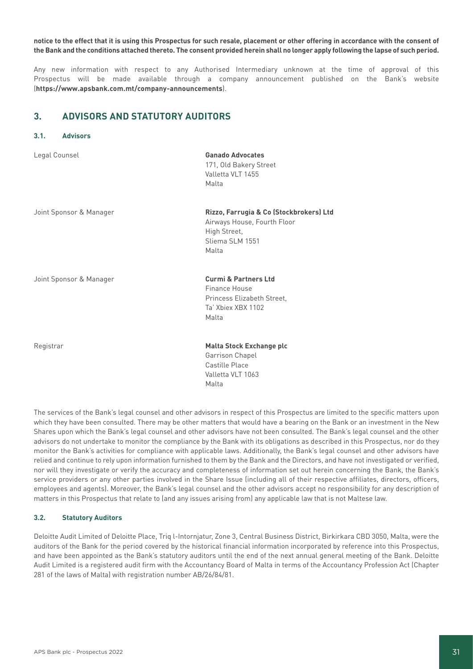# **notice to the effect that it is using this Prospectus for such resale, placement or other offering in accordance with the consent of the Bank and the conditions attached thereto. The consent provided herein shall no longer apply following the lapse of such period.**

Any new information with respect to any Authorised Intermediary unknown at the time of approval of this Prospectus will be made available through a company announcement published on the Bank's website (**https://www.apsbank.com.mt/company-announcements**).

# **3. ADVISORS AND STATUTORY AUDITORS**

Legal Counsel **Ganado Advocates**

# **3.1. Advisors**

| Leyat counset           | Validuv Auvuldicə<br>171, Old Bakery Street<br>Valletta VLT 1455<br>Malta                                          |
|-------------------------|--------------------------------------------------------------------------------------------------------------------|
| Joint Sponsor & Manager | Rizzo, Farrugia & Co (Stockbrokers) Ltd<br>Airways House, Fourth Floor<br>High Street,<br>Sliema SLM 1551<br>Malta |
| Joint Sponsor & Manager | <b>Curmi &amp; Partners Ltd</b><br>Finance House<br>Princess Elizabeth Street,<br>Ta' Xbiex XBX 1102<br>Malta      |
| Registrar               | <b>Malta Stock Exchange plc</b><br>Garrison Chapel<br>Castille Place<br>Valletta VLT 1063<br>Malta                 |

The services of the Bank's legal counsel and other advisors in respect of this Prospectus are limited to the specific matters upon which they have been consulted. There may be other matters that would have a bearing on the Bank or an investment in the New Shares upon which the Bank's legal counsel and other advisors have not been consulted. The Bank's legal counsel and the other advisors do not undertake to monitor the compliance by the Bank with its obligations as described in this Prospectus, nor do they monitor the Bank's activities for compliance with applicable laws. Additionally, the Bank's legal counsel and other advisors have relied and continue to rely upon information furnished to them by the Bank and the Directors, and have not investigated or verified, nor will they investigate or verify the accuracy and completeness of information set out herein concerning the Bank, the Bank's service providers or any other parties involved in the Share Issue (including all of their respective affiliates, directors, officers, employees and agents). Moreover, the Bank's legal counsel and the other advisors accept no responsibility for any description of matters in this Prospectus that relate to (and any issues arising from) any applicable law that is not Maltese law.

# **3.2. Statutory Auditors**

Deloitte Audit Limited of Deloitte Place, Triq l-Intornjatur, Zone 3, Central Business District, Birkirkara CBD 3050, Malta, were the auditors of the Bank for the period covered by the historical financial information incorporated by reference into this Prospectus, and have been appointed as the Bank's statutory auditors until the end of the next annual general meeting of the Bank. Deloitte Audit Limited is a registered audit firm with the Accountancy Board of Malta in terms of the Accountancy Profession Act (Chapter 281 of the laws of Malta) with registration number AB/26/84/81.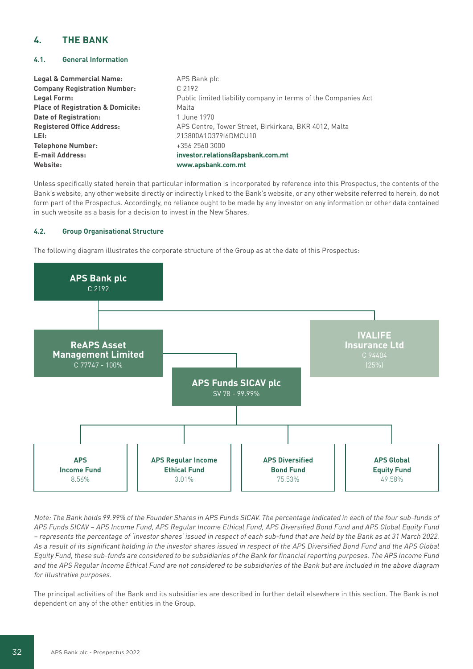# **4. THE BANK**

# **4.1. General Information**

| <b>Legal &amp; Commercial Name:</b>          | APS Bank plc                                                   |
|----------------------------------------------|----------------------------------------------------------------|
| <b>Company Registration Number:</b>          | C 2192                                                         |
| Legal Form:                                  | Public limited liability company in terms of the Companies Act |
| <b>Place of Registration &amp; Domicile:</b> | Malta                                                          |
| <b>Date of Registration:</b>                 | 1 June 1970                                                    |
| <b>Registered Office Address:</b>            | APS Centre, Tower Street, Birkirkara, BKR 4012, Malta          |
| LEI:                                         | 213800A1037916DMCU10                                           |
| <b>Telephone Number:</b>                     | +356 2560 3000                                                 |
| <b>E-mail Address:</b>                       | investor.relations@apsbank.com.mt                              |
| Website:                                     | www.apsbank.com.mt                                             |

Unless specifically stated herein that particular information is incorporated by reference into this Prospectus, the contents of the Bank's website, any other website directly or indirectly linked to the Bank's website, or any other website referred to herein, do not form part of the Prospectus. Accordingly, no reliance ought to be made by any investor on any information or other data contained in such website as a basis for a decision to invest in the New Shares.

# **4.2. Group Organisational Structure**

The following diagram illustrates the corporate structure of the Group as at the date of this Prospectus:



Note: The Bank holds 99.99% of the Founder Shares in APS Funds SICAV. The percentage indicated in each of the four sub-funds of APS Funds SICAV – APS Income Fund, APS Regular Income Ethical Fund, APS Diversified Bond Fund and APS Global Equity Fund – represents the percentage of 'investor shares' issued in respect of each sub-fund that are held by the Bank as at 31 March 2022. As a result of its significant holding in the investor shares issued in respect of the APS Diversified Bond Fund and the APS Global Equity Fund, these sub-funds are considered to be subsidiaries of the Bank for financial reporting purposes. The APS Income Fund and the APS Regular Income Ethical Fund are not considered to be subsidiaries of the Bank but are included in the above diagram for illustrative purposes.

The principal activities of the Bank and its subsidiaries are described in further detail elsewhere in this section. The Bank is not dependent on any of the other entities in the Group.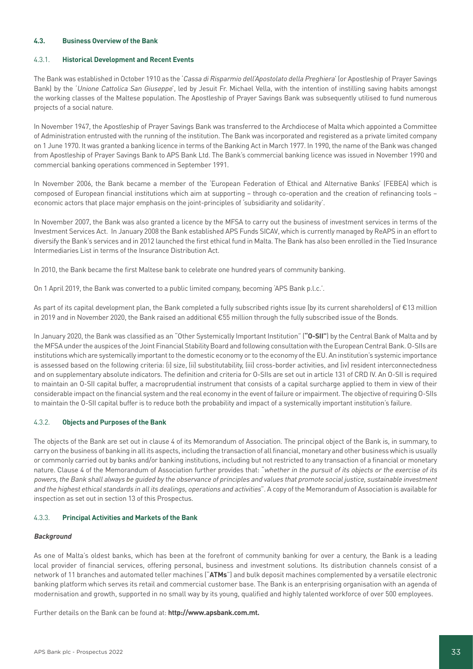# **4.3. Business Overview of the Bank**

#### 4.3.1. **Historical Development and Recent Events**

The Bank was established in October 1910 as the 'Cassa di Risparmio dell'Apostolato della Preghiera' (or Apostleship of Prayer Savings Bank) by the 'Unione Cattolica San Giuseppe', led by Jesuit Fr. Michael Vella, with the intention of instilling saving habits amongst the working classes of the Maltese population. The Apostleship of Prayer Savings Bank was subsequently utilised to fund numerous projects of a social nature.

In November 1947, the Apostleship of Prayer Savings Bank was transferred to the Archdiocese of Malta which appointed a Committee of Administration entrusted with the running of the institution. The Bank was incorporated and registered as a private limited company on 1 June 1970. It was granted a banking licence in terms of the Banking Act in March 1977. In 1990, the name of the Bank was changed from Apostleship of Prayer Savings Bank to APS Bank Ltd. The Bank's commercial banking licence was issued in November 1990 and commercial banking operations commenced in September 1991.

In November 2006, the Bank became a member of the 'European Federation of Ethical and Alternative Banks' (FEBEA) which is composed of European financial institutions which aim at supporting – through co-operation and the creation of refinancing tools – economic actors that place major emphasis on the joint-principles of 'subsidiarity and solidarity'.

In November 2007, the Bank was also granted a licence by the MFSA to carry out the business of investment services in terms of the Investment Services Act. In January 2008 the Bank established APS Funds SICAV, which is currently managed by ReAPS in an effort to diversify the Bank's services and in 2012 launched the first ethical fund in Malta. The Bank has also been enrolled in the Tied Insurance Intermediaries List in terms of the Insurance Distribution Act.

In 2010, the Bank became the first Maltese bank to celebrate one hundred years of community banking.

On 1 April 2019, the Bank was converted to a public limited company, becoming 'APS Bank p.l.c.'.

As part of its capital development plan, the Bank completed a fully subscribed rights issue (by its current shareholders) of €13 million in 2019 and in November 2020, the Bank raised an additional €55 million through the fully subscribed issue of the Bonds.

In January 2020, the Bank was classified as an "Other Systemically Important Institution" (**"O-SII"**) by the Central Bank of Malta and by the MFSA under the auspices of the Joint Financial Stability Board and following consultation with the European Central Bank. O-SIIs are institutions which are systemically important to the domestic economy or to the economy of the EU. An institution's systemic importance is assessed based on the following criteria: (i) size, (ii) substitutability, (iii) cross-border activities, and (iv) resident interconnectedness and on supplementary absolute indicators. The definition and criteria for O-SIIs are set out in article 131 of CRD IV. An O-SII is required to maintain an O-SII capital buffer, a macroprudential instrument that consists of a capital surcharge applied to them in view of their considerable impact on the financial system and the real economy in the event of failure or impairment. The objective of requiring O-SIIs to maintain the O-SII capital buffer is to reduce both the probability and impact of a systemically important institution's failure.

# 4.3.2. **Objects and Purposes of the Bank**

The objects of the Bank are set out in clause 4 of its Memorandum of Association. The principal object of the Bank is, in summary, to carry on the business of banking in all its aspects, including the transaction of all financial, monetary and other business which is usually or commonly carried out by banks and/or banking institutions, including but not restricted to any transaction of a financial or monetary nature. Clause 4 of the Memorandum of Association further provides that: "whether in the pursuit of its objects or the exercise of its powers, the Bank shall always be guided by the observance of principles and values that promote social justice, sustainable investment and the highest ethical standards in all its dealings, operations and activities". A copy of the Memorandum of Association is available for inspection as set out in section 13 of this Prospectus.

## 4.3.3. **Principal Activities and Markets of the Bank**

#### **Background**

As one of Malta's oldest banks, which has been at the forefront of community banking for over a century, the Bank is a leading local provider of financial services, offering personal, business and investment solutions. Its distribution channels consist of a network of 11 branches and automated teller machines ("**ATMs**") and bulk deposit machines complemented by a versatile electronic banking platform which serves its retail and commercial customer base. The Bank is an enterprising organisation with an agenda of modernisation and growth, supported in no small way by its young, qualified and highly talented workforce of over 500 employees.

Further details on the Bank can be found at: **http://www.apsbank.com.mt.**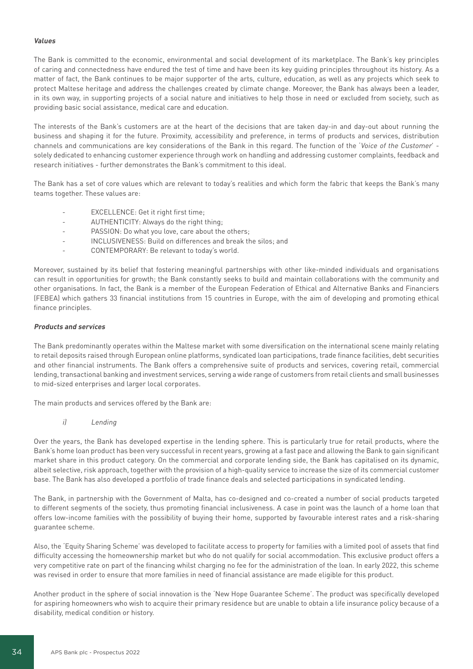# **Values**

The Bank is committed to the economic, environmental and social development of its marketplace. The Bank's key principles of caring and connectedness have endured the test of time and have been its key guiding principles throughout its history. As a matter of fact, the Bank continues to be major supporter of the arts, culture, education, as well as any projects which seek to protect Maltese heritage and address the challenges created by climate change. Moreover, the Bank has always been a leader, in its own way, in supporting projects of a social nature and initiatives to help those in need or excluded from society, such as providing basic social assistance, medical care and education.

The interests of the Bank's customers are at the heart of the decisions that are taken day-in and day-out about running the business and shaping it for the future. Proximity, accessibility and preference, in terms of products and services, distribution channels and communications are key considerations of the Bank in this regard. The function of the 'Voice of the Customer' solely dedicated to enhancing customer experience through work on handling and addressing customer complaints, feedback and research initiatives - further demonstrates the Bank's commitment to this ideal.

The Bank has a set of core values which are relevant to today's realities and which form the fabric that keeps the Bank's many teams together. These values are:

- EXCELLENCE: Get it right first time;
- AUTHENTICITY: Always do the right thing;
- PASSION: Do what you love, care about the others;
- INCLUSIVENESS: Build on differences and break the silos; and
- CONTEMPORARY: Be relevant to today's world.

Moreover, sustained by its belief that fostering meaningful partnerships with other like-minded individuals and organisations can result in opportunities for growth; the Bank constantly seeks to build and maintain collaborations with the community and other organisations. In fact, the Bank is a member of the European Federation of Ethical and Alternative Banks and Financiers (FEBEA) which gathers 33 financial institutions from 15 countries in Europe, with the aim of developing and promoting ethical finance principles.

#### **Products and services**

The Bank predominantly operates within the Maltese market with some diversification on the international scene mainly relating to retail deposits raised through European online platforms, syndicated loan participations, trade finance facilities, debt securities and other financial instruments. The Bank offers a comprehensive suite of products and services, covering retail, commercial lending, transactional banking and investment services, serving a wide range of customers from retail clients and small businesses to mid-sized enterprises and larger local corporates.

The main products and services offered by the Bank are:

i) Lending

Over the years, the Bank has developed expertise in the lending sphere. This is particularly true for retail products, where the Bank's home loan product has been very successful in recent years, growing at a fast pace and allowing the Bank to gain significant market share in this product category. On the commercial and corporate lending side, the Bank has capitalised on its dynamic, albeit selective, risk approach, together with the provision of a high-quality service to increase the size of its commercial customer base. The Bank has also developed a portfolio of trade finance deals and selected participations in syndicated lending.

The Bank, in partnership with the Government of Malta, has co-designed and co-created a number of social products targeted to different segments of the society, thus promoting financial inclusiveness. A case in point was the launch of a home loan that offers low-income families with the possibility of buying their home, supported by favourable interest rates and a risk-sharing guarantee scheme.

Also, the 'Equity Sharing Scheme' was developed to facilitate access to property for families with a limited pool of assets that find difficulty accessing the homeownership market but who do not qualify for social accommodation. This exclusive product offers a very competitive rate on part of the financing whilst charging no fee for the administration of the loan. In early 2022, this scheme was revised in order to ensure that more families in need of financial assistance are made eligible for this product.

Another product in the sphere of social innovation is the 'New Hope Guarantee Scheme'. The product was specifically developed for aspiring homeowners who wish to acquire their primary residence but are unable to obtain a life insurance policy because of a disability, medical condition or history.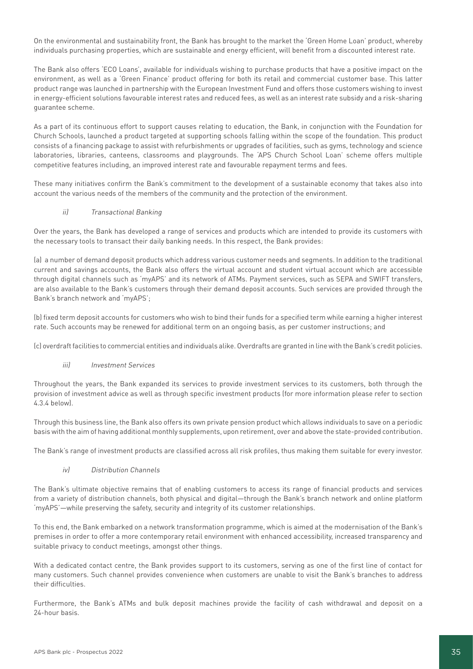On the environmental and sustainability front, the Bank has brought to the market the 'Green Home Loan' product, whereby individuals purchasing properties, which are sustainable and energy efficient, will benefit from a discounted interest rate.

The Bank also offers 'ECO Loans', available for individuals wishing to purchase products that have a positive impact on the environment, as well as a 'Green Finance' product offering for both its retail and commercial customer base. This latter product range was launched in partnership with the European Investment Fund and offers those customers wishing to invest in energy-efficient solutions favourable interest rates and reduced fees, as well as an interest rate subsidy and a risk-sharing guarantee scheme.

As a part of its continuous effort to support causes relating to education, the Bank, in conjunction with the Foundation for Church Schools, launched a product targeted at supporting schools falling within the scope of the foundation. This product consists of a financing package to assist with refurbishments or upgrades of facilities, such as gyms, technology and science laboratories, libraries, canteens, classrooms and playgrounds. The 'APS Church School Loan' scheme offers multiple competitive features including, an improved interest rate and favourable repayment terms and fees.

These many initiatives confirm the Bank's commitment to the development of a sustainable economy that takes also into account the various needs of the members of the community and the protection of the environment.

# ii) Transactional Banking

Over the years, the Bank has developed a range of services and products which are intended to provide its customers with the necessary tools to transact their daily banking needs. In this respect, the Bank provides:

(a) a number of demand deposit products which address various customer needs and segments. In addition to the traditional current and savings accounts, the Bank also offers the virtual account and student virtual account which are accessible through digital channels such as 'myAPS' and its network of ATMs. Payment services, such as SEPA and SWIFT transfers, are also available to the Bank's customers through their demand deposit accounts. Such services are provided through the Bank's branch network and 'myAPS';

(b) fixed term deposit accounts for customers who wish to bind their funds for a specified term while earning a higher interest rate. Such accounts may be renewed for additional term on an ongoing basis, as per customer instructions; and

(c) overdraft facilities to commercial entities and individuals alike. Overdrafts are granted in line with the Bank's credit policies.

# iii) Investment Services

Throughout the years, the Bank expanded its services to provide investment services to its customers, both through the provision of investment advice as well as through specific investment products (for more information please refer to section 4.3.4 below).

Through this business line, the Bank also offers its own private pension product which allows individuals to save on a periodic basis with the aim of having additional monthly supplements, upon retirement, over and above the state-provided contribution.

The Bank's range of investment products are classified across all risk profiles, thus making them suitable for every investor.

# iv) Distribution Channels

The Bank's ultimate objective remains that of enabling customers to access its range of financial products and services from a variety of distribution channels, both physical and digital—through the Bank's branch network and online platform 'myAPS'—while preserving the safety, security and integrity of its customer relationships.

To this end, the Bank embarked on a network transformation programme, which is aimed at the modernisation of the Bank's premises in order to offer a more contemporary retail environment with enhanced accessibility, increased transparency and suitable privacy to conduct meetings, amongst other things.

With a dedicated contact centre, the Bank provides support to its customers, serving as one of the first line of contact for many customers. Such channel provides convenience when customers are unable to visit the Bank's branches to address their difficulties.

Furthermore, the Bank's ATMs and bulk deposit machines provide the facility of cash withdrawal and deposit on a 24-hour basis.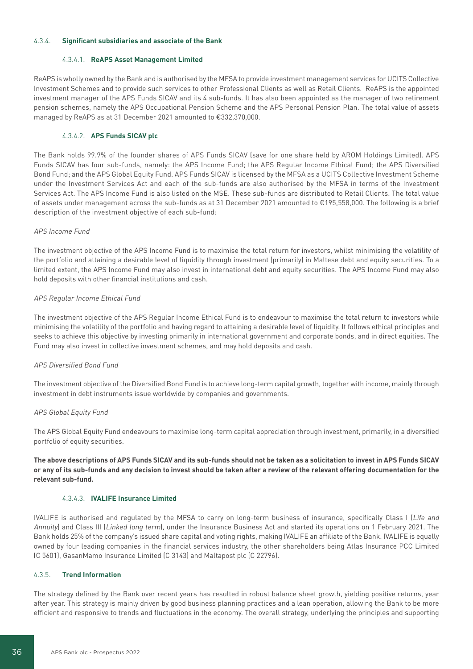# 4.3.4. **Significant subsidiaries and associate of the Bank**

#### 4.3.4.1. **ReAPS Asset Management Limited**

ReAPS is wholly owned by the Bank and is authorised by the MFSA to provide investment management services for UCITS Collective Investment Schemes and to provide such services to other Professional Clients as well as Retail Clients. ReAPS is the appointed investment manager of the APS Funds SICAV and its 4 sub-funds. It has also been appointed as the manager of two retirement pension schemes, namely the APS Occupational Pension Scheme and the APS Personal Pension Plan. The total value of assets managed by ReAPS as at 31 December 2021 amounted to €332,370,000.

# 4.3.4.2. **APS Funds SICAV plc**

The Bank holds 99.9% of the founder shares of APS Funds SICAV (save for one share held by AROM Holdings Limited). APS Funds SICAV has four sub-funds, namely: the APS Income Fund; the APS Regular Income Ethical Fund; the APS Diversified Bond Fund; and the APS Global Equity Fund. APS Funds SICAV is licensed by the MFSA as a UCITS Collective Investment Scheme under the Investment Services Act and each of the sub-funds are also authorised by the MFSA in terms of the Investment Services Act. The APS Income Fund is also listed on the MSE. These sub-funds are distributed to Retail Clients. The total value of assets under management across the sub-funds as at 31 December 2021 amounted to €195,558,000. The following is a brief description of the investment objective of each sub-fund:

#### APS Income Fund

The investment objective of the APS Income Fund is to maximise the total return for investors, whilst minimising the volatility of the portfolio and attaining a desirable level of liquidity through investment (primarily) in Maltese debt and equity securities. To a limited extent, the APS Income Fund may also invest in international debt and equity securities. The APS Income Fund may also hold deposits with other financial institutions and cash.

# APS Regular Income Ethical Fund

The investment objective of the APS Regular Income Ethical Fund is to endeavour to maximise the total return to investors while minimising the volatility of the portfolio and having regard to attaining a desirable level of liquidity. It follows ethical principles and seeks to achieve this objective by investing primarily in international government and corporate bonds, and in direct equities. The Fund may also invest in collective investment schemes, and may hold deposits and cash.

#### APS Diversified Bond Fund

The investment objective of the Diversified Bond Fund is to achieve long-term capital growth, together with income, mainly through investment in debt instruments issue worldwide by companies and governments.

# APS Global Equity Fund

The APS Global Equity Fund endeavours to maximise long-term capital appreciation through investment, primarily, in a diversified portfolio of equity securities.

**The above descriptions of APS Funds SICAV and its sub-funds should not be taken as a solicitation to invest in APS Funds SICAV or any of its sub-funds and any decision to invest should be taken after a review of the relevant offering documentation for the relevant sub-fund.**

#### 4.3.4.3. **IVALIFE Insurance Limited**

IVALIFE is authorised and regulated by the MFSA to carry on long-term business of insurance, specifically Class I (Life and Annuity) and Class III (Linked long term), under the Insurance Business Act and started its operations on 1 February 2021. The Bank holds 25% of the company's issued share capital and voting rights, making IVALIFE an affiliate of the Bank. IVALIFE is equally owned by four leading companies in the financial services industry, the other shareholders being Atlas Insurance PCC Limited (C 5601), GasanMamo Insurance Limited (C 3143) and Maltapost plc (C 22796).

# 4.3.5. **Trend Information**

The strategy defined by the Bank over recent years has resulted in robust balance sheet growth, yielding positive returns, year after year. This strategy is mainly driven by good business planning practices and a lean operation, allowing the Bank to be more efficient and responsive to trends and fluctuations in the economy. The overall strategy, underlying the principles and supporting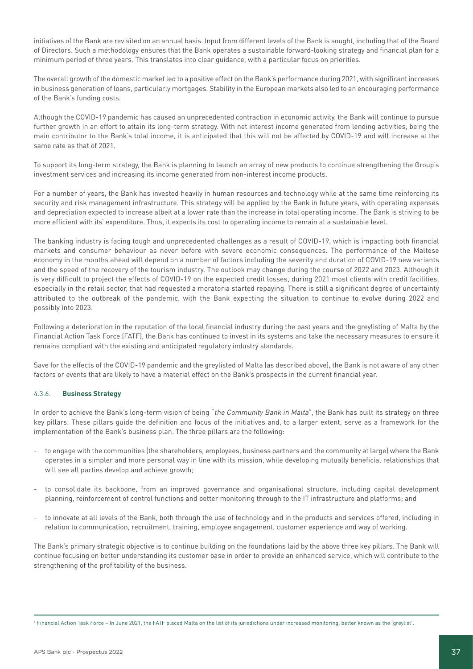initiatives of the Bank are revisited on an annual basis. Input from different levels of the Bank is sought, including that of the Board of Directors. Such a methodology ensures that the Bank operates a sustainable forward-looking strategy and financial plan for a minimum period of three years. This translates into clear guidance, with a particular focus on priorities.

The overall growth of the domestic market led to a positive effect on the Bank's performance during 2021, with significant increases in business generation of loans, particularly mortgages. Stability in the European markets also led to an encouraging performance of the Bank's funding costs.

Although the COVID-19 pandemic has caused an unprecedented contraction in economic activity, the Bank will continue to pursue further growth in an effort to attain its long-term strategy. With net interest income generated from lending activities, being the main contributor to the Bank's total income, it is anticipated that this will not be affected by COVID-19 and will increase at the same rate as that of 2021.

To support its long-term strategy, the Bank is planning to launch an array of new products to continue strengthening the Group's investment services and increasing its income generated from non-interest income products.

For a number of years, the Bank has invested heavily in human resources and technology while at the same time reinforcing its security and risk management infrastructure. This strategy will be applied by the Bank in future years, with operating expenses and depreciation expected to increase albeit at a lower rate than the increase in total operating income. The Bank is striving to be more efficient with its' expenditure. Thus, it expects its cost to operating income to remain at a sustainable level.

The banking industry is facing tough and unprecedented challenges as a result of COVID-19, which is impacting both financial markets and consumer behaviour as never before with severe economic consequences. The performance of the Maltese economy in the months ahead will depend on a number of factors including the severity and duration of COVID-19 new variants and the speed of the recovery of the tourism industry. The outlook may change during the course of 2022 and 2023. Although it is very difficult to project the effects of COVID-19 on the expected credit losses, during 2021 most clients with credit facilities, especially in the retail sector, that had requested a moratoria started repaying. There is still a significant degree of uncertainty attributed to the outbreak of the pandemic, with the Bank expecting the situation to continue to evolve during 2022 and possibly into 2023.

Following a deterioration in the reputation of the local financial industry during the past years and the greylisting of Malta by the Financial Action Task Force (FATF), the Bank has continued to invest in its systems and take the necessary measures to ensure it remains compliant with the existing and anticipated regulatory industry standards.

Save for the effects of the COVID-19 pandemic and the greylisted of Malta (as described above), the Bank is not aware of any other factors or events that are likely to have a material effect on the Bank's prospects in the current financial year.

# 4.3.6. **Business Strategy**

In order to achieve the Bank's long-term vision of being "the Community Bank in Malta", the Bank has built its strategy on three key pillars. These pillars guide the definition and focus of the initiatives and, to a larger extent, serve as a framework for the implementation of the Bank's business plan. The three pillars are the following:

- to engage with the communities (the shareholders, employees, business partners and the community at large) where the Bank operates in a simpler and more personal way in line with its mission, while developing mutually beneficial relationships that will see all parties develop and achieve growth;
- to consolidate its backbone, from an improved governance and organisational structure, including capital development planning, reinforcement of control functions and better monitoring through to the IT infrastructure and platforms; and
- to innovate at all levels of the Bank, both through the use of technology and in the products and services offered, including in relation to communication, recruitment, training, employee engagement, customer experience and way of working.

The Bank's primary strategic objective is to continue building on the foundations laid by the above three key pillars. The Bank will continue focusing on better understanding its customer base in order to provide an enhanced service, which will contribute to the strengthening of the profitability of the business.

<sup>1</sup> Financial Action Task Force – In June 2021, the FATF placed Malta on the list of its jurisdictions under increased monitoring, better known as the 'greylist'.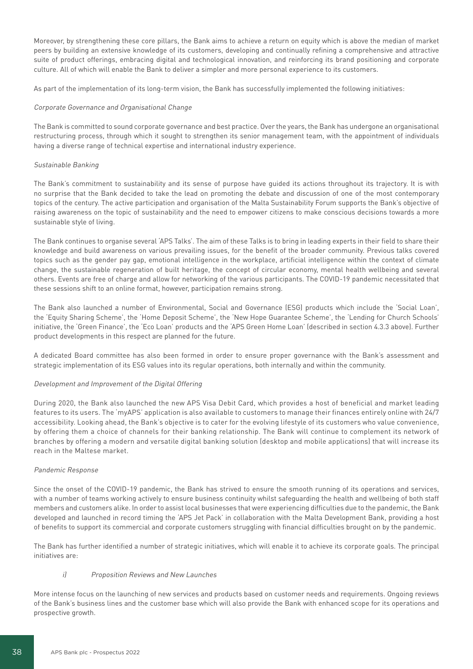Moreover, by strengthening these core pillars, the Bank aims to achieve a return on equity which is above the median of market peers by building an extensive knowledge of its customers, developing and continually refining a comprehensive and attractive suite of product offerings, embracing digital and technological innovation, and reinforcing its brand positioning and corporate culture. All of which will enable the Bank to deliver a simpler and more personal experience to its customers.

As part of the implementation of its long-term vision, the Bank has successfully implemented the following initiatives:

# Corporate Governance and Organisational Change

The Bank is committed to sound corporate governance and best practice. Over the years, the Bank has undergone an organisational restructuring process, through which it sought to strengthen its senior management team, with the appointment of individuals having a diverse range of technical expertise and international industry experience.

# Sustainable Banking

The Bank's commitment to sustainability and its sense of purpose have guided its actions throughout its trajectory. It is with no surprise that the Bank decided to take the lead on promoting the debate and discussion of one of the most contemporary topics of the century. The active participation and organisation of the Malta Sustainability Forum supports the Bank's objective of raising awareness on the topic of sustainability and the need to empower citizens to make conscious decisions towards a more sustainable style of living.

The Bank continues to organise several 'APS Talks'. The aim of these Talks is to bring in leading experts in their field to share their knowledge and build awareness on various prevailing issues, for the benefit of the broader community. Previous talks covered topics such as the gender pay gap, emotional intelligence in the workplace, artificial intelligence within the context of climate change, the sustainable regeneration of built heritage, the concept of circular economy, mental health wellbeing and several others. Events are free of charge and allow for networking of the various participants. The COVID-19 pandemic necessitated that these sessions shift to an online format, however, participation remains strong.

The Bank also launched a number of Environmental, Social and Governance (ESG) products which include the 'Social Loan', the 'Equity Sharing Scheme', the 'Home Deposit Scheme', the 'New Hope Guarantee Scheme', the 'Lending for Church Schools' initiative, the 'Green Finance', the 'Eco Loan' products and the 'APS Green Home Loan' (described in section 4.3.3 above). Further product developments in this respect are planned for the future.

A dedicated Board committee has also been formed in order to ensure proper governance with the Bank's assessment and strategic implementation of its ESG values into its regular operations, both internally and within the community.

# Development and Improvement of the Digital Offering

During 2020, the Bank also launched the new APS Visa Debit Card, which provides a host of beneficial and market leading features to its users. The 'myAPS' application is also available to customers to manage their finances entirely online with 24/7 accessibility. Looking ahead, the Bank's objective is to cater for the evolving lifestyle of its customers who value convenience, by offering them a choice of channels for their banking relationship. The Bank will continue to complement its network of branches by offering a modern and versatile digital banking solution (desktop and mobile applications) that will increase its reach in the Maltese market.

# Pandemic Response

Since the onset of the COVID-19 pandemic, the Bank has strived to ensure the smooth running of its operations and services, with a number of teams working actively to ensure business continuity whilst safeguarding the health and wellbeing of both staff members and customers alike. In order to assist local businesses that were experiencing difficulties due to the pandemic, the Bank developed and launched in record timing the 'APS Jet Pack' in collaboration with the Malta Development Bank, providing a host of benefits to support its commercial and corporate customers struggling with financial difficulties brought on by the pandemic.

The Bank has further identified a number of strategic initiatives, which will enable it to achieve its corporate goals. The principal initiatives are:

# i) Proposition Reviews and New Launches

More intense focus on the launching of new services and products based on customer needs and requirements. Ongoing reviews of the Bank's business lines and the customer base which will also provide the Bank with enhanced scope for its operations and prospective growth.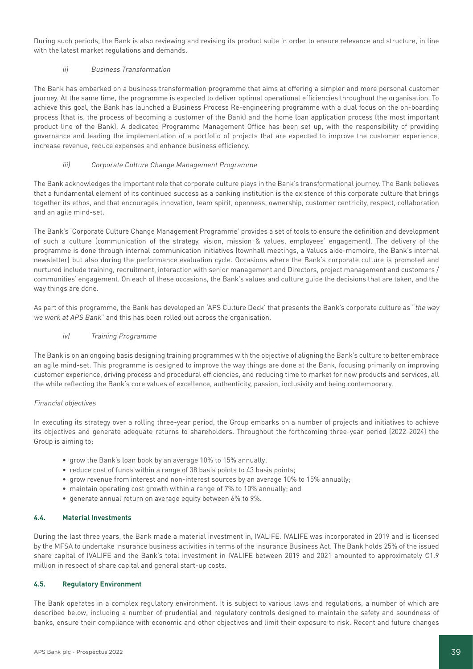During such periods, the Bank is also reviewing and revising its product suite in order to ensure relevance and structure, in line with the latest market regulations and demands.

# ii) Business Transformation

The Bank has embarked on a business transformation programme that aims at offering a simpler and more personal customer journey. At the same time, the programme is expected to deliver optimal operational efficiencies throughout the organisation. To achieve this goal, the Bank has launched a Business Process Re-engineering programme with a dual focus on the on-boarding process (that is, the process of becoming a customer of the Bank) and the home loan application process (the most important product line of the Bank). A dedicated Programme Management Office has been set up, with the responsibility of providing governance and leading the implementation of a portfolio of projects that are expected to improve the customer experience, increase revenue, reduce expenses and enhance business efficiency.

# iii) Corporate Culture Change Management Programme

The Bank acknowledges the important role that corporate culture plays in the Bank's transformational journey. The Bank believes that a fundamental element of its continued success as a banking institution is the existence of this corporate culture that brings together its ethos, and that encourages innovation, team spirit, openness, ownership, customer centricity, respect, collaboration and an agile mind-set.

The Bank's 'Corporate Culture Change Management Programme' provides a set of tools to ensure the definition and development of such a culture (communication of the strategy, vision, mission & values, employees' engagement). The delivery of the programme is done through internal communication initiatives (townhall meetings, a Values aide-memoire, the Bank's internal newsletter) but also during the performance evaluation cycle. Occasions where the Bank's corporate culture is promoted and nurtured include training, recruitment, interaction with senior management and Directors, project management and customers / communities' engagement. On each of these occasions, the Bank's values and culture guide the decisions that are taken, and the way things are done.

As part of this programme, the Bank has developed an 'APS Culture Deck' that presents the Bank's corporate culture as "the way we work at APS Bank" and this has been rolled out across the organisation.

# iv) Training Programme

The Bank is on an ongoing basis designing training programmes with the objective of aligning the Bank's culture to better embrace an agile mind-set. This programme is designed to improve the way things are done at the Bank, focusing primarily on improving customer experience, driving process and procedural efficiencies, and reducing time to market for new products and services, all the while reflecting the Bank's core values of excellence, authenticity, passion, inclusivity and being contemporary.

# Financial objectives

In executing its strategy over a rolling three-year period, the Group embarks on a number of projects and initiatives to achieve its objectives and generate adequate returns to shareholders. Throughout the forthcoming three-year period (2022-2024) the Group is aiming to:

- grow the Bank's loan book by an average 10% to 15% annually;
- reduce cost of funds within a range of 38 basis points to 43 basis points;
- grow revenue from interest and non-interest sources by an average 10% to 15% annually;
- maintain operating cost growth within a range of 7% to 10% annually; and
- generate annual return on average equity between 6% to 9%.

# **4.4. Material Investments**

During the last three years, the Bank made a material investment in, IVALIFE. IVALIFE was incorporated in 2019 and is licensed by the MFSA to undertake insurance business activities in terms of the Insurance Business Act. The Bank holds 25% of the issued share capital of IVALIFE and the Bank's total investment in IVALIFE between 2019 and 2021 amounted to approximately €1.9 million in respect of share capital and general start-up costs.

# **4.5. Regulatory Environment**

The Bank operates in a complex regulatory environment. It is subject to various laws and regulations, a number of which are described below, including a number of prudential and regulatory controls designed to maintain the safety and soundness of banks, ensure their compliance with economic and other objectives and limit their exposure to risk. Recent and future changes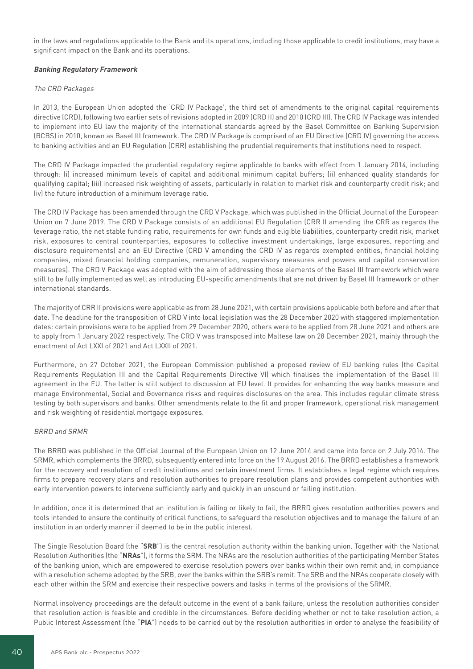in the laws and regulations applicable to the Bank and its operations, including those applicable to credit institutions, may have a significant impact on the Bank and its operations.

# **Banking Regulatory Framework**

### The CRD Packages

In 2013, the European Union adopted the 'CRD IV Package', the third set of amendments to the original capital requirements directive (CRD), following two earlier sets of revisions adopted in 2009 (CRD II) and 2010 (CRD III). The CRD IV Package was intended to implement into EU law the majority of the international standards agreed by the Basel Committee on Banking Supervision (BCBS) in 2010, known as Basel III framework. The CRD IV Package is comprised of an EU Directive (CRD IV) governing the access to banking activities and an EU Regulation (CRR) establishing the prudential requirements that institutions need to respect.

The CRD IV Package impacted the prudential regulatory regime applicable to banks with effect from 1 January 2014, including through: (i) increased minimum levels of capital and additional minimum capital buffers; (ii) enhanced quality standards for qualifying capital; (iii) increased risk weighting of assets, particularly in relation to market risk and counterparty credit risk; and (iv) the future introduction of a minimum leverage ratio.

The CRD IV Package has been amended through the CRD V Package, which was published in the Official Journal of the European Union on 7 June 2019. The CRD V Package consists of an additional EU Regulation (CRR II amending the CRR as regards the leverage ratio, the net stable funding ratio, requirements for own funds and eligible liabilities, counterparty credit risk, market risk, exposures to central counterparties, exposures to collective investment undertakings, large exposures, reporting and disclosure requirements) and an EU Directive (CRD V amending the CRD IV as regards exempted entities, financial holding companies, mixed financial holding companies, remuneration, supervisory measures and powers and capital conservation measures). The CRD V Package was adopted with the aim of addressing those elements of the Basel III framework which were still to be fully implemented as well as introducing EU-specific amendments that are not driven by Basel III framework or other international standards.

The majority of CRR II provisions were applicable as from 28 June 2021, with certain provisions applicable both before and after that date. The deadline for the transposition of CRD V into local legislation was the 28 December 2020 with staggered implementation dates: certain provisions were to be applied from 29 December 2020, others were to be applied from 28 June 2021 and others are to apply from 1 January 2022 respectively. The CRD V was transposed into Maltese law on 28 December 2021, mainly through the enactment of Act LXXI of 2021 and Act LXXII of 2021.

Furthermore, on 27 October 2021, the European Commission published a proposed review of EU banking rules (the Capital Requirements Regulation III and the Capital Requirements Directive VI) which finalises the implementation of the Basel III agreement in the EU. The latter is still subject to discussion at EU level. It provides for enhancing the way banks measure and manage Environmental, Social and Governance risks and requires disclosures on the area. This includes regular climate stress testing by both supervisors and banks. Other amendments relate to the fit and proper framework, operational risk management and risk weighting of residential mortgage exposures.

#### BRRD and SRMR

The BRRD was published in the Official Journal of the European Union on 12 June 2014 and came into force on 2 July 2014. The SRMR, which complements the BRRD, subsequently entered into force on the 19 August 2016. The BRRD establishes a framework for the recovery and resolution of credit institutions and certain investment firms. It establishes a legal regime which requires firms to prepare recovery plans and resolution authorities to prepare resolution plans and provides competent authorities with early intervention powers to intervene sufficiently early and quickly in an unsound or failing institution.

In addition, once it is determined that an institution is failing or likely to fail, the BRRD gives resolution authorities powers and tools intended to ensure the continuity of critical functions, to safeguard the resolution objectives and to manage the failure of an institution in an orderly manner if deemed to be in the public interest.

The Single Resolution Board (the "**SRB**") is the central resolution authority within the banking union. Together with the National Resolution Authorities (the "**NRAs**"), it forms the SRM. The NRAs are the resolution authorities of the participating Member States of the banking union, which are empowered to exercise resolution powers over banks within their own remit and, in compliance with a resolution scheme adopted by the SRB, over the banks within the SRB's remit. The SRB and the NRAs cooperate closely with each other within the SRM and exercise their respective powers and tasks in terms of the provisions of the SRMR.

Normal insolvency proceedings are the default outcome in the event of a bank failure, unless the resolution authorities consider that resolution action is feasible and credible in the circumstances. Before deciding whether or not to take resolution action, a Public Interest Assessment (the "**PIA**") needs to be carried out by the resolution authorities in order to analyse the feasibility of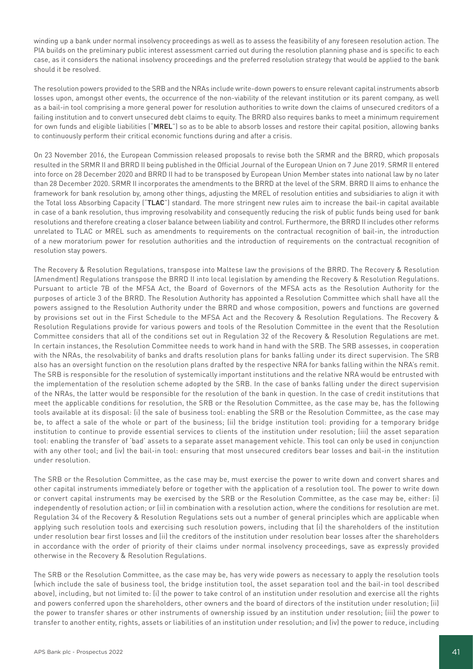winding up a bank under normal insolvency proceedings as well as to assess the feasibility of any foreseen resolution action. The PIA builds on the preliminary public interest assessment carried out during the resolution planning phase and is specific to each case, as it considers the national insolvency proceedings and the preferred resolution strategy that would be applied to the bank should it be resolved.

The resolution powers provided to the SRB and the NRAs include write-down powers to ensure relevant capital instruments absorb losses upon, amongst other events, the occurrence of the non-viability of the relevant institution or its parent company, as well as a bail-in tool comprising a more general power for resolution authorities to write down the claims of unsecured creditors of a failing institution and to convert unsecured debt claims to equity. The BRRD also requires banks to meet a minimum requirement for own funds and eligible liabilities ("**MREL**") so as to be able to absorb losses and restore their capital position, allowing banks to continuously perform their critical economic functions during and after a crisis.

On 23 November 2016, the European Commission released proposals to revise both the SRMR and the BRRD, which proposals resulted in the SRMR II and BRRD II being published in the Official Journal of the European Union on 7 June 2019. SRMR II entered into force on 28 December 2020 and BRRD II had to be transposed by European Union Member states into national law by no later than 28 December 2020. SRMR II incorporates the amendments to the BRRD at the level of the SRM. BRRD II aims to enhance the framework for bank resolution by, among other things, adjusting the MREL of resolution entities and subsidiaries to align it with the Total loss Absorbing Capacity ("**TLAC**") standard. The more stringent new rules aim to increase the bail-in capital available in case of a bank resolution, thus improving resolvability and consequently reducing the risk of public funds being used for bank resolutions and therefore creating a closer balance between liability and control. Furthermore, the BRRD II includes other reforms unrelated to TLAC or MREL such as amendments to requirements on the contractual recognition of bail-in, the introduction of a new moratorium power for resolution authorities and the introduction of requirements on the contractual recognition of resolution stay powers.

The Recovery & Resolution Regulations, transpose into Maltese law the provisions of the BRRD. The Recovery & Resolution (Amendment) Regulations transpose the BRRD II into local legislation by amending the Recovery & Resolution Regulations. Pursuant to article 7B of the MFSA Act, the Board of Governors of the MFSA acts as the Resolution Authority for the purposes of article 3 of the BRRD. The Resolution Authority has appointed a Resolution Committee which shall have all the powers assigned to the Resolution Authority under the BRRD and whose composition, powers and functions are governed by provisions set out in the First Schedule to the MFSA Act and the Recovery & Resolution Regulations. The Recovery & Resolution Regulations provide for various powers and tools of the Resolution Committee in the event that the Resolution Committee considers that all of the conditions set out in Regulation 32 of the Recovery & Resolution Regulations are met. In certain instances, the Resolution Committee needs to work hand in hand with the SRB. The SRB assesses, in cooperation with the NRAs, the resolvability of banks and drafts resolution plans for banks falling under its direct supervision. The SRB also has an oversight function on the resolution plans drafted by the respective NRA for banks falling within the NRA's remit. The SRB is responsible for the resolution of systemically important institutions and the relative NRA would be entrusted with the implementation of the resolution scheme adopted by the SRB. In the case of banks falling under the direct supervision of the NRAs, the latter would be responsible for the resolution of the bank in question. In the case of credit institutions that meet the applicable conditions for resolution, the SRB or the Resolution Committee, as the case may be, has the following tools available at its disposal: (i) the sale of business tool: enabling the SRB or the Resolution Committee, as the case may be, to affect a sale of the whole or part of the business; (ii) the bridge institution tool: providing for a temporary bridge institution to continue to provide essential services to clients of the institution under resolution; (iii) the asset separation tool: enabling the transfer of 'bad' assets to a separate asset management vehicle. This tool can only be used in conjunction with any other tool; and (iv) the bail-in tool: ensuring that most unsecured creditors bear losses and bail-in the institution under resolution.

The SRB or the Resolution Committee, as the case may be, must exercise the power to write down and convert shares and other capital instruments immediately before or together with the application of a resolution tool. The power to write down or convert capital instruments may be exercised by the SRB or the Resolution Committee, as the case may be, either: (i) independently of resolution action; or (ii) in combination with a resolution action, where the conditions for resolution are met. Regulation 34 of the Recovery & Resolution Regulations sets out a number of general principles which are applicable when applying such resolution tools and exercising such resolution powers, including that (i) the shareholders of the institution under resolution bear first losses and (ii) the creditors of the institution under resolution bear losses after the shareholders in accordance with the order of priority of their claims under normal insolvency proceedings, save as expressly provided otherwise in the Recovery & Resolution Regulations.

The SRB or the Resolution Committee, as the case may be, has very wide powers as necessary to apply the resolution tools (which include the sale of business tool, the bridge institution tool, the asset separation tool and the bail-in tool described above), including, but not limited to: (i) the power to take control of an institution under resolution and exercise all the rights and powers conferred upon the shareholders, other owners and the board of directors of the institution under resolution; (ii) the power to transfer shares or other instruments of ownership issued by an institution under resolution; (iii) the power to transfer to another entity, rights, assets or liabilities of an institution under resolution; and (iv) the power to reduce, including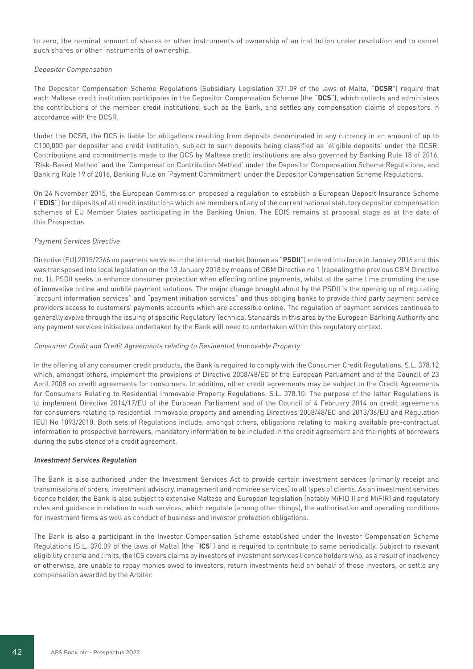to zero, the nominal amount of shares or other instruments of ownership of an institution under resolution and to cancel such shares or other instruments of ownership.

#### Depositor Compensation

The Depositor Compensation Scheme Regulations (Subsidiary Legislation 371.09 of the laws of Malta, "**DCSR**") require that each Maltese credit institution participates in the Depositor Compensation Scheme (the "**DCS**"), which collects and administers the contributions of the member credit institutions, such as the Bank, and settles any compensation claims of depositors in accordance with the DCSR.

Under the DCSR, the DCS is liable for obligations resulting from deposits denominated in any currency in an amount of up to €100,000 per depositor and credit institution, subject to such deposits being classified as 'eligible deposits' under the DCSR. Contributions and commitments made to the DCS by Maltese credit institutions are also governed by Banking Rule 18 of 2016, 'Risk-Based Method' and the 'Compensation Contribution Method' under the Depositor Compensation Scheme Regulations, and Banking Rule 19 of 2016, Banking Rule on 'Payment Commitment' under the Depositor Compensation Scheme Regulations.

On 24 November 2015, the European Commission proposed a regulation to establish a European Deposit Insurance Scheme ("**EDIS**") for deposits of all credit institutions which are members of any of the current national statutory depositor compensation schemes of EU Member States participating in the Banking Union. The EDIS remains at proposal stage as at the date of this Prospectus.

### Payment Services Directive

Directive (EU) 2015/2366 on payment services in the internal market (known as "**PSDII**") entered into force in January 2016 and this was transposed into local legislation on the 13 January 2018 by means of CBM Directive no 1 (repealing the previous CBM Directive no. 1). PSDII seeks to enhance consumer protection when effecting online payments, whilst at the same time promoting the use of innovative online and mobile payment solutions. The major change brought about by the PSDII is the opening up of regulating "account information services" and "payment initiation services" and thus obliging banks to provide third party payment service providers access to customers' payments accounts which are accessible online. The regulation of payment services continues to generally evolve through the issuing of specific Regulatory Technical Standards in this area by the European Banking Authority and any payment services initiatives undertaken by the Bank will need to undertaken within this regulatory context.

#### Consumer Credit and Credit Agreements relating to Residential Immovable Property

In the offering of any consumer credit products, the Bank is required to comply with the Consumer Credit Regulations, S.L. 378.12 which, amongst others, implement the provisions of Directive 2008/48/EC of the European Parliament and of the Council of 23 April 2008 on credit agreements for consumers. In addition, other credit agreements may be subject to the Credit Agreements for Consumers Relating to Residential Immovable Property Regulations, S.L. 378.10. The purpose of the latter Regulations is to implement Directive 2014/17/EU of the European Parliament and of the Council of 4 February 2014 on credit agreements for consumers relating to residential immovable property and amending Directives 2008/48/EC and 2013/36/EU and Regulation (EU) No 1093/2010. Both sets of Regulations include, amongst others, obligations relating to making available pre-contractual information to prospective borrowers, mandatory information to be included in the credit agreement and the rights of borrowers during the subsistence of a credit agreement.

#### **Investment Services Regulation**

The Bank is also authorised under the Investment Services Act to provide certain investment services (primarily receipt and transmissions of orders, investment advisory, management and nominee services) to all types of clients. As an investment services licence holder, the Bank is also subject to extensive Maltese and European legislation (notably MiFID II and MiFIR) and regulatory rules and guidance in relation to such services, which regulate (among other things), the authorisation and operating conditions for investment firms as well as conduct of business and investor protection obligations.

The Bank is also a participant in the Investor Compensation Scheme established under the Investor Compensation Scheme Regulations (S.L. 370.09 of the laws of Malta) (the "**ICS**") and is required to contribute to same periodically. Subject to relevant eligibility criteria and limits, the ICS covers claims by investors of investment services licence holders who, as a result of insolvency or otherwise, are unable to repay monies owed to investors, return investments held on behalf of those investors, or settle any compensation awarded by the Arbiter.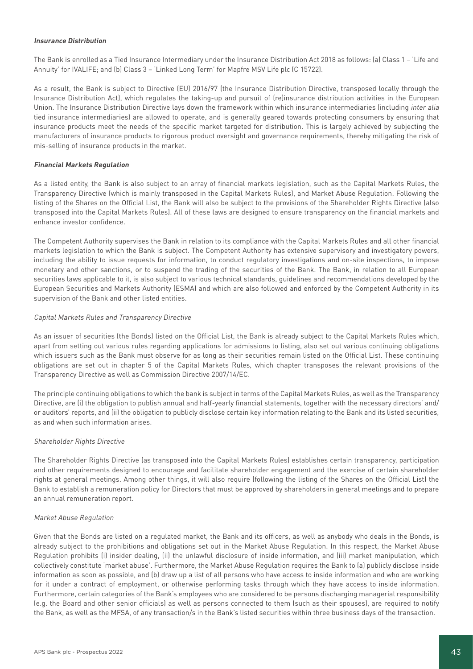### **Insurance Distribution**

The Bank is enrolled as a Tied Insurance Intermediary under the Insurance Distribution Act 2018 as follows: (a) Class 1 – 'Life and Annuity' for IVALIFE; and (b) Class 3 – 'Linked Long Term' for Mapfre MSV Life plc (C 15722).

As a result, the Bank is subject to Directive (EU) 2016/97 (the Insurance Distribution Directive, transposed locally through the Insurance Distribution Act), which regulates the taking-up and pursuit of (re)insurance distribution activities in the European Union. The Insurance Distribution Directive lays down the framework within which insurance intermediaries (including inter alia tied insurance intermediaries) are allowed to operate, and is generally geared towards protecting consumers by ensuring that insurance products meet the needs of the specific market targeted for distribution. This is largely achieved by subjecting the manufacturers of insurance products to rigorous product oversight and governance requirements, thereby mitigating the risk of mis-selling of insurance products in the market.

# **Financial Markets Regulation**

As a listed entity, the Bank is also subject to an array of financial markets legislation, such as the Capital Markets Rules, the Transparency Directive (which is mainly transposed in the Capital Markets Rules), and Market Abuse Regulation. Following the listing of the Shares on the Official List, the Bank will also be subject to the provisions of the Shareholder Rights Directive (also transposed into the Capital Markets Rules). All of these laws are designed to ensure transparency on the financial markets and enhance investor confidence.

The Competent Authority supervises the Bank in relation to its compliance with the Capital Markets Rules and all other financial markets legislation to which the Bank is subject. The Competent Authority has extensive supervisory and investigatory powers, including the ability to issue requests for information, to conduct regulatory investigations and on-site inspections, to impose monetary and other sanctions, or to suspend the trading of the securities of the Bank. The Bank, in relation to all European securities laws applicable to it, is also subject to various technical standards, guidelines and recommendations developed by the European Securities and Markets Authority (ESMA) and which are also followed and enforced by the Competent Authority in its supervision of the Bank and other listed entities.

# Capital Markets Rules and Transparency Directive

As an issuer of securities (the Bonds) listed on the Official List, the Bank is already subject to the Capital Markets Rules which, apart from setting out various rules regarding applications for admissions to listing, also set out various continuing obligations which issuers such as the Bank must observe for as long as their securities remain listed on the Official List. These continuing obligations are set out in chapter 5 of the Capital Markets Rules, which chapter transposes the relevant provisions of the Transparency Directive as well as Commission Directive 2007/14/EC.

The principle continuing obligations to which the bank is subject in terms of the Capital Markets Rules, as well as the Transparency Directive, are (i) the obligation to publish annual and half-yearly financial statements, together with the necessary directors' and/ or auditors' reports, and (ii) the obligation to publicly disclose certain key information relating to the Bank and its listed securities, as and when such information arises.

# Shareholder Rights Directive

The Shareholder Rights Directive (as transposed into the Capital Markets Rules) establishes certain transparency, participation and other requirements designed to encourage and facilitate shareholder engagement and the exercise of certain shareholder rights at general meetings. Among other things, it will also require (following the listing of the Shares on the Official List) the Bank to establish a remuneration policy for Directors that must be approved by shareholders in general meetings and to prepare an annual remuneration report.

# Market Abuse Regulation

Given that the Bonds are listed on a regulated market, the Bank and its officers, as well as anybody who deals in the Bonds, is already subject to the prohibitions and obligations set out in the Market Abuse Regulation. In this respect, the Market Abuse Regulation prohibits (i) insider dealing, (ii) the unlawful disclosure of inside information, and (iii) market manipulation, which collectively constitute 'market abuse'. Furthermore, the Market Abuse Regulation requires the Bank to (a) publicly disclose inside information as soon as possible, and (b) draw up a list of all persons who have access to inside information and who are working for it under a contract of employment, or otherwise performing tasks through which they have access to inside information. Furthermore, certain categories of the Bank's employees who are considered to be persons discharging managerial responsibility (e.g. the Board and other senior officials) as well as persons connected to them (such as their spouses), are required to notify the Bank, as well as the MFSA, of any transaction/s in the Bank's listed securities within three business days of the transaction.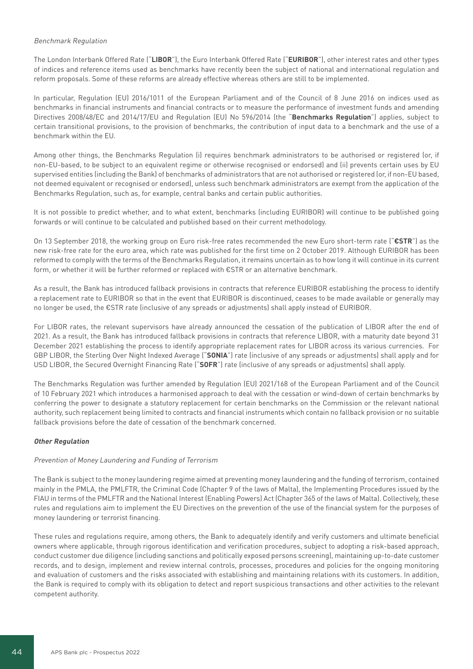### Benchmark Regulation

The London Interbank Offered Rate ("**LIBOR**"), the Euro Interbank Offered Rate ("**EURIBOR**"), other interest rates and other types of indices and reference items used as benchmarks have recently been the subject of national and international regulation and reform proposals. Some of these reforms are already effective whereas others are still to be implemented.

In particular, Regulation (EU) 2016/1011 of the European Parliament and of the Council of 8 June 2016 on indices used as benchmarks in financial instruments and financial contracts or to measure the performance of investment funds and amending Directives 2008/48/EC and 2014/17/EU and Regulation (EU) No 596/2014 (the "**Benchmarks Regulation**") applies, subject to certain transitional provisions, to the provision of benchmarks, the contribution of input data to a benchmark and the use of a benchmark within the EU.

Among other things, the Benchmarks Regulation (i) requires benchmark administrators to be authorised or registered (or, if non-EU-based, to be subject to an equivalent regime or otherwise recognised or endorsed) and (ii) prevents certain uses by EU supervised entities (including the Bank) of benchmarks of administrators that are not authorised or registered (or, if non-EU based, not deemed equivalent or recognised or endorsed), unless such benchmark administrators are exempt from the application of the Benchmarks Regulation, such as, for example, central banks and certain public authorities.

It is not possible to predict whether, and to what extent, benchmarks (including EURIBOR) will continue to be published going forwards or will continue to be calculated and published based on their current methodology.

On 13 September 2018, the working group on Euro risk-free rates recommended the new Euro short-term rate ("**€STR**") as the new risk-free rate for the euro area, which rate was published for the first time on 2 October 2019. Although EURIBOR has been reformed to comply with the terms of the Benchmarks Regulation, it remains uncertain as to how long it will continue in its current form, or whether it will be further reformed or replaced with €STR or an alternative benchmark.

As a result, the Bank has introduced fallback provisions in contracts that reference EURIBOR establishing the process to identify a replacement rate to EURIBOR so that in the event that EURIBOR is discontinued, ceases to be made available or generally may no longer be used, the €STR rate (inclusive of any spreads or adjustments) shall apply instead of EURIBOR.

For LIBOR rates, the relevant supervisors have already announced the cessation of the publication of LIBOR after the end of 2021. As a result, the Bank has introduced fallback provisions in contracts that reference LIBOR, with a maturity date beyond 31 December 2021 establishing the process to identify appropriate replacement rates for LIBOR across its various currencies. For GBP LIBOR, the Sterling Over Night Indexed Average ("**SONIA**") rate (inclusive of any spreads or adjustments) shall apply and for USD LIBOR, the Secured Overnight Financing Rate ("**SOFR**") rate (inclusive of any spreads or adjustments) shall apply.

The Benchmarks Regulation was further amended by Regulation (EU) 2021/168 of the European Parliament and of the Council of 10 February 2021 which introduces a harmonised approach to deal with the cessation or wind-down of certain benchmarks by conferring the power to designate a statutory replacement for certain benchmarks on the Commission or the relevant national authority, such replacement being limited to contracts and financial instruments which contain no fallback provision or no suitable fallback provisions before the date of cessation of the benchmark concerned.

# **Other Regulation**

# Prevention of Money Laundering and Funding of Terrorism

The Bank is subject to the money laundering regime aimed at preventing money laundering and the funding of terrorism, contained mainly in the PMLA, the PMLFTR, the Criminal Code (Chapter 9 of the laws of Malta), the Implementing Procedures issued by the FIAU in terms of the PMLFTR and the National Interest (Enabling Powers) Act (Chapter 365 of the laws of Malta). Collectively, these rules and regulations aim to implement the EU Directives on the prevention of the use of the financial system for the purposes of money laundering or terrorist financing.

These rules and regulations require, among others, the Bank to adequately identify and verify customers and ultimate beneficial owners where applicable, through rigorous identification and verification procedures, subject to adopting a risk-based approach, conduct customer due diligence (including sanctions and politically exposed persons screening), maintaining up-to-date customer records, and to design, implement and review internal controls, processes, procedures and policies for the ongoing monitoring and evaluation of customers and the risks associated with establishing and maintaining relations with its customers. In addition, the Bank is required to comply with its obligation to detect and report suspicious transactions and other activities to the relevant competent authority.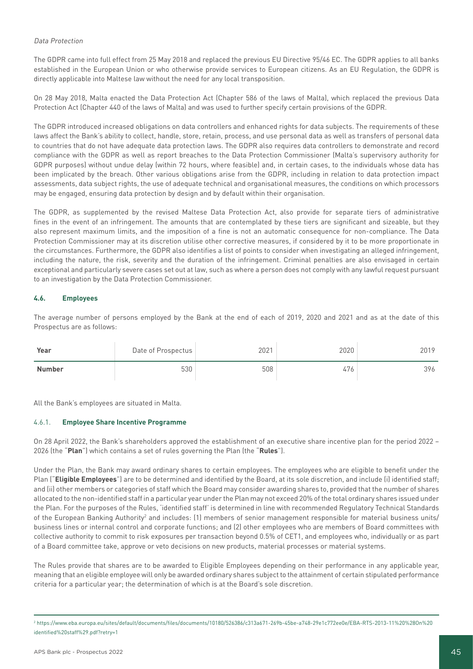# Data Protection

The GDPR came into full effect from 25 May 2018 and replaced the previous EU Directive 95/46 EC. The GDPR applies to all banks established in the European Union or who otherwise provide services to European citizens. As an EU Regulation, the GDPR is directly applicable into Maltese law without the need for any local transposition.

On 28 May 2018, Malta enacted the Data Protection Act (Chapter 586 of the laws of Malta), which replaced the previous Data Protection Act (Chapter 440 of the laws of Malta) and was used to further specify certain provisions of the GDPR.

The GDPR introduced increased obligations on data controllers and enhanced rights for data subjects. The requirements of these laws affect the Bank's ability to collect, handle, store, retain, process, and use personal data as well as transfers of personal data to countries that do not have adequate data protection laws. The GDPR also requires data controllers to demonstrate and record compliance with the GDPR as well as report breaches to the Data Protection Commissioner (Malta's supervisory authority for GDPR purposes) without undue delay (within 72 hours, where feasible) and, in certain cases, to the individuals whose data has been implicated by the breach. Other various obligations arise from the GDPR, including in relation to data protection impact assessments, data subject rights, the use of adequate technical and organisational measures, the conditions on which processors may be engaged, ensuring data protection by design and by default within their organisation.

The GDPR, as supplemented by the revised Maltese Data Protection Act, also provide for separate tiers of administrative fines in the event of an infringement. The amounts that are contemplated by these tiers are significant and sizeable, but they also represent maximum limits, and the imposition of a fine is not an automatic consequence for non-compliance. The Data Protection Commissioner may at its discretion utilise other corrective measures, if considered by it to be more proportionate in the circumstances. Furthermore, the GDPR also identifies a list of points to consider when investigating an alleged infringement, including the nature, the risk, severity and the duration of the infringement. Criminal penalties are also envisaged in certain exceptional and particularly severe cases set out at law, such as where a person does not comply with any lawful request pursuant to an investigation by the Data Protection Commissioner.

# **4.6. Employees**

The average number of persons employed by the Bank at the end of each of 2019, 2020 and 2021 and as at the date of this Prospectus are as follows:

| Year          | Date of Prospectus | 2021 | 2020 | 2019 |
|---------------|--------------------|------|------|------|
| <b>Number</b> | 530                | 508  | 476  | 396  |

All the Bank's employees are situated in Malta.

# 4.6.1. **Employee Share Incentive Programme**

On 28 April 2022, the Bank's shareholders approved the establishment of an executive share incentive plan for the period 2022 – 2026 (the "**Plan**") which contains a set of rules governing the Plan (the "**Rules**").

Under the Plan, the Bank may award ordinary shares to certain employees. The employees who are eligible to benefit under the Plan ("**Eligible Employees**") are to be determined and identified by the Board, at its sole discretion, and include (i) identified staff; and (ii) other members or categories of staff which the Board may consider awarding shares to, provided that the number of shares allocated to the non-identified staff in a particular year under the Plan may not exceed 20% of the total ordinary shares issued under the Plan. For the purposes of the Rules, 'identified staff' is determined in line with recommended Regulatory Technical Standards of the European Banking Authority<sup>2</sup> and includes: (1) members of senior management responsible for material business units/ business lines or internal control and corporate functions; and (2) other employees who are members of Board committees with collective authority to commit to risk exposures per transaction beyond 0.5% of CET1, and employees who, individually or as part of a Board committee take, approve or veto decisions on new products, material processes or material systems.

The Rules provide that shares are to be awarded to Eligible Employees depending on their performance in any applicable year, meaning that an eligible employee will only be awarded ordinary shares subject to the attainment of certain stipulated performance criteria for a particular year; the determination of which is at the Board's sole discretion.

<sup>2</sup> https://www.eba.europa.eu/sites/default/documents/files/documents/10180/526386/c313a671-269b-45be-a748-29e1c772ee0e/EBA-RTS-2013-11%20%28On%20 identified%20staff%29.pdf?retry=1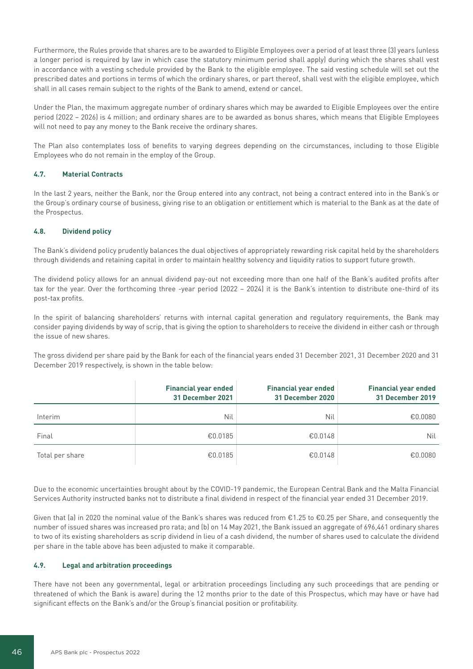Furthermore, the Rules provide that shares are to be awarded to Eligible Employees over a period of at least three (3) years (unless a longer period is required by law in which case the statutory minimum period shall apply) during which the shares shall vest in accordance with a vesting schedule provided by the Bank to the eligible employee. The said vesting schedule will set out the prescribed dates and portions in terms of which the ordinary shares, or part thereof, shall vest with the eligible employee, which shall in all cases remain subject to the rights of the Bank to amend, extend or cancel.

Under the Plan, the maximum aggregate number of ordinary shares which may be awarded to Eligible Employees over the entire period (2022 – 2026) is 4 million; and ordinary shares are to be awarded as bonus shares, which means that Eligible Employees will not need to pay any money to the Bank receive the ordinary shares.

The Plan also contemplates loss of benefits to varying degrees depending on the circumstances, including to those Eligible Employees who do not remain in the employ of the Group.

# **4.7. Material Contracts**

In the last 2 years, neither the Bank, nor the Group entered into any contract, not being a contract entered into in the Bank's or the Group's ordinary course of business, giving rise to an obligation or entitlement which is material to the Bank as at the date of the Prospectus.

# **4.8. Dividend policy**

The Bank's dividend policy prudently balances the dual objectives of appropriately rewarding risk capital held by the shareholders through dividends and retaining capital in order to maintain healthy solvency and liquidity ratios to support future growth.

The dividend policy allows for an annual dividend pay-out not exceeding more than one half of the Bank's audited profits after tax for the year. Over the forthcoming three -year period (2022 – 2024) it is the Bank's intention to distribute one-third of its post-tax profits.

In the spirit of balancing shareholders' returns with internal capital generation and regulatory requirements, the Bank may consider paying dividends by way of scrip, that is giving the option to shareholders to receive the dividend in either cash or through the issue of new shares.

The gross dividend per share paid by the Bank for each of the financial years ended 31 December 2021, 31 December 2020 and 31 December 2019 respectively, is shown in the table below:

|                 | <b>Financial year ended</b><br>31 December 2021 | <b>Financial year ended</b><br>31 December 2020 | <b>Financial year ended</b><br>31 December 2019 |
|-----------------|-------------------------------------------------|-------------------------------------------------|-------------------------------------------------|
| Interim         | Nil                                             | Nil                                             | €0.0080                                         |
| Final           | €0.0185                                         | €0.0148                                         | Nil                                             |
| Total per share | €0.0185                                         | €0.0148                                         | €0.0080                                         |

Due to the economic uncertainties brought about by the COVID-19 pandemic, the European Central Bank and the Malta Financial Services Authority instructed banks not to distribute a final dividend in respect of the financial year ended 31 December 2019.

Given that (a) in 2020 the nominal value of the Bank's shares was reduced from  $\epsilon$ 1.25 to  $\epsilon$ 0.25 per Share, and consequently the number of issued shares was increased pro rata; and (b) on 14 May 2021, the Bank issued an aggregate of 696,461 ordinary shares to two of its existing shareholders as scrip dividend in lieu of a cash dividend, the number of shares used to calculate the dividend per share in the table above has been adjusted to make it comparable.

# **4.9. Legal and arbitration proceedings**

There have not been any governmental, legal or arbitration proceedings (including any such proceedings that are pending or threatened of which the Bank is aware) during the 12 months prior to the date of this Prospectus, which may have or have had significant effects on the Bank's and/or the Group's financial position or profitability.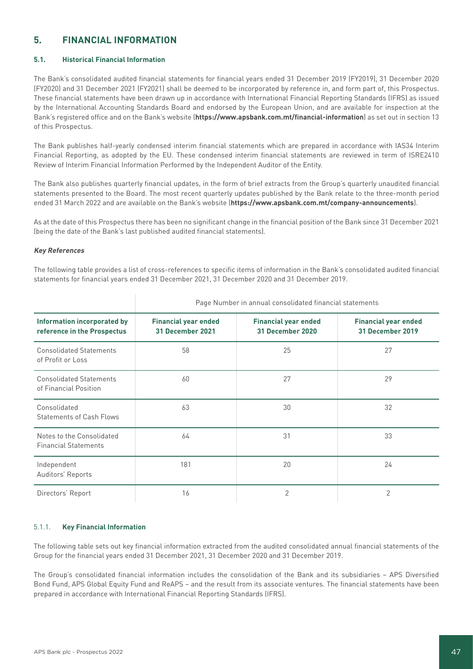# **5. FINANCIAL INFORMATION**

# **5.1. Historical Financial Information**

The Bank's consolidated audited financial statements for financial years ended 31 December 2019 (FY2019), 31 December 2020 (FY2020) and 31 December 2021 (FY2021) shall be deemed to be incorporated by reference in, and form part of, this Prospectus. These financial statements have been drawn up in accordance with International Financial Reporting Standards (IFRS) as issued by the International Accounting Standards Board and endorsed by the European Union, and are available for inspection at the Bank's registered office and on the Bank's website (**https://www.apsbank.com.mt/financial-information**) as set out in section 13 of this Prospectus.

The Bank publishes half-yearly condensed interim financial statements which are prepared in accordance with IAS34 Interim Financial Reporting, as adopted by the EU. These condensed interim financial statements are reviewed in term of ISRE2410 Review of Interim Financial Information Performed by the Independent Auditor of the Entity.

The Bank also publishes quarterly financial updates, in the form of brief extracts from the Group's quarterly unaudited financial statements presented to the Board. The most recent quarterly updates published by the Bank relate to the three-month period ended 31 March 2022 and are available on the Bank's website (**https://www.apsbank.com.mt/company-announcements**).

As at the date of this Prospectus there has been no significant change in the financial position of the Bank since 31 December 2021 (being the date of the Bank's last published audited financial statements).

# **Key References**

The following table provides a list of cross-references to specific items of information in the Bank's consolidated audited financial statements for financial years ended 31 December 2021, 31 December 2020 and 31 December 2019.

|                                                                   | Page Number in annual consolidated financial statements |                                                 |                                                        |  |  |
|-------------------------------------------------------------------|---------------------------------------------------------|-------------------------------------------------|--------------------------------------------------------|--|--|
| <b>Information incorporated by</b><br>reference in the Prospectus | <b>Financial year ended</b><br>31 December 2021         | <b>Financial year ended</b><br>31 December 2020 | <b>Financial year ended</b><br><b>31 December 2019</b> |  |  |
| <b>Consolidated Statements</b><br>of Profit or Loss               | 58                                                      | 25                                              | 27                                                     |  |  |
| <b>Consolidated Statements</b><br>of Financial Position           | 60                                                      | 27                                              | 29                                                     |  |  |
| Consolidated<br><b>Statements of Cash Flows</b>                   | 63                                                      | 30                                              | 32                                                     |  |  |
| Notes to the Consolidated<br><b>Financial Statements</b>          | 64                                                      | 31                                              | 33                                                     |  |  |
| Independent<br>Auditors' Reports                                  | 181                                                     | 20                                              | 24                                                     |  |  |
| Directors' Report                                                 | 16                                                      | 2                                               | 2                                                      |  |  |

# 5.1.1. **Key Financial Information**

The following table sets out key financial information extracted from the audited consolidated annual financial statements of the Group for the financial years ended 31 December 2021, 31 December 2020 and 31 December 2019.

The Group's consolidated financial information includes the consolidation of the Bank and its subsidiaries – APS Diversified Bond Fund, APS Global Equity Fund and ReAPS – and the result from its associate ventures. The financial statements have been prepared in accordance with International Financial Reporting Standards (IFRS).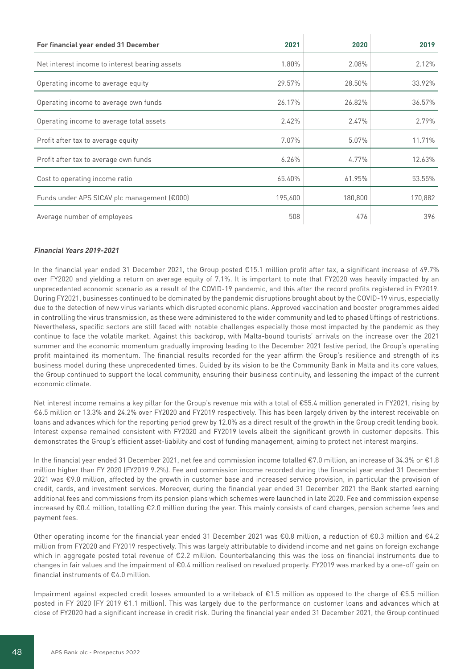| For financial year ended 31 December           | 2021    | 2020    | 2019    |
|------------------------------------------------|---------|---------|---------|
| Net interest income to interest bearing assets | 1.80%   | 2.08%   | 2.12%   |
| Operating income to average equity             | 29.57%  | 28.50%  | 33.92%  |
| Operating income to average own funds          | 26.17%  | 26.82%  | 36.57%  |
| Operating income to average total assets       | 2.42%   | 2.47%   | 2.79%   |
| Profit after tax to average equity             | 7.07%   | 5.07%   | 11.71%  |
| Profit after tax to average own funds          | 6.26%   | 4.77%   | 12.63%  |
| Cost to operating income ratio                 | 65.40%  | 61.95%  | 53.55%  |
| Funds under APS SICAV plc management (€000)    | 195,600 | 180,800 | 170,882 |
| Average number of employees                    | 508     | 476     | 396     |

### **Financial Years 2019-2021**

In the financial year ended 31 December 2021, the Group posted €15.1 million profit after tax, a significant increase of 49.7% over FY2020 and yielding a return on average equity of 7.1%. It is important to note that FY2020 was heavily impacted by an unprecedented economic scenario as a result of the COVID-19 pandemic, and this after the record profits registered in FY2019. During FY2021, businesses continued to be dominated by the pandemic disruptions brought about by the COVID-19 virus, especially due to the detection of new virus variants which disrupted economic plans. Approved vaccination and booster programmes aided in controlling the virus transmission, as these were administered to the wider community and led to phased liftings of restrictions. Nevertheless, specific sectors are still faced with notable challenges especially those most impacted by the pandemic as they continue to face the volatile market. Against this backdrop, with Malta-bound tourists' arrivals on the increase over the 2021 summer and the economic momentum gradually improving leading to the December 2021 festive period, the Group's operating profit maintained its momentum. The financial results recorded for the year affirm the Group's resilience and strength of its business model during these unprecedented times. Guided by its vision to be the Community Bank in Malta and its core values, the Group continued to support the local community, ensuring their business continuity, and lessening the impact of the current economic climate.

Net interest income remains a key pillar for the Group's revenue mix with a total of €55.4 million generated in FY2021, rising by €6.5 million or 13.3% and 24.2% over FY2020 and FY2019 respectively. This has been largely driven by the interest receivable on loans and advances which for the reporting period grew by 12.0% as a direct result of the growth in the Group credit lending book. Interest expense remained consistent with FY2020 and FY2019 levels albeit the significant growth in customer deposits. This demonstrates the Group's efficient asset-liability and cost of funding management, aiming to protect net interest margins.

In the financial year ended 31 December 2021, net fee and commission income totalled €7.0 million, an increase of 34.3% or €1.8 million higher than FY 2020 (FY2019 9.2%). Fee and commission income recorded during the financial year ended 31 December 2021 was €9.0 million, affected by the growth in customer base and increased service provision, in particular the provision of credit, cards, and investment services. Moreover, during the financial year ended 31 December 2021 the Bank started earning additional fees and commissions from its pension plans which schemes were launched in late 2020. Fee and commission expense increased by €0.4 million, totalling €2.0 million during the year. This mainly consists of card charges, pension scheme fees and payment fees.

Other operating income for the financial year ended 31 December 2021 was €0.8 million, a reduction of €0.3 million and €4.2 million from FY2020 and FY2019 respectively. This was largely attributable to dividend income and net gains on foreign exchange which in aggregate posted total revenue of  $E2.2$  million. Counterbalancing this was the loss on financial instruments due to changes in fair values and the impairment of €0.4 million realised on revalued property. FY2019 was marked by a one-off gain on financial instruments of €4.0 million.

Impairment against expected credit losses amounted to a writeback of €1.5 million as opposed to the charge of €5.5 million posted in FY 2020 (FY 2019 €1.1 million). This was largely due to the performance on customer loans and advances which at close of FY2020 had a significant increase in credit risk. During the financial year ended 31 December 2021, the Group continued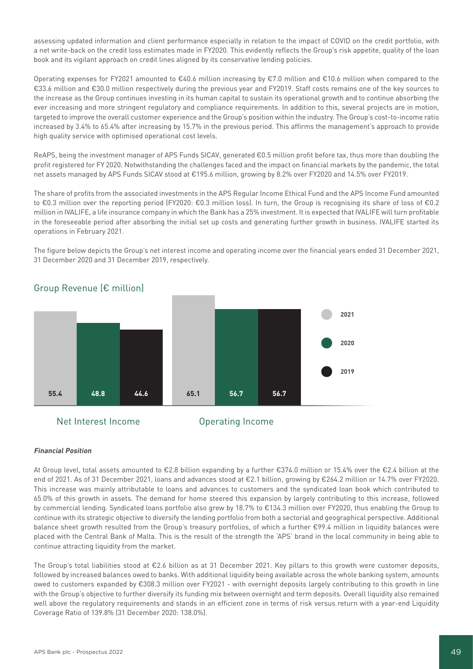assessing updated information and client performance especially in relation to the impact of COVID on the credit portfolio, with a net write-back on the credit loss estimates made in FY2020. This evidently reflects the Group's risk appetite, quality of the loan book and its vigilant approach on credit lines aligned by its conservative lending policies.

Operating expenses for FY2021 amounted to €40.6 million increasing by €7.0 million and €10.6 million when compared to the €33.6 million and €30.0 million respectively during the previous year and FY2019. Staff costs remains one of the key sources to the increase as the Group continues investing in its human capital to sustain its operational growth and to continue absorbing the ever increasing and more stringent regulatory and compliance requirements. In addition to this, several projects are in motion, targeted to improve the overall customer experience and the Group's position within the industry. The Group's cost-to-income ratio increased by 3.4% to 65.4% after increasing by 15.7% in the previous period. This affirms the management's approach to provide high quality service with optimised operational cost levels.

ReAPS, being the investment manager of APS Funds SICAV, generated €0.5 million profit before tax, thus more than doubling the profit registered for FY 2020. Notwithstanding the challenges faced and the impact on financial markets by the pandemic, the total net assets managed by APS Funds SICAV stood at €195.6 million, growing by 8.2% over FY2020 and 14.5% over FY2019.

The share of profits from the associated investments in the APS Regular Income Ethical Fund and the APS Income Fund amounted to €0.3 million over the reporting period (FY2020: €0.3 million loss). In turn, the Group is recognising its share of loss of €0.2 million in IVALIFE, a life insurance company in which the Bank has a 25% investment. It is expected that IVALIFE will turn profitable in the foreseeable period after absorbing the initial set up costs and generating further growth in business. IVALIFE started its operations in February 2021.

The figure below depicts the Group's net interest income and operating income over the financial years ended 31 December 2021, 31 December 2020 and 31 December 2019, respectively.



# Group Revenue (€ million)

# **Financial Position**

At Group level, total assets amounted to €2.8 billion expanding by a further €374.0 million or 15.4% over the €2.4 billion at the end of 2021. As of 31 December 2021, loans and advances stood at €2.1 billion, growing by €264.2 million or 14.7% over FY2020. This increase was mainly attributable to loans and advances to customers and the syndicated loan book which contributed to 65.0% of this growth in assets. The demand for home steered this expansion by largely contributing to this increase, followed by commercial lending. Syndicated loans portfolio also grew by 18.7% to €134.3 million over FY2020, thus enabling the Group to continue with its strategic objective to diversify the lending portfolio from both a sectorial and geographical perspective. Additional balance sheet growth resulted from the Group's treasury portfolios, of which a further €99.4 million in liquidity balances were placed with the Central Bank of Malta. This is the result of the strength the 'APS' brand in the local community in being able to continue attracting liquidity from the market.

The Group's total liabilities stood at €2.6 billion as at 31 December 2021. Key pillars to this growth were customer deposits, followed by increased balances owed to banks. With additional liquidity being available across the whole banking system, amounts owed to customers expanded by €308.3 million over FY2021 - with overnight deposits largely contributing to this growth in line with the Group's objective to further diversify its funding mix between overnight and term deposits. Overall liquidity also remained well above the regulatory requirements and stands in an efficient zone in terms of risk versus return with a year-end Liquidity Coverage Ratio of 139.8% (31 December 2020: 138.0%).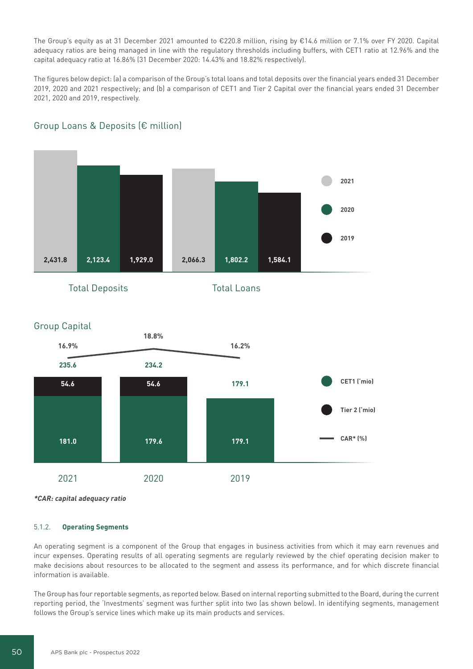The Group's equity as at 31 December 2021 amounted to €220.8 million, rising by €14.6 million or 7.1% over FY 2020. Capital adequacy ratios are being managed in line with the regulatory thresholds including buffers, with CET1 ratio at 12.96% and the capital adequacy ratio at 16.86% (31 December 2020: 14.43% and 18.82% respectively).

The figures below depict: (a) a comparison of the Group's total loans and total deposits over the financial years ended 31 December 2019, 2020 and 2021 respectively; and (b) a comparison of CET1 and Tier 2 Capital over the financial years ended 31 December 2021, 2020 and 2019, respectively.



# Group Loans & Deposits (€ million)





**\*CAR: capital adequacy ratio**

# 5.1.2. **Operating Segments**

An operating segment is a component of the Group that engages in business activities from which it may earn revenues and incur expenses. Operating results of all operating segments are regularly reviewed by the chief operating decision maker to make decisions about resources to be allocated to the segment and assess its performance, and for which discrete financial information is available.

The Group has four reportable segments, as reported below. Based on internal reporting submitted to the Board, during the current reporting period, the 'Investments' segment was further split into two (as shown below). In identifying segments, management follows the Group's service lines which make up its main products and services.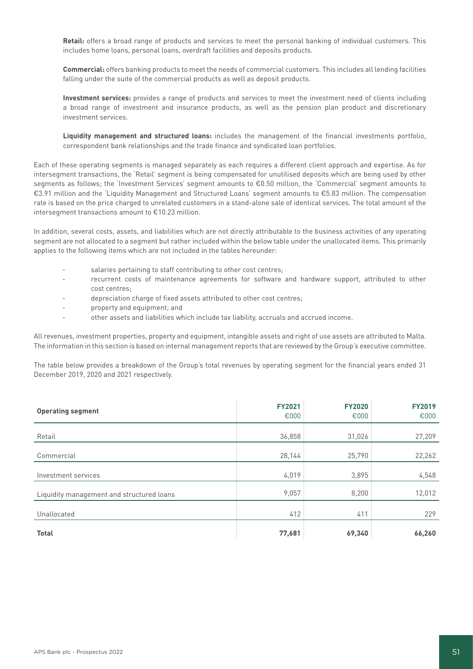**Retail:** offers a broad range of products and services to meet the personal banking of individual customers. This includes home loans, personal loans, overdraft facilities and deposits products.

**Commercial:** offers banking products to meet the needs of commercial customers. This includes all lending facilities falling under the suite of the commercial products as well as deposit products.

**Investment services:** provides a range of products and services to meet the investment need of clients including a broad range of investment and insurance products, as well as the pension plan product and discretionary investment services.

**Liquidity management and structured loans:** includes the management of the financial investments portfolio, correspondent bank relationships and the trade finance and syndicated loan portfolios.

Each of these operating segments is managed separately as each requires a different client approach and expertise. As for intersegment transactions, the 'Retail' segment is being compensated for unutilised deposits which are being used by other segments as follows; the 'Investment Services' segment amounts to €0.50 million, the 'Commercial' segment amounts to €3.91 million and the 'Liquidity Management and Structured Loans' segment amounts to €5.83 million. The compensation rate is based on the price charged to unrelated customers in a stand-alone sale of identical services. The total amount of the intersegment transactions amount to €10.23 million.

In addition, several costs, assets, and liabilities which are not directly attributable to the business activities of any operating segment are not allocated to a segment but rather included within the below table under the unallocated items. This primarily applies to the following items which are not included in the tables hereunder:

- salaries pertaining to staff contributing to other cost centres;
- recurrent costs of maintenance agreements for software and hardware support, attributed to other cost centres;
- depreciation charge of fixed assets attributed to other cost centres;
- property and equipment; and
- other assets and liabilities which include tax liability, accruals and accrued income.

All revenues, investment properties, property and equipment, intangible assets and right of use assets are attributed to Malta. The information in this section is based on internal management reports that are reviewed by the Group's executive committee.

The table below provides a breakdown of the Group's total revenues by operating segment for the financial years ended 31 December 2019, 2020 and 2021 respectively.

| <b>Operating segment</b>                  | <b>FY2021</b><br>€000 | <b>FY2020</b><br>€000 | <b>FY2019</b><br>€000 |
|-------------------------------------------|-----------------------|-----------------------|-----------------------|
| Retail                                    | 36,858                | 31,026                | 27,209                |
| Commercial                                | 28,144                | 25,790                | 22,262                |
| Investment services                       | 4,019                 | 3,895                 | 4,548                 |
| Liquidity management and structured loans | 9,057                 | 8,200                 | 12,012                |
| Unallocated                               | 412                   | 411                   | 229                   |
| <b>Total</b>                              | 77,681                | 69,340                | 66,260                |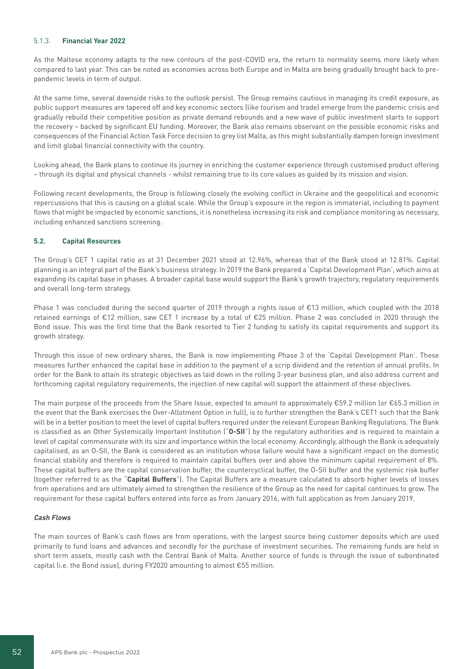# 5.1.3. **Financial Year 2022**

As the Maltese economy adapts to the new contours of the post-COVID era, the return to normality seems more likely when compared to last year. This can be noted as economies across both Europe and in Malta are being gradually brought back to prepandemic levels in term of output.

At the same time, several downside risks to the outlook persist. The Group remains cautious in managing its credit exposure, as public support measures are tapered off and key economic sectors (like tourism and trade) emerge from the pandemic crisis and gradually rebuild their competitive position as private demand rebounds and a new wave of public investment starts to support the recovery – backed by significant EU funding. Moreover, the Bank also remains observant on the possible economic risks and consequences of the Financial Action Task Force decision to grey list Malta, as this might substantially dampen foreign investment and limit global financial connectivity with the country.

Looking ahead, the Bank plans to continue its journey in enriching the customer experience through customised product offering – through its digital and physical channels - whilst remaining true to its core values as guided by its mission and vision.

Following recent developments, the Group is following closely the evolving conflict in Ukraine and the geopolitical and economic repercussions that this is causing on a global scale. While the Group's exposure in the region is immaterial, including to payment flows that might be impacted by economic sanctions, it is nonetheless increasing its risk and compliance monitoring as necessary, including enhanced sanctions screening.

# **5.2. Capital Resources**

The Group's CET 1 capital ratio as at 31 December 2021 stood at 12.96%, whereas that of the Bank stood at 12.81%. Capital planning is an integral part of the Bank's business strategy. In 2019 the Bank prepared a 'Capital Development Plan', which aims at expanding its capital base in phases. A broader capital base would support the Bank's growth trajectory, regulatory requirements and overall long-term strategy.

Phase 1 was concluded during the second quarter of 2019 through a rights issue of €13 million, which coupled with the 2018 retained earnings of €12 million, saw CET 1 increase by a total of €25 million. Phase 2 was concluded in 2020 through the Bond issue. This was the first time that the Bank resorted to Tier 2 funding to satisfy its capital requirements and support its growth strategy.

Through this issue of new ordinary shares, the Bank is now implementing Phase 3 of the 'Capital Development Plan'. These measures further enhanced the capital base in addition to the payment of a scrip dividend and the retention of annual profits. In order for the Bank to attain its strategic objectives as laid down in the rolling 3-year business plan, and also address current and forthcoming capital regulatory requirements, the injection of new capital will support the attainment of these objectives.

The main purpose of the proceeds from the Share Issue, expected to amount to approximately €59.2 million (or €65.3 million in the event that the Bank exercises the Over-Allotment Option in full), is to further strengthen the Bank's CET1 such that the Bank will be in a better position to meet the level of capital buffers required under the relevant European Banking Regulations. The Bank is classified as an Other Systemically Important Institution ("**O-SII**") by the regulatory authorities and is required to maintain a level of capital commensurate with its size and importance within the local economy. Accordingly, although the Bank is adequately capitalised, as an O-SII, the Bank is considered as an institution whose failure would have a significant impact on the domestic financial stability and therefore is required to maintain capital buffers over and above the minimum capital requirement of 8%. These capital buffers are the capital conservation buffer, the countercyclical buffer, the O-SII buffer and the systemic risk buffer (together referred to as the "**Capital Buffers**"). The Capital Buffers are a measure calculated to absorb higher levels of losses from operations and are ultimately aimed to strengthen the resilience of the Group as the need for capital continues to grow. The requirement for these capital buffers entered into force as from January 2016, with full application as from January 2019.

#### **Cash Flows**

The main sources of Bank's cash flows are from operations, with the largest source being customer deposits which are used primarily to fund loans and advances and secondly for the purchase of investment securities. The remaining funds are held in short term assets, mostly cash with the Central Bank of Malta. Another source of funds is through the issue of subordinated capital (i.e. the Bond issue), during FY2020 amounting to almost €55 million.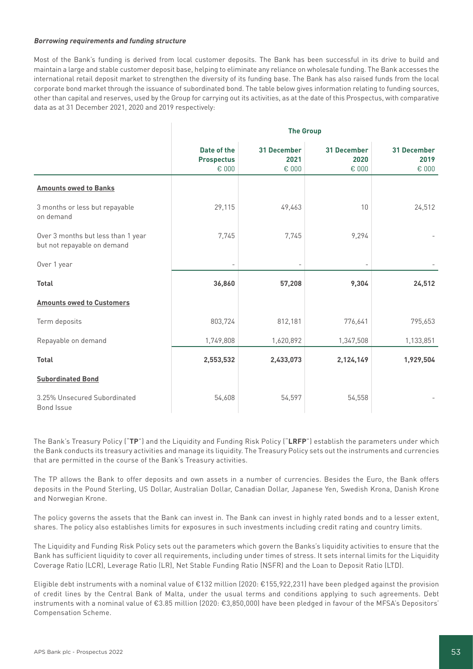# **Borrowing requirements and funding structure**

Most of the Bank's funding is derived from local customer deposits. The Bank has been successful in its drive to build and maintain a large and stable customer deposit base, helping to eliminate any reliance on wholesale funding. The Bank accesses the international retail deposit market to strengthen the diversity of its funding base. The Bank has also raised funds from the local corporate bond market through the issuance of subordinated bond. The table below gives information relating to funding sources, other than capital and reserves, used by the Group for carrying out its activities, as at the date of this Prospectus, with comparative data as at 31 December 2021, 2020 and 2019 respectively:

|                                                                   | <b>The Group</b>                          |                                     |                                     |                                       |  |  |
|-------------------------------------------------------------------|-------------------------------------------|-------------------------------------|-------------------------------------|---------------------------------------|--|--|
|                                                                   | Date of the<br><b>Prospectus</b><br>€ 000 | <b>31 December</b><br>2021<br>€ 000 | <b>31 December</b><br>2020<br>€ 000 | 31 December<br>2019<br>$\epsilon$ 000 |  |  |
| <b>Amounts owed to Banks</b>                                      |                                           |                                     |                                     |                                       |  |  |
| 3 months or less but repayable<br>on demand                       | 29,115                                    | 49,463                              | 10                                  | 24,512                                |  |  |
| Over 3 months but less than 1 year<br>but not repayable on demand | 7,745                                     | 7,745                               | 9,294                               |                                       |  |  |
| Over 1 year                                                       |                                           |                                     |                                     |                                       |  |  |
| <b>Total</b>                                                      | 36,860                                    | 57,208                              | 9,304                               | 24,512                                |  |  |
| <b>Amounts owed to Customers</b>                                  |                                           |                                     |                                     |                                       |  |  |
| Term deposits                                                     | 803,724                                   | 812,181                             | 776,641                             | 795,653                               |  |  |
| Repayable on demand                                               | 1,749,808                                 | 1,620,892                           | 1,347,508                           | 1,133,851                             |  |  |
| <b>Total</b>                                                      | 2,553,532                                 | 2,433,073                           | 2,124,149                           | 1,929,504                             |  |  |
| <b>Subordinated Bond</b>                                          |                                           |                                     |                                     |                                       |  |  |
| 3.25% Unsecured Subordinated<br>Bond Issue                        | 54,608                                    | 54,597                              | 54,558                              |                                       |  |  |

The Bank's Treasury Policy ("**TP**") and the Liquidity and Funding Risk Policy ("**LRFP**") establish the parameters under which the Bank conducts its treasury activities and manage its liquidity. The Treasury Policy sets out the instruments and currencies that are permitted in the course of the Bank's Treasury activities.

The TP allows the Bank to offer deposits and own assets in a number of currencies. Besides the Euro, the Bank offers deposits in the Pound Sterling, US Dollar, Australian Dollar, Canadian Dollar, Japanese Yen, Swedish Krona, Danish Krone and Norwegian Krone.

The policy governs the assets that the Bank can invest in. The Bank can invest in highly rated bonds and to a lesser extent, shares. The policy also establishes limits for exposures in such investments including credit rating and country limits.

The Liquidity and Funding Risk Policy sets out the parameters which govern the Banks's liquidity activities to ensure that the Bank has sufficient liquidity to cover all requirements, including under times of stress. It sets internal limits for the Liquidity Coverage Ratio (LCR), Leverage Ratio (LR), Net Stable Funding Ratio (NSFR) and the Loan to Deposit Ratio (LTD).

Eligible debt instruments with a nominal value of €132 million (2020: €155,922,231) have been pledged against the provision of credit lines by the Central Bank of Malta, under the usual terms and conditions applying to such agreements. Debt instruments with a nominal value of €3.85 million (2020: €3,850,000) have been pledged in favour of the MFSA's Depositors' Compensation Scheme.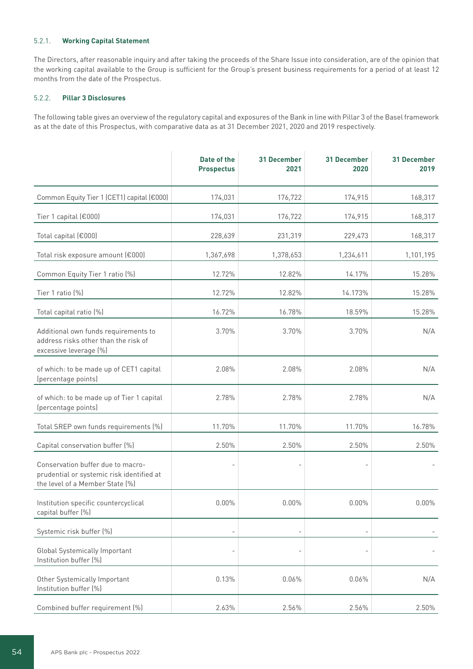# 5.2.1. **Working Capital Statement**

The Directors, after reasonable inquiry and after taking the proceeds of the Share Issue into consideration, are of the opinion that the working capital available to the Group is sufficient for the Group's present business requirements for a period of at least 12 months from the date of the Prospectus.

# 5.2.2. **Pillar 3 Disclosures**

The following table gives an overview of the regulatory capital and exposures of the Bank in line with Pillar 3 of the Basel framework as at the date of this Prospectus, with comparative data as at 31 December 2021, 2020 and 2019 respectively.

|                                                                                                                   | Date of the<br><b>Prospectus</b> | <b>31 December</b><br>2021 | <b>31 December</b><br>2020 | <b>31 December</b><br>2019 |
|-------------------------------------------------------------------------------------------------------------------|----------------------------------|----------------------------|----------------------------|----------------------------|
| Common Equity Tier 1 (CET1) capital (€000)                                                                        | 174,031                          | 176,722                    | 174,915                    | 168,317                    |
| Tier 1 capital (€000)                                                                                             | 174,031                          | 176,722                    | 174,915                    | 168,317                    |
| Total capital (€000)                                                                                              | 228,639                          | 231,319                    | 229,473                    | 168,317                    |
| Total risk exposure amount (€000)                                                                                 | 1,367,698                        | 1,378,653                  | 1,234,611                  | 1,101,195                  |
| Common Equity Tier 1 ratio (%)                                                                                    | 12.72%                           | 12.82%                     | 14.17%                     | 15.28%                     |
| Tier 1 ratio (%)                                                                                                  | 12.72%                           | 12.82%                     | 14.173%                    | 15.28%                     |
| Total capital ratio (%)                                                                                           | 16.72%                           | 16.78%                     | 18.59%                     | 15.28%                     |
| Additional own funds requirements to<br>address risks other than the risk of<br>excessive leverage (%)            | 3.70%                            | 3.70%                      | 3.70%                      | N/A                        |
| of which: to be made up of CET1 capital<br>(percentage points)                                                    | 2.08%                            | 2.08%                      | 2.08%                      | N/A                        |
| of which: to be made up of Tier 1 capital<br>(percentage points)                                                  | 2.78%                            | 2.78%                      | 2.78%                      | N/A                        |
| Total SREP own funds requirements (%)                                                                             | 11.70%                           | 11.70%                     | 11.70%                     | 16.78%                     |
| Capital conservation buffer (%)                                                                                   | 2.50%                            | 2.50%                      | 2.50%                      | 2.50%                      |
| Conservation buffer due to macro-<br>prudential or systemic risk identified at<br>the level of a Member State [%] |                                  | $\overline{\phantom{a}}$   |                            |                            |
| Institution specific countercyclical<br>capital buffer (%)                                                        | 0.00%                            | 0.00%                      | 0.00%                      | $0.00\%$                   |
| Systemic risk buffer (%)                                                                                          |                                  |                            |                            |                            |
| <b>Global Systemically Important</b><br>Institution buffer (%)                                                    |                                  |                            |                            |                            |
| Other Systemically Important<br>Institution buffer (%)                                                            | 0.13%                            | 0.06%                      | 0.06%                      | N/A                        |
| Combined buffer requirement (%)                                                                                   | 2.63%                            | 2.56%                      | 2.56%                      | 2.50%                      |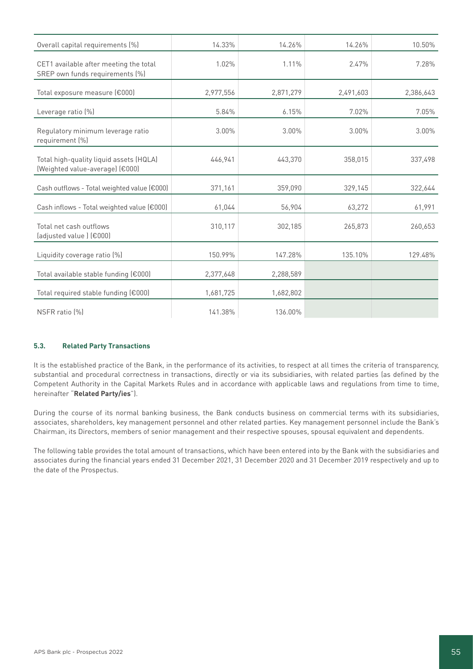| Overall capital requirements (%)                                           | 14.33%    | 14.26%    | 14.26%    | 10.50%    |
|----------------------------------------------------------------------------|-----------|-----------|-----------|-----------|
| CET1 available after meeting the total<br>SREP own funds requirements (%)  | 1.02%     | 1.11%     | 2.47%     | 7.28%     |
| Total exposure measure (€000)                                              | 2,977,556 | 2,871,279 | 2,491,603 | 2,386,643 |
| Leverage ratio (%)                                                         | 5.84%     | 6.15%     | 7.02%     | 7.05%     |
| Regulatory minimum leverage ratio<br>requirement (%)                       | 3.00%     | 3.00%     | 3.00%     | 3.00%     |
| Total high-quality liquid assets (HQLA)<br>(Weighted value-average) (€000) | 446,941   | 443.370   | 358,015   | 337,498   |
| Cash outflows - Total weighted value (€000)                                | 371,161   | 359,090   | 329,145   | 322,644   |
| Cash inflows - Total weighted value (€000)                                 | 61,044    | 56,904    | 63,272    | 61,991    |
| Total net cash outflows<br>(adjusted value) (€000)                         | 310,117   | 302,185   | 265,873   | 260,653   |
| Liquidity coverage ratio [%]                                               | 150.99%   | 147.28%   | 135.10%   | 129.48%   |
| Total available stable funding (€000)                                      | 2,377,648 | 2,288,589 |           |           |
| Total required stable funding (€000)                                       | 1,681,725 | 1,682,802 |           |           |
| NSFR ratio (%)                                                             | 141.38%   | 136.00%   |           |           |

# **5.3. Related Party Transactions**

It is the established practice of the Bank, in the performance of its activities, to respect at all times the criteria of transparency, substantial and procedural correctness in transactions, directly or via its subsidiaries, with related parties (as defined by the Competent Authority in the Capital Markets Rules and in accordance with applicable laws and regulations from time to time, hereinafter "**Related Party/ies**").

During the course of its normal banking business, the Bank conducts business on commercial terms with its subsidiaries, associates, shareholders, key management personnel and other related parties. Key management personnel include the Bank's Chairman, its Directors, members of senior management and their respective spouses, spousal equivalent and dependents.

The following table provides the total amount of transactions, which have been entered into by the Bank with the subsidiaries and associates during the financial years ended 31 December 2021, 31 December 2020 and 31 December 2019 respectively and up to the date of the Prospectus.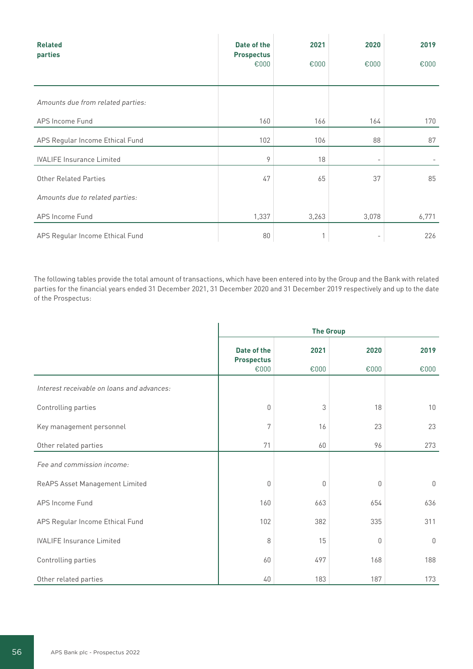| <b>Related</b><br>parties         | Date of the<br><b>Prospectus</b> | 2021  | 2020                     | 2019  |
|-----------------------------------|----------------------------------|-------|--------------------------|-------|
|                                   | €000                             | €000  | €000                     | €000  |
|                                   |                                  |       |                          |       |
| Amounts due from related parties: |                                  |       |                          |       |
| APS Income Fund                   | 160                              | 166   | 164                      | 170   |
| APS Regular Income Ethical Fund   | 102                              | 106   | 88                       | 87    |
| <b>IVALIFE Insurance Limited</b>  | 9                                | 18    | $\overline{\phantom{0}}$ |       |
| Other Related Parties             | 47                               | 65    | 37                       | 85    |
| Amounts due to related parties:   |                                  |       |                          |       |
| APS Income Fund                   | 1,337                            | 3,263 | 3,078                    | 6,771 |
| APS Regular Income Ethical Fund   | 80                               | 1     |                          | 226   |

The following tables provide the total amount of transactions, which have been entered into by the Group and the Bank with related parties for the financial years ended 31 December 2021, 31 December 2020 and 31 December 2019 respectively and up to the date of the Prospectus:

|                                            | <b>The Group</b>                         |              |              |              |  |  |
|--------------------------------------------|------------------------------------------|--------------|--------------|--------------|--|--|
|                                            | Date of the<br><b>Prospectus</b><br>€000 | 2021<br>€000 | 2020<br>€000 | 2019<br>€000 |  |  |
| Interest receivable on loans and advances: |                                          |              |              |              |  |  |
| Controlling parties                        | $\theta$                                 | 3            | 18           | 10           |  |  |
| Key management personnel                   | 7                                        | 16           | 23           | 23           |  |  |
| Other related parties                      | 71                                       | 60           | 96           | 273          |  |  |
| Fee and commission income:                 |                                          |              |              |              |  |  |
| ReAPS Asset Management Limited             | $\theta$                                 | 0            | 0            | $\mathbf 0$  |  |  |
| APS Income Fund                            | 160                                      | 663          | 654          | 636          |  |  |
| APS Regular Income Ethical Fund            | 102                                      | 382          | 335          | 311          |  |  |
| <b>IVALIFE Insurance Limited</b>           | 8                                        | 15           | $\theta$     | $\mathbb O$  |  |  |
| Controlling parties                        | 60                                       | 497          | 168          | 188          |  |  |
| Other related parties                      | 40                                       | 183          | 187          | 173          |  |  |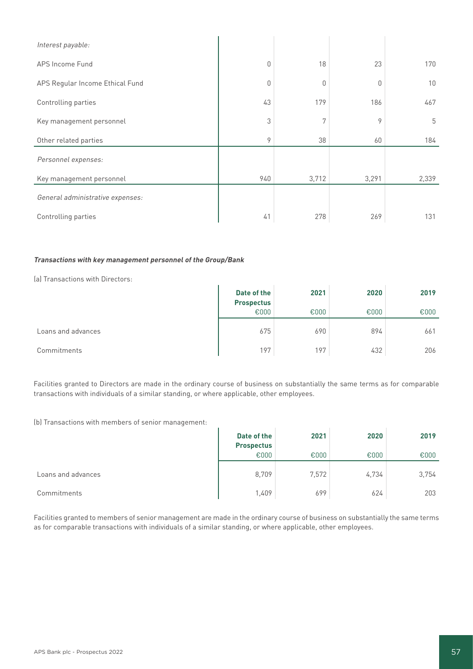| Interest payable:                |          |       |       |                 |
|----------------------------------|----------|-------|-------|-----------------|
| APS Income Fund                  | $\Omega$ | 18    | 23    | 170             |
| APS Regular Income Ethical Fund  | 0        | 0     | 0     | 10 <sup>°</sup> |
| Controlling parties              | 43       | 179   | 186   | 467             |
| Key management personnel         | 3        | 7     | 9     | 5               |
| Other related parties            | 9        | 38    | 60    | 184             |
| Personnel expenses:              |          |       |       |                 |
| Key management personnel         | 940      | 3,712 | 3,291 | 2,339           |
| General administrative expenses: |          |       |       |                 |
| Controlling parties              | 41       | 278   | 269   | 131             |

# **Transactions with key management personnel of the Group/Bank**

(a) Transactions with Directors:

| la) Transactions with Directors: |                                  |      |      |      |
|----------------------------------|----------------------------------|------|------|------|
|                                  | Date of the<br><b>Prospectus</b> | 2021 | 2020 | 2019 |
|                                  | €000                             | €000 | €000 | €000 |
| Loans and advances               | 675                              | 690  | 894  | 661  |
| Commitments                      | 197                              | 197  | 432  | 206  |

Facilities granted to Directors are made in the ordinary course of business on substantially the same terms as for comparable transactions with individuals of a similar standing, or where applicable, other employees.

(b) Transactions with members of senior management:

| (b) Transactions with members of senior management: |                                  |       |       |       |
|-----------------------------------------------------|----------------------------------|-------|-------|-------|
|                                                     | Date of the<br><b>Prospectus</b> | 2021  | 2020  | 2019  |
|                                                     | €000                             | £000  | €000  | €000  |
| Loans and advances                                  | 8,709                            | 7.572 | 4,734 | 3,754 |
| Commitments                                         | 1,409                            | 699   | 624   | 203   |

Facilities granted to members of senior management are made in the ordinary course of business on substantially the same terms as for comparable transactions with individuals of a similar standing, or where applicable, other employees.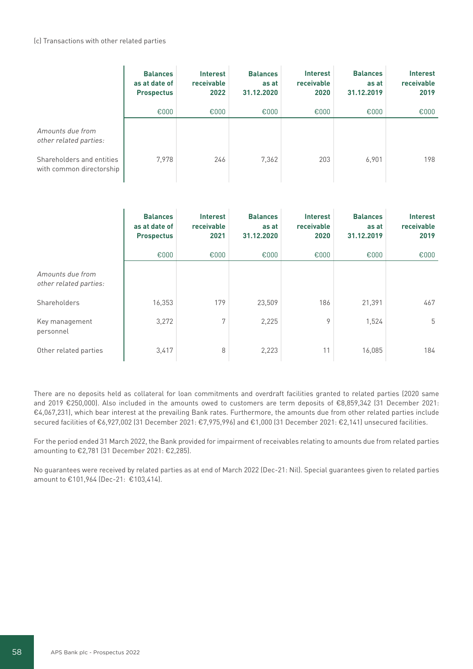# (c) Transactions with other related parties

|                                                       | <b>Balances</b><br>as at date of<br><b>Prospectus</b> | <b>Interest</b><br>receivable<br>2022 | <b>Balances</b><br>as at<br>31.12.2020 | <b>Interest</b><br>receivable<br>2020 | <b>Balances</b><br>as at<br>31.12.2019 | <b>Interest</b><br>receivable<br>2019 |
|-------------------------------------------------------|-------------------------------------------------------|---------------------------------------|----------------------------------------|---------------------------------------|----------------------------------------|---------------------------------------|
|                                                       | €000                                                  | €000                                  | €000                                   | €000                                  | €000                                   | €000                                  |
| Amounts due from<br>other related parties:            |                                                       |                                       |                                        |                                       |                                        |                                       |
| Shareholders and entities<br>with common directorship | 7.978                                                 | 246                                   | 7,362                                  | 203                                   | 6,901                                  | 198                                   |

|                                            | <b>Balances</b><br>as at date of<br><b>Prospectus</b> | <b>Interest</b><br>receivable<br>2021 | <b>Balances</b><br>as at<br>31.12.2020 | <b>Interest</b><br>receivable<br>2020 | <b>Balances</b><br>as at<br>31.12.2019 | <b>Interest</b><br>receivable<br>2019 |
|--------------------------------------------|-------------------------------------------------------|---------------------------------------|----------------------------------------|---------------------------------------|----------------------------------------|---------------------------------------|
|                                            | €000                                                  | €000                                  | €000                                   | €000                                  | €000                                   | €000                                  |
| Amounts due from<br>other related parties: |                                                       |                                       |                                        |                                       |                                        |                                       |
| Shareholders                               | 16,353                                                | 179                                   | 23,509                                 | 186                                   | 21,391                                 | 467                                   |
| Key management<br>personnel                | 3,272                                                 | 7                                     | 2,225                                  | 9                                     | 1,524                                  | 5                                     |
| Other related parties                      | 3,417                                                 | 8                                     | 2,223                                  | 11                                    | 16,085                                 | 184                                   |

There are no deposits held as collateral for loan commitments and overdraft facilities granted to related parties (2020 same and 2019 €250,000). Also included in the amounts owed to customers are term deposits of €8,859,342 (31 December 2021: €4,067,231), which bear interest at the prevailing Bank rates. Furthermore, the amounts due from other related parties include secured facilities of €6,927,002 (31 December 2021: €7,975,996) and €1,000 (31 December 2021: €2,141) unsecured facilities.

For the period ended 31 March 2022, the Bank provided for impairment of receivables relating to amounts due from related parties amounting to €2,781 (31 December 2021: €2,285).

No guarantees were received by related parties as at end of March 2022 (Dec-21: Nil). Special guarantees given to related parties amount to €101,964 (Dec-21: €103,414).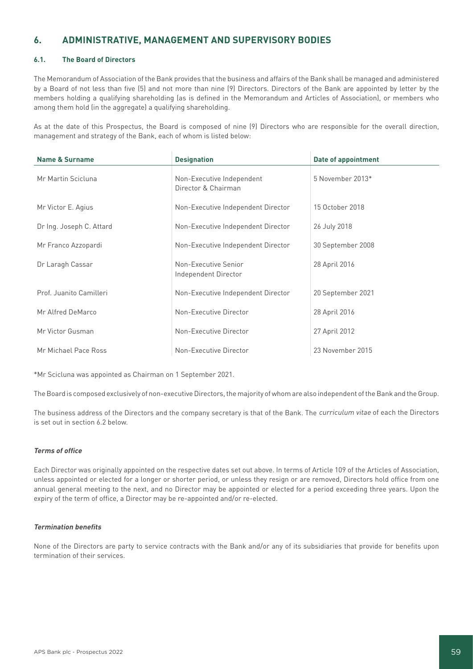# **6. ADMINISTRATIVE, MANAGEMENT AND SUPERVISORY BODIES**

# **6.1. The Board of Directors**

The Memorandum of Association of the Bank provides that the business and affairs of the Bank shall be managed and administered by a Board of not less than five (5) and not more than nine (9) Directors. Directors of the Bank are appointed by letter by the members holding a qualifying shareholding (as is defined in the Memorandum and Articles of Association), or members who among them hold (in the aggregate) a qualifying shareholding.

As at the date of this Prospectus, the Board is composed of nine (9) Directors who are responsible for the overall direction, management and strategy of the Bank, each of whom is listed below:

| <b>Name &amp; Surname</b> | <b>Designation</b>                               | Date of appointment |
|---------------------------|--------------------------------------------------|---------------------|
| Mr Martin Scicluna        | Non-Executive Independent<br>Director & Chairman | 5 November 2013*    |
| Mr Victor E. Agius        | Non-Executive Independent Director               | 15 October 2018     |
| Dr Ing. Joseph C. Attard  | Non-Executive Independent Director               | 26 July 2018        |
| Mr Franco Azzopardi       | Non-Executive Independent Director               | 30 September 2008   |
| Dr Laragh Cassar          | Non-Executive Senior<br>Independent Director     | 28 April 2016       |
| Prof. Juanito Camilleri   | Non-Executive Independent Director               | 20 September 2021   |
| Mr Alfred DeMarco         | Non-Executive Director                           | 28 April 2016       |
| Mr Victor Gusman          | Non-Executive Director                           | 27 April 2012       |
| Mr Michael Pace Ross      | Non-Executive Director                           | 23 November 2015    |

\*Mr Scicluna was appointed as Chairman on 1 September 2021.

The Board is composed exclusively of non-executive Directors, the majority of whom are also independent of the Bank and the Group.

The business address of the Directors and the company secretary is that of the Bank. The curriculum vitae of each the Directors is set out in section 6.2 below.

# **Terms of office**

Each Director was originally appointed on the respective dates set out above. In terms of Article 109 of the Articles of Association, unless appointed or elected for a longer or shorter period, or unless they resign or are removed, Directors hold office from one annual general meeting to the next, and no Director may be appointed or elected for a period exceeding three years. Upon the expiry of the term of office, a Director may be re-appointed and/or re-elected.

# **Termination benefits**

None of the Directors are party to service contracts with the Bank and/or any of its subsidiaries that provide for benefits upon termination of their services.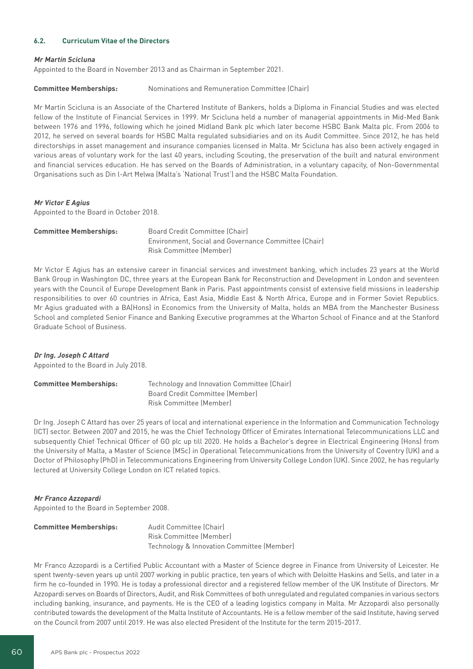# **6.2. Curriculum Vitae of the Directors**

#### **Mr Martin Scicluna**

Appointed to the Board in November 2013 and as Chairman in September 2021.

**Committee Memberships:** Nominations and Remuneration Committee (Chair)

Mr Martin Scicluna is an Associate of the Chartered Institute of Bankers, holds a Diploma in Financial Studies and was elected fellow of the Institute of Financial Services in 1999. Mr Scicluna held a number of managerial appointments in Mid-Med Bank between 1976 and 1996, following which he joined Midland Bank plc which later become HSBC Bank Malta plc. From 2006 to 2012, he served on several boards for HSBC Malta regulated subsidiaries and on its Audit Committee. Since 2012, he has held directorships in asset management and insurance companies licensed in Malta. Mr Scicluna has also been actively engaged in various areas of voluntary work for the last 40 years, including Scouting, the preservation of the built and natural environment and financial services education. He has served on the Boards of Administration, in a voluntary capacity, of Non-Governmental Organisations such as Din l-Art Ħelwa (Malta's 'National Trust') and the HSBC Malta Foundation.

#### **Mr Victor E Agius**

Appointed to the Board in October 2018.

| <b>Committee Memberships:</b> | Board Credit Committee (Chair)                       |
|-------------------------------|------------------------------------------------------|
|                               | Environment, Social and Governance Committee (Chair) |
|                               | Risk Committee (Member)                              |
|                               |                                                      |

Mr Victor E Agius has an extensive career in financial services and investment banking, which includes 23 years at the World Bank Group in Washington DC, three years at the European Bank for Reconstruction and Development in London and seventeen years with the Council of Europe Development Bank in Paris. Past appointments consist of extensive field missions in leadership responsibilities to over 60 countries in Africa, East Asia, Middle East & North Africa, Europe and in Former Soviet Republics. Mr Agius graduated with a BA(Hons) in Economics from the University of Malta, holds an MBA from the Manchester Business School and completed Senior Finance and Banking Executive programmes at the Wharton School of Finance and at the Stanford Graduate School of Business.

# **Dr Ing. Joseph C Attard**

Appointed to the Board in July 2018.

| <b>Committee Memberships:</b> | Technology and Innovation Committee (Chair) |
|-------------------------------|---------------------------------------------|
|                               | Board Credit Committee (Member)             |
|                               | <b>Risk Committee (Member)</b>              |

Dr Ing. Joseph C Attard has over 25 years of local and international experience in the Information and Communication Technology (ICT) sector. Between 2007 and 2015, he was the Chief Technology Officer of Emirates International Telecommunications LLC and subsequently Chief Technical Officer of GO plc up till 2020. He holds a Bachelor's degree in Electrical Engineering (Hons) from the University of Malta, a Master of Science (MSc) in Operational Telecommunications from the University of Coventry (UK) and a Doctor of Philosophy (PhD) in Telecommunications Engineering from University College London (UK). Since 2002, he has regularly lectured at University College London on ICT related topics.

#### **Mr Franco Azzopardi**

Appointed to the Board in September 2008.

| <b>Committee Memberships:</b> | Audit Committee (Chair)                    |
|-------------------------------|--------------------------------------------|
|                               | Risk Committee (Member)                    |
|                               | Technology & Innovation Committee (Member) |

Mr Franco Azzopardi is a Certified Public Accountant with a Master of Science degree in Finance from University of Leicester. He spent twenty-seven years up until 2007 working in public practice, ten years of which with Deloitte Haskins and Sells, and later in a firm he co-founded in 1990. He is today a professional director and a registered fellow member of the UK Institute of Directors. Mr Azzopardi serves on Boards of Directors, Audit, and Risk Committees of both unregulated and regulated companies in various sectors including banking, insurance, and payments. He is the CEO of a leading logistics company in Malta. Mr Azzopardi also personally contributed towards the development of the Malta Institute of Accountants. He is a fellow member of the said Institute, having served on the Council from 2007 until 2019. He was also elected President of the Institute for the term 2015-2017.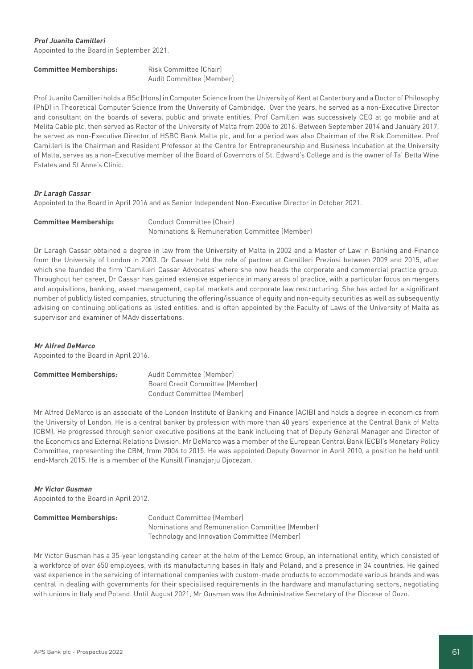# **Prof Juanito Camilleri**

Appointed to the Board in September 2021.

| <b>Committee Memberships:</b> | <b>Risk Committee (Chair)</b> |  |  |
|-------------------------------|-------------------------------|--|--|
|                               | Audit Committee (Member)      |  |  |

Prof Juanito Camilleri holds a BSc (Hons) in Computer Science from the University of Kent at Canterbury and a Doctor of Philosophy (PhD) in Theoretical Computer Science from the University of Cambridge. Over the years, he served as a non-Executive Director and consultant on the boards of several public and private entities. Prof Camilleri was successively CEO at go mobile and at Melita Cable plc, then served as Rector of the University of Malta from 2006 to 2016. Between September 2014 and January 2017, he served as non-Executive Director of HSBC Bank Malta plc, and for a period was also Chairman of the Risk Committee. Prof Camilleri is the Chairman and Resident Professor at the Centre for Entrepreneurship and Business Incubation at the University of Malta, serves as a non-Executive member of the Board of Governors of St. Edward's College and is the owner of Ta' Betta Wine Estates and St Anne's Clinic.

### **Dr Laragh Cassar**

Appointed to the Board in April 2016 and as Senior Independent Non-Executive Director in October 2021.

# **Committee Membership:** Conduct Committee (Chair)

Nominations & Remuneration Committee (Member)

Dr Laragh Cassar obtained a degree in law from the University of Malta in 2002 and a Master of Law in Banking and Finance from the University of London in 2003. Dr Cassar held the role of partner at Camilleri Preziosi between 2009 and 2015, after which she founded the firm 'Camilleri Cassar Advocates' where she now heads the corporate and commercial practice group. Throughout her career, Dr Cassar has gained extensive experience in many areas of practice, with a particular focus on mergers and acquisitions, banking, asset management, capital markets and corporate law restructuring. She has acted for a significant number of publicly listed companies, structuring the offering/issuance of equity and non-equity securities as well as subsequently advising on continuing obligations as listed entities. and is often appointed by the Faculty of Laws of the University of Malta as supervisor and examiner of MAdv dissertations.

# **Mr Alfred DeMarco**

Appointed to the Board in April 2016.

| <b>Committee Memberships:</b> | Audit Committee (Member)        |
|-------------------------------|---------------------------------|
|                               | Board Credit Committee (Member) |
|                               | Conduct Committee (Member)      |

Mr Alfred DeMarco is an associate of the London Institute of Banking and Finance (ACIB) and holds a degree in economics from the University of London. He is a central banker by profession with more than 40 years' experience at the Central Bank of Malta (CBM). He progressed through senior executive positions at the bank including that of Deputy General Manager and Director of the Economics and External Relations Division. Mr DeMarco was a member of the European Central Bank (ECB)'s Monetary Policy Committee, representing the CBM, from 2004 to 2015. He was appointed Deputy Governor in April 2010, a position he held until end-March 2015. He is a member of the Kunsill Finanzjarju Djoceżan.

#### **Mr Victor Gusman**

Appointed to the Board in April 2012.

| <b>Committee Memberships:</b> | Conduct Committee (Member)                      |  |
|-------------------------------|-------------------------------------------------|--|
|                               | Nominations and Remuneration Committee (Member) |  |
|                               | Technology and Innovation Committee (Member)    |  |

Mr Victor Gusman has a 35-year longstanding career at the helm of the Lemco Group, an international entity, which consisted of a workforce of over 650 employees, with its manufacturing bases in Italy and Poland, and a presence in 34 countries. He gained vast experience in the servicing of international companies with custom-made products to accommodate various brands and was central in dealing with governments for their specialised requirements in the hardware and manufacturing sectors, negotiating with unions in Italy and Poland. Until August 2021, Mr Gusman was the Administrative Secretary of the Diocese of Gozo.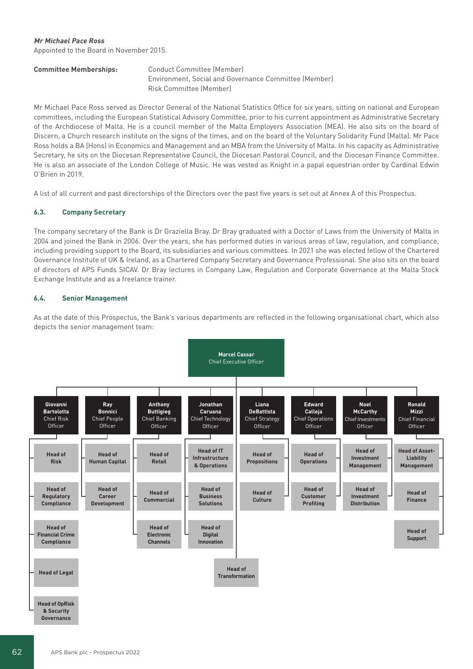# **Mr Michael Pace Ross**

Appointed to the Board in November 2015.

**Conduct Committee (Member)**  Environment, Social and Governance Committee (Member) Risk Committee (Member)

Mr Michael Pace Ross served as Director General of the National Statistics Office for six years, sitting on national and European committees, including the European Statistical Advisory Committee, prior to his current appointment as Administrative Secretary of the Archdiocese of Malta. He is a council member of the Malta Employers Association (MEA). He also sits on the board of Discern, a Church research institute on the signs of the times, and on the board of the Voluntary Solidarity Fund (Malta). Mr Pace Ross holds a BA (Hons) in Economics and Management and an MBA from the University of Malta. In his capacity as Administrative Secretary, he sits on the Diocesan Representative Council, the Diocesan Pastoral Council, and the Diocesan Finance Committee. He is also an associate of the London College of Music. He was vested as Knight in a papal equestrian order by Cardinal Edwin O'Brien in 2019.

A list of all current and past directorships of the Directors over the past five years is set out at Annex A of this Prospectus.

# **6.3. Company Secretary**

The company secretary of the Bank is Dr Graziella Bray. Dr Bray graduated with a Doctor of Laws from the University of Malta in 2004 and joined the Bank in 2006. Over the years, she has performed duties in various areas of law, regulation, and compliance, including providing support to the Board, its subsidiaries and various committees. In 2021 she was elected fellow of the Chartered Governance Institute of UK & Ireland, as a Chartered Company Secretary and Governance Professional. She also sits on the board of directors of APS Funds SICAV. Dr Bray lectures in Company Law, Regulation and Corporate Governance at the Malta Stock Exchange Institute and as a freelance trainer.

# **6.4. Senior Management**

As at the date of this Prospectus, the Bank's various departments are reflected in the following organisational chart, which also depicts the senior management team:

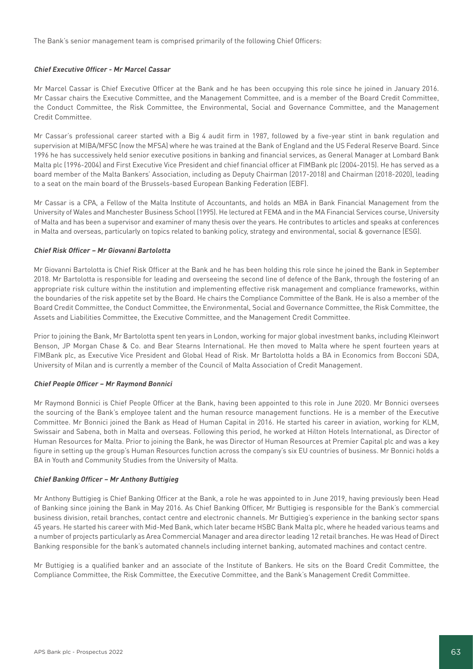The Bank's senior management team is comprised primarily of the following Chief Officers:

#### **Chief Executive Officer - Mr Marcel Cassar**

Mr Marcel Cassar is Chief Executive Officer at the Bank and he has been occupying this role since he joined in January 2016. Mr Cassar chairs the Executive Committee, and the Management Committee, and is a member of the Board Credit Committee, the Conduct Committee, the Risk Committee, the Environmental, Social and Governance Committee, and the Management Credit Committee.

Mr Cassar's professional career started with a Big 4 audit firm in 1987, followed by a five-year stint in bank regulation and supervision at MIBA/MFSC (now the MFSA) where he was trained at the Bank of England and the US Federal Reserve Board. Since 1996 he has successively held senior executive positions in banking and financial services, as General Manager at Lombard Bank Malta plc (1996-2004) and First Executive Vice President and chief financial officer at FIMBank plc (2004-2015). He has served as a board member of the Malta Bankers' Association, including as Deputy Chairman (2017-2018) and Chairman (2018-2020), leading to a seat on the main board of the Brussels-based European Banking Federation (EBF).

Mr Cassar is a CPA, a Fellow of the Malta Institute of Accountants, and holds an MBA in Bank Financial Management from the University of Wales and Manchester Business School (1995). He lectured at FEMA and in the MA Financial Services course, University of Malta and has been a supervisor and examiner of many thesis over the years. He contributes to articles and speaks at conferences in Malta and overseas, particularly on topics related to banking policy, strategy and environmental, social & governance (ESG).

### **Chief Risk Officer – Mr Giovanni Bartolotta**

Mr Giovanni Bartolotta is Chief Risk Officer at the Bank and he has been holding this role since he joined the Bank in September 2018. Mr Bartolotta is responsible for leading and overseeing the second line of defence of the Bank, through the fostering of an appropriate risk culture within the institution and implementing effective risk management and compliance frameworks, within the boundaries of the risk appetite set by the Board. He chairs the Compliance Committee of the Bank. He is also a member of the Board Credit Committee, the Conduct Committee, the Environmental, Social and Governance Committee, the Risk Committee, the Assets and Liabilities Committee, the Executive Committee, and the Management Credit Committee.

Prior to joining the Bank, Mr Bartolotta spent ten years in London, working for major global investment banks, including Kleinwort Benson, JP Morgan Chase & Co. and Bear Stearns International. He then moved to Malta where he spent fourteen years at FIMBank plc, as Executive Vice President and Global Head of Risk. Mr Bartolotta holds a BA in Economics from Bocconi SDA, University of Milan and is currently a member of the Council of Malta Association of Credit Management.

#### **Chief People Officer – Mr Raymond Bonnici**

Mr Raymond Bonnici is Chief People Officer at the Bank, having been appointed to this role in June 2020. Mr Bonnici oversees the sourcing of the Bank's employee talent and the human resource management functions. He is a member of the Executive Committee. Mr Bonnici joined the Bank as Head of Human Capital in 2016. He started his career in aviation, working for KLM, Swissair and Sabena, both in Malta and overseas. Following this period, he worked at Hilton Hotels International, as Director of Human Resources for Malta. Prior to joining the Bank, he was Director of Human Resources at Premier Capital plc and was a key figure in setting up the group's Human Resources function across the company's six EU countries of business. Mr Bonnici holds a BA in Youth and Community Studies from the University of Malta.

#### **Chief Banking Officer – Mr Anthony Buttigieg**

Mr Anthony Buttigieg is Chief Banking Officer at the Bank, a role he was appointed to in June 2019, having previously been Head of Banking since joining the Bank in May 2016. As Chief Banking Officer, Mr Buttigieg is responsible for the Bank's commercial business division, retail branches, contact centre and electronic channels. Mr Buttigieg's experience in the banking sector spans 45 years. He started his career with Mid-Med Bank, which later became HSBC Bank Malta plc, where he headed various teams and a number of projects particularly as Area Commercial Manager and area director leading 12 retail branches. He was Head of Direct Banking responsible for the bank's automated channels including internet banking, automated machines and contact centre.

Mr Buttigieg is a qualified banker and an associate of the Institute of Bankers. He sits on the Board Credit Committee, the Compliance Committee, the Risk Committee, the Executive Committee, and the Bank's Management Credit Committee.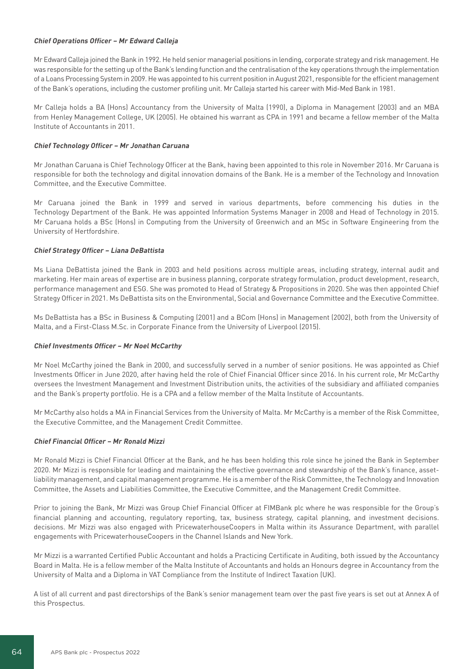# **Chief Operations Officer – Mr Edward Calleja**

Mr Edward Calleja joined the Bank in 1992. He held senior managerial positions in lending, corporate strategy and risk management. He was responsible for the setting up of the Bank's lending function and the centralisation of the key operations through the implementation of a Loans Processing System in 2009. He was appointed to his current position in August 2021, responsible for the efficient management of the Bank's operations, including the customer profiling unit. Mr Calleja started his career with Mid-Med Bank in 1981.

Mr Calleja holds a BA (Hons) Accountancy from the University of Malta (1990), a Diploma in Management (2003) and an MBA from Henley Management College, UK (2005). He obtained his warrant as CPA in 1991 and became a fellow member of the Malta Institute of Accountants in 2011.

### **Chief Technology Officer – Mr Jonathan Caruana**

Mr Jonathan Caruana is Chief Technology Officer at the Bank, having been appointed to this role in November 2016. Mr Caruana is responsible for both the technology and digital innovation domains of the Bank. He is a member of the Technology and Innovation Committee, and the Executive Committee.

Mr Caruana joined the Bank in 1999 and served in various departments, before commencing his duties in the Technology Department of the Bank. He was appointed Information Systems Manager in 2008 and Head of Technology in 2015. Mr Caruana holds a BSc (Hons) in Computing from the University of Greenwich and an MSc in Software Engineering from the University of Hertfordshire.

### **Chief Strategy Officer – Liana DeBattista**

Ms Liana DeBattista joined the Bank in 2003 and held positions across multiple areas, including strategy, internal audit and marketing. Her main areas of expertise are in business planning, corporate strategy formulation, product development, research, performance management and ESG. She was promoted to Head of Strategy & Propositions in 2020. She was then appointed Chief Strategy Officer in 2021. Ms DeBattista sits on the Environmental, Social and Governance Committee and the Executive Committee.

Ms DeBattista has a BSc in Business & Computing (2001) and a BCom (Hons) in Management (2002), both from the University of Malta, and a First-Class M.Sc. in Corporate Finance from the University of Liverpool (2015).

#### **Chief Investments Officer – Mr Noel McCarthy**

Mr Noel McCarthy joined the Bank in 2000, and successfully served in a number of senior positions. He was appointed as Chief Investments Officer in June 2020, after having held the role of Chief Financial Officer since 2016. In his current role, Mr McCarthy oversees the Investment Management and Investment Distribution units, the activities of the subsidiary and affiliated companies and the Bank's property portfolio. He is a CPA and a fellow member of the Malta Institute of Accountants.

Mr McCarthy also holds a MA in Financial Services from the University of Malta. Mr McCarthy is a member of the Risk Committee, the Executive Committee, and the Management Credit Committee.

# **Chief Financial Officer – Mr Ronald Mizzi**

Mr Ronald Mizzi is Chief Financial Officer at the Bank, and he has been holding this role since he joined the Bank in September 2020. Mr Mizzi is responsible for leading and maintaining the effective governance and stewardship of the Bank's finance, assetliability management, and capital management programme. He is a member of the Risk Committee, the Technology and Innovation Committee, the Assets and Liabilities Committee, the Executive Committee, and the Management Credit Committee.

Prior to joining the Bank, Mr Mizzi was Group Chief Financial Officer at FIMBank plc where he was responsible for the Group's financial planning and accounting, regulatory reporting, tax, business strategy, capital planning, and investment decisions. decisions. Mr Mizzi was also engaged with PricewaterhouseCoopers in Malta within its Assurance Department, with parallel engagements with PricewaterhouseCoopers in the Channel Islands and New York.

Mr Mizzi is a warranted Certified Public Accountant and holds a Practicing Certificate in Auditing, both issued by the Accountancy Board in Malta. He is a fellow member of the Malta Institute of Accountants and holds an Honours degree in Accountancy from the University of Malta and a Diploma in VAT Compliance from the Institute of Indirect Taxation (UK).

A list of all current and past directorships of the Bank's senior management team over the past five years is set out at Annex A of this Prospectus.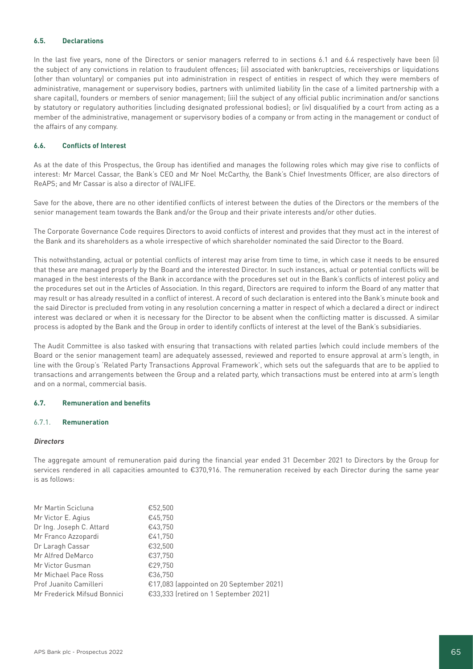# **6.5. Declarations**

In the last five years, none of the Directors or senior managers referred to in sections 6.1 and 6.4 respectively have been (i) the subject of any convictions in relation to fraudulent offences; (ii) associated with bankruptcies, receiverships or liquidations (other than voluntary) or companies put into administration in respect of entities in respect of which they were members of administrative, management or supervisory bodies, partners with unlimited liability (in the case of a limited partnership with a share capital), founders or members of senior management; (iii) the subject of any official public incrimination and/or sanctions by statutory or regulatory authorities (including designated professional bodies); or (iv) disqualified by a court from acting as a member of the administrative, management or supervisory bodies of a company or from acting in the management or conduct of the affairs of any company.

# **6.6. Conflicts of Interest**

As at the date of this Prospectus, the Group has identified and manages the following roles which may give rise to conflicts of interest: Mr Marcel Cassar, the Bank's CEO and Mr Noel McCarthy, the Bank's Chief Investments Officer, are also directors of ReAPS; and Mr Cassar is also a director of IVALIFE.

Save for the above, there are no other identified conflicts of interest between the duties of the Directors or the members of the senior management team towards the Bank and/or the Group and their private interests and/or other duties.

The Corporate Governance Code requires Directors to avoid conflicts of interest and provides that they must act in the interest of the Bank and its shareholders as a whole irrespective of which shareholder nominated the said Director to the Board.

This notwithstanding, actual or potential conflicts of interest may arise from time to time, in which case it needs to be ensured that these are managed properly by the Board and the interested Director. In such instances, actual or potential conflicts will be managed in the best interests of the Bank in accordance with the procedures set out in the Bank's conflicts of interest policy and the procedures set out in the Articles of Association. In this regard, Directors are required to inform the Board of any matter that may result or has already resulted in a conflict of interest. A record of such declaration is entered into the Bank's minute book and the said Director is precluded from voting in any resolution concerning a matter in respect of which a declared a direct or indirect interest was declared or when it is necessary for the Director to be absent when the conflicting matter is discussed. A similar process is adopted by the Bank and the Group in order to identify conflicts of interest at the level of the Bank's subsidiaries.

The Audit Committee is also tasked with ensuring that transactions with related parties (which could include members of the Board or the senior management team) are adequately assessed, reviewed and reported to ensure approval at arm's length, in line with the Group's 'Related Party Transactions Approval Framework', which sets out the safeguards that are to be applied to transactions and arrangements between the Group and a related party, which transactions must be entered into at arm's length and on a normal, commercial basis.

# **6.7. Remuneration and benefits**

# 6.7.1. **Remuneration**

#### **Directors**

The aggregate amount of remuneration paid during the financial year ended 31 December 2021 to Directors by the Group for services rendered in all capacities amounted to €370,916. The remuneration received by each Director during the same year is as follows:

| Mr Martin Scicluna          | €52,500                                  |
|-----------------------------|------------------------------------------|
| Mr Victor E. Agius          | €45,750                                  |
| Dr Ing. Joseph C. Attard    | €43,750                                  |
| Mr Franco Azzopardi         | €41,750                                  |
| Dr Laragh Cassar            | €32,500                                  |
| Mr Alfred DeMarco           | €37,750                                  |
| Mr Victor Gusman            | €29,750                                  |
| Mr Michael Pace Ross        | €36,750                                  |
| Prof Juanito Camilleri      | €17,083 (appointed on 20 September 2021) |
| Mr Frederick Mifsud Bonnici | €33,333 (retired on 1 September 2021)    |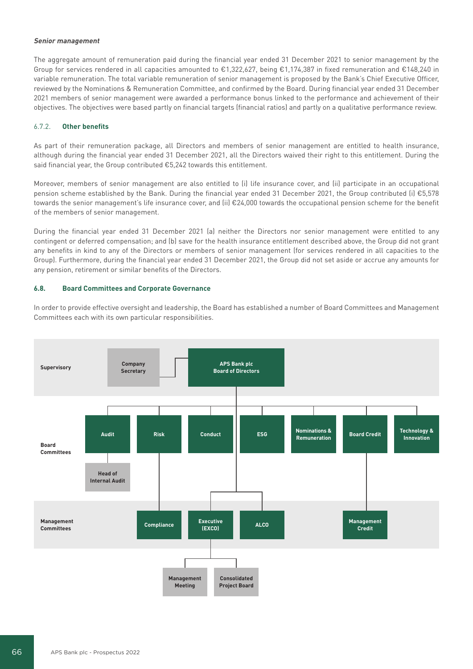#### **Senior management**

The aggregate amount of remuneration paid during the financial year ended 31 December 2021 to senior management by the Group for services rendered in all capacities amounted to €1,322,627, being €1,174,387 in fixed remuneration and €148,240 in variable remuneration. The total variable remuneration of senior management is proposed by the Bank's Chief Executive Officer, reviewed by the Nominations & Remuneration Committee, and confirmed by the Board. During financial year ended 31 December 2021 members of senior management were awarded a performance bonus linked to the performance and achievement of their objectives. The objectives were based partly on financial targets (financial ratios) and partly on a qualitative performance review.

## 6.7.2. **Other benefits**

As part of their remuneration package, all Directors and members of senior management are entitled to health insurance, although during the financial year ended 31 December 2021, all the Directors waived their right to this entitlement. During the said financial year, the Group contributed €5,242 towards this entitlement.

Moreover, members of senior management are also entitled to (i) life insurance cover, and (ii) participate in an occupational pension scheme established by the Bank. During the financial year ended 31 December 2021, the Group contributed (i) €5,578 towards the senior management's life insurance cover, and (ii) €24,000 towards the occupational pension scheme for the benefit of the members of senior management.

During the financial year ended 31 December 2021 (a) neither the Directors nor senior management were entitled to any contingent or deferred compensation; and (b) save for the health insurance entitlement described above, the Group did not grant any benefits in kind to any of the Directors or members of senior management (for services rendered in all capacities to the Group). Furthermore, during the financial year ended 31 December 2021, the Group did not set aside or accrue any amounts for any pension, retirement or similar benefits of the Directors.

## **6.8. Board Committees and Corporate Governance**

In order to provide effective oversight and leadership, the Board has established a number of Board Committees and Management Committees each with its own particular responsibilities.

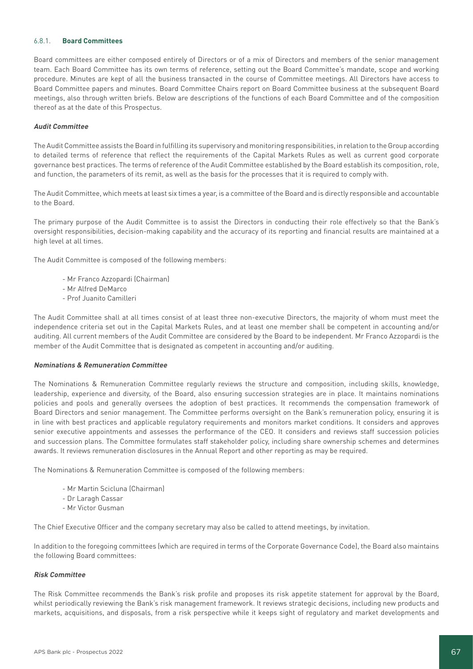# 6.8.1. **Board Committees**

Board committees are either composed entirely of Directors or of a mix of Directors and members of the senior management team. Each Board Committee has its own terms of reference, setting out the Board Committee's mandate, scope and working procedure. Minutes are kept of all the business transacted in the course of Committee meetings. All Directors have access to Board Committee papers and minutes. Board Committee Chairs report on Board Committee business at the subsequent Board meetings, also through written briefs. Below are descriptions of the functions of each Board Committee and of the composition thereof as at the date of this Prospectus.

#### **Audit Committee**

The Audit Committee assists the Board in fulfilling its supervisory and monitoring responsibilities, in relation to the Group according to detailed terms of reference that reflect the requirements of the Capital Markets Rules as well as current good corporate governance best practices. The terms of reference of the Audit Committee established by the Board establish its composition, role, and function, the parameters of its remit, as well as the basis for the processes that it is required to comply with.

The Audit Committee, which meets at least six times a year, is a committee of the Board and is directly responsible and accountable to the Board.

The primary purpose of the Audit Committee is to assist the Directors in conducting their role effectively so that the Bank's oversight responsibilities, decision-making capability and the accuracy of its reporting and financial results are maintained at a high level at all times.

The Audit Committee is composed of the following members:

- Mr Franco Azzopardi (Chairman)
- Mr Alfred DeMarco
- Prof Juanito Camilleri

The Audit Committee shall at all times consist of at least three non-executive Directors, the majority of whom must meet the independence criteria set out in the Capital Markets Rules, and at least one member shall be competent in accounting and/or auditing. All current members of the Audit Committee are considered by the Board to be independent. Mr Franco Azzopardi is the member of the Audit Committee that is designated as competent in accounting and/or auditing.

#### **Nominations & Remuneration Committee**

The Nominations & Remuneration Committee regularly reviews the structure and composition, including skills, knowledge, leadership, experience and diversity, of the Board, also ensuring succession strategies are in place. It maintains nominations policies and pools and generally oversees the adoption of best practices. It recommends the compensation framework of Board Directors and senior management. The Committee performs oversight on the Bank's remuneration policy, ensuring it is in line with best practices and applicable regulatory requirements and monitors market conditions. It considers and approves senior executive appointments and assesses the performance of the CEO. It considers and reviews staff succession policies and succession plans. The Committee formulates staff stakeholder policy, including share ownership schemes and determines awards. It reviews remuneration disclosures in the Annual Report and other reporting as may be required.

The Nominations & Remuneration Committee is composed of the following members:

- Mr Martin Scicluna (Chairman)
- Dr Laragh Cassar
- Mr Victor Gusman

The Chief Executive Officer and the company secretary may also be called to attend meetings, by invitation.

In addition to the foregoing committees (which are required in terms of the Corporate Governance Code), the Board also maintains the following Board committees:

#### **Risk Committee**

The Risk Committee recommends the Bank's risk profile and proposes its risk appetite statement for approval by the Board, whilst periodically reviewing the Bank's risk management framework. It reviews strategic decisions, including new products and markets, acquisitions, and disposals, from a risk perspective while it keeps sight of regulatory and market developments and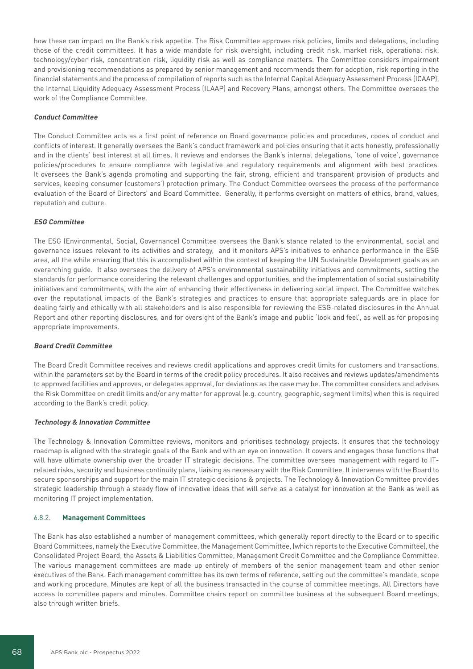how these can impact on the Bank's risk appetite. The Risk Committee approves risk policies, limits and delegations, including those of the credit committees. It has a wide mandate for risk oversight, including credit risk, market risk, operational risk, technology/cyber risk, concentration risk, liquidity risk as well as compliance matters. The Committee considers impairment and provisioning recommendations as prepared by senior management and recommends them for adoption, risk reporting in the financial statements and the process of compilation of reports such as the Internal Capital Adequacy Assessment Process (ICAAP), the Internal Liquidity Adequacy Assessment Process (ILAAP) and Recovery Plans, amongst others. The Committee oversees the work of the Compliance Committee.

# **Conduct Committee**

The Conduct Committee acts as a first point of reference on Board governance policies and procedures, codes of conduct and conflicts of interest. It generally oversees the Bank's conduct framework and policies ensuring that it acts honestly, professionally and in the clients' best interest at all times. It reviews and endorses the Bank's internal delegations, 'tone of voice', governance policies/procedures to ensure compliance with legislative and regulatory requirements and alignment with best practices. It oversees the Bank's agenda promoting and supporting the fair, strong, efficient and transparent provision of products and services, keeping consumer (customers') protection primary. The Conduct Committee oversees the process of the performance evaluation of the Board of Directors' and Board Committee. Generally, it performs oversight on matters of ethics, brand, values, reputation and culture.

# **ESG Committee**

The ESG (Environmental, Social, Governance) Committee oversees the Bank's stance related to the environmental, social and governance issues relevant to its activities and strategy, and it monitors APS's initiatives to enhance performance in the ESG area, all the while ensuring that this is accomplished within the context of keeping the UN Sustainable Development goals as an overarching guide. It also oversees the delivery of APS's environmental sustainability initiatives and commitments, setting the standards for performance considering the relevant challenges and opportunities, and the implementation of social sustainability initiatives and commitments, with the aim of enhancing their effectiveness in delivering social impact. The Committee watches over the reputational impacts of the Bank's strategies and practices to ensure that appropriate safeguards are in place for dealing fairly and ethically with all stakeholders and is also responsible for reviewing the ESG-related disclosures in the Annual Report and other reporting disclosures, and for oversight of the Bank's image and public 'look and feel', as well as for proposing appropriate improvements.

#### **Board Credit Committee**

The Board Credit Committee receives and reviews credit applications and approves credit limits for customers and transactions, within the parameters set by the Board in terms of the credit policy procedures. It also receives and reviews updates/amendments to approved facilities and approves, or delegates approval, for deviations as the case may be. The committee considers and advises the Risk Committee on credit limits and/or any matter for approval (e.g. country, geographic, segment limits) when this is required according to the Bank's credit policy.

# **Technology & Innovation Committee**

The Technology & Innovation Committee reviews, monitors and prioritises technology projects. It ensures that the technology roadmap is aligned with the strategic goals of the Bank and with an eye on innovation. It covers and engages those functions that will have ultimate ownership over the broader IT strategic decisions. The committee oversees management with regard to ITrelated risks, security and business continuity plans, liaising as necessary with the Risk Committee. It intervenes with the Board to secure sponsorships and support for the main IT strategic decisions & projects. The Technology & Innovation Committee provides strategic leadership through a steady flow of innovative ideas that will serve as a catalyst for innovation at the Bank as well as monitoring IT project implementation.

# 6.8.2. **Management Committees**

The Bank has also established a number of management committees, which generally report directly to the Board or to specific Board Committees, namely the Executive Committee, the Management Committee, (which reports to the Executive Committee), the Consolidated Project Board, the Assets & Liabilities Committee, Management Credit Committee and the Compliance Committee. The various management committees are made up entirely of members of the senior management team and other senior executives of the Bank. Each management committee has its own terms of reference, setting out the committee's mandate, scope and working procedure. Minutes are kept of all the business transacted in the course of committee meetings. All Directors have access to committee papers and minutes. Committee chairs report on committee business at the subsequent Board meetings, also through written briefs.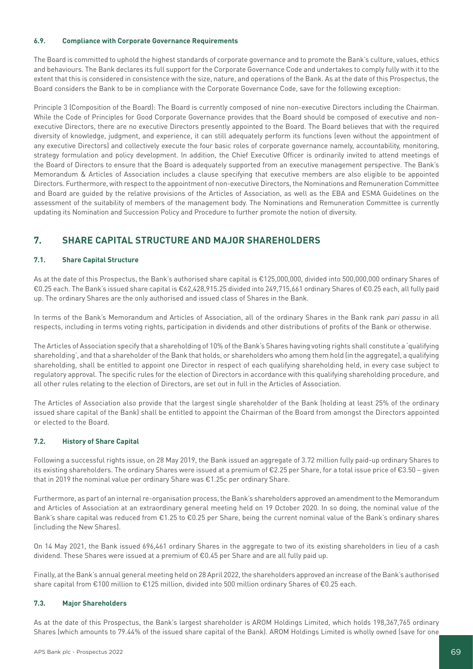# **6.9. Compliance with Corporate Governance Requirements**

The Board is committed to uphold the highest standards of corporate governance and to promote the Bank's culture, values, ethics and behaviours. The Bank declares its full support for the Corporate Governance Code and undertakes to comply fully with it to the extent that this is considered in consistence with the size, nature, and operations of the Bank. As at the date of this Prospectus, the Board considers the Bank to be in compliance with the Corporate Governance Code, save for the following exception:

Principle 3 (Composition of the Board): The Board is currently composed of nine non-executive Directors including the Chairman. While the Code of Principles for Good Corporate Governance provides that the Board should be composed of executive and nonexecutive Directors, there are no executive Directors presently appointed to the Board. The Board believes that with the required diversity of knowledge, judgment, and experience, it can still adequately perform its functions (even without the appointment of any executive Directors) and collectively execute the four basic roles of corporate governance namely, accountability, monitoring, strategy formulation and policy development. In addition, the Chief Executive Officer is ordinarily invited to attend meetings of the Board of Directors to ensure that the Board is adequately supported from an executive management perspective. The Bank's Memorandum & Articles of Association includes a clause specifying that executive members are also eligible to be appointed Directors. Furthermore, with respect to the appointment of non-executive Directors, the Nominations and Remuneration Committee and Board are guided by the relative provisions of the Articles of Association, as well as the EBA and ESMA Guidelines on the assessment of the suitability of members of the management body. The Nominations and Remuneration Committee is currently updating its Nomination and Succession Policy and Procedure to further promote the notion of diversity.

# **7. SHARE CAPITAL STRUCTURE AND MAJOR SHAREHOLDERS**

# **7.1. Share Capital Structure**

As at the date of this Prospectus, the Bank's authorised share capital is €125,000,000, divided into 500,000,000 ordinary Shares of €0.25 each. The Bank's issued share capital is €62,428,915.25 divided into 249,715,661 ordinary Shares of €0.25 each, all fully paid up. The ordinary Shares are the only authorised and issued class of Shares in the Bank.

In terms of the Bank's Memorandum and Articles of Association, all of the ordinary Shares in the Bank rank pari passu in all respects, including in terms voting rights, participation in dividends and other distributions of profits of the Bank or otherwise.

The Articles of Association specify that a shareholding of 10% of the Bank's Shares having voting rights shall constitute a 'qualifying shareholding', and that a shareholder of the Bank that holds, or shareholders who among them hold (in the aggregate), a qualifying shareholding, shall be entitled to appoint one Director in respect of each qualifying shareholding held, in every case subject to regulatory approval. The specific rules for the election of Directors in accordance with this qualifying shareholding procedure, and all other rules relating to the election of Directors, are set out in full in the Articles of Association.

The Articles of Association also provide that the largest single shareholder of the Bank (holding at least 25% of the ordinary issued share capital of the Bank) shall be entitled to appoint the Chairman of the Board from amongst the Directors appointed or elected to the Board.

# **7.2. History of Share Capital**

Following a successful rights issue, on 28 May 2019, the Bank issued an aggregate of 3.72 million fully paid-up ordinary Shares to its existing shareholders. The ordinary Shares were issued at a premium of €2.25 per Share, for a total issue price of €3.50 – given that in 2019 the nominal value per ordinary Share was €1.25c per ordinary Share.

Furthermore, as part of an internal re-organisation process, the Bank's shareholders approved an amendment to the Memorandum and Articles of Association at an extraordinary general meeting held on 19 October 2020. In so doing, the nominal value of the Bank's share capital was reduced from €1.25 to €0.25 per Share, being the current nominal value of the Bank's ordinary shares (including the New Shares).

On 14 May 2021, the Bank issued 696,461 ordinary Shares in the aggregate to two of its existing shareholders in lieu of a cash dividend. These Shares were issued at a premium of €0.45 per Share and are all fully paid up.

Finally, at the Bank's annual general meeting held on 28 April 2022, the shareholders approved an increase of the Bank's authorised share capital from €100 million to €125 million, divided into 500 million ordinary Shares of €0.25 each.

# **7.3. Major Shareholders**

As at the date of this Prospectus, the Bank's largest shareholder is AROM Holdings Limited, which holds 198,367,765 ordinary Shares (which amounts to 79.44% of the issued share capital of the Bank). AROM Holdings Limited is wholly owned (save for one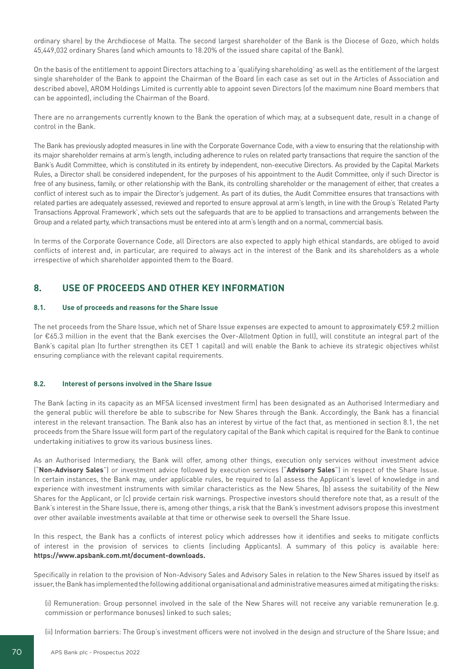ordinary share) by the Archdiocese of Malta. The second largest shareholder of the Bank is the Diocese of Gozo, which holds 45,449,032 ordinary Shares (and which amounts to 18.20% of the issued share capital of the Bank).

On the basis of the entitlement to appoint Directors attaching to a 'qualifying shareholding' as well as the entitlement of the largest single shareholder of the Bank to appoint the Chairman of the Board (in each case as set out in the Articles of Association and described above), AROM Holdings Limited is currently able to appoint seven Directors (of the maximum nine Board members that can be appointed), including the Chairman of the Board.

There are no arrangements currently known to the Bank the operation of which may, at a subsequent date, result in a change of control in the Bank.

The Bank has previously adopted measures in line with the Corporate Governance Code, with a view to ensuring that the relationship with its major shareholder remains at arm's length, including adherence to rules on related party transactions that require the sanction of the Bank's Audit Committee, which is constituted in its entirety by independent, non-executive Directors. As provided by the Capital Markets Rules, a Director shall be considered independent, for the purposes of his appointment to the Audit Committee, only if such Director is free of any business, family, or other relationship with the Bank, its controlling shareholder or the management of either, that creates a conflict of interest such as to impair the Director's judgement. As part of its duties, the Audit Committee ensures that transactions with related parties are adequately assessed, reviewed and reported to ensure approval at arm's length, in line with the Group's 'Related Party Transactions Approval Framework', which sets out the safeguards that are to be applied to transactions and arrangements between the Group and a related party, which transactions must be entered into at arm's length and on a normal, commercial basis.

In terms of the Corporate Governance Code, all Directors are also expected to apply high ethical standards, are obliged to avoid conflicts of interest and, in particular, are required to always act in the interest of the Bank and its shareholders as a whole irrespective of which shareholder appointed them to the Board.

# **8. USE OF PROCEEDS AND OTHER KEY INFORMATION**

# **8.1. Use of proceeds and reasons for the Share Issue**

The net proceeds from the Share Issue, which net of Share Issue expenses are expected to amount to approximately €59.2 million (or €65.3 million in the event that the Bank exercises the Over-Allotment Option in full), will constitute an integral part of the Bank's capital plan (to further strengthen its CET 1 capital) and will enable the Bank to achieve its strategic objectives whilst ensuring compliance with the relevant capital requirements.

# **8.2. Interest of persons involved in the Share Issue**

The Bank (acting in its capacity as an MFSA licensed investment firm) has been designated as an Authorised Intermediary and the general public will therefore be able to subscribe for New Shares through the Bank. Accordingly, the Bank has a financial interest in the relevant transaction. The Bank also has an interest by virtue of the fact that, as mentioned in section 8.1, the net proceeds from the Share Issue will form part of the regulatory capital of the Bank which capital is required for the Bank to continue undertaking initiatives to grow its various business lines.

As an Authorised Intermediary, the Bank will offer, among other things, execution only services without investment advice ("**Non-Advisory Sales**") or investment advice followed by execution services ("**Advisory Sales**") in respect of the Share Issue. In certain instances, the Bank may, under applicable rules, be required to (a) assess the Applicant's level of knowledge in and experience with investment instruments with similar characteristics as the New Shares, (b) assess the suitability of the New Shares for the Applicant, or (c) provide certain risk warnings. Prospective investors should therefore note that, as a result of the Bank's interest in the Share Issue, there is, among other things, a risk that the Bank's investment advisors propose this investment over other available investments available at that time or otherwise seek to oversell the Share Issue.

In this respect, the Bank has a conflicts of interest policy which addresses how it identifies and seeks to mitigate conflicts of interest in the provision of services to clients (including Applicants). A summary of this policy is available here: **https://www.apsbank.com.mt/document-downloads.**

Specifically in relation to the provision of Non-Advisory Sales and Advisory Sales in relation to the New Shares issued by itself as issuer, the Bank has implemented the following additional organisational and administrative measures aimed at mitigating the risks:

(i) Remuneration: Group personnel involved in the sale of the New Shares will not receive any variable remuneration (e.g. commission or performance bonuses) linked to such sales;

(ii) Information barriers: The Group's investment officers were not involved in the design and structure of the Share Issue; and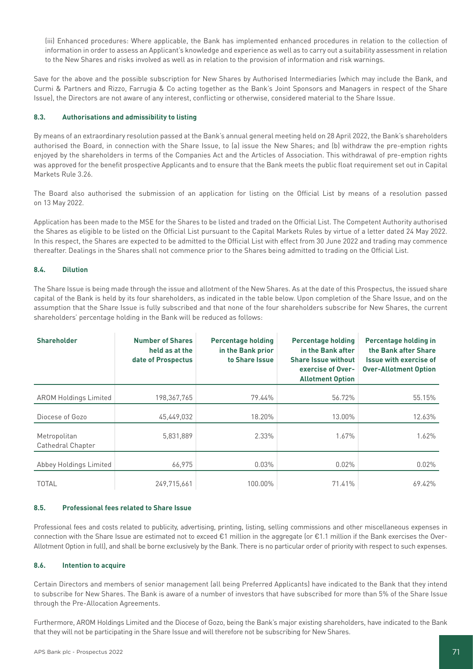(iii) Enhanced procedures: Where applicable, the Bank has implemented enhanced procedures in relation to the collection of information in order to assess an Applicant's knowledge and experience as well as to carry out a suitability assessment in relation to the New Shares and risks involved as well as in relation to the provision of information and risk warnings.

Save for the above and the possible subscription for New Shares by Authorised Intermediaries (which may include the Bank, and Curmi & Partners and Rizzo, Farrugia & Co acting together as the Bank's Joint Sponsors and Managers in respect of the Share Issue), the Directors are not aware of any interest, conflicting or otherwise, considered material to the Share Issue.

# **8.3. Authorisations and admissibility to listing**

By means of an extraordinary resolution passed at the Bank's annual general meeting held on 28 April 2022, the Bank's shareholders authorised the Board, in connection with the Share Issue, to (a) issue the New Shares; and (b) withdraw the pre-emption rights enjoyed by the shareholders in terms of the Companies Act and the Articles of Association. This withdrawal of pre-emption rights was approved for the benefit prospective Applicants and to ensure that the Bank meets the public float requirement set out in Capital Markets Rule 3.26.

The Board also authorised the submission of an application for listing on the Official List by means of a resolution passed on 13 May 2022.

Application has been made to the MSE for the Shares to be listed and traded on the Official List. The Competent Authority authorised the Shares as eligible to be listed on the Official List pursuant to the Capital Markets Rules by virtue of a letter dated 24 May 2022. In this respect, the Shares are expected to be admitted to the Official List with effect from 30 June 2022 and trading may commence thereafter. Dealings in the Shares shall not commence prior to the Shares being admitted to trading on the Official List.

# **8.4. Dilution**

The Share Issue is being made through the issue and allotment of the New Shares. As at the date of this Prospectus, the issued share capital of the Bank is held by its four shareholders, as indicated in the table below. Upon completion of the Share Issue, and on the assumption that the Share Issue is fully subscribed and that none of the four shareholders subscribe for New Shares, the current shareholders' percentage holding in the Bank will be reduced as follows:

| <b>Shareholder</b>                | <b>Number of Shares</b><br>held as at the<br>date of Prospectus | <b>Percentage holding</b><br>in the Bank prior<br>to Share Issue | <b>Percentage holding</b><br>in the Bank after<br><b>Share Issue without</b><br>exercise of Over-<br><b>Allotment Option</b> | Percentage holding in<br>the Bank after Share<br><b>Issue with exercise of</b><br><b>Over-Allotment Option</b> |
|-----------------------------------|-----------------------------------------------------------------|------------------------------------------------------------------|------------------------------------------------------------------------------------------------------------------------------|----------------------------------------------------------------------------------------------------------------|
| <b>AROM Holdings Limited</b>      | 198,367,765                                                     | 79.44%                                                           | 56.72%                                                                                                                       | 55.15%                                                                                                         |
| Diocese of Gozo                   | 45,449,032                                                      | 18.20%                                                           | 13.00%                                                                                                                       | 12.63%                                                                                                         |
| Metropolitan<br>Cathedral Chapter | 5,831,889                                                       | 2.33%                                                            | 1.67%                                                                                                                        | 1.62%                                                                                                          |
| Abbey Holdings Limited            | 66,975                                                          | 0.03%                                                            | $0.02\%$                                                                                                                     | 0.02%                                                                                                          |
| <b>TOTAL</b>                      | 249.715.661                                                     | 100.00%                                                          | 71.41%                                                                                                                       | 69.42%                                                                                                         |

### **8.5. Professional fees related to Share Issue**

Professional fees and costs related to publicity, advertising, printing, listing, selling commissions and other miscellaneous expenses in connection with the Share Issue are estimated not to exceed €1 million in the aggregate (or €1.1 million if the Bank exercises the Over-Allotment Option in full), and shall be borne exclusively by the Bank. There is no particular order of priority with respect to such expenses.

# **8.6. Intention to acquire**

Certain Directors and members of senior management (all being Preferred Applicants) have indicated to the Bank that they intend to subscribe for New Shares. The Bank is aware of a number of investors that have subscribed for more than 5% of the Share Issue through the Pre-Allocation Agreements.

Furthermore, AROM Holdings Limited and the Diocese of Gozo, being the Bank's major existing shareholders, have indicated to the Bank that they will not be participating in the Share Issue and will therefore not be subscribing for New Shares.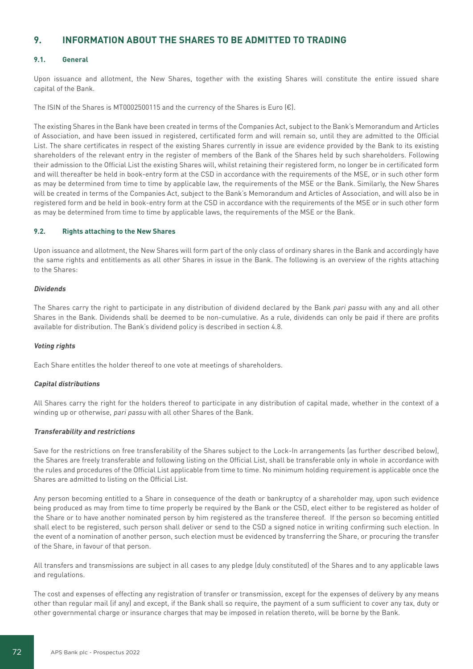# **9. INFORMATION ABOUT THE SHARES TO BE ADMITTED TO TRADING**

# **9.1. General**

Upon issuance and allotment, the New Shares, together with the existing Shares will constitute the entire issued share capital of the Bank.

The ISIN of the Shares is MT0002500115 and the currency of the Shares is Euro  $(\epsilon)$ .

The existing Shares in the Bank have been created in terms of the Companies Act, subject to the Bank's Memorandum and Articles of Association, and have been issued in registered, certificated form and will remain so, until they are admitted to the Official List. The share certificates in respect of the existing Shares currently in issue are evidence provided by the Bank to its existing shareholders of the relevant entry in the register of members of the Bank of the Shares held by such shareholders. Following their admission to the Official List the existing Shares will, whilst retaining their registered form, no longer be in certificated form and will thereafter be held in book-entry form at the CSD in accordance with the requirements of the MSE, or in such other form as may be determined from time to time by applicable law, the requirements of the MSE or the Bank. Similarly, the New Shares will be created in terms of the Companies Act, subject to the Bank's Memorandum and Articles of Association, and will also be in registered form and be held in book-entry form at the CSD in accordance with the requirements of the MSE or in such other form as may be determined from time to time by applicable laws, the requirements of the MSE or the Bank.

# **9.2. Rights attaching to the New Shares**

Upon issuance and allotment, the New Shares will form part of the only class of ordinary shares in the Bank and accordingly have the same rights and entitlements as all other Shares in issue in the Bank. The following is an overview of the rights attaching to the Shares:

#### **Dividends**

The Shares carry the right to participate in any distribution of dividend declared by the Bank pari passu with any and all other Shares in the Bank. Dividends shall be deemed to be non-cumulative. As a rule, dividends can only be paid if there are profits available for distribution. The Bank's dividend policy is described in section 4.8.

# **Voting rights**

Each Share entitles the holder thereof to one vote at meetings of shareholders.

# **Capital distributions**

All Shares carry the right for the holders thereof to participate in any distribution of capital made, whether in the context of a winding up or otherwise, pari passu with all other Shares of the Bank.

# **Transferability and restrictions**

Save for the restrictions on free transferability of the Shares subject to the Lock-In arrangements (as further described below), the Shares are freely transferable and following listing on the Official List, shall be transferable only in whole in accordance with the rules and procedures of the Official List applicable from time to time. No minimum holding requirement is applicable once the Shares are admitted to listing on the Official List.

Any person becoming entitled to a Share in consequence of the death or bankruptcy of a shareholder may, upon such evidence being produced as may from time to time properly be required by the Bank or the CSD, elect either to be registered as holder of the Share or to have another nominated person by him registered as the transferee thereof. If the person so becoming entitled shall elect to be registered, such person shall deliver or send to the CSD a signed notice in writing confirming such election. In the event of a nomination of another person, such election must be evidenced by transferring the Share, or procuring the transfer of the Share, in favour of that person.

All transfers and transmissions are subject in all cases to any pledge (duly constituted) of the Shares and to any applicable laws and regulations.

The cost and expenses of effecting any registration of transfer or transmission, except for the expenses of delivery by any means other than regular mail (if any) and except, if the Bank shall so require, the payment of a sum sufficient to cover any tax, duty or other governmental charge or insurance charges that may be imposed in relation thereto, will be borne by the Bank.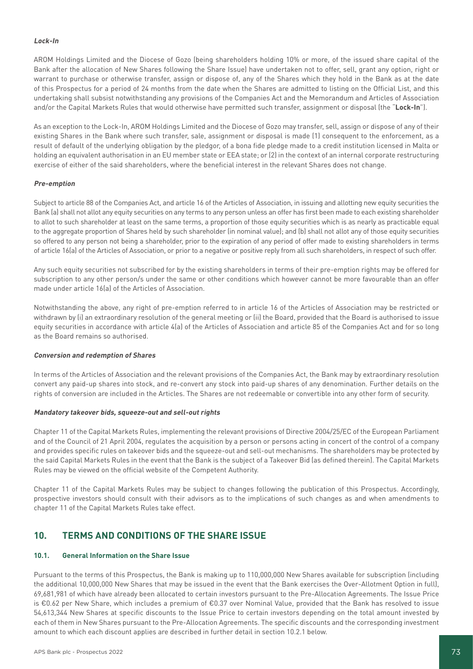## **Lock-In**

AROM Holdings Limited and the Diocese of Gozo (being shareholders holding 10% or more, of the issued share capital of the Bank after the allocation of New Shares following the Share Issue) have undertaken not to offer, sell, grant any option, right or warrant to purchase or otherwise transfer, assign or dispose of, any of the Shares which they hold in the Bank as at the date of this Prospectus for a period of 24 months from the date when the Shares are admitted to listing on the Official List, and this undertaking shall subsist notwithstanding any provisions of the Companies Act and the Memorandum and Articles of Association and/or the Capital Markets Rules that would otherwise have permitted such transfer, assignment or disposal (the "**Lock-In**").

As an exception to the Lock-In, AROM Holdings Limited and the Diocese of Gozo may transfer, sell, assign or dispose of any of their existing Shares in the Bank where such transfer, sale, assignment or disposal is made (1) consequent to the enforcement, as a result of default of the underlying obligation by the pledgor, of a bona fide pledge made to a credit institution licensed in Malta or holding an equivalent authorisation in an EU member state or EEA state; or (2) in the context of an internal corporate restructuring exercise of either of the said shareholders, where the beneficial interest in the relevant Shares does not change.

### **Pre-emption**

Subject to article 88 of the Companies Act, and article 16 of the Articles of Association, in issuing and allotting new equity securities the Bank (a) shall not allot any equity securities on any terms to any person unless an offer has first been made to each existing shareholder to allot to such shareholder at least on the same terms, a proportion of those equity securities which is as nearly as practicable equal to the aggregate proportion of Shares held by such shareholder (in nominal value); and (b) shall not allot any of those equity securities so offered to any person not being a shareholder, prior to the expiration of any period of offer made to existing shareholders in terms of article 16(a) of the Articles of Association, or prior to a negative or positive reply from all such shareholders, in respect of such offer.

Any such equity securities not subscribed for by the existing shareholders in terms of their pre-emption rights may be offered for subscription to any other person/s under the same or other conditions which however cannot be more favourable than an offer made under article 16(a) of the Articles of Association.

Notwithstanding the above, any right of pre-emption referred to in article 16 of the Articles of Association may be restricted or withdrawn by (i) an extraordinary resolution of the general meeting or (ii) the Board, provided that the Board is authorised to issue equity securities in accordance with article 4(a) of the Articles of Association and article 85 of the Companies Act and for so long as the Board remains so authorised.

#### **Conversion and redemption of Shares**

In terms of the Articles of Association and the relevant provisions of the Companies Act, the Bank may by extraordinary resolution convert any paid-up shares into stock, and re-convert any stock into paid-up shares of any denomination. Further details on the rights of conversion are included in the Articles. The Shares are not redeemable or convertible into any other form of security.

#### **Mandatory takeover bids, squeeze-out and sell-out rights**

Chapter 11 of the Capital Markets Rules, implementing the relevant provisions of Directive 2004/25/EC of the European Parliament and of the Council of 21 April 2004, regulates the acquisition by a person or persons acting in concert of the control of a company and provides specific rules on takeover bids and the squeeze-out and sell-out mechanisms. The shareholders may be protected by the said Capital Markets Rules in the event that the Bank is the subject of a Takeover Bid (as defined therein). The Capital Markets Rules may be viewed on the official website of the Competent Authority.

Chapter 11 of the Capital Markets Rules may be subject to changes following the publication of this Prospectus. Accordingly, prospective investors should consult with their advisors as to the implications of such changes as and when amendments to chapter 11 of the Capital Markets Rules take effect.

# **10. TERMS AND CONDITIONS OF THE SHARE ISSUE**

### **10.1. General Information on the Share Issue**

Pursuant to the terms of this Prospectus, the Bank is making up to 110,000,000 New Shares available for subscription (including the additional 10,000,000 New Shares that may be issued in the event that the Bank exercises the Over-Allotment Option in full), 69,681,981 of which have already been allocated to certain investors pursuant to the Pre-Allocation Agreements. The Issue Price is €0.62 per New Share, which includes a premium of €0.37 over Nominal Value, provided that the Bank has resolved to issue 54,613,344 New Shares at specific discounts to the Issue Price to certain investors depending on the total amount invested by each of them in New Shares pursuant to the Pre-Allocation Agreements. The specific discounts and the corresponding investment amount to which each discount applies are described in further detail in section 10.2.1 below.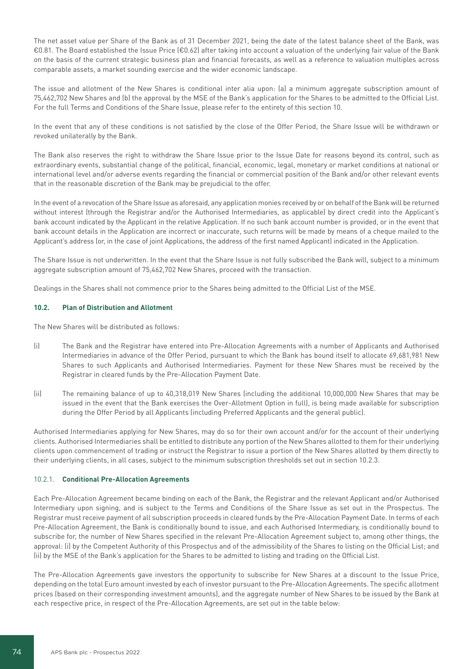The net asset value per Share of the Bank as of 31 December 2021, being the date of the latest balance sheet of the Bank, was €0.81. The Board established the Issue Price (€0.62) after taking into account a valuation of the underlying fair value of the Bank on the basis of the current strategic business plan and financial forecasts, as well as a reference to valuation multiples across comparable assets, a market sounding exercise and the wider economic landscape.

The issue and allotment of the New Shares is conditional inter alia upon: (a) a minimum aggregate subscription amount of 75,462,702 New Shares and (b) the approval by the MSE of the Bank's application for the Shares to be admitted to the Official List. For the full Terms and Conditions of the Share Issue, please refer to the entirety of this section 10.

In the event that any of these conditions is not satisfied by the close of the Offer Period, the Share Issue will be withdrawn or revoked unilaterally by the Bank.

The Bank also reserves the right to withdraw the Share Issue prior to the Issue Date for reasons beyond its control, such as extraordinary events, substantial change of the political, financial, economic, legal, monetary or market conditions at national or international level and/or adverse events regarding the financial or commercial position of the Bank and/or other relevant events that in the reasonable discretion of the Bank may be prejudicial to the offer.

In the event of a revocation of the Share Issue as aforesaid, any application monies received by or on behalf of the Bank will be returned without interest (through the Registrar and/or the Authorised Intermediaries, as applicable) by direct credit into the Applicant's bank account indicated by the Applicant in the relative Application. If no such bank account number is provided, or in the event that bank account details in the Application are incorrect or inaccurate, such returns will be made by means of a cheque mailed to the Applicant's address (or, in the case of joint Applications, the address of the first named Applicant) indicated in the Application.

The Share Issue is not underwritten. In the event that the Share Issue is not fully subscribed the Bank will, subject to a minimum aggregate subscription amount of 75,462,702 New Shares, proceed with the transaction.

Dealings in the Shares shall not commence prior to the Shares being admitted to the Official List of the MSE.

#### **10.2. Plan of Distribution and Allotment**

The New Shares will be distributed as follows:

- (i) The Bank and the Registrar have entered into Pre-Allocation Agreements with a number of Applicants and Authorised Intermediaries in advance of the Offer Period, pursuant to which the Bank has bound itself to allocate 69,681,981 New Shares to such Applicants and Authorised Intermediaries. Payment for these New Shares must be received by the Registrar in cleared funds by the Pre-Allocation Payment Date.
- (ii) The remaining balance of up to 40,318,019 New Shares (including the additional 10,000,000 New Shares that may be issued in the event that the Bank exercises the Over-Allotment Option in full), is being made available for subscription during the Offer Period by all Applicants (including Preferred Applicants and the general public).

Authorised Intermediaries applying for New Shares, may do so for their own account and/or for the account of their underlying clients. Authorised Intermediaries shall be entitled to distribute any portion of the New Shares allotted to them for their underlying clients upon commencement of trading or instruct the Registrar to issue a portion of the New Shares allotted by them directly to their underlying clients, in all cases, subject to the minimum subscription thresholds set out in section 10.2.3.

#### 10.2.1. **Conditional Pre-Allocation Agreements**

Each Pre-Allocation Agreement became binding on each of the Bank, the Registrar and the relevant Applicant and/or Authorised Intermediary upon signing, and is subject to the Terms and Conditions of the Share Issue as set out in the Prospectus. The Registrar must receive payment of all subscription proceeds in cleared funds by the Pre-Allocation Payment Date. In terms of each Pre-Allocation Agreement, the Bank is conditionally bound to issue, and each Authorised Intermediary, is conditionally bound to subscribe for, the number of New Shares specified in the relevant Pre-Allocation Agreement subject to, among other things, the approval: (i) by the Competent Authority of this Prospectus and of the admissibility of the Shares to listing on the Official List; and (ii) by the MSE of the Bank's application for the Shares to be admitted to listing and trading on the Official List.

The Pre-Allocation Agreements gave investors the opportunity to subscribe for New Shares at a discount to the Issue Price, depending on the total Euro amount invested by each of investor pursuant to the Pre-Allocation Agreements. The specific allotment prices (based on their corresponding investment amounts), and the aggregate number of New Shares to be issued by the Bank at each respective price, in respect of the Pre-Allocation Agreements, are set out in the table below: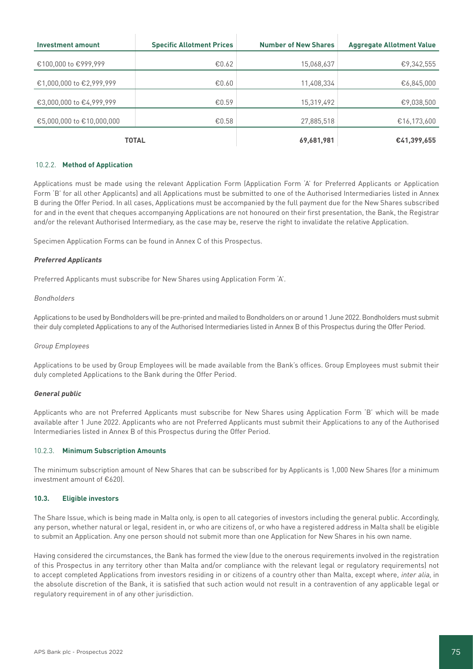| <b>Investment amount</b>  | <b>Specific Allotment Prices</b> | <b>Number of New Shares</b> | <b>Aggregate Allotment Value</b> |
|---------------------------|----------------------------------|-----------------------------|----------------------------------|
|                           |                                  |                             |                                  |
| €100,000 to €999,999      | € $0.62$                         | 15,068,637                  | €9,342,555                       |
|                           |                                  |                             |                                  |
| €1,000,000 to €2,999,999  | €0.60                            | 11,408,334                  | €6,845,000                       |
|                           |                                  |                             |                                  |
| €3,000,000 to €4,999,999  | € $0.59$                         | 15,319,492                  | €9,038,500                       |
|                           |                                  |                             |                                  |
| €5,000,000 to €10,000,000 | €0.58                            | 27,885,518                  | €16,173,600                      |
|                           |                                  |                             |                                  |
|                           | <b>TOTAL</b>                     | 69,681,981                  | €41,399,655                      |

#### 10.2.2. **Method of Application**

Applications must be made using the relevant Application Form (Application Form 'A' for Preferred Applicants or Application Form 'B' for all other Applicants) and all Applications must be submitted to one of the Authorised Intermediaries listed in Annex B during the Offer Period. In all cases, Applications must be accompanied by the full payment due for the New Shares subscribed for and in the event that cheques accompanying Applications are not honoured on their first presentation, the Bank, the Registrar and/or the relevant Authorised Intermediary, as the case may be, reserve the right to invalidate the relative Application.

Specimen Application Forms can be found in Annex C of this Prospectus.

#### **Preferred Applicants**

Preferred Applicants must subscribe for New Shares using Application Form 'A'.

#### Bondholders

Applications to be used by Bondholders will be pre-printed and mailed to Bondholders on or around 1 June 2022. Bondholders must submit their duly completed Applications to any of the Authorised Intermediaries listed in Annex B of this Prospectus during the Offer Period.

#### Group Employees

Applications to be used by Group Employees will be made available from the Bank's offices. Group Employees must submit their duly completed Applications to the Bank during the Offer Period.

#### **General public**

Applicants who are not Preferred Applicants must subscribe for New Shares using Application Form 'B' which will be made available after 1 June 2022. Applicants who are not Preferred Applicants must submit their Applications to any of the Authorised Intermediaries listed in Annex B of this Prospectus during the Offer Period.

#### 10.2.3. **Minimum Subscription Amounts**

The minimum subscription amount of New Shares that can be subscribed for by Applicants is 1,000 New Shares (for a minimum investment amount of €620).

#### **10.3. Eligible investors**

The Share Issue, which is being made in Malta only, is open to all categories of investors including the general public. Accordingly, any person, whether natural or legal, resident in, or who are citizens of, or who have a registered address in Malta shall be eligible to submit an Application. Any one person should not submit more than one Application for New Shares in his own name.

Having considered the circumstances, the Bank has formed the view (due to the onerous requirements involved in the registration of this Prospectus in any territory other than Malta and/or compliance with the relevant legal or regulatory requirements) not to accept completed Applications from investors residing in or citizens of a country other than Malta, except where, inter alia, in the absolute discretion of the Bank, it is satisfied that such action would not result in a contravention of any applicable legal or regulatory requirement in of any other jurisdiction.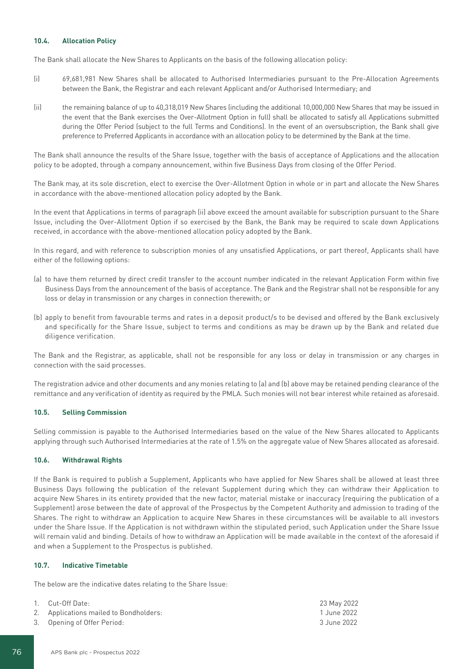## **10.4. Allocation Policy**

The Bank shall allocate the New Shares to Applicants on the basis of the following allocation policy:

- (i) 69,681,981 New Shares shall be allocated to Authorised Intermediaries pursuant to the Pre-Allocation Agreements between the Bank, the Registrar and each relevant Applicant and/or Authorised Intermediary; and
- (ii) the remaining balance of up to 40,318,019 New Shares (including the additional 10,000,000 New Shares that may be issued in the event that the Bank exercises the Over-Allotment Option in full) shall be allocated to satisfy all Applications submitted during the Offer Period (subject to the full Terms and Conditions). In the event of an oversubscription, the Bank shall give preference to Preferred Applicants in accordance with an allocation policy to be determined by the Bank at the time.

The Bank shall announce the results of the Share Issue, together with the basis of acceptance of Applications and the allocation policy to be adopted, through a company announcement, within five Business Days from closing of the Offer Period.

The Bank may, at its sole discretion, elect to exercise the Over-Allotment Option in whole or in part and allocate the New Shares in accordance with the above-mentioned allocation policy adopted by the Bank.

In the event that Applications in terms of paragraph (ii) above exceed the amount available for subscription pursuant to the Share Issue, including the Over-Allotment Option if so exercised by the Bank, the Bank may be required to scale down Applications received, in accordance with the above-mentioned allocation policy adopted by the Bank.

In this regard, and with reference to subscription monies of any unsatisfied Applications, or part thereof, Applicants shall have either of the following options:

- (a) to have them returned by direct credit transfer to the account number indicated in the relevant Application Form within five Business Days from the announcement of the basis of acceptance. The Bank and the Registrar shall not be responsible for any loss or delay in transmission or any charges in connection therewith; or
- (b) apply to benefit from favourable terms and rates in a deposit product/s to be devised and offered by the Bank exclusively and specifically for the Share Issue, subject to terms and conditions as may be drawn up by the Bank and related due diligence verification.

The Bank and the Registrar, as applicable, shall not be responsible for any loss or delay in transmission or any charges in connection with the said processes.

The registration advice and other documents and any monies relating to (a) and (b) above may be retained pending clearance of the remittance and any verification of identity as required by the PMLA. Such monies will not bear interest while retained as aforesaid.

## **10.5. Selling Commission**

Selling commission is payable to the Authorised Intermediaries based on the value of the New Shares allocated to Applicants applying through such Authorised Intermediaries at the rate of 1.5% on the aggregate value of New Shares allocated as aforesaid.

## **10.6. Withdrawal Rights**

If the Bank is required to publish a Supplement, Applicants who have applied for New Shares shall be allowed at least three Business Days following the publication of the relevant Supplement during which they can withdraw their Application to acquire New Shares in its entirety provided that the new factor, material mistake or inaccuracy (requiring the publication of a Supplement) arose between the date of approval of the Prospectus by the Competent Authority and admission to trading of the Shares. The right to withdraw an Application to acquire New Shares in these circumstances will be available to all investors under the Share Issue. If the Application is not withdrawn within the stipulated period, such Application under the Share Issue will remain valid and binding. Details of how to withdraw an Application will be made available in the context of the aforesaid if and when a Supplement to the Prospectus is published.

#### **10.7. Indicative Timetable**

The below are the indicative dates relating to the Share Issue:

| 1. Cut-Off Date:                       | 23 May 2022 |
|----------------------------------------|-------------|
| 2. Applications mailed to Bondholders: | 1 June 2022 |
| 3. Opening of Offer Period:            | 3 June 2022 |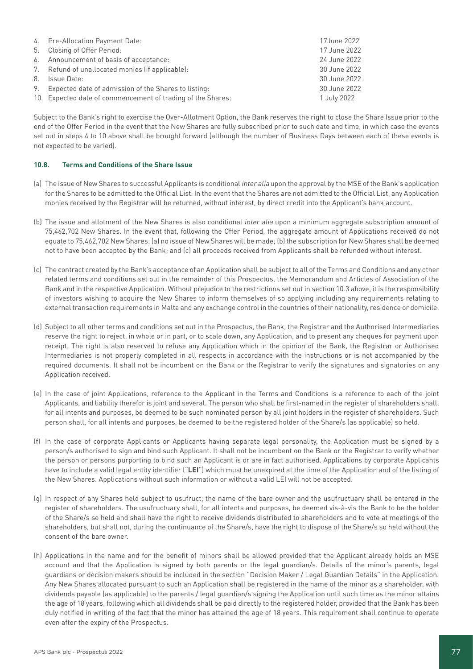| 4. Pre-Allocation Payment Date:                             | 17June 2022  |
|-------------------------------------------------------------|--------------|
| 5. Closing of Offer Period:                                 | 17 June 2022 |
| 6. Announcement of basis of acceptance:                     | 24 June 2022 |
| 7. Refund of unallocated monies (if applicable):            | 30 June 2022 |
| 8. Issue Date:                                              | 30 June 2022 |
| 9. Expected date of admission of the Shares to listing:     | 30 June 2022 |
| 10. Expected date of commencement of trading of the Shares: | 1 July 2022  |

Subject to the Bank's right to exercise the Over-Allotment Option, the Bank reserves the right to close the Share Issue prior to the end of the Offer Period in the event that the New Shares are fully subscribed prior to such date and time, in which case the events set out in steps 4 to 10 above shall be brought forward (although the number of Business Days between each of these events is not expected to be varied).

## **10.8. Terms and Conditions of the Share Issue**

- (a) The issue of New Shares to successful Applicants is conditional inter alia upon the approval by the MSE of the Bank's application for the Shares to be admitted to the Official List. In the event that the Shares are not admitted to the Official List, any Application monies received by the Registrar will be returned, without interest, by direct credit into the Applicant's bank account.
- (b) The issue and allotment of the New Shares is also conditional inter alia upon a minimum aggregate subscription amount of 75,462,702 New Shares. In the event that, following the Offer Period, the aggregate amount of Applications received do not equate to 75,462,702 New Shares: (a) no issue of New Shares will be made; (b) the subscription for New Shares shall be deemed not to have been accepted by the Bank; and (c) all proceeds received from Applicants shall be refunded without interest.
- (c) The contract created by the Bank's acceptance of an Application shall be subject to all of the Terms and Conditions and any other related terms and conditions set out in the remainder of this Prospectus, the Memorandum and Articles of Association of the Bank and in the respective Application. Without prejudice to the restrictions set out in section 10.3 above, it is the responsibility of investors wishing to acquire the New Shares to inform themselves of so applying including any requirements relating to external transaction requirements in Malta and any exchange control in the countries of their nationality, residence or domicile.
- (d) Subject to all other terms and conditions set out in the Prospectus, the Bank, the Registrar and the Authorised Intermediaries reserve the right to reject, in whole or in part, or to scale down, any Application, and to present any cheques for payment upon receipt. The right is also reserved to refuse any Application which in the opinion of the Bank, the Registrar or Authorised Intermediaries is not properly completed in all respects in accordance with the instructions or is not accompanied by the required documents. It shall not be incumbent on the Bank or the Registrar to verify the signatures and signatories on any Application received.
- (e) In the case of joint Applications, reference to the Applicant in the Terms and Conditions is a reference to each of the joint Applicants, and liability therefor is joint and several. The person who shall be first-named in the register of shareholders shall, for all intents and purposes, be deemed to be such nominated person by all joint holders in the register of shareholders. Such person shall, for all intents and purposes, be deemed to be the registered holder of the Share/s (as applicable) so held.
- (f) In the case of corporate Applicants or Applicants having separate legal personality, the Application must be signed by a person/s authorised to sign and bind such Applicant. It shall not be incumbent on the Bank or the Registrar to verify whether the person or persons purporting to bind such an Applicant is or are in fact authorised. Applications by corporate Applicants have to include a valid legal entity identifier ("**LEI**") which must be unexpired at the time of the Application and of the listing of the New Shares. Applications without such information or without a valid LEI will not be accepted.
- (g) In respect of any Shares held subject to usufruct, the name of the bare owner and the usufructuary shall be entered in the register of shareholders. The usufructuary shall, for all intents and purposes, be deemed vis-à-vis the Bank to be the holder of the Share/s so held and shall have the right to receive dividends distributed to shareholders and to vote at meetings of the shareholders, but shall not, during the continuance of the Share/s, have the right to dispose of the Share/s so held without the consent of the bare owner.
- (h) Applications in the name and for the benefit of minors shall be allowed provided that the Applicant already holds an MSE account and that the Application is signed by both parents or the legal guardian/s. Details of the minor's parents, legal guardians or decision makers should be included in the section "Decision Maker / Legal Guardian Details" in the Application. Any New Shares allocated pursuant to such an Application shall be registered in the name of the minor as a shareholder, with dividends payable (as applicable) to the parents / legal guardian/s signing the Application until such time as the minor attains the age of 18 years, following which all dividends shall be paid directly to the registered holder, provided that the Bank has been duly notified in writing of the fact that the minor has attained the age of 18 years. This requirement shall continue to operate even after the expiry of the Prospectus.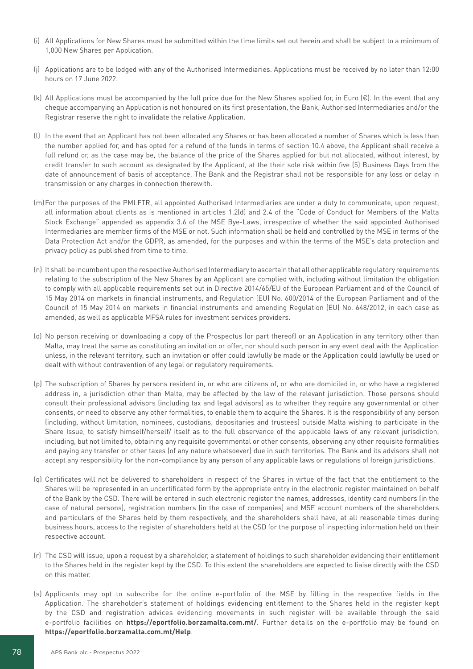- (i) All Applications for New Shares must be submitted within the time limits set out herein and shall be subject to a minimum of 1,000 New Shares per Application.
- (j) Applications are to be lodged with any of the Authorised Intermediaries. Applications must be received by no later than 12:00 hours on 17 June 2022.
- (k) All Applications must be accompanied by the full price due for the New Shares applied for, in Euro (€). In the event that any cheque accompanying an Application is not honoured on its first presentation, the Bank, Authorised Intermediaries and/or the Registrar reserve the right to invalidate the relative Application.
- (l) In the event that an Applicant has not been allocated any Shares or has been allocated a number of Shares which is less than the number applied for, and has opted for a refund of the funds in terms of section 10.4 above, the Applicant shall receive a full refund or, as the case may be, the balance of the price of the Shares applied for but not allocated, without interest, by credit transfer to such account as designated by the Applicant, at the their sole risk within five (5) Business Days from the date of announcement of basis of acceptance. The Bank and the Registrar shall not be responsible for any loss or delay in transmission or any charges in connection therewith.
- (m)For the purposes of the PMLFTR, all appointed Authorised Intermediaries are under a duty to communicate, upon request, all information about clients as is mentioned in articles 1.2(d) and 2.4 of the "Code of Conduct for Members of the Malta Stock Exchange" appended as appendix 3.6 of the MSE Bye-Laws, irrespective of whether the said appointed Authorised Intermediaries are member firms of the MSE or not. Such information shall be held and controlled by the MSE in terms of the Data Protection Act and/or the GDPR, as amended, for the purposes and within the terms of the MSE's data protection and privacy policy as published from time to time.
- (n) It shall be incumbent upon the respective Authorised Intermediary to ascertain that all other applicable regulatory requirements relating to the subscription of the New Shares by an Applicant are complied with, including without limitation the obligation to comply with all applicable requirements set out in Directive 2014/65/EU of the European Parliament and of the Council of 15 May 2014 on markets in financial instruments, and Regulation (EU) No. 600/2014 of the European Parliament and of the Council of 15 May 2014 on markets in financial instruments and amending Regulation (EU) No. 648/2012, in each case as amended, as well as applicable MFSA rules for investment services providers.
- (o) No person receiving or downloading a copy of the Prospectus (or part thereof) or an Application in any territory other than Malta, may treat the same as constituting an invitation or offer, nor should such person in any event deal with the Application unless, in the relevant territory, such an invitation or offer could lawfully be made or the Application could lawfully be used or dealt with without contravention of any legal or regulatory requirements.
- (p) The subscription of Shares by persons resident in, or who are citizens of, or who are domiciled in, or who have a registered address in, a jurisdiction other than Malta, may be affected by the law of the relevant jurisdiction. Those persons should consult their professional advisors (including tax and legal advisors) as to whether they require any governmental or other consents, or need to observe any other formalities, to enable them to acquire the Shares. It is the responsibility of any person (including, without limitation, nominees, custodians, depositaries and trustees) outside Malta wishing to participate in the Share Issue, to satisfy himself/herself/ itself as to the full observance of the applicable laws of any relevant jurisdiction, including, but not limited to, obtaining any requisite governmental or other consents, observing any other requisite formalities and paying any transfer or other taxes (of any nature whatsoever) due in such territories. The Bank and its advisors shall not accept any responsibility for the non-compliance by any person of any applicable laws or regulations of foreign jurisdictions.
- (q) Certificates will not be delivered to shareholders in respect of the Shares in virtue of the fact that the entitlement to the Shares will be represented in an uncertificated form by the appropriate entry in the electronic register maintained on behalf of the Bank by the CSD. There will be entered in such electronic register the names, addresses, identity card numbers (in the case of natural persons), registration numbers (in the case of companies) and MSE account numbers of the shareholders and particulars of the Shares held by them respectively, and the shareholders shall have, at all reasonable times during business hours, access to the register of shareholders held at the CSD for the purpose of inspecting information held on their respective account.
- (r) The CSD will issue, upon a request by a shareholder, a statement of holdings to such shareholder evidencing their entitlement to the Shares held in the register kept by the CSD. To this extent the shareholders are expected to liaise directly with the CSD on this matter.
- (s) Applicants may opt to subscribe for the online e-portfolio of the MSE by filling in the respective fields in the Application. The shareholder's statement of holdings evidencing entitlement to the Shares held in the register kept by the CSD and registration advices evidencing movements in such register will be available through the said e-portfolio facilities on **https://eportfolio.borzamalta.com.mt/**. Further details on the e-portfolio may be found on **https://eportfolio.borzamalta.com.mt/Help**.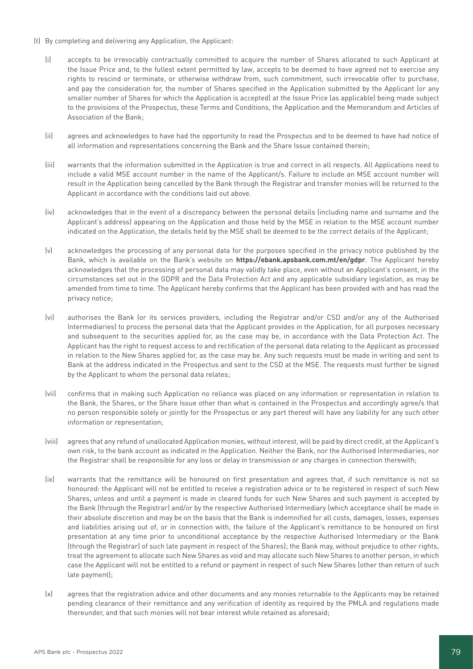- (t) By completing and delivering any Application, the Applicant:
	- (i) accepts to be irrevocably contractually committed to acquire the number of Shares allocated to such Applicant at the Issue Price and, to the fullest extent permitted by law, accepts to be deemed to have agreed not to exercise any rights to rescind or terminate, or otherwise withdraw from, such commitment, such irrevocable offer to purchase, and pay the consideration for, the number of Shares specified in the Application submitted by the Applicant (or any smaller number of Shares for which the Application is accepted) at the Issue Price (as applicable) being made subject to the provisions of the Prospectus, these Terms and Conditions, the Application and the Memorandum and Articles of Association of the Bank;
	- (ii) agrees and acknowledges to have had the opportunity to read the Prospectus and to be deemed to have had notice of all information and representations concerning the Bank and the Share Issue contained therein;
	- (iii) warrants that the information submitted in the Application is true and correct in all respects. All Applications need to include a valid MSE account number in the name of the Applicant/s. Failure to include an MSE account number will result in the Application being cancelled by the Bank through the Registrar and transfer monies will be returned to the Applicant in accordance with the conditions laid out above.
	- (iv) acknowledges that in the event of a discrepancy between the personal details (including name and surname and the Applicant's address) appearing on the Application and those held by the MSE in relation to the MSE account number indicated on the Application, the details held by the MSE shall be deemed to be the correct details of the Applicant;
	- (v) acknowledges the processing of any personal data for the purposes specified in the privacy notice published by the Bank, which is available on the Bank's website on **https://ebank.apsbank.com.mt/en/gdpr**. The Applicant hereby acknowledges that the processing of personal data may validly take place, even without an Applicant's consent, in the circumstances set out in the GDPR and the Data Protection Act and any applicable subsidiary legislation, as may be amended from time to time. The Applicant hereby confirms that the Applicant has been provided with and has read the privacy notice;
	- (vi) authorises the Bank (or its services providers, including the Registrar and/or CSD and/or any of the Authorised Intermediaries) to process the personal data that the Applicant provides in the Application, for all purposes necessary and subsequent to the securities applied for, as the case may be, in accordance with the Data Protection Act. The Applicant has the right to request access to and rectification of the personal data relating to the Applicant as processed in relation to the New Shares applied for, as the case may be. Any such requests must be made in writing and sent to Bank at the address indicated in the Prospectus and sent to the CSD at the MSE. The requests must further be signed by the Applicant to whom the personal data relates;
	- (vii) confirms that in making such Application no reliance was placed on any information or representation in relation to the Bank, the Shares, or the Share Issue other than what is contained in the Prospectus and accordingly agree/s that no person responsible solely or jointly for the Prospectus or any part thereof will have any liability for any such other information or representation;
	- (viii) agrees that any refund of unallocated Application monies, without interest, will be paid by direct credit, at the Applicant's own risk, to the bank account as indicated in the Application. Neither the Bank, nor the Authorised Intermediaries, nor the Registrar shall be responsible for any loss or delay in transmission or any charges in connection therewith;
	- (ix) warrants that the remittance will be honoured on first presentation and agrees that, if such remittance is not so honoured: the Applicant will not be entitled to receive a registration advice or to be registered in respect of such New Shares, unless and until a payment is made in cleared funds for such New Shares and such payment is accepted by the Bank (through the Registrar) and/or by the respective Authorised Intermediary (which acceptance shall be made in their absolute discretion and may be on the basis that the Bank is indemnified for all costs, damages, losses, expenses and liabilities arising out of, or in connection with, the failure of the Applicant's remittance to be honoured on first presentation at any time prior to unconditional acceptance by the respective Authorised Intermediary or the Bank (through the Registrar) of such late payment in respect of the Shares); the Bank may, without prejudice to other rights, treat the agreement to allocate such New Shares as void and may allocate such New Shares to another person, in which case the Applicant will not be entitled to a refund or payment in respect of such New Shares (other than return of such late payment);
	- (x) agrees that the registration advice and other documents and any monies returnable to the Applicants may be retained pending clearance of their remittance and any verification of identity as required by the PMLA and regulations made thereunder, and that such monies will not bear interest while retained as aforesaid;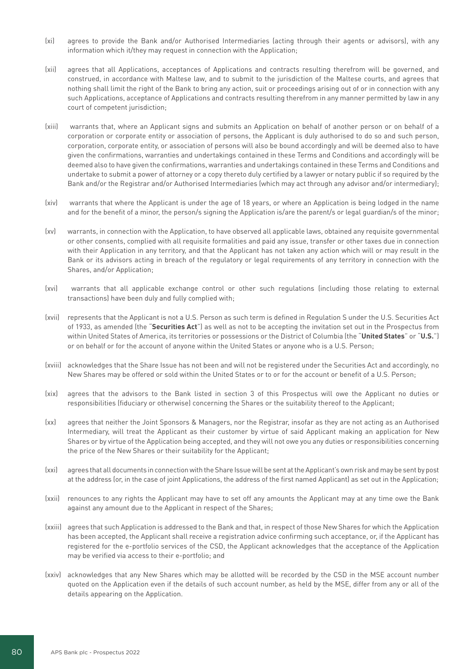- (xi) agrees to provide the Bank and/or Authorised Intermediaries (acting through their agents or advisors), with any information which it/they may request in connection with the Application;
- (xii) agrees that all Applications, acceptances of Applications and contracts resulting therefrom will be governed, and construed, in accordance with Maltese law, and to submit to the jurisdiction of the Maltese courts, and agrees that nothing shall limit the right of the Bank to bring any action, suit or proceedings arising out of or in connection with any such Applications, acceptance of Applications and contracts resulting therefrom in any manner permitted by law in any court of competent jurisdiction;
- (xiii) warrants that, where an Applicant signs and submits an Application on behalf of another person or on behalf of a corporation or corporate entity or association of persons, the Applicant is duly authorised to do so and such person, corporation, corporate entity, or association of persons will also be bound accordingly and will be deemed also to have given the confirmations, warranties and undertakings contained in these Terms and Conditions and accordingly will be deemed also to have given the confirmations, warranties and undertakings contained in these Terms and Conditions and undertake to submit a power of attorney or a copy thereto duly certified by a lawyer or notary public if so required by the Bank and/or the Registrar and/or Authorised Intermediaries (which may act through any advisor and/or intermediary);
- (xiv) warrants that where the Applicant is under the age of 18 years, or where an Application is being lodged in the name and for the benefit of a minor, the person/s signing the Application is/are the parent/s or legal guardian/s of the minor;
- (xv) warrants, in connection with the Application, to have observed all applicable laws, obtained any requisite governmental or other consents, complied with all requisite formalities and paid any issue, transfer or other taxes due in connection with their Application in any territory, and that the Applicant has not taken any action which will or may result in the Bank or its advisors acting in breach of the regulatory or legal requirements of any territory in connection with the Shares, and/or Application;
- (xvi) warrants that all applicable exchange control or other such regulations (including those relating to external transactions) have been duly and fully complied with;
- (xvii) represents that the Applicant is not a U.S. Person as such term is defined in Regulation S under the U.S. Securities Act of 1933, as amended (the "**Securities Act**") as well as not to be accepting the invitation set out in the Prospectus from within United States of America, its territories or possessions or the District of Columbia (the "**United States**" or "**U.S.**") or on behalf or for the account of anyone within the United States or anyone who is a U.S. Person;
- (xviii) acknowledges that the Share Issue has not been and will not be registered under the Securities Act and accordingly, no New Shares may be offered or sold within the United States or to or for the account or benefit of a U.S. Person;
- (xix) agrees that the advisors to the Bank listed in section 3 of this Prospectus will owe the Applicant no duties or responsibilities (fiduciary or otherwise) concerning the Shares or the suitability thereof to the Applicant;
- (xx) agrees that neither the Joint Sponsors & Managers, nor the Registrar, insofar as they are not acting as an Authorised Intermediary, will treat the Applicant as their customer by virtue of said Applicant making an application for New Shares or by virtue of the Application being accepted, and they will not owe you any duties or responsibilities concerning the price of the New Shares or their suitability for the Applicant;
- (xxi) agrees that all documents in connection with the Share Issue will be sent at the Applicant's own risk and may be sent by post at the address (or, in the case of joint Applications, the address of the first named Applicant) as set out in the Application;
- (xxii) renounces to any rights the Applicant may have to set off any amounts the Applicant may at any time owe the Bank against any amount due to the Applicant in respect of the Shares;
- (xxiii) agrees that such Application is addressed to the Bank and that, in respect of those New Shares for which the Application has been accepted, the Applicant shall receive a registration advice confirming such acceptance, or, if the Applicant has registered for the e-portfolio services of the CSD, the Applicant acknowledges that the acceptance of the Application may be verified via access to their e-portfolio; and
- (xxiv) acknowledges that any New Shares which may be allotted will be recorded by the CSD in the MSE account number quoted on the Application even if the details of such account number, as held by the MSE, differ from any or all of the details appearing on the Application.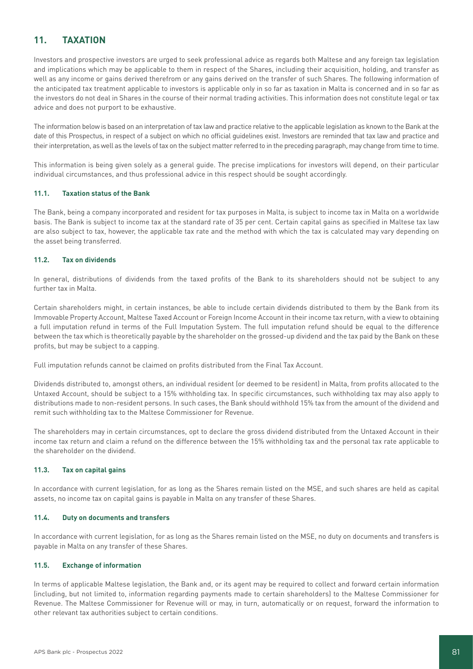# **11. TAXATION**

Investors and prospective investors are urged to seek professional advice as regards both Maltese and any foreign tax legislation and implications which may be applicable to them in respect of the Shares, including their acquisition, holding, and transfer as well as any income or gains derived therefrom or any gains derived on the transfer of such Shares. The following information of the anticipated tax treatment applicable to investors is applicable only in so far as taxation in Malta is concerned and in so far as the investors do not deal in Shares in the course of their normal trading activities. This information does not constitute legal or tax advice and does not purport to be exhaustive.

The information below is based on an interpretation of tax law and practice relative to the applicable legislation as known to the Bank at the date of this Prospectus, in respect of a subject on which no official guidelines exist. Investors are reminded that tax law and practice and their interpretation, as well as the levels of tax on the subject matter referred to in the preceding paragraph, may change from time to time.

This information is being given solely as a general guide. The precise implications for investors will depend, on their particular individual circumstances, and thus professional advice in this respect should be sought accordingly.

### **11.1. Taxation status of the Bank**

The Bank, being a company incorporated and resident for tax purposes in Malta, is subject to income tax in Malta on a worldwide basis. The Bank is subject to income tax at the standard rate of 35 per cent. Certain capital gains as specified in Maltese tax law are also subject to tax, however, the applicable tax rate and the method with which the tax is calculated may vary depending on the asset being transferred.

## **11.2. Tax on dividends**

In general, distributions of dividends from the taxed profits of the Bank to its shareholders should not be subject to any further tax in Malta.

Certain shareholders might, in certain instances, be able to include certain dividends distributed to them by the Bank from its Immovable Property Account, Maltese Taxed Account or Foreign Income Account in their income tax return, with a view to obtaining a full imputation refund in terms of the Full Imputation System. The full imputation refund should be equal to the difference between the tax which is theoretically payable by the shareholder on the grossed-up dividend and the tax paid by the Bank on these profits, but may be subject to a capping.

Full imputation refunds cannot be claimed on profits distributed from the Final Tax Account.

Dividends distributed to, amongst others, an individual resident (or deemed to be resident) in Malta, from profits allocated to the Untaxed Account, should be subject to a 15% withholding tax. In specific circumstances, such withholding tax may also apply to distributions made to non-resident persons. In such cases, the Bank should withhold 15% tax from the amount of the dividend and remit such withholding tax to the Maltese Commissioner for Revenue.

The shareholders may in certain circumstances, opt to declare the gross dividend distributed from the Untaxed Account in their income tax return and claim a refund on the difference between the 15% withholding tax and the personal tax rate applicable to the shareholder on the dividend.

### **11.3. Tax on capital gains**

In accordance with current legislation, for as long as the Shares remain listed on the MSE, and such shares are held as capital assets, no income tax on capital gains is payable in Malta on any transfer of these Shares.

### **11.4. Duty on documents and transfers**

In accordance with current legislation, for as long as the Shares remain listed on the MSE, no duty on documents and transfers is payable in Malta on any transfer of these Shares.

### **11.5. Exchange of information**

In terms of applicable Maltese legislation, the Bank and, or its agent may be required to collect and forward certain information (including, but not limited to, information regarding payments made to certain shareholders) to the Maltese Commissioner for Revenue. The Maltese Commissioner for Revenue will or may, in turn, automatically or on request, forward the information to other relevant tax authorities subject to certain conditions.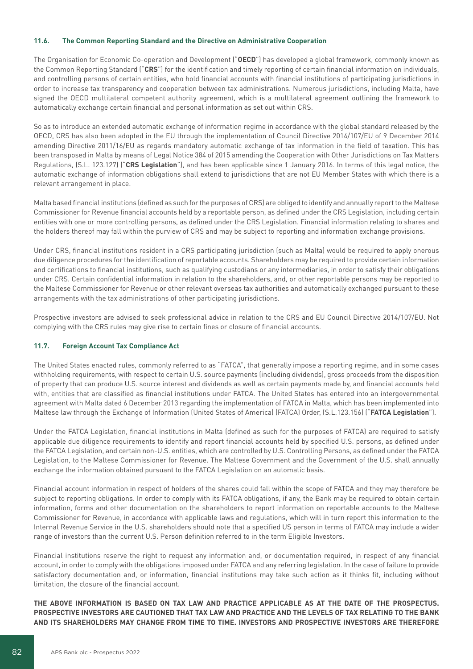#### **11.6. The Common Reporting Standard and the Directive on Administrative Cooperation**

The Organisation for Economic Co-operation and Development ("**OECD**") has developed a global framework, commonly known as the Common Reporting Standard ("**CRS**") for the identification and timely reporting of certain financial information on individuals, and controlling persons of certain entities, who hold financial accounts with financial institutions of participating jurisdictions in order to increase tax transparency and cooperation between tax administrations. Numerous jurisdictions, including Malta, have signed the OECD multilateral competent authority agreement, which is a multilateral agreement outlining the framework to automatically exchange certain financial and personal information as set out within CRS.

So as to introduce an extended automatic exchange of information regime in accordance with the global standard released by the OECD, CRS has also been adopted in the EU through the implementation of Council Directive 2014/107/EU of 9 December 2014 amending Directive 2011/16/EU as regards mandatory automatic exchange of tax information in the field of taxation. This has been transposed in Malta by means of Legal Notice 384 of 2015 amending the Cooperation with Other Jurisdictions on Tax Matters Regulations, (S.L. 123.127) ("**CRS Legislation**"), and has been applicable since 1 January 2016. In terms of this legal notice, the automatic exchange of information obligations shall extend to jurisdictions that are not EU Member States with which there is a relevant arrangement in place.

Malta based financial institutions (defined as such for the purposes of CRS) are obliged to identify and annually report to the Maltese Commissioner for Revenue financial accounts held by a reportable person, as defined under the CRS Legislation, including certain entities with one or more controlling persons, as defined under the CRS Legislation. Financial information relating to shares and the holders thereof may fall within the purview of CRS and may be subject to reporting and information exchange provisions.

Under CRS, financial institutions resident in a CRS participating jurisdiction (such as Malta) would be required to apply onerous due diligence procedures for the identification of reportable accounts. Shareholders may be required to provide certain information and certifications to financial institutions, such as qualifying custodians or any intermediaries, in order to satisfy their obligations under CRS. Certain confidential information in relation to the shareholders, and, or other reportable persons may be reported to the Maltese Commissioner for Revenue or other relevant overseas tax authorities and automatically exchanged pursuant to these arrangements with the tax administrations of other participating jurisdictions.

Prospective investors are advised to seek professional advice in relation to the CRS and EU Council Directive 2014/107/EU. Not complying with the CRS rules may give rise to certain fines or closure of financial accounts.

### **11.7. Foreign Account Tax Compliance Act**

The United States enacted rules, commonly referred to as "FATCA", that generally impose a reporting regime, and in some cases withholding requirements, with respect to certain U.S. source payments (including dividends), gross proceeds from the disposition of property that can produce U.S. source interest and dividends as well as certain payments made by, and financial accounts held with, entities that are classified as financial institutions under FATCA. The United States has entered into an intergovernmental agreement with Malta dated 6 December 2013 regarding the implementation of FATCA in Malta, which has been implemented into Maltese law through the Exchange of Information (United States of America) (FATCA) Order, (S.L.123.156) ("**FATCA Legislation**").

Under the FATCA Legislation, financial institutions in Malta (defined as such for the purposes of FATCA) are required to satisfy applicable due diligence requirements to identify and report financial accounts held by specified U.S. persons, as defined under the FATCA Legislation, and certain non-U.S. entities, which are controlled by U.S. Controlling Persons, as defined under the FATCA Legislation, to the Maltese Commissioner for Revenue. The Maltese Government and the Government of the U.S. shall annually exchange the information obtained pursuant to the FATCA Legislation on an automatic basis.

Financial account information in respect of holders of the shares could fall within the scope of FATCA and they may therefore be subject to reporting obligations. In order to comply with its FATCA obligations, if any, the Bank may be required to obtain certain information, forms and other documentation on the shareholders to report information on reportable accounts to the Maltese Commissioner for Revenue, in accordance with applicable laws and regulations, which will in turn report this information to the Internal Revenue Service in the U.S. shareholders should note that a specified US person in terms of FATCA may include a wider range of investors than the current U.S. Person definition referred to in the term Eligible Investors.

Financial institutions reserve the right to request any information and, or documentation required, in respect of any financial account, in order to comply with the obligations imposed under FATCA and any referring legislation. In the case of failure to provide satisfactory documentation and, or information, financial institutions may take such action as it thinks fit, including without limitation, the closure of the financial account.

**THE ABOVE INFORMATION IS BASED ON TAX LAW AND PRACTICE APPLICABLE AS AT THE DATE OF THE PROSPECTUS. PROSPECTIVE INVESTORS ARE CAUTIONED THAT TAX LAW AND PRACTICE AND THE LEVELS OF TAX RELATING TO THE BANK AND ITS SHAREHOLDERS MAY CHANGE FROM TIME TO TIME. INVESTORS AND PROSPECTIVE INVESTORS ARE THEREFORE**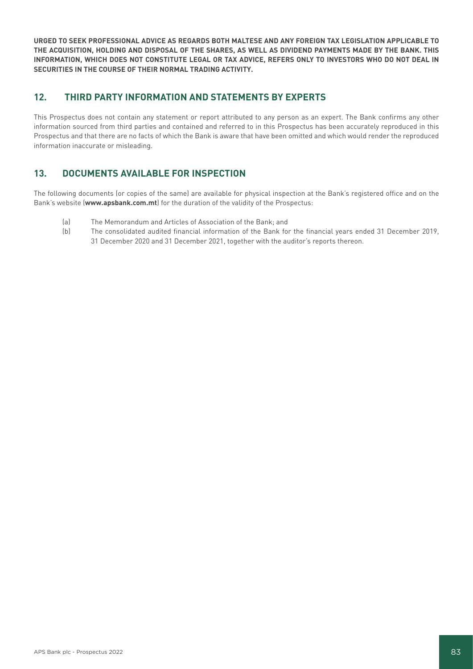**URGED TO SEEK PROFESSIONAL ADVICE AS REGARDS BOTH MALTESE AND ANY FOREIGN TAX LEGISLATION APPLICABLE TO THE ACQUISITION, HOLDING AND DISPOSAL OF THE SHARES, AS WELL AS DIVIDEND PAYMENTS MADE BY THE BANK. THIS INFORMATION, WHICH DOES NOT CONSTITUTE LEGAL OR TAX ADVICE, REFERS ONLY TO INVESTORS WHO DO NOT DEAL IN SECURITIES IN THE COURSE OF THEIR NORMAL TRADING ACTIVITY.**

# **12. THIRD PARTY INFORMATION AND STATEMENTS BY EXPERTS**

This Prospectus does not contain any statement or report attributed to any person as an expert. The Bank confirms any other information sourced from third parties and contained and referred to in this Prospectus has been accurately reproduced in this Prospectus and that there are no facts of which the Bank is aware that have been omitted and which would render the reproduced information inaccurate or misleading.

# **13. DOCUMENTS AVAILABLE FOR INSPECTION**

The following documents (or copies of the same) are available for physical inspection at the Bank's registered office and on the Bank's website (**www.apsbank.com.mt**) for the duration of the validity of the Prospectus:

- (a) The Memorandum and Articles of Association of the Bank; and
- (b) The consolidated audited financial information of the Bank for the financial years ended 31 December 2019, 31 December 2020 and 31 December 2021, together with the auditor's reports thereon.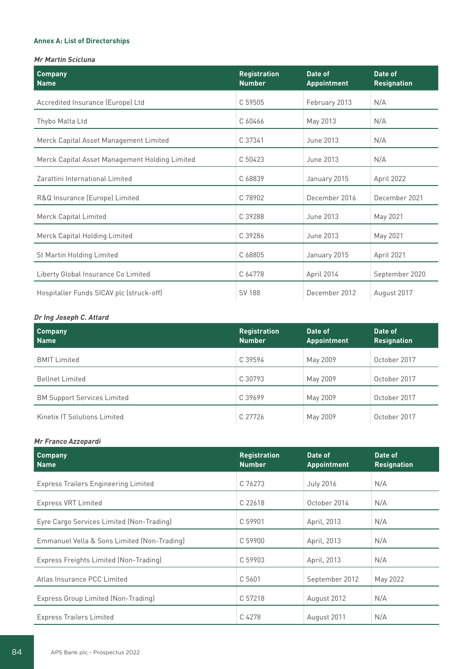## **Annex A: List of Directorships**

## **Mr Martin Scicluna**

| <b>Company</b><br><b>Name</b>                  | <b>Registration</b><br><b>Number</b> | Date of<br><b>Appointment</b> | Date of<br><b>Resignation</b> |
|------------------------------------------------|--------------------------------------|-------------------------------|-------------------------------|
| Accredited Insurance (Europe) Ltd              | C 59505                              | February 2013                 | N/A                           |
| Thybo Malta Ltd                                | C 60466                              | May 2013                      | N/A                           |
| Merck Capital Asset Management Limited         | C 37341                              | June 2013                     | N/A                           |
| Merck Capital Asset Management Holding Limited | C 50423                              | June 2013                     | N/A                           |
| Zarattini International Limited                | C 68839                              | January 2015                  | April 2022                    |
| R&Q Insurance (Europe) Limited                 | C 78902                              | December 2016                 | December 2021                 |
| Merck Capital Limited                          | C 39288                              | June 2013                     | May 2021                      |
| Merck Capital Holding Limited                  | C 39286                              | June 2013                     | May 2021                      |
| St Martin Holding Limited                      | C 68805                              | January 2015                  | April 2021                    |
| Liberty Global Insurance Co Limited            | C 64778                              | April 2014                    | September 2020                |
| Hospitaller Funds SICAV plc (struck-off)       | <b>SV 188</b>                        | December 2012                 | August 2017                   |

## **Dr Ing Joseph C. Attard**

| <b>Company</b><br><b>Name</b>       | <b>Registration</b><br><b>Number</b> | Date of<br><b>Appointment</b> | Date of<br><b>Resignation</b> |
|-------------------------------------|--------------------------------------|-------------------------------|-------------------------------|
| <b>BMIT Limited</b>                 | C 39594                              | May 2009                      | October 2017                  |
| <b>Bellnet Limited</b>              | C 30793                              | May 2009                      | October 2017                  |
| <b>BM Support Services Limited</b>  | C 39699                              | May 2009                      | October 2017                  |
| <b>Kinetix IT Solutions Limited</b> | C 27726                              | May 2009                      | October 2017                  |

## **Mr Franco Azzopardi**

| <b>Company</b><br><b>Name</b>               | <b>Registration</b><br><b>Number</b> | Date of<br><b>Appointment</b> | Date of<br><b>Resignation</b> |
|---------------------------------------------|--------------------------------------|-------------------------------|-------------------------------|
| <b>Express Trailers Engineering Limited</b> | C 76273                              | <b>July 2016</b>              | N/A                           |
| <b>Express VRT Limited</b>                  | C 22618                              | October 2014                  | N/A                           |
| Eyre Cargo Services Limited (Non-Trading)   | C 59901                              | April, 2013                   | N/A                           |
| Emmanuel Vella & Sons Limited (Non-Trading) | C 59900                              | April, 2013                   | N/A                           |
| Express Freights Limited (Non-Trading)      | C 59903                              | April, 2013                   | N/A                           |
| Atlas Insurance PCC Limited                 | C 5601                               | September 2012                | May 2022                      |
| Express Group Limited (Non-Trading)         | C 57218                              | August 2012                   | N/A                           |
| <b>Express Trailers Limited</b>             | C 4278                               | August 2011                   | N/A                           |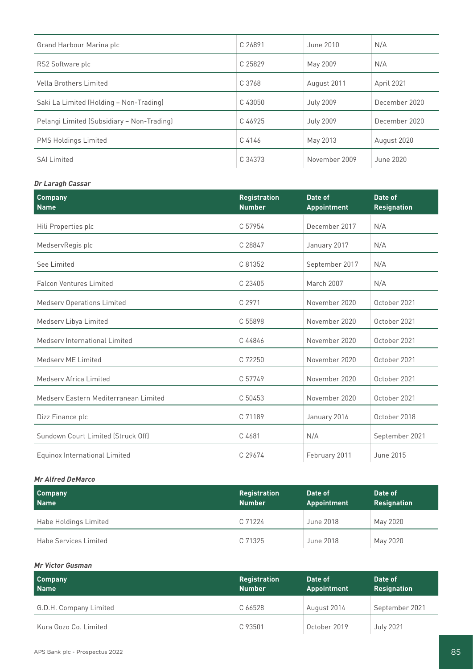| Grand Harbour Marina plc                   | C 26891 | June 2010        | N/A           |
|--------------------------------------------|---------|------------------|---------------|
| RS2 Software plc                           | C 25829 | May 2009         | N/A           |
| Vella Brothers Limited                     | C 3768  | August 2011      | April 2021    |
| Saki La Limited (Holding - Non-Trading)    | C 43050 | <b>July 2009</b> | December 2020 |
| Pelangi Limited (Subsidiary - Non-Trading) | C 46925 | <b>July 2009</b> | December 2020 |
| <b>PMS Holdings Limited</b>                | C 4146  | May 2013         | August 2020   |
| <b>SAI Limited</b>                         | C 34373 | November 2009    | June 2020     |

## **Dr Laragh Cassar**

| <b>Company</b><br><b>Name</b>         | <b>Registration</b><br><b>Number</b> | Date of<br><b>Appointment</b> | Date of<br><b>Resignation</b> |
|---------------------------------------|--------------------------------------|-------------------------------|-------------------------------|
| Hili Properties plc                   | C 57954                              | December 2017                 | N/A                           |
| MedservRegis plc                      | C 28847                              | January 2017                  | N/A                           |
| See Limited                           | C 81352                              | September 2017                | N/A                           |
| <b>Falcon Ventures Limited</b>        | C 23405                              | <b>March 2007</b>             | N/A                           |
| <b>Medserv Operations Limited</b>     | C 2971                               | November 2020                 | October 2021                  |
| Medserv Libya Limited                 | C 55898                              | November 2020                 | October 2021                  |
| Medsery International Limited         | C 44846                              | November 2020                 | October 2021                  |
| Medserv ME Limited                    | C 72250                              | November 2020                 | October 2021                  |
| Medsery Africa Limited                | C 57749                              | November 2020                 | October 2021                  |
| Medsery Eastern Mediterranean Limited | C 50453                              | November 2020                 | October 2021                  |
| Dizz Finance plc                      | C 71189                              | January 2016                  | October 2018                  |
| Sundown Court Limited (Struck Off)    | C 4681                               | N/A                           | September 2021                |
| Equinox International Limited         | C 29674                              | February 2011                 | June 2015                     |

#### **Mr Alfred DeMarco**

| <b>Company</b><br><b>Name</b> | <b>Registration</b><br><b>Number</b> | Date of<br>Appointment | Date of<br><b>Resignation</b> |
|-------------------------------|--------------------------------------|------------------------|-------------------------------|
| Habe Holdings Limited         | C 71224                              | June 2018              | May 2020                      |
| <b>Habe Services Limited</b>  | C 71325                              | June 2018              | May 2020                      |

#### **Mr Victor Gusman**

| <b>Company</b><br><b>Name</b> | <b>Registration</b><br><b>Number</b> | Date of<br>Appointment | <b>Date of A</b><br><b>Resignation</b> |
|-------------------------------|--------------------------------------|------------------------|----------------------------------------|
| G.D.H. Company Limited        | C 66528                              | August 2014            | September 2021                         |
| Kura Gozo Co. Limited         | C 93501                              | October 2019           | <b>July 2021</b>                       |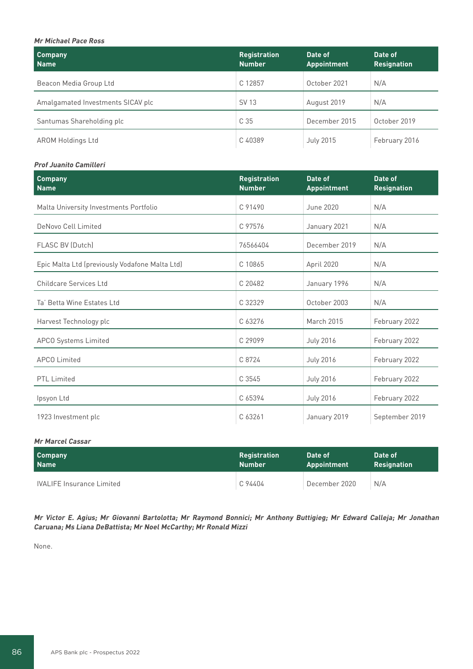## **Mr Michael Pace Ross**

| <b>Company</b><br>  Name          | <b>Registration</b><br><b>Number</b> | Date of<br><b>Appointment</b> | Date of<br><b>Resignation</b> |
|-----------------------------------|--------------------------------------|-------------------------------|-------------------------------|
| Beacon Media Group Ltd            | C 12857                              | October 2021                  | N/A                           |
| Amalgamated Investments SICAV plc | SV 13                                | August 2019                   | N/A                           |
| Santumas Shareholding plc         | C 35                                 | December 2015                 | October 2019                  |
| <b>AROM Holdings Ltd</b>          | C 40389                              | <b>July 2015</b>              | February 2016                 |

#### **Prof Juanito Camilleri**

| <b>Company</b><br><b>Name</b>                  | <b>Registration</b><br><b>Number</b> | Date of<br><b>Appointment</b> | Date of<br><b>Resignation</b> |
|------------------------------------------------|--------------------------------------|-------------------------------|-------------------------------|
| Malta University Investments Portfolio         | C 91490                              | June 2020                     | N/A                           |
| DeNovo Cell Limited                            | C 97576                              | January 2021                  | N/A                           |
| <b>FLASC BV (Dutch)</b>                        | 76566404                             | December 2019                 | N/A                           |
| Epic Malta Ltd (previously Vodafone Malta Ltd) | C 10865                              | April 2020                    | N/A                           |
| <b>Childcare Services Ltd</b>                  | C 20482                              | January 1996                  | N/A                           |
| Ta' Betta Wine Estates Ltd                     | C 32329                              | October 2003                  | N/A                           |
| Harvest Technology plc                         | C 63276                              | <b>March 2015</b>             | February 2022                 |
| <b>APCO Systems Limited</b>                    | C 29099                              | <b>July 2016</b>              | February 2022                 |
| <b>APCO Limited</b>                            | C 8724                               | <b>July 2016</b>              | February 2022                 |
| <b>PTL Limited</b>                             | C 3545                               | <b>July 2016</b>              | February 2022                 |
| Ipsyon Ltd                                     | C 65394                              | <b>July 2016</b>              | February 2022                 |
| 1923 Investment plc                            | C 63261                              | January 2019                  | September 2019                |

## **Mr Marcel Cassar**

| <b>Company</b>                   | <b>Registration</b> | Date of       | Date of            |
|----------------------------------|---------------------|---------------|--------------------|
| Name                             | <b>Number</b>       | Appointment   | <b>Resignation</b> |
| <b>IVALIFE Insurance Limited</b> | C 94404             | December 2020 | N/A                |

**Mr Victor E. Agius; Mr Giovanni Bartolotta; Mr Raymond Bonnici; Mr Anthony Buttigieg; Mr Edward Calleja; Mr Jonathan Caruana; Ms Liana DeBattista; Mr Noel McCarthy; Mr Ronald Mizzi**

None.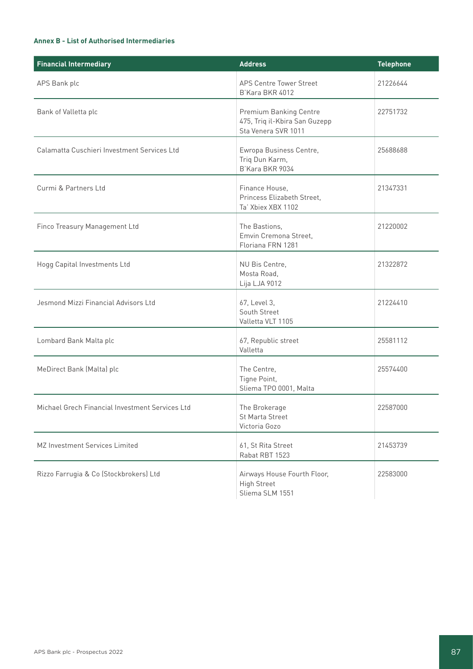## **Annex B - List of Authorised Intermediaries**

| <b>Financial Intermediary</b>                   | <b>Address</b>                                                                        | <b>Telephone</b> |  |
|-------------------------------------------------|---------------------------------------------------------------------------------------|------------------|--|
| APS Bank plc                                    | <b>APS Centre Tower Street</b><br>B'Kara BKR 4012                                     | 21226644         |  |
| Bank of Valletta plc                            | <b>Premium Banking Centre</b><br>475, Triq il-Kbira San Guzepp<br>Sta Venera SVR 1011 | 22751732         |  |
| Calamatta Cuschieri Investment Services Ltd     | Ewropa Business Centre,<br>Triq Dun Karm,<br>B'Kara BKR 9034                          | 25688688         |  |
| Curmi & Partners Ltd                            | Finance House,<br>Princess Elizabeth Street,<br>Ta' Xbiex XBX 1102                    | 21347331         |  |
| Finco Treasury Management Ltd                   | The Bastions,<br>Emvin Cremona Street,<br>Floriana FRN 1281                           | 21220002         |  |
| Hogg Capital Investments Ltd                    | NU Bis Centre,<br>Mosta Road,<br>Lija LJA 9012                                        | 21322872         |  |
| Jesmond Mizzi Financial Advisors Ltd            | 67, Level 3,<br>South Street<br>Valletta VLT 1105                                     | 21224410         |  |
| Lombard Bank Malta plc                          | 67, Republic street<br>Valletta                                                       | 25581112         |  |
| MeDirect Bank (Malta) plc                       | The Centre,<br>Tigne Point,<br>Sliema TPO 0001, Malta                                 | 25574400         |  |
| Michael Grech Financial Investment Services Ltd | The Brokerage<br>St Marta Street<br>Victoria Gozo                                     | 22587000         |  |
| MZ Investment Services Limited                  | 61, St Rita Street<br>Rabat RBT 1523                                                  | 21453739         |  |
| Rizzo Farrugia & Co (Stockbrokers) Ltd          | Airways House Fourth Floor,<br><b>High Street</b><br>Sliema SLM 1551                  | 22583000         |  |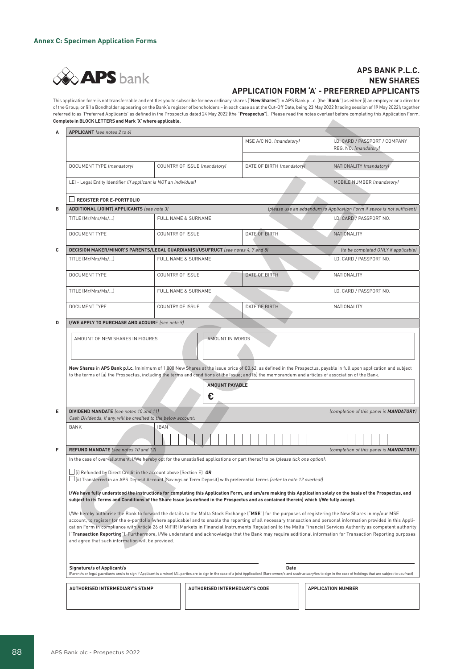

## **APS BANK P.L.C. NEW SHARES APPLICATION FORM 'A' - PREFERRED APPLICANTS**

This application form is not transferrable and entitles you to subscribe for new ordinary shares ("**New Shares**") in APS Bank p.l.c. (the "**Bank**") as either (i) an employee or a director of the Group; or (ii) a Bondholder appearing on the Bank's register of bondholders – in each case as at the Cut-Off Date, being 23 May 2022 (trading session of 19 May 2022); together referred to as 'Preferred Applicants' as defined in the Prospectus dated 24 May 2022 (the "**Prospectus**"). Please read the notes overleaf before completing this Application Form. **Complete in BLOCK LETTERS and Mark 'X' where applicable.**  $\Delta \mathbf{r}$ 

|                                                                                                                                                                                                                                                                                                                                                                                                                                                                                                                                                                                                                                                                                                                                                                                                                                                                                                                                                                                                                                        |                                                           | MSE A/C NO. (mandatory)                                                                                                                                                                                                                                                                                                                                                                                                                    | I.D. CARD / PASSPORT / COMPANY<br>REG. NO. (mandatory)                                                                                                                    |  |  |                                                                                                                                                                                                                                                                             |  |  |                           |  |
|----------------------------------------------------------------------------------------------------------------------------------------------------------------------------------------------------------------------------------------------------------------------------------------------------------------------------------------------------------------------------------------------------------------------------------------------------------------------------------------------------------------------------------------------------------------------------------------------------------------------------------------------------------------------------------------------------------------------------------------------------------------------------------------------------------------------------------------------------------------------------------------------------------------------------------------------------------------------------------------------------------------------------------------|-----------------------------------------------------------|--------------------------------------------------------------------------------------------------------------------------------------------------------------------------------------------------------------------------------------------------------------------------------------------------------------------------------------------------------------------------------------------------------------------------------------------|---------------------------------------------------------------------------------------------------------------------------------------------------------------------------|--|--|-----------------------------------------------------------------------------------------------------------------------------------------------------------------------------------------------------------------------------------------------------------------------------|--|--|---------------------------|--|
|                                                                                                                                                                                                                                                                                                                                                                                                                                                                                                                                                                                                                                                                                                                                                                                                                                                                                                                                                                                                                                        |                                                           |                                                                                                                                                                                                                                                                                                                                                                                                                                            |                                                                                                                                                                           |  |  |                                                                                                                                                                                                                                                                             |  |  |                           |  |
|                                                                                                                                                                                                                                                                                                                                                                                                                                                                                                                                                                                                                                                                                                                                                                                                                                                                                                                                                                                                                                        |                                                           |                                                                                                                                                                                                                                                                                                                                                                                                                                            | NATIONALITY (mandatory)                                                                                                                                                   |  |  |                                                                                                                                                                                                                                                                             |  |  |                           |  |
|                                                                                                                                                                                                                                                                                                                                                                                                                                                                                                                                                                                                                                                                                                                                                                                                                                                                                                                                                                                                                                        |                                                           |                                                                                                                                                                                                                                                                                                                                                                                                                                            | MOBILE NUMBER (mandatory)                                                                                                                                                 |  |  |                                                                                                                                                                                                                                                                             |  |  |                           |  |
| <b>REGISTER FOR E-PORTFOLIO</b>                                                                                                                                                                                                                                                                                                                                                                                                                                                                                                                                                                                                                                                                                                                                                                                                                                                                                                                                                                                                        |                                                           |                                                                                                                                                                                                                                                                                                                                                                                                                                            |                                                                                                                                                                           |  |  |                                                                                                                                                                                                                                                                             |  |  |                           |  |
|                                                                                                                                                                                                                                                                                                                                                                                                                                                                                                                                                                                                                                                                                                                                                                                                                                                                                                                                                                                                                                        |                                                           |                                                                                                                                                                                                                                                                                                                                                                                                                                            | (please use an addendum to Application Form if space is not sufficient)                                                                                                   |  |  |                                                                                                                                                                                                                                                                             |  |  |                           |  |
| TITLE (Mr/Mrs/Ms/)                                                                                                                                                                                                                                                                                                                                                                                                                                                                                                                                                                                                                                                                                                                                                                                                                                                                                                                                                                                                                     | FULL NAME & SURNAME                                       |                                                                                                                                                                                                                                                                                                                                                                                                                                            | I.D. CARD / PASSPORT NO.                                                                                                                                                  |  |  |                                                                                                                                                                                                                                                                             |  |  |                           |  |
| DOCUMENT TYPE                                                                                                                                                                                                                                                                                                                                                                                                                                                                                                                                                                                                                                                                                                                                                                                                                                                                                                                                                                                                                          | COUNTRY OF ISSUE                                          | DATE OF BIRTH<br>NATIONALITY                                                                                                                                                                                                                                                                                                                                                                                                               |                                                                                                                                                                           |  |  |                                                                                                                                                                                                                                                                             |  |  |                           |  |
|                                                                                                                                                                                                                                                                                                                                                                                                                                                                                                                                                                                                                                                                                                                                                                                                                                                                                                                                                                                                                                        |                                                           |                                                                                                                                                                                                                                                                                                                                                                                                                                            | (to be completed ONLY if applicable)                                                                                                                                      |  |  |                                                                                                                                                                                                                                                                             |  |  |                           |  |
| TITLE (Mr/Mrs/Ms/)                                                                                                                                                                                                                                                                                                                                                                                                                                                                                                                                                                                                                                                                                                                                                                                                                                                                                                                                                                                                                     | <b>FULL NAME &amp; SURNAME</b>                            |                                                                                                                                                                                                                                                                                                                                                                                                                                            |                                                                                                                                                                           |  |  |                                                                                                                                                                                                                                                                             |  |  |                           |  |
| DOCUMENT TYPE                                                                                                                                                                                                                                                                                                                                                                                                                                                                                                                                                                                                                                                                                                                                                                                                                                                                                                                                                                                                                          | COUNTRY OF ISSUE                                          | DATE OF BIRTH                                                                                                                                                                                                                                                                                                                                                                                                                              |                                                                                                                                                                           |  |  |                                                                                                                                                                                                                                                                             |  |  |                           |  |
| TITLE (Mr/Mrs/Ms/)                                                                                                                                                                                                                                                                                                                                                                                                                                                                                                                                                                                                                                                                                                                                                                                                                                                                                                                                                                                                                     | FULL NAME & SURNAME                                       |                                                                                                                                                                                                                                                                                                                                                                                                                                            | I.D. CARD / PASSPORT NO.                                                                                                                                                  |  |  |                                                                                                                                                                                                                                                                             |  |  |                           |  |
| DOCUMENT TYPE                                                                                                                                                                                                                                                                                                                                                                                                                                                                                                                                                                                                                                                                                                                                                                                                                                                                                                                                                                                                                          | COUNTRY OF ISSUE                                          | DATE OF BIRTH                                                                                                                                                                                                                                                                                                                                                                                                                              | NATIONALITY                                                                                                                                                               |  |  |                                                                                                                                                                                                                                                                             |  |  |                           |  |
|                                                                                                                                                                                                                                                                                                                                                                                                                                                                                                                                                                                                                                                                                                                                                                                                                                                                                                                                                                                                                                        |                                                           |                                                                                                                                                                                                                                                                                                                                                                                                                                            |                                                                                                                                                                           |  |  |                                                                                                                                                                                                                                                                             |  |  |                           |  |
| New Shares in APS Bank p.l.c. (minimum of 1,000 New Shares at the issue price of €0.62, as defined in the Prospectus, payable in full upon application and subject<br>to the terms of (a) the Prospectus, including the terms and conditions of the Issue; and (b) the memorandum and articles of association of the Bank.<br><b>AMOUNT PAYABLE</b><br>€                                                                                                                                                                                                                                                                                                                                                                                                                                                                                                                                                                                                                                                                               |                                                           |                                                                                                                                                                                                                                                                                                                                                                                                                                            |                                                                                                                                                                           |  |  |                                                                                                                                                                                                                                                                             |  |  |                           |  |
|                                                                                                                                                                                                                                                                                                                                                                                                                                                                                                                                                                                                                                                                                                                                                                                                                                                                                                                                                                                                                                        |                                                           |                                                                                                                                                                                                                                                                                                                                                                                                                                            | (completion of this panel is <b>MANDATORY</b> )                                                                                                                           |  |  |                                                                                                                                                                                                                                                                             |  |  |                           |  |
| <b>BANK</b>                                                                                                                                                                                                                                                                                                                                                                                                                                                                                                                                                                                                                                                                                                                                                                                                                                                                                                                                                                                                                            | <b>IBAN</b>                                               |                                                                                                                                                                                                                                                                                                                                                                                                                                            |                                                                                                                                                                           |  |  |                                                                                                                                                                                                                                                                             |  |  |                           |  |
|                                                                                                                                                                                                                                                                                                                                                                                                                                                                                                                                                                                                                                                                                                                                                                                                                                                                                                                                                                                                                                        |                                                           |                                                                                                                                                                                                                                                                                                                                                                                                                                            |                                                                                                                                                                           |  |  |                                                                                                                                                                                                                                                                             |  |  |                           |  |
|                                                                                                                                                                                                                                                                                                                                                                                                                                                                                                                                                                                                                                                                                                                                                                                                                                                                                                                                                                                                                                        |                                                           |                                                                                                                                                                                                                                                                                                                                                                                                                                            | (completion of this panel is MANDATORY)                                                                                                                                   |  |  |                                                                                                                                                                                                                                                                             |  |  |                           |  |
| In the case of over-allotment, I/We hereby opt for the unsatisfied applications or part thereof to be (please tick one option):<br>$\Box$ (i) Refunded by Direct Credit in the account above (Section E) OR<br>(ii) Transferred in an APS Deposit Account (Savings or Term Deposit) with preferential terms (refer to note 12 overleaf)                                                                                                                                                                                                                                                                                                                                                                                                                                                                                                                                                                                                                                                                                                |                                                           |                                                                                                                                                                                                                                                                                                                                                                                                                                            |                                                                                                                                                                           |  |  |                                                                                                                                                                                                                                                                             |  |  |                           |  |
| I/We have fully understood the instructions for completing this Application Form, and am/are making this Application solely on the basis of the Prospectus, and<br>subject to its Terms and Conditions of the Share Issue (as defined in the Prospectus and as contained therein) which I/We fully accept.<br>I/We hereby authorise the Bank to forward the details to the Malta Stock Exchange ("MSE") for the purposes of registering the New Shares in my/our MSE<br>account, to register for the e-portfolio (where applicable) and to enable the reporting of all necessary transaction and personal information provided in this Appli-<br>cation Form in compliance with Article 26 of MiFIR (Markets in Financial Instruments Regulation) to the Malta Financial Services Authority as competent authority<br>("Transaction Reporting"). Furthermore, I/We understand and acknowledge that the Bank may require additional information for Transaction Reporting purposes<br>and agree that such information will be provided. |                                                           |                                                                                                                                                                                                                                                                                                                                                                                                                                            |                                                                                                                                                                           |  |  |                                                                                                                                                                                                                                                                             |  |  |                           |  |
|                                                                                                                                                                                                                                                                                                                                                                                                                                                                                                                                                                                                                                                                                                                                                                                                                                                                                                                                                                                                                                        |                                                           |                                                                                                                                                                                                                                                                                                                                                                                                                                            |                                                                                                                                                                           |  |  | Signature/s of Applicant/s<br><b>Date</b><br>[Parent/s or legal guardian/s are/is to sign if Applicant is a minor] [All parties are to sign in the case of a joint Application] [Bare owner/s and usufructuary/ies to sign in the case of holdings that are subject to usuf |  |  |                           |  |
|                                                                                                                                                                                                                                                                                                                                                                                                                                                                                                                                                                                                                                                                                                                                                                                                                                                                                                                                                                                                                                        |                                                           |                                                                                                                                                                                                                                                                                                                                                                                                                                            |                                                                                                                                                                           |  |  |                                                                                                                                                                                                                                                                             |  |  | <b>APPLICATION NUMBER</b> |  |
|                                                                                                                                                                                                                                                                                                                                                                                                                                                                                                                                                                                                                                                                                                                                                                                                                                                                                                                                                                                                                                        | APPLICANT (see notes 2 to 6)<br>DOCUMENT TYPE (mandatory) | COUNTRY OF ISSUE (mandatory)<br>LEI - Legal Entity Identifier (if applicant is NOT an individual)<br><b>ADDITIONAL (JOINT) APPLICANTS</b> (see note 3)<br>I/WE APPLY TO PURCHASE AND ACQUIRE (see note 9)<br>AMOUNT OF NEW SHARES IN FIGURES<br><b>DIVIDEND MANDATE</b> (see notes 10 and 11)<br>Cash Dividends, if any, will be credited to the below account:<br>REFUND MANDATE (see notes 10 and 12)<br>AUTHORISED INTERMEDIARY'S STAMP | DATE OF BIRTH (mandatory)<br>DECISION MAKER/MINOR'S PARENTS/LEGAL GUARDIAN(S)/USUFRUCT (see notes 4, 7 and 8)<br>AMOUNT IN WORDS<br><b>AUTHORISED INTERMEDIARY'S CODE</b> |  |  |                                                                                                                                                                                                                                                                             |  |  |                           |  |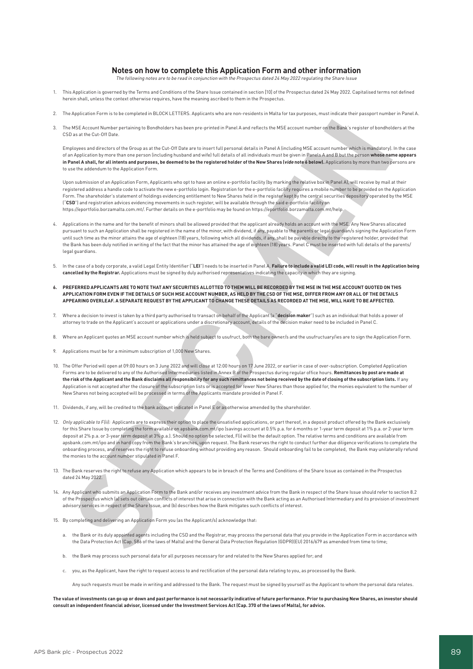#### **Notes on how to complete this Application Form and other information**

The following notes are to be read in conjunction with the Prospectus dated 24 May 2022 regulating the Share Issue

- 1. This Application is governed by the Terms and Conditions of the Share Issue contained in section [10] of the Prospectus dated 24 May 2022. Capitalised terms not defined herein shall, unless the context otherwise requires, have the meaning ascribed to them in the Prospectus.
- 2. The Application Form is to be completed in BLOCK LETTERS. Applicants who are non-residents in Malta for tax purposes, must indicate their passport number in Panel A.
- 3. The MSE Account Number pertaining to Bondholders has been pre-printed in Panel A and reflects the MSE account number on the Bank's register of bondholders at the CSD as at the Cut-Off Date.

Employees and directors of the Group as at the Cut-Off Date are to insert full personal details in Panel A (including MSE account number which is mandatory). In the case of an Application by more than one person (including husband and wife) full details of all individuals must be given in Panels A and B but the person **whose name appears in Panel A shall, for all intents and purposes, be deemed to be the registered holder of the New Shares (vide note 6 below).** Applications by more than two persons are to use the addendum to the Application Form.

Upon submission of an Application Form, Applicants who opt to have an online e-portfolio facility (by marking the relative box in Panel A), will receive by mail at their registered address a handle code to activate the new e-portfolio login. Registration for the e-portfolio facility requires a mobile number to be provided on the Application Form. The shareholder's statement of holdings evidencing entitlement to New Shares held in the register kept by the central securities depository operated by the MSE ("**CSD**") and registration advices evidencing movements in such register, will be available through the said e-portfolio facility on https://eportfolio.borzamalta.com.mt/. Further details on the e-portfolio may be found on https://eportfolio.borzamalta.com.mt/help.

- 4. Applications in the name and for the benefit of minors shall be allowed provided that the applicant already holds an account with the MSE. Any New Shares allocated pursuant to such an Application shall be registered in the name of the minor, with dividend, if any, payable to the parents or legal guardian/s signing the Application Form until such time as the minor attains the age of eighteen (18) years, following which all dividends, if any, shall be payable directly to the registered holder, provided that the Bank has been duly notified in writing of the fact that the minor has attained the age of eighteen (18) years. Panel C must be inserted with full details of the parents/ legal guardians.
- 5. In the case of a body corporate, a valid Legal Entity Identifier ("**LEI**") needs to be inserted in Panel A. **Failure to include a valid LEI code, will result in the Application being cancelled by the Registrar.** Applications must be signed by duly authorised representatives indicating the capacity in which they are signing.
- **6. PREFERRED APPLICANTS ARE TO NOTE THAT ANY SECURITIES ALLOTTED TO THEM WILL BE RECORDED BY THE MSE IN THE MSE ACCOUNT QUOTED ON THIS APPLICATION FORM EVEN IF THE DETAILS OF SUCH MSE ACCOUNT NUMBER, AS HELD BY THE CSD OF THE MSE, DIFFER FROM ANY OR ALL OF THE DETAILS APPEARING OVERLEAF. A SEPARATE REQUEST BY THE APPLICANT TO CHANGE THESE DETAILS AS RECORDED AT THE MSE, WILL HAVE TO BE AFFECTED.**
- 7. Where a decision to invest is taken by a third party authorised to transact on behalf of the Applicant (a "**decision maker**") such as an individual that holds a power of attorney to trade on the Applicant's account or applications under a discretionary account, details of the decision maker need to be included in Panel C.
- 8. Where an Applicant quotes an MSE account number which is held subject to usufruct, both the bare owner/s and the usufructuary/ies are to sign the Application Form.
- 9. Applications must be for a minimum subscription of 1,000 New Shares.
- 10. The Offer Period will open at 09:00 hours on 3 June 2022 and will close at 12:00 hours on 17 June 2022, or earlier in case of over-subscription. Completed Application Forms are to be delivered to any of the Authorised Intermediaries listed in Annex B of the Prospectus during regular office hours. **Remittances by post are made at the risk of the Applicant and the Bank disclaims all responsibility for any such remittances not being received by the date of closing of the subscription lists.** If any Application is not accepted after the closure of the subscription lists or is accepted for fewer New Shares than those applied for, the monies equivalent to the number of New Shares not being accepted will be processed in terms of the Applicants mandate provided in Panel F.
- 11. Dividends, if any, will be credited to the bank account indicated in Panel E or as otherwise amended by the shareholder.
- 12. Only applicable to Flii): Applicants are to express their option to place the unsatisfied applications, or part thereof, in a deposit product offered by the Bank exclusively for this Share Issue by completing the form available on apsbank.com.mt/ipo (savings account at 0.5% p.a. for 6 months or 1-year term deposit at 1% p.a. or 2-year term deposit at 2% p.a. or 3-year term deposit at 3% p.a.). Should no option be selected, F(i) will be the default option. The relative terms and conditions are available from apsbank.com.mt/ipo and in hard copy from the Bank's branches, upon request. The Bank reserves the right to conduct further due diligence verifications to complete the onboarding process, and reserves the right to refuse onboarding without providing any reason. Should onboarding fail to be completed, the Bank may unilaterally refund the monies to the account number stipulated in Panel F.
- 13. The Bank reserves the right to refuse any Application which appears to be in breach of the Terms and Conditions of the Share Issue as contained in the Prospectus dated 24 May 2022.
- 14. Any Applicant who submits an Application Form to the Bank and/or receives any investment advice from the Bank in respect of the Share Issue should refer to section 8.2 of the Prospectus which (a) sets out certain conflicts of interest that arise in connection with the Bank acting as an Authorised Intermediary and its provision of investment advisory services in respect of the Share Issue, and (b) describes how the Bank mitigates such conflicts of interest.
- 15. By completing and delivering an Application Form you (as the Applicant/s) acknowledge that:
	- a. the Bank or its duly appointed agents including the CSD and the Registrar, may process the personal data that you provide in the Application Form in accordance with the Data Protection Act (Cap. 586 of the laws of Malta) and the General Data Protection Regulation (GDPR)(EU) 2016/679 as amended from time to time;
	- b. the Bank may process such personal data for all purposes necessary for and related to the New Shares applied for; and
	- c. you, as the Applicant, have the right to request access to and rectification of the personal data relating to you, as processed by the Bank.
		- Any such requests must be made in writing and addressed to the Bank. The request must be signed by yourself as the Applicant to whom the personal data relates.

**The value of investments can go up or down and past performance is not necessarily indicative of future performance. Prior to purchasing New Shares, an investor should consult an independent financial advisor, licensed under the Investment Services Act (Cap. 370 of the laws of Malta), for advice.**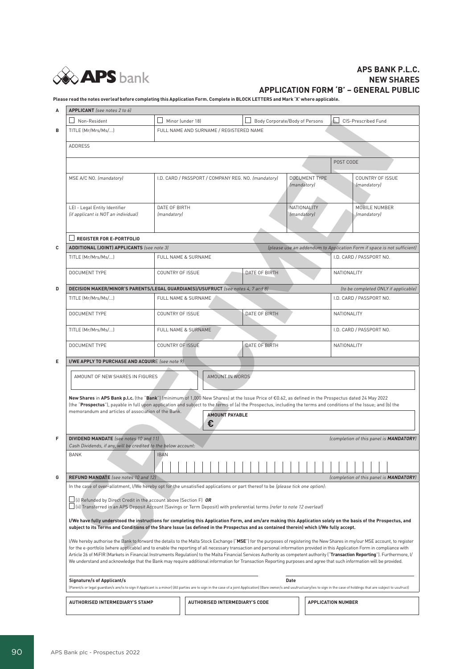

## **APS BANK P.L.C. NEW SHARES APPLICATION FORM 'B' – GENERAL PUBLIC**

**Please read the notes overleaf before completing this Application Form. Complete in BLOCK LETTERS and Mark 'X' where applicable.**

| А | APPLICANT (see notes 2 to 6)                                                                                                                                                                                                                                                                                                                                                                                                                                                                                                                                                                                                                                                                                         |                                                                                                                                                                                                                                        |                                         |                                                                                            |                                |                                                                                                                    |                                                 |  |
|---|----------------------------------------------------------------------------------------------------------------------------------------------------------------------------------------------------------------------------------------------------------------------------------------------------------------------------------------------------------------------------------------------------------------------------------------------------------------------------------------------------------------------------------------------------------------------------------------------------------------------------------------------------------------------------------------------------------------------|----------------------------------------------------------------------------------------------------------------------------------------------------------------------------------------------------------------------------------------|-----------------------------------------|--------------------------------------------------------------------------------------------|--------------------------------|--------------------------------------------------------------------------------------------------------------------|-------------------------------------------------|--|
|   | Non-Resident                                                                                                                                                                                                                                                                                                                                                                                                                                                                                                                                                                                                                                                                                                         | $\Box$ Minor (under 18)                                                                                                                                                                                                                |                                         |                                                                                            | Body Corporate/Body of Persons |                                                                                                                    | CIS-Prescribed Fund                             |  |
| в | TITLE (Mr/Mrs/Ms/)                                                                                                                                                                                                                                                                                                                                                                                                                                                                                                                                                                                                                                                                                                   |                                                                                                                                                                                                                                        | FULL NAME AND SURNAME / REGISTERED NAME |                                                                                            |                                |                                                                                                                    |                                                 |  |
|   | ADDRESS                                                                                                                                                                                                                                                                                                                                                                                                                                                                                                                                                                                                                                                                                                              |                                                                                                                                                                                                                                        |                                         |                                                                                            |                                |                                                                                                                    |                                                 |  |
|   |                                                                                                                                                                                                                                                                                                                                                                                                                                                                                                                                                                                                                                                                                                                      |                                                                                                                                                                                                                                        |                                         |                                                                                            |                                |                                                                                                                    | POST CODE                                       |  |
|   | MSE A/C NO. (mandatory)                                                                                                                                                                                                                                                                                                                                                                                                                                                                                                                                                                                                                                                                                              |                                                                                                                                                                                                                                        |                                         | <b>DOCUMENT TYPE</b><br>I.D. CARD / PASSPORT / COMPANY REG. NO. (mandatory)<br>(mandatory) |                                |                                                                                                                    | COUNTRY OF ISSUE<br>(mandatory)                 |  |
|   | LEI - Legal Entity Identifier<br>(if applicant is NOT an individual)                                                                                                                                                                                                                                                                                                                                                                                                                                                                                                                                                                                                                                                 | DATE OF BIRTH<br>(mandatory)                                                                                                                                                                                                           |                                         |                                                                                            | NATIONALITY<br>(mandatory)     |                                                                                                                    | MOBILE NUMBER<br>(mandatory)                    |  |
|   | $\Box$ REGISTER FOR E-PORTFOLIO                                                                                                                                                                                                                                                                                                                                                                                                                                                                                                                                                                                                                                                                                      |                                                                                                                                                                                                                                        |                                         |                                                                                            |                                |                                                                                                                    |                                                 |  |
| с | <b>ADDITIONAL (JOINT) APPLICANTS</b> (see note 3)                                                                                                                                                                                                                                                                                                                                                                                                                                                                                                                                                                                                                                                                    |                                                                                                                                                                                                                                        |                                         |                                                                                            |                                |                                                                                                                    |                                                 |  |
|   | TITLE (Mr/Mrs/Ms/)                                                                                                                                                                                                                                                                                                                                                                                                                                                                                                                                                                                                                                                                                                   |                                                                                                                                                                                                                                        | FULL NAME & SURNAME                     |                                                                                            |                                | (please use an addendum to Application Form if space is not sufficient)<br>I.D. CARD / PASSPORT NO.<br>NATIONALITY |                                                 |  |
|   | <b>DOCUMENT TYPE</b>                                                                                                                                                                                                                                                                                                                                                                                                                                                                                                                                                                                                                                                                                                 | COUNTRY OF ISSUE                                                                                                                                                                                                                       |                                         | DATE OF BIRTH                                                                              |                                |                                                                                                                    |                                                 |  |
| D | DECISION MAKER/MINOR'S PARENTS/LEGAL GUARDIAN(S)/USUFRUCT (see notes 4, 7 and 8)                                                                                                                                                                                                                                                                                                                                                                                                                                                                                                                                                                                                                                     |                                                                                                                                                                                                                                        |                                         |                                                                                            |                                |                                                                                                                    | (to be completed ONLY if applicable)            |  |
|   | TITLE (Mr/Mrs/Ms/)                                                                                                                                                                                                                                                                                                                                                                                                                                                                                                                                                                                                                                                                                                   | FULL NAME & SURNAME                                                                                                                                                                                                                    |                                         |                                                                                            |                                |                                                                                                                    | I.D. CARD / PASSPORT NO.                        |  |
|   | DOCUMENT TYPE                                                                                                                                                                                                                                                                                                                                                                                                                                                                                                                                                                                                                                                                                                        | COUNTRY OF ISSUE                                                                                                                                                                                                                       |                                         | DATE OF BIRTH                                                                              |                                | NATIONALITY                                                                                                        |                                                 |  |
|   | TITLE (Mr/Mrs/Ms/)                                                                                                                                                                                                                                                                                                                                                                                                                                                                                                                                                                                                                                                                                                   |                                                                                                                                                                                                                                        | FULL NAME & SURNAME                     |                                                                                            |                                | I.D. CARD / PASSPORT NO.                                                                                           |                                                 |  |
|   | <b>DOCUMENT TYPE</b>                                                                                                                                                                                                                                                                                                                                                                                                                                                                                                                                                                                                                                                                                                 | COUNTRY OF ISSUE                                                                                                                                                                                                                       |                                         | DATE OF BIRTH                                                                              |                                | NATIONALITY                                                                                                        |                                                 |  |
| Е | I/WE APPLY TO PURCHASE AND ACQUIRE (see note 9)                                                                                                                                                                                                                                                                                                                                                                                                                                                                                                                                                                                                                                                                      |                                                                                                                                                                                                                                        |                                         |                                                                                            |                                |                                                                                                                    |                                                 |  |
|   | AMOUNT IN WORDS<br>AMOUNT OF NEW SHARES IN FIGURES<br>New Shares in APS Bank p.l.c. (the "Bank") (minimum of 1,000 New Shares) at the Issue Price of €0.62, as defined in the Prospectus dated 24 May 2022                                                                                                                                                                                                                                                                                                                                                                                                                                                                                                           |                                                                                                                                                                                                                                        |                                         |                                                                                            |                                |                                                                                                                    |                                                 |  |
|   | (the "Prospectus"), payable in full upon application and subject to the terms of (a) the Prospectus, including the terms and conditions of the Issue; and (b) the<br>memorandum and articles of association of the Bank.<br><b>AMOUNT PAYABLE</b><br>€                                                                                                                                                                                                                                                                                                                                                                                                                                                               |                                                                                                                                                                                                                                        |                                         |                                                                                            |                                |                                                                                                                    |                                                 |  |
| F | <b>DIVIDEND MANDATE</b> (see notes 10 and 11)<br>Cash Dividends, if any, will be credited to the below account:                                                                                                                                                                                                                                                                                                                                                                                                                                                                                                                                                                                                      |                                                                                                                                                                                                                                        |                                         |                                                                                            |                                |                                                                                                                    | (completion of this panel is <b>MANDATORY</b> ) |  |
|   | BANK                                                                                                                                                                                                                                                                                                                                                                                                                                                                                                                                                                                                                                                                                                                 | <b>IBAN</b>                                                                                                                                                                                                                            | .                                       | .                                                                                          |                                |                                                                                                                    |                                                 |  |
| G |                                                                                                                                                                                                                                                                                                                                                                                                                                                                                                                                                                                                                                                                                                                      |                                                                                                                                                                                                                                        |                                         |                                                                                            |                                |                                                                                                                    |                                                 |  |
|   | <b>REFUND MANDATE</b> (see notes 10 and 12)<br>(completion of this panel is MANDATORY)<br>In the case of over-allotment, I/We hereby opt for the unsatisfied applications or part thereof to be (please tick one option):                                                                                                                                                                                                                                                                                                                                                                                                                                                                                            |                                                                                                                                                                                                                                        |                                         |                                                                                            |                                |                                                                                                                    |                                                 |  |
|   | $\Box$ (i) Refunded by Direct Credit in the account above (Section F) OR<br>□ (ii) Transferred in an APS Deposit Account (Savings or Term Deposit) with preferential terms (refer to note 12 overleaf)                                                                                                                                                                                                                                                                                                                                                                                                                                                                                                               |                                                                                                                                                                                                                                        |                                         |                                                                                            |                                |                                                                                                                    |                                                 |  |
|   | I/We have fully understood the instructions for completing this Application Form, and am/are making this Application solely on the basis of the Prospectus, and<br>subject to its Terms and Conditions of the Share Issue (as defined in the Prospectus and as contained therein) which I/We fully accept.                                                                                                                                                                                                                                                                                                                                                                                                           |                                                                                                                                                                                                                                        |                                         |                                                                                            |                                |                                                                                                                    |                                                 |  |
|   | I/We hereby authorise the Bank to forward the details to the Malta Stock Exchange ("MSE") for the purposes of registering the New Shares in my/our MSE account, to register<br>for the e-portfolio (where applicable) and to enable the reporting of all necessary transaction and personal information provided in this Application Form in compliance with<br>Article 26 of MiFIR (Markets in Financial Instruments Regulation) to the Malta Financial Services Authority as competent authority ("Transaction Reporting"). Furthermore, I/<br>We understand and acknowledge that the Bank may require additional information for Transaction Reporting purposes and agree that such information will be provided. |                                                                                                                                                                                                                                        |                                         |                                                                                            |                                |                                                                                                                    |                                                 |  |
|   | <b>Signature/s of Applicant/s</b>                                                                                                                                                                                                                                                                                                                                                                                                                                                                                                                                                                                                                                                                                    | Date<br>(Parent/s or legal guardian/s are/is to sign if Applicant is a minor) (All parties are to sign in the case of a joint Application) (Bare owner/s and usufructuary/ies to sign in the case of holdings that are subject to usuf |                                         |                                                                                            |                                |                                                                                                                    |                                                 |  |
|   | <b>AUTHORISED INTERMEDIARY'S STAMP</b>                                                                                                                                                                                                                                                                                                                                                                                                                                                                                                                                                                                                                                                                               |                                                                                                                                                                                                                                        | <b>AUTHORISED INTERMEDIARY'S CODE</b>   |                                                                                            |                                | <b>APPLICATION NUMBER</b>                                                                                          |                                                 |  |
|   |                                                                                                                                                                                                                                                                                                                                                                                                                                                                                                                                                                                                                                                                                                                      |                                                                                                                                                                                                                                        |                                         |                                                                                            |                                |                                                                                                                    |                                                 |  |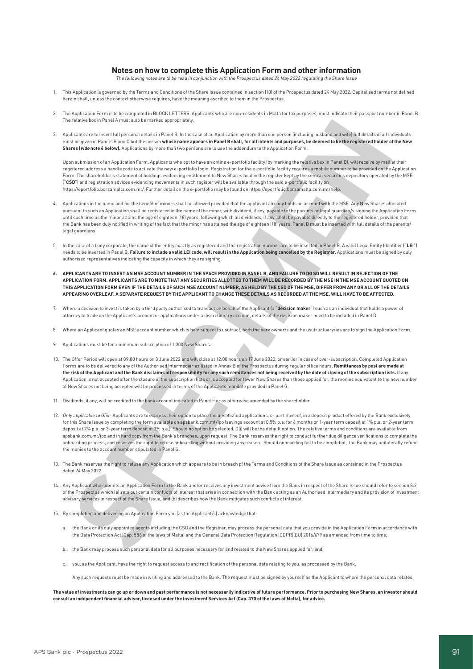#### **Notes on how to complete this Application Form and other information**

The following notes are to be read in conjunction with the Prospectus dated 24 May 2022 regulating the Share Issue

- 1. This Application is governed by the Terms and Conditions of the Share Issue contained in section [10] of the Prospectus dated 24 May 2022. Capitalised terms not defined herein shall, unless the context otherwise requires, have the meaning ascribed to them in the Prospectus.
- 2. The Application Form is to be completed in BLOCK LETTERS. Applicants who are non-residents in Malta for tax purposes, must indicate their passport number in Panel B. The relative box in Panel A must also be marked appropriately.
- 3. Applicants are to insert full personal details in Panel B. In the case of an Application by more than one person (including husband and wife) full details of all individuals must be given in Panels B and C but the person **whose name appears in Panel B shall, for all intents and purposes, be deemed to be the registered holder of the New Shares (vide note 6 below).** Applications by more than two persons are to use the addendum to the Application Form.

Upon submission of an Application Form, Applicants who opt to have an online e-portfolio facility (by marking the relative box in Panel B), will receive by mail at their registered address a handle code to activate the new e-portfolio login. Registration for the e-portfolio facility requires a mobile number to be provided on the Application Form. The shareholder's statement of holdings evidencing entitlement to New Shares held in the register kept by the central securities depository operated by the MSE ("**CSD**") and registration advices evidencing movements in such register will be available through the said e-portfolio facility on https://eportfolio.borzamalta.com.mt/. Further detail on the e-portfolio may be found on https://eportfolio.borzamalta.com.mt/help.

- 4. Applications in the name and for the benefit of minors shall be allowed provided that the applicant already holds an account with the MSE. Any New Shares allocated pursuant to such an Application shall be registered in the name of the minor, with dividend, if any, payable to the parents or legal guardian/s signing the Application Form until such time as the minor attains the age of eighteen (18) years, following which all dividends, if any, shall be payable directly to the registered holder, provided that the Bank has been duly notified in writing of the fact that the minor has attained the age of eighteen (18) years. Panel D must be inserted with full details of the parents/ legal guardians.
- 5. In the case of a body corporate, the name of the entity exactly as registered and the registration number are to be inserted in Panel B. A valid Legal Entity Identifier ("**LEI**") needs to be inserted in Panel B. **Failure to include a valid LEI code, will result in the Application being cancelled by the Registrar.** Applications must be signed by duly authorised representatives indicating the capacity in which they are signing.
- **6. APPLICANTS ARE TO INSERT AN MSE ACCOUNT NUMBER IN THE SPACE PROVIDED IN PANEL B, AND FAILURE TO DO SO WILL RESULT IN REJECTION OF THE APPLICATION FORM. APPLICANTS ARE TO NOTE THAT ANY SECURITIES ALLOTTED TO THEM WILL BE RECORDED BY THE MSE IN THE MSE ACCOUNT QUOTED ON THIS APPLICATION FORM EVEN IF THE DETAILS OF SUCH MSE ACCOUNT NUMBER, AS HELD BY THE CSD OF THE MSE, DIFFER FROM ANY OR ALL OF THE DETAILS APPEARING OVERLEAF. A SEPARATE REQUEST BY THE APPLICANT TO CHANGE THESE DETAILS AS RECORDED AT THE MSE, WILL HAVE TO BE AFFECTED.**
- 7. Where a decision to invest is taken by a third party authorised to transact on behalf of the Applicant (a "**decision maker**") such as an individual that holds a power of attorney to trade on the Applicant's account or applications under a discretionary account, details of the decision maker need to be included in Panel D.
- 8. Where an Applicant quotes an MSE account number which is held subject to usufruct, both the bare owner/s and the usufructuary/ies are to sign the Application Form.
- 9. Applications must be for a minimum subscription of 1,000 New Shares.
- 10. The Offer Period will open at 09:00 hours on 3 June 2022 and will close at 12:00 hours on 17 June 2022, or earlier in case of over-subscription. Completed Application Forms are to be delivered to any of the Authorised Intermediaries listed in Annex B of the Prospectus during regular office hours. **Remittances by post are made at the risk of the Applicant and the Bank disclaims all responsibility for any such remittances not being received by the date of closing of the subscription lists.** If any Application is not accepted after the closure of the subscription lists or is accepted for fewer New Shares than those applied for, the monies equivalent to the new number of New Shares not being accepted will be processed in terms of the Applicants mandate provided in Panel G.
- 11. Dividends, if any, will be credited to the bank account indicated in Panel F or as otherwise amended by the shareholder.
- 12. Only applicable to G(ii): Applicants are to express their option to place the unsatisfied applications, or part thereof, in a deposit product offered by the Bank exclusively for this Share Issue by completing the form available on apsbank.com.mt/ipo (savings account at 0.5% p.a. for 6 months or 1-year term deposit at 1% p.a. or 2-year term deposit at 2% p.a. or 3-year term deposit at 3% p.a.). Should no option be selected, G(i) will be the default option. The relative terms and conditions are available from apsbank.com.mt/ipo and in hard copy from the Bank's branches, upon request. The Bank reserves the right to conduct further due diligence verifications to complete the onboarding process, and reserves the right to refuse onboarding without providing any reason. Should onboarding fail to be completed, the Bank may unilaterally refund the monies to the account number stipulated in Panel G.
- 13. The Bank reserves the right to refuse any Application which appears to be in breach pf the Terms and Conditions of the Share Issue as contained in the Prospectus dated 24 May 2022.
- 14. Any Applicant who submits an Application Form to the Bank and/or receives any investment advice from the Bank in respect of the Share Issue should refer to section 8.2 of the Prospectus which (a) sets out certain conflicts of interest that arise in connection with the Bank acting as an Authorised Intermediary and its provision of investment advisory services in respect of the Share Issue, and (b) describes how the Bank mitigates such conflicts of interest.
- 15. By completing and delivering an Application Form you (as the Applicant/s) acknowledge that:
	- a. the Bank or its duly appointed agents including the CSD and the Registrar, may process the personal data that you provide in the Application Form in accordance with the Data Protection Act (Cap. 586 of the laws of Malta) and the General Data Protection Regulation (GDPR)(EU) 2016/679 as amended from time to time;
	- b. the Bank may process such personal data for all purposes necessary for and related to the New Shares applied for; and
	- c. you, as the Applicant, have the right to request access to and rectification of the personal data relating to you, as processed by the Bank.

Any such requests must be made in writing and addressed to the Bank. The request must be signed by yourself as the Applicant to whom the personal data relates.

**The value of investments can go up or down and past performance is not necessarily indicative of future performance. Prior to purchasing New Shares, an investor should consult an independent financial advisor, licensed under the Investment Services Act (Cap. 370 of the laws of Malta), for advice.**